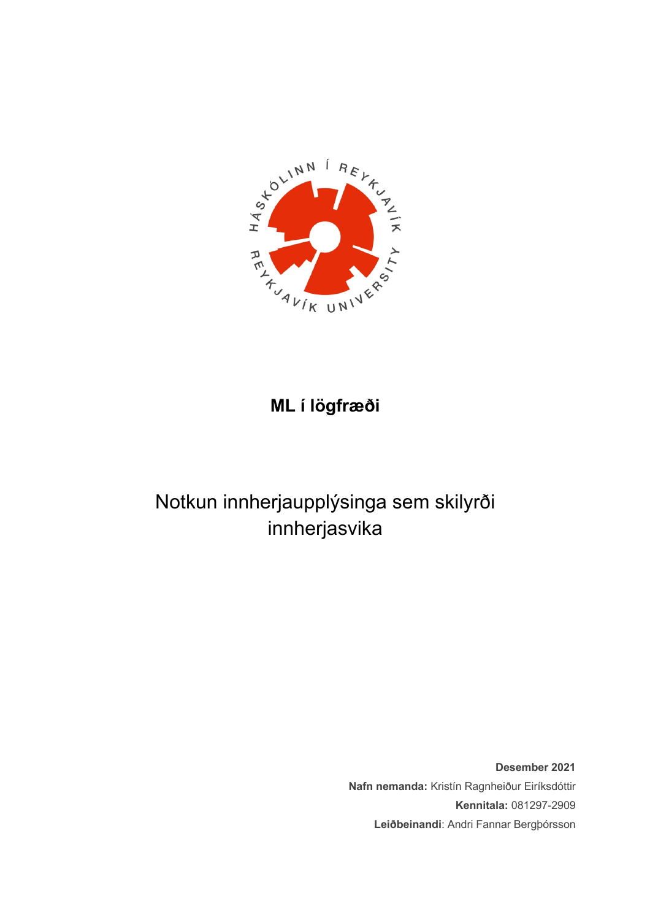

# **ML í lögfræði**

# Notkun innherjaupplýsinga sem skilyrði innherjasvika

**Desember 2021 Nafn nemanda:** Kristín Ragnheiður Eiríksdóttir **Kennitala:** 081297-2909 **Leiðbeinandi**: Andri Fannar Bergþórsson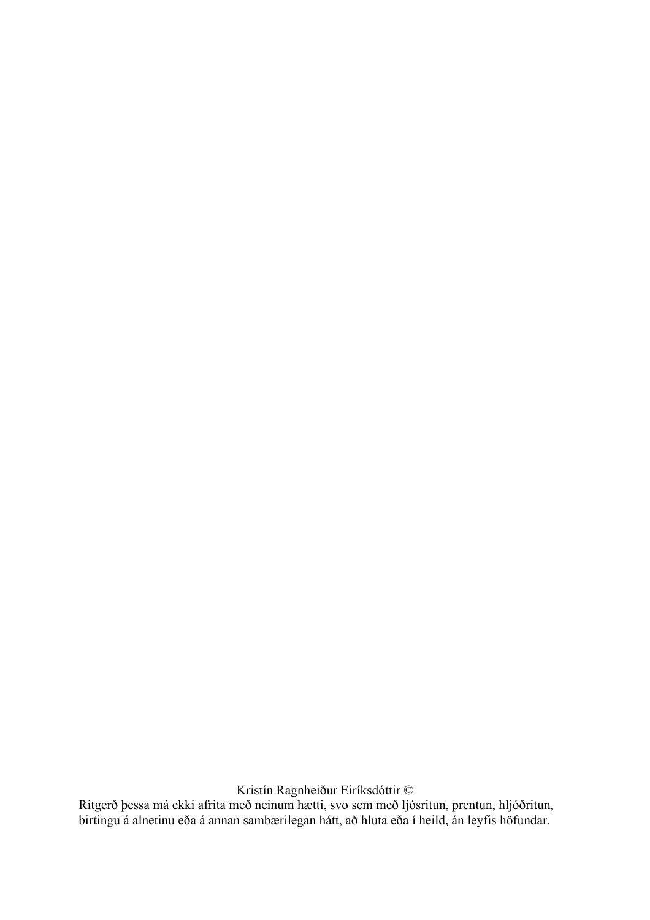Kristín Ragnheiður Eiríksdóttir ©

Ritgerð þessa má ekki afrita með neinum hætti, svo sem með ljósritun, prentun, hljóðritun, birtingu á alnetinu eða á annan sambærilegan hátt, að hluta eða í heild, án leyfis höfundar.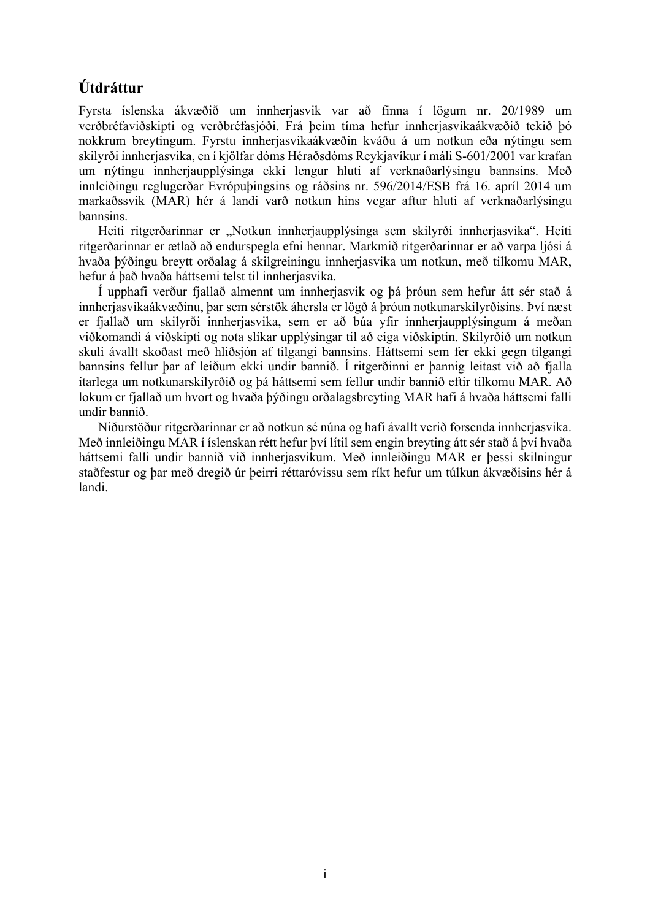# **Útdráttur**

Fyrsta íslenska ákvæðið um innherjasvik var að finna í lögum nr. 20/1989 um verðbréfaviðskipti og verðbréfasjóði. Frá þeim tíma hefur innherjasvikaákvæðið tekið þó nokkrum breytingum. Fyrstu innherjasvikaákvæðin kváðu á um notkun eða nýtingu sem skilyrði innherjasvika, en í kjölfar dóms Héraðsdóms Reykjavíkur í máli S-601/2001 var krafan um nýtingu innherjaupplýsinga ekki lengur hluti af verknaðarlýsingu bannsins. Með innleiðingu reglugerðar Evrópuþingsins og ráðsins nr. 596/2014/ESB frá 16. apríl 2014 um markaðssvik (MAR) hér á landi varð notkun hins vegar aftur hluti af verknaðarlýsingu bannsins.

Heiti ritgerðarinnar er "Notkun innherjaupplýsinga sem skilyrði innherjasvika". Heiti ritgerðarinnar er ætlað að endurspegla efni hennar. Markmið ritgerðarinnar er að varpa ljósi á hvaða þýðingu breytt orðalag á skilgreiningu innherjasvika um notkun, með tilkomu MAR, hefur á það hvaða háttsemi telst til innherjasvika.

Í upphafi verður fjallað almennt um innherjasvik og þá þróun sem hefur átt sér stað á innherjasvikaákvæðinu, þar sem sérstök áhersla er lögð á þróun notkunarskilyrðisins. Því næst er fjallað um skilyrði innherjasvika, sem er að búa yfir innherjaupplýsingum á meðan viðkomandi á viðskipti og nota slíkar upplýsingar til að eiga viðskiptin. Skilyrðið um notkun skuli ávallt skoðast með hliðsjón af tilgangi bannsins. Háttsemi sem fer ekki gegn tilgangi bannsins fellur þar af leiðum ekki undir bannið. Í ritgerðinni er þannig leitast við að fjalla ítarlega um notkunarskilyrðið og þá háttsemi sem fellur undir bannið eftir tilkomu MAR. Að lokum er fjallað um hvort og hvaða þýðingu orðalagsbreyting MAR hafi á hvaða háttsemi falli undir bannið.

Niðurstöður ritgerðarinnar er að notkun sé núna og hafi ávallt verið forsenda innherjasvika. Með innleiðingu MAR í íslenskan rétt hefur því lítil sem engin breyting átt sér stað á því hvaða háttsemi falli undir bannið við innherjasvikum. Með innleiðingu MAR er þessi skilningur staðfestur og þar með dregið úr þeirri réttaróvissu sem ríkt hefur um túlkun ákvæðisins hér á landi.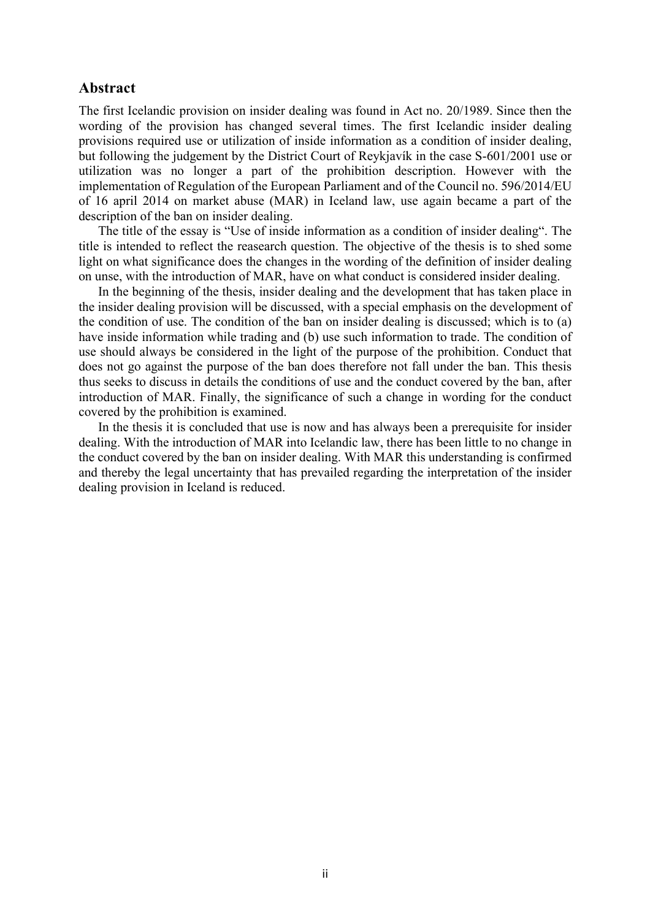### **Abstract**

The first Icelandic provision on insider dealing was found in Act no. 20/1989. Since then the wording of the provision has changed several times. The first Icelandic insider dealing provisions required use or utilization of inside information as a condition of insider dealing, but following the judgement by the District Court of Reykjavík in the case S-601/2001 use or utilization was no longer a part of the prohibition description. However with the implementation of Regulation of the European Parliament and of the Council no. 596/2014/EU of 16 april 2014 on market abuse (MAR) in Iceland law, use again became a part of the description of the ban on insider dealing.

The title of the essay is "Use of inside information as a condition of insider dealing". The title is intended to reflect the reasearch question. The objective of the thesis is to shed some light on what significance does the changes in the wording of the definition of insider dealing on unse, with the introduction of MAR, have on what conduct is considered insider dealing.

In the beginning of the thesis, insider dealing and the development that has taken place in the insider dealing provision will be discussed, with a special emphasis on the development of the condition of use. The condition of the ban on insider dealing is discussed; which is to (a) have inside information while trading and (b) use such information to trade. The condition of use should always be considered in the light of the purpose of the prohibition. Conduct that does not go against the purpose of the ban does therefore not fall under the ban. This thesis thus seeks to discuss in details the conditions of use and the conduct covered by the ban, after introduction of MAR. Finally, the significance of such a change in wording for the conduct covered by the prohibition is examined.

In the thesis it is concluded that use is now and has always been a prerequisite for insider dealing. With the introduction of MAR into Icelandic law, there has been little to no change in the conduct covered by the ban on insider dealing. With MAR this understanding is confirmed and thereby the legal uncertainty that has prevailed regarding the interpretation of the insider dealing provision in Iceland is reduced.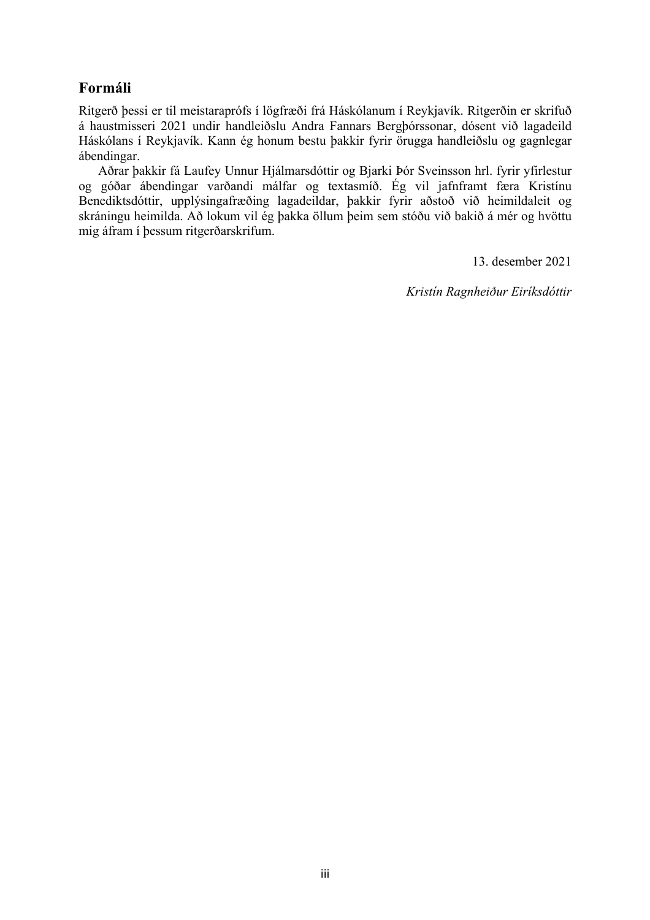# **Formáli**

Ritgerð þessi er til meistaraprófs í lögfræði frá Háskólanum í Reykjavík. Ritgerðin er skrifuð á haustmisseri 2021 undir handleiðslu Andra Fannars Bergþórssonar, dósent við lagadeild Háskólans í Reykjavík. Kann ég honum bestu þakkir fyrir örugga handleiðslu og gagnlegar ábendingar.

Aðrar þakkir fá Laufey Unnur Hjálmarsdóttir og Bjarki Þór Sveinsson hrl. fyrir yfirlestur og góðar ábendingar varðandi málfar og textasmíð. Ég vil jafnframt færa Kristínu Benediktsdóttir, upplýsingafræðing lagadeildar, þakkir fyrir aðstoð við heimildaleit og skráningu heimilda. Að lokum vil ég þakka öllum þeim sem stóðu við bakið á mér og hvöttu mig áfram í þessum ritgerðarskrifum.

13. desember 2021

*Kristín Ragnheiður Eiríksdóttir*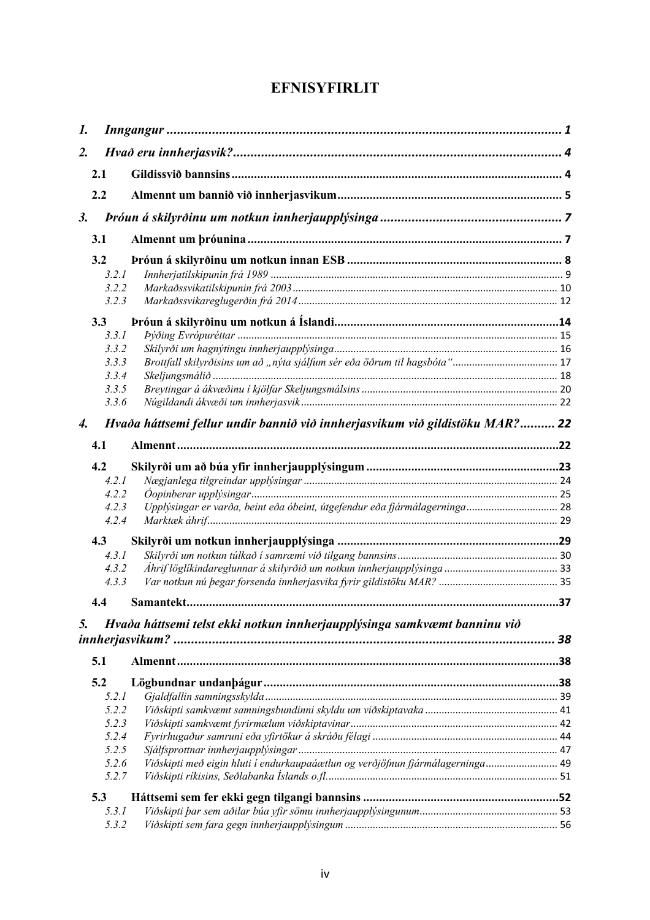# **EFNISYFIRLIT**

| 1.               |       |                                                                                    |  |
|------------------|-------|------------------------------------------------------------------------------------|--|
| $\overline{2}$ . |       |                                                                                    |  |
|                  | 2.1   |                                                                                    |  |
|                  | 2.2   |                                                                                    |  |
| 3.               |       |                                                                                    |  |
|                  | 3.1   |                                                                                    |  |
|                  | 3.2   |                                                                                    |  |
|                  | 3.2.1 |                                                                                    |  |
|                  | 3.2.2 |                                                                                    |  |
|                  | 3.2.3 |                                                                                    |  |
|                  |       |                                                                                    |  |
|                  | 3.3   |                                                                                    |  |
|                  | 3.3.1 |                                                                                    |  |
|                  | 3.3.2 |                                                                                    |  |
|                  | 3.3.3 |                                                                                    |  |
|                  | 3.3.4 |                                                                                    |  |
|                  | 3.3.5 |                                                                                    |  |
|                  | 3.3.6 |                                                                                    |  |
| 4.               |       | Hvaða háttsemi fellur undir bannið við innherjasvikum við gildistöku MAR? 22       |  |
|                  |       |                                                                                    |  |
|                  | 4.1   |                                                                                    |  |
|                  | 4.2   |                                                                                    |  |
|                  | 4.2.1 |                                                                                    |  |
|                  | 4.2.2 |                                                                                    |  |
|                  | 4.2.3 | Upplýsingar er varða, beint eða óbeint, útgefendur eða fjármálagerninga 28         |  |
|                  | 4.2.4 |                                                                                    |  |
|                  |       |                                                                                    |  |
|                  | 4.3   |                                                                                    |  |
|                  | 4.3.1 |                                                                                    |  |
|                  | 4.3.2 |                                                                                    |  |
|                  | 4.3.3 |                                                                                    |  |
|                  | 4.4   |                                                                                    |  |
|                  |       |                                                                                    |  |
| 5.               |       | Hvaða háttsemi telst ekki notkun innherjaupplýsinga samkvæmt banninu við           |  |
|                  |       |                                                                                    |  |
|                  | 5.1   |                                                                                    |  |
|                  | 5.2   |                                                                                    |  |
|                  | 5.2.1 |                                                                                    |  |
|                  | 5.2.2 |                                                                                    |  |
|                  | 5.2.3 |                                                                                    |  |
|                  | 5.2.4 |                                                                                    |  |
|                  | 5.2.5 |                                                                                    |  |
|                  | 5.2.6 | 49. Viðskipti með eigin hluti í endurkaupaáætlun og verðjöfnun fjármálagerninga 49 |  |
|                  | 5.2.7 |                                                                                    |  |
|                  |       |                                                                                    |  |
|                  | 5.3   |                                                                                    |  |
|                  | 5.3.1 |                                                                                    |  |
|                  | 5.3.2 |                                                                                    |  |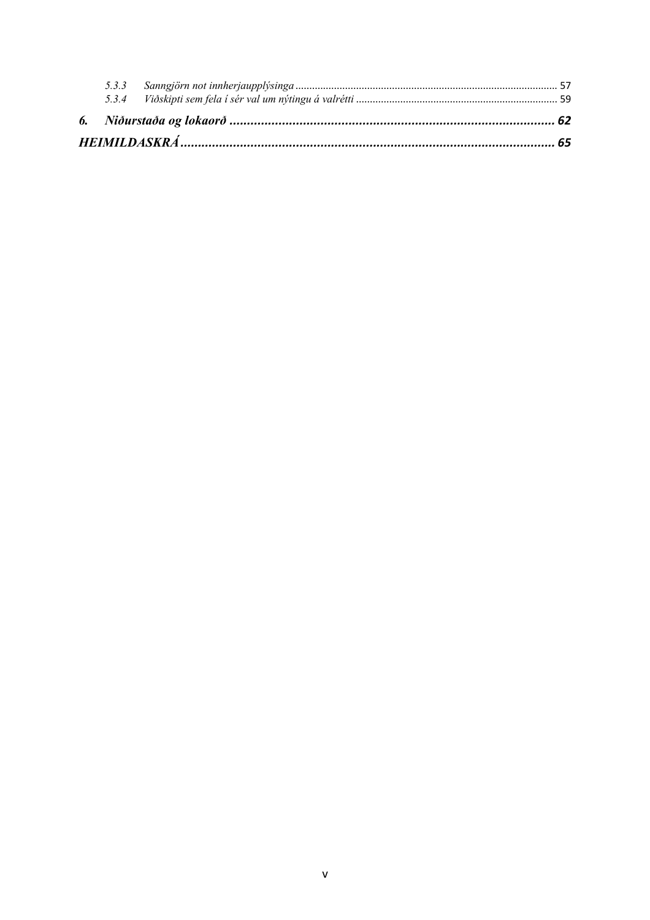|--|--|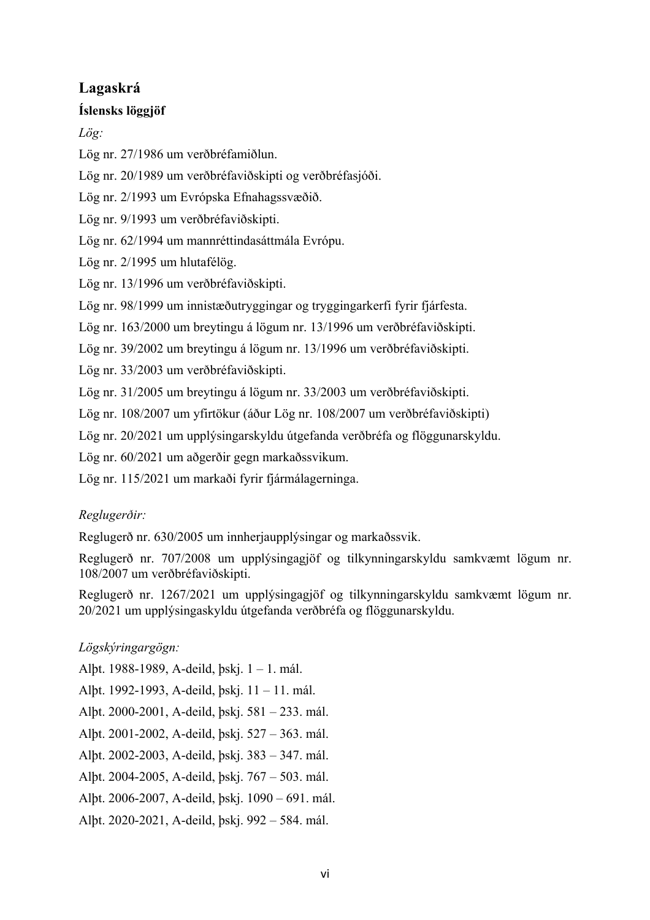# **Lagaskrá**

## **Íslensks löggjöf**

*Lög:*

Lög nr. 27/1986 um verðbréfamiðlun.

Lög nr. 20/1989 um verðbréfaviðskipti og verðbréfasjóði.

Lög nr. 2/1993 um Evrópska Efnahagssvæðið.

Lög nr. 9/1993 um verðbréfaviðskipti.

Lög nr. 62/1994 um mannréttindasáttmála Evrópu.

Lög nr. 2/1995 um hlutafélög.

Lög nr. 13/1996 um verðbréfaviðskipti.

Lög nr. 98/1999 um innistæðutryggingar og tryggingarkerfi fyrir fjárfesta.

Lög nr. 163/2000 um breytingu á lögum nr. 13/1996 um verðbréfaviðskipti.

Lög nr. 39/2002 um breytingu á lögum nr. 13/1996 um verðbréfaviðskipti.

Lög nr. 33/2003 um verðbréfaviðskipti.

Lög nr. 31/2005 um breytingu á lögum nr. 33/2003 um verðbréfaviðskipti.

Lög nr. 108/2007 um yfirtökur (áður Lög nr. 108/2007 um verðbréfaviðskipti)

Lög nr. 20/2021 um upplýsingarskyldu útgefanda verðbréfa og flöggunarskyldu.

Lög nr. 60/2021 um aðgerðir gegn markaðssvikum.

Lög nr. 115/2021 um markaði fyrir fjármálagerninga.

# *Reglugerðir:*

Reglugerð nr. 630/2005 um innherjaupplýsingar og markaðssvik.

Reglugerð nr. 707/2008 um upplýsingagjöf og tilkynningarskyldu samkvæmt lögum nr. 108/2007 um verðbréfaviðskipti.

Reglugerð nr. 1267/2021 um upplýsingagjöf og tilkynningarskyldu samkvæmt lögum nr. 20/2021 um upplýsingaskyldu útgefanda verðbréfa og flöggunarskyldu.

# *Lögskýringargögn:*

Alþt. 1988-1989, A-deild, þskj. 1 – 1. mál. Alþt. 1992-1993, A-deild, þskj. 11 – 11. mál. Alþt. 2000-2001, A-deild, þskj. 581 – 233. mál. Alþt. 2001-2002, A-deild, þskj. 527 – 363. mál. Alþt. 2002-2003, A-deild, þskj. 383 – 347. mál. Alþt. 2004-2005, A-deild, þskj. 767 – 503. mál. Alþt. 2006-2007, A-deild, þskj. 1090 – 691. mál. Alþt. 2020-2021, A-deild, þskj. 992 – 584. mál.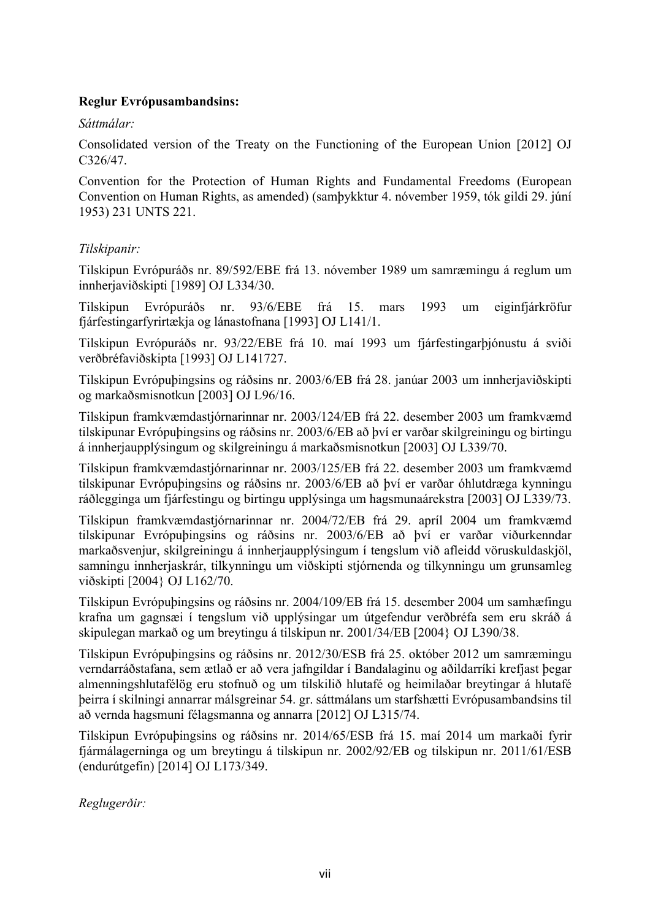## **Reglur Evrópusambandsins:**

### *Sáttmálar:*

Consolidated version of the Treaty on the Functioning of the European Union [2012] OJ C326/47.

Convention for the Protection of Human Rights and Fundamental Freedoms (European Convention on Human Rights, as amended) (samþykktur 4. nóvember 1959, tók gildi 29. júní 1953) 231 UNTS 221.

### *Tilskipanir:*

Tilskipun Evrópuráðs nr. 89/592/EBE frá 13. nóvember 1989 um samræmingu á reglum um innherjaviðskipti [1989] OJ L334/30.

Tilskipun Evrópuráðs nr. 93/6/EBE frá 15. mars 1993 um eiginfjárkröfur fjárfestingarfyrirtækja og lánastofnana [1993] OJ L141/1.

Tilskipun Evrópuráðs nr. 93/22/EBE frá 10. maí 1993 um fjárfestingarþjónustu á sviði verðbréfaviðskipta [1993] OJ L141727.

Tilskipun Evrópuþingsins og ráðsins nr. 2003/6/EB frá 28. janúar 2003 um innherjaviðskipti og markaðsmisnotkun [2003] OJ L96/16.

Tilskipun framkvæmdastjórnarinnar nr. 2003/124/EB frá 22. desember 2003 um framkvæmd tilskipunar Evrópuþingsins og ráðsins nr. 2003/6/EB að því er varðar skilgreiningu og birtingu á innherjaupplýsingum og skilgreiningu á markaðsmisnotkun [2003] OJ L339/70.

Tilskipun framkvæmdastjórnarinnar nr. 2003/125/EB frá 22. desember 2003 um framkvæmd tilskipunar Evrópuþingsins og ráðsins nr. 2003/6/EB að því er varðar óhlutdræga kynningu ráðlegginga um fjárfestingu og birtingu upplýsinga um hagsmunaárekstra [2003] OJ L339/73.

Tilskipun framkvæmdastjórnarinnar nr. 2004/72/EB frá 29. apríl 2004 um framkvæmd tilskipunar Evrópuþingsins og ráðsins nr. 2003/6/EB að því er varðar viðurkenndar markaðsvenjur, skilgreiningu á innherjaupplýsingum í tengslum við afleidd vöruskuldaskjöl, samningu innherjaskrár, tilkynningu um viðskipti stjórnenda og tilkynningu um grunsamleg viðskipti [2004} OJ L162/70.

Tilskipun Evrópuþingsins og ráðsins nr. 2004/109/EB frá 15. desember 2004 um samhæfingu krafna um gagnsæi í tengslum við upplýsingar um útgefendur verðbréfa sem eru skráð á skipulegan markað og um breytingu á tilskipun nr. 2001/34/EB [2004} OJ L390/38.

Tilskipun Evrópuþingsins og ráðsins nr. 2012/30/ESB frá 25. október 2012 um samræmingu verndarráðstafana, sem ætlað er að vera jafngildar í Bandalaginu og aðildarríki krefjast þegar almenningshlutafélög eru stofnuð og um tilskilið hlutafé og heimilaðar breytingar á hlutafé þeirra í skilningi annarrar málsgreinar 54. gr. sáttmálans um starfshætti Evrópusambandsins til að vernda hagsmuni félagsmanna og annarra [2012] OJ L315/74.

Tilskipun Evrópuþingsins og ráðsins nr. 2014/65/ESB frá 15. maí 2014 um markaði fyrir fjármálagerninga og um breytingu á tilskipun nr. 2002/92/EB og tilskipun nr. 2011/61/ESB (endurútgefin) [2014] OJ L173/349.

*Reglugerðir:*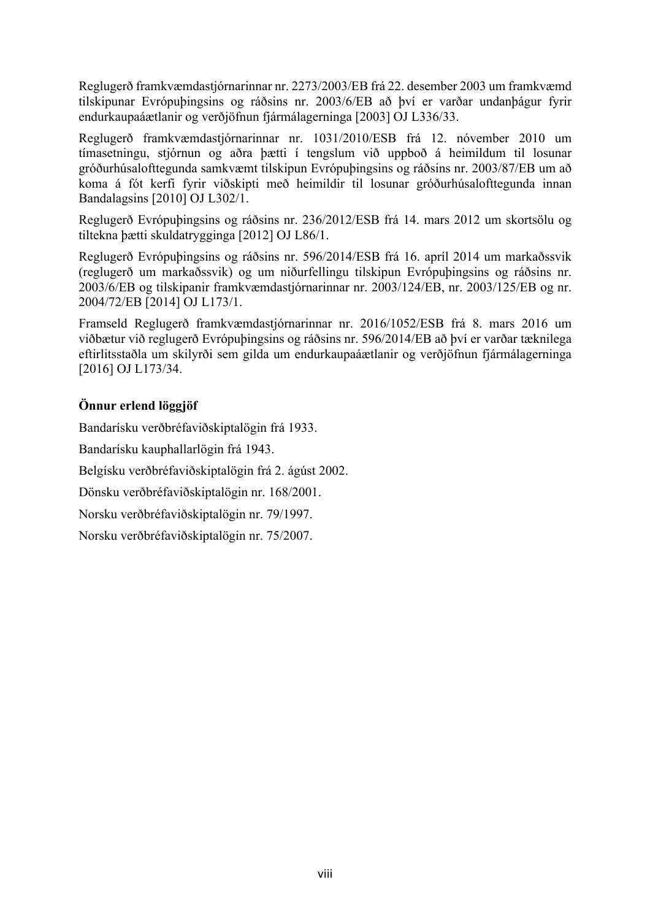Reglugerð framkvæmdastjórnarinnar nr. 2273/2003/EB frá 22. desember 2003 um framkvæmd tilskipunar Evrópuþingsins og ráðsins nr. 2003/6/EB að því er varðar undanþágur fyrir endurkaupaáætlanir og verðjöfnun fjármálagerninga [2003] OJ L336/33.

Reglugerð framkvæmdastjórnarinnar nr. 1031/2010/ESB frá 12. nóvember 2010 um tímasetningu, stjórnun og aðra þætti í tengslum við uppboð á heimildum til losunar gróðurhúsalofttegunda samkvæmt tilskipun Evrópuþingsins og ráðsins nr. 2003/87/EB um að koma á fót kerfi fyrir viðskipti með heimildir til losunar gróðurhúsalofttegunda innan Bandalagsins [2010] OJ L302/1.

Reglugerð Evrópuþingsins og ráðsins nr. 236/2012/ESB frá 14. mars 2012 um skortsölu og tiltekna þætti skuldatrygginga [2012] OJ L86/1.

Reglugerð Evrópuþingsins og ráðsins nr. 596/2014/ESB frá 16. apríl 2014 um markaðssvik (reglugerð um markaðssvik) og um niðurfellingu tilskipun Evrópuþingsins og ráðsins nr. 2003/6/EB og tilskipanir framkvæmdastjórnarinnar nr. 2003/124/EB, nr. 2003/125/EB og nr. 2004/72/EB [2014] OJ L173/1.

Framseld Reglugerð framkvæmdastjórnarinnar nr. 2016/1052/ESB frá 8. mars 2016 um viðbætur við reglugerð Evrópuþingsins og ráðsins nr. 596/2014/EB að því er varðar tæknilega eftirlitsstaðla um skilyrði sem gilda um endurkaupaáætlanir og verðjöfnun fjármálagerninga [2016] OJ L173/34.

## **Önnur erlend löggjöf**

Bandarísku verðbréfaviðskiptalögin frá 1933.

Bandarísku kauphallarlögin frá 1943.

Belgísku verðbréfaviðskiptalögin frá 2. ágúst 2002.

Dönsku verðbréfaviðskiptalögin nr. 168/2001.

Norsku verðbréfaviðskiptalögin nr. 79/1997.

Norsku verðbréfaviðskiptalögin nr. 75/2007.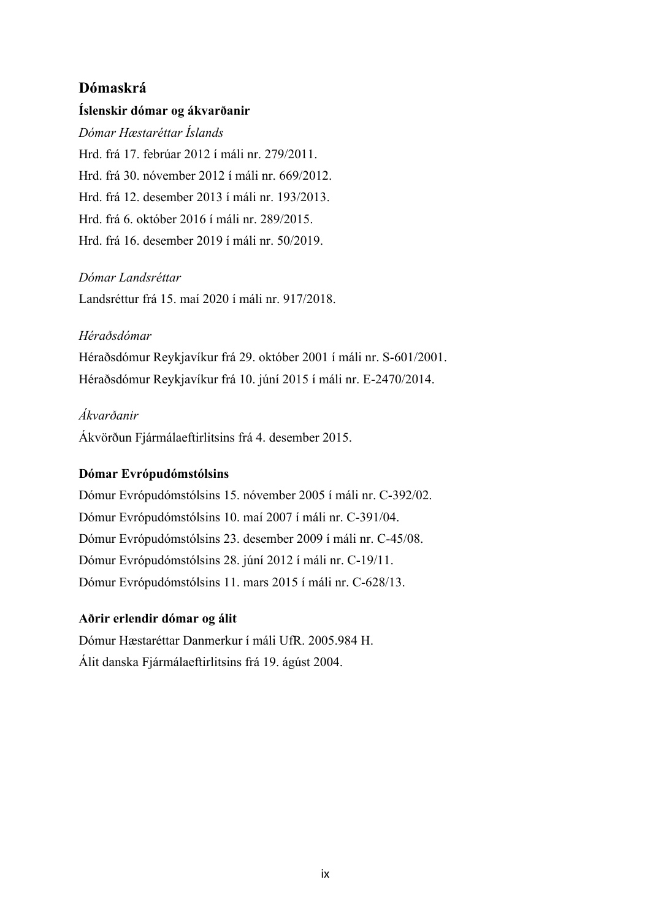## **Dómaskrá**

### **Íslenskir dómar og ákvarðanir**

*Dómar Hæstaréttar Íslands* Hrd. frá 17. febrúar 2012 í máli nr. 279/2011. Hrd. frá 30. nóvember 2012 í máli nr. 669/2012. Hrd. frá 12. desember 2013 í máli nr. 193/2013. Hrd. frá 6. október 2016 í máli nr. 289/2015. Hrd. frá 16. desember 2019 í máli nr. 50/2019.

#### *Dómar Landsréttar*

Landsréttur frá 15. maí 2020 í máli nr. 917/2018.

### *Héraðsdómar*

Héraðsdómur Reykjavíkur frá 29. október 2001 í máli nr. S-601/2001. Héraðsdómur Reykjavíkur frá 10. júní 2015 í máli nr. E-2470/2014.

### *Ákvarðanir*

Ákvörðun Fjármálaeftirlitsins frá 4. desember 2015.

#### **Dómar Evrópudómstólsins**

Dómur Evrópudómstólsins 15. nóvember 2005 í máli nr. C-392/02. Dómur Evrópudómstólsins 10. maí 2007 í máli nr. C-391/04. Dómur Evrópudómstólsins 23. desember 2009 í máli nr. C-45/08. Dómur Evrópudómstólsins 28. júní 2012 í máli nr. C-19/11. Dómur Evrópudómstólsins 11. mars 2015 í máli nr. C-628/13.

#### **Aðrir erlendir dómar og álit**

Dómur Hæstaréttar Danmerkur í máli UfR. 2005.984 H. Álit danska Fjármálaeftirlitsins frá 19. ágúst 2004.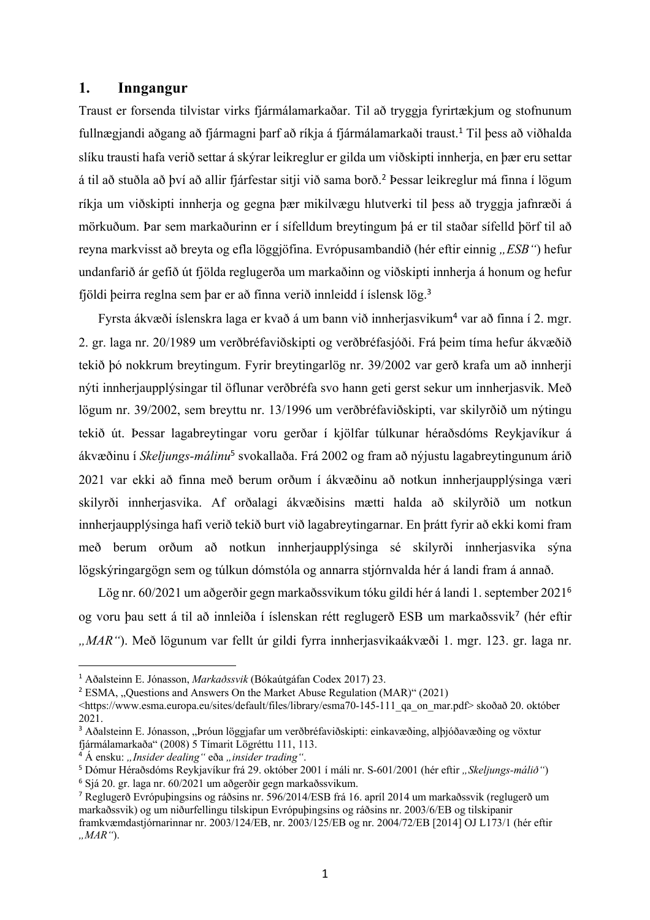## **1. Inngangur**

Traust er forsenda tilvistar virks fjármálamarkaðar. Til að tryggja fyrirtækjum og stofnunum fullnægjandi aðgang að fjármagni þarf að ríkja á fjármálamarkaði traust.<sup>1</sup> Til þess að viðhalda slíku trausti hafa verið settar á skýrar leikreglur er gilda um viðskipti innherja, en þær eru settar á til að stuðla að því að allir fjárfestar sitji við sama borð. <sup>2</sup> Þessar leikreglur má finna í lögum ríkja um viðskipti innherja og gegna bær mikilvægu hlutverki til bess að tryggja jafnræði á mörkuðum. Þar sem markaðurinn er í sífelldum breytingum þá er til staðar sífelld þörf til að reyna markvisst að breyta og efla löggjöfina. Evrópusambandið (hér eftir einnig "*ESB*") hefur undanfarið ár gefið út fjölda reglugerða um markaðinn og viðskipti innherja á honum og hefur fjöldi þeirra reglna sem þar er að finna verið innleidd í íslensk lög. 3

Fyrsta ákvæði íslenskra laga er kvað á um bann við innherjasvikum<sup>4</sup> var að finna í 2. mgr. 2. gr. laga nr. 20/1989 um verðbréfaviðskipti og verðbréfasjóði. Frá þeim tíma hefur ákvæðið tekið þó nokkrum breytingum. Fyrir breytingarlög nr. 39/2002 var gerð krafa um að innherji nýti innherjaupplýsingar til öflunar verðbréfa svo hann geti gerst sekur um innherjasvik. Með lögum nr. 39/2002, sem breyttu nr. 13/1996 um verðbréfaviðskipti, var skilyrðið um nýtingu tekið út. Þessar lagabreytingar voru gerðar í kjölfar túlkunar héraðsdóms Reykjavíkur á ákvæðinu í *Skeljungs-málinu*<sup>5</sup> svokallaða. Frá 2002 og fram að nýjustu lagabreytingunum árið 2021 var ekki að finna með berum orðum í ákvæðinu að notkun innherjaupplýsinga væri skilyrði innherjasvika. Af orðalagi ákvæðisins mætti halda að skilyrðið um notkun innherjaupplýsinga hafi verið tekið burt við lagabreytingarnar. En þrátt fyrir að ekki komi fram með berum orðum að notkun innherjaupplýsinga sé skilyrði innherjasvika sýna lögskýringargögn sem og túlkun dómstóla og annarra stjórnvalda hér á landi fram á annað.

Lög nr. 60/2021 um aðgerðir gegn markaðssvikum tóku gildi hér á landi 1. september 2021<sup>6</sup> og voru þau sett á til að innleiða í íslenskan rétt reglugerð ESB um markaðssvik<sup>7</sup> (hér eftir *"MAR"*). Með lögunum var fellt úr gildi fyrra innherjasvikaákvæði 1. mgr. 123. gr. laga nr.

<sup>1</sup> Aðalsteinn E. Jónasson, *Markaðssvik* (Bókaútgáfan Codex 2017) 23.

<sup>&</sup>lt;sup>2</sup> ESMA, "Questions and Answers On the Market Abuse Regulation (MAR)" (2021)

<sup>&</sup>lt;https://www.esma.europa.eu/sites/default/files/library/esma70-145-111\_qa\_on\_mar.pdf> skoðað 20. október 2021.

<sup>&</sup>lt;sup>3</sup> Aðalsteinn E. Jónasson, "Þróun löggjafar um verðbréfaviðskipti: einkavæðing, alþjóðavæðing og vöxtur fjármálamarkaða" (2008) 5 Tímarit Lögréttu 111, 113.

<sup>&</sup>lt;sup>4</sup> Á ensku: "Insider dealing" eða "insider trading".

<sup>&</sup>lt;sup>5</sup> Dómur Héraðsdóms Reykjavíkur frá 29. október 2001 í máli nr. S-601/2001 (hér eftir "Skeljungs-málið")

<sup>6</sup> Sjá 20. gr. laga nr. 60/2021 um aðgerðir gegn markaðssvikum.

<sup>7</sup> Reglugerð Evrópuþingsins og ráðsins nr. 596/2014/ESB frá 16. apríl 2014 um markaðssvik (reglugerð um markaðssvik) og um niðurfellingu tilskipun Evrópuþingsins og ráðsins nr. 2003/6/EB og tilskipanir

framkvæmdastjórnarinnar nr. 2003/124/EB, nr. 2003/125/EB og nr. 2004/72/EB [2014] OJ L173/1 (hér eftir *"MAR"*).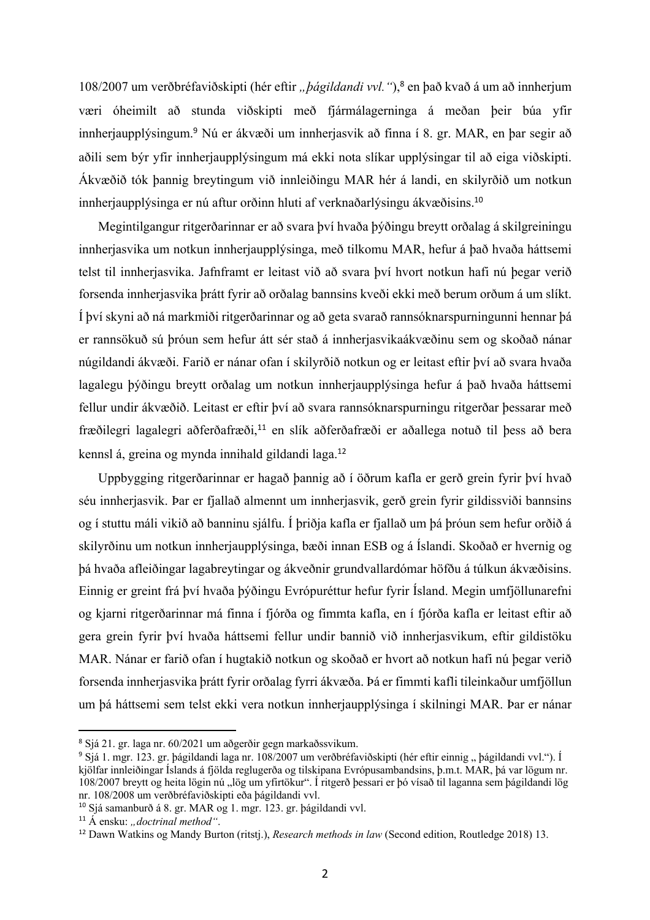108/2007 um verðbréfaviðskipti (hér eftir "*þágildandi vvl.* "),<sup>8</sup> en það kvað á um að innherjum væri óheimilt að stunda viðskipti með fjármálagerninga á meðan þeir búa yfir innherjaupplýsingum.<sup>9</sup> Nú er ákvæði um innherjasvik að finna í 8. gr. MAR, en þar segir að aðili sem býr yfir innherjaupplýsingum má ekki nota slíkar upplýsingar til að eiga viðskipti. Ákvæðið tók þannig breytingum við innleiðingu MAR hér á landi, en skilyrðið um notkun innherjaupplýsinga er nú aftur orðinn hluti af verknaðarlýsingu ákvæðisins.<sup>10</sup>

Megintilgangur ritgerðarinnar er að svara því hvaða þýðingu breytt orðalag á skilgreiningu innherjasvika um notkun innherjaupplýsinga, með tilkomu MAR, hefur á það hvaða háttsemi telst til innherjasvika. Jafnframt er leitast við að svara því hvort notkun hafi nú þegar verið forsenda innherjasvika þrátt fyrir að orðalag bannsins kveði ekki með berum orðum á um slíkt. Í því skyni að ná markmiði ritgerðarinnar og að geta svarað rannsóknarspurningunni hennar þá er rannsökuð sú þróun sem hefur átt sér stað á innherjasvikaákvæðinu sem og skoðað nánar núgildandi ákvæði. Farið er nánar ofan í skilyrðið notkun og er leitast eftir því að svara hvaða lagalegu þýðingu breytt orðalag um notkun innherjaupplýsinga hefur á það hvaða háttsemi fellur undir ákvæðið. Leitast er eftir því að svara rannsóknarspurningu ritgerðar þessarar með fræðilegri lagalegri aðferðafræði,<sup>11</sup> en slík aðferðafræði er aðallega notuð til þess að bera kennsl á, greina og mynda innihald gildandi laga.<sup>12</sup>

Uppbygging ritgerðarinnar er hagað þannig að í öðrum kafla er gerð grein fyrir því hvað séu innherjasvik. Þar er fjallað almennt um innherjasvik, gerð grein fyrir gildissviði bannsins og í stuttu máli vikið að banninu sjálfu. Í þriðja kafla er fjallað um þá þróun sem hefur orðið á skilyrðinu um notkun innherjaupplýsinga, bæði innan ESB og á Íslandi. Skoðað er hvernig og þá hvaða afleiðingar lagabreytingar og ákveðnir grundvallardómar höfðu á túlkun ákvæðisins. Einnig er greint frá því hvaða þýðingu Evrópuréttur hefur fyrir Ísland. Megin umfjöllunarefni og kjarni ritgerðarinnar má finna í fjórða og fimmta kafla, en í fjórða kafla er leitast eftir að gera grein fyrir því hvaða háttsemi fellur undir bannið við innherjasvikum, eftir gildistöku MAR. Nánar er farið ofan í hugtakið notkun og skoðað er hvort að notkun hafi nú þegar verið forsenda innherjasvika þrátt fyrir orðalag fyrri ákvæða. Þá er fimmti kafli tileinkaður umfjöllun um þá háttsemi sem telst ekki vera notkun innherjaupplýsinga í skilningi MAR. Þar er nánar

<sup>8</sup> Sjá 21. gr. laga nr. 60/2021 um aðgerðir gegn markaðssvikum.

<sup>&</sup>lt;sup>9</sup> Sjá 1. mgr. 123. gr. þágildandi laga nr. 108/2007 um verðbréfaviðskipti (hér eftir einnig " þágildandi vvl."). Í kjölfar innleiðingar Íslands á fjölda reglugerða og tilskipana Evrópusambandsins, þ.m.t. MAR, þá var lögum nr. 108/2007 breytt og heita lögin nú "lög um yfirtökur". Í ritgerð þessari er þó vísað til laganna sem þágildandi lög nr. 108/2008 um verðbréfaviðskipti eða þágildandi vvl.

<sup>10</sup> Sjá samanburð á 8. gr. MAR og 1. mgr. 123. gr. þágildandi vvl.

<sup>&</sup>lt;sup>11</sup> Á ensku: "*doctrinal method"*.

<sup>12</sup> Dawn Watkins og Mandy Burton (ritstj.), *Research methods in law* (Second edition, Routledge 2018) 13.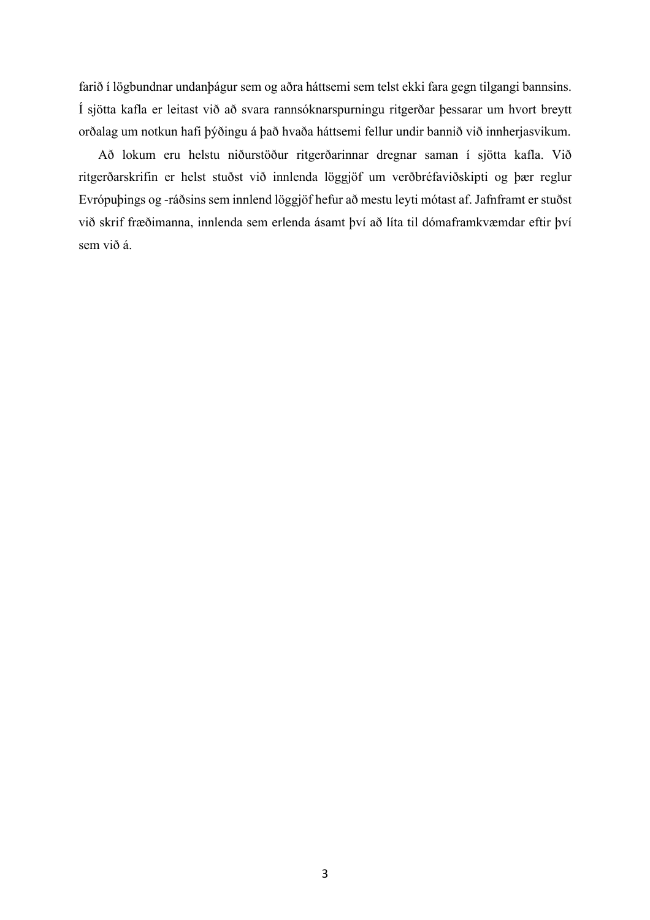farið í lögbundnar undanþágur sem og aðra háttsemi sem telst ekki fara gegn tilgangi bannsins. Í sjötta kafla er leitast við að svara rannsóknarspurningu ritgerðar þessarar um hvort breytt orðalag um notkun hafi þýðingu á það hvaða háttsemi fellur undir bannið við innherjasvikum.

Að lokum eru helstu niðurstöður ritgerðarinnar dregnar saman í sjötta kafla. Við ritgerðarskrifin er helst stuðst við innlenda löggjöf um verðbréfaviðskipti og þær reglur Evrópuþings og -ráðsins sem innlend löggjöf hefur að mestu leyti mótast af. Jafnframt er stuðst við skrif fræðimanna, innlenda sem erlenda ásamt því að líta til dómaframkvæmdar eftir því sem við á.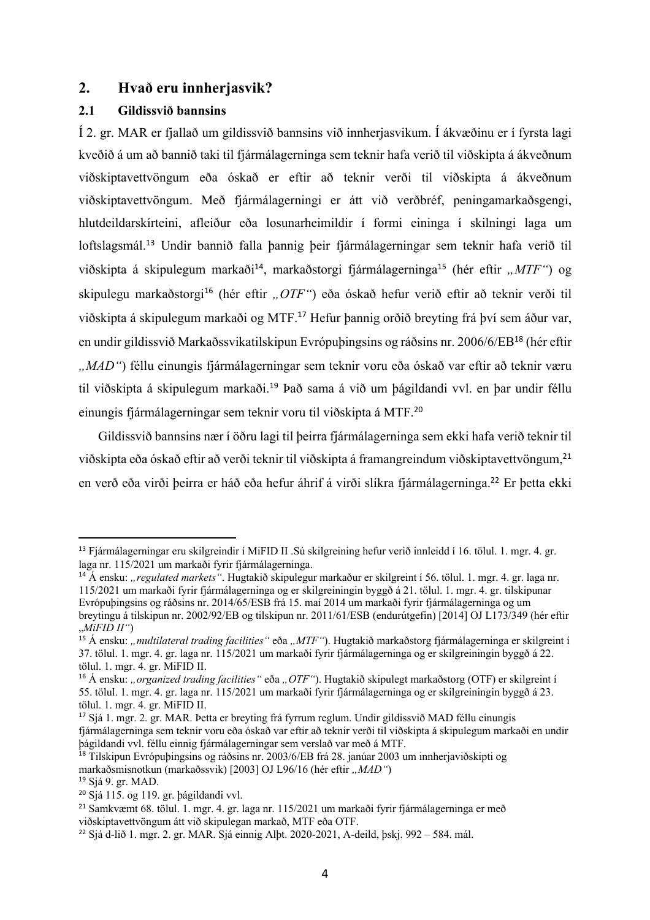#### **2. Hvað eru innherjasvik?**

#### **2.1 Gildissvið bannsins**

Í 2. gr. MAR er fjallað um gildissvið bannsins við innherjasvikum. Í ákvæðinu er í fyrsta lagi kveðið á um að bannið taki til fjármálagerninga sem teknir hafa verið til viðskipta á ákveðnum viðskiptavettvöngum eða óskað er eftir að teknir verði til viðskipta á ákveðnum viðskiptavettvöngum. Með fjármálagerningi er átt við verðbréf, peningamarkaðsgengi, hlutdeildarskírteini, afleiður eða losunarheimildir í formi eininga í skilningi laga um loftslagsmál.<sup>13</sup> Undir bannið falla þannig þeir fjármálagerningar sem teknir hafa verið til viðskipta á skipulegum markaði<sup>14</sup>, markaðstorgi fjármálagerninga<sup>15</sup> (hér eftir *"MTF"*) og skipulegu markaðstorgi<sup>16</sup> (hér eftir "*OTF"*) eða óskað hefur verið eftir að teknir verði til viðskipta á skipulegum markaði og MTF.<sup>17</sup> Hefur þannig orðið breyting frá því sem áður var, en undir gildissvið Markaðssvikatilskipun Evrópuþingsins og ráðsins nr. 2006/6/EB<sup>18</sup> (hér eftir *"MAD"*) féllu einungis fjármálagerningar sem teknir voru eða óskað var eftir að teknir væru til viðskipta á skipulegum markaði.<sup>19</sup> Það sama á við um þágildandi vvl. en þar undir féllu einungis fjármálagerningar sem teknir voru til viðskipta á MTF.<sup>20</sup>

Gildissvið bannsins nær í öðru lagi til þeirra fjármálagerninga sem ekki hafa verið teknir til viðskipta eða óskað eftir að verði teknir til viðskipta á framangreindum viðskiptavettvöngum, 21 en verð eða virði þeirra er háð eða hefur áhrif á virði slíkra fjármálagerninga. <sup>22</sup> Er þetta ekki

<sup>13</sup> Fjármálagerningar eru skilgreindir í MiFID II .Sú skilgreining hefur verið innleidd í 16. tölul. 1. mgr. 4. gr. laga nr. 115/2021 um markaði fyrir fjármálagerninga.

<sup>&</sup>lt;sup>14</sup> Á ensku: "*regulated markets"*. Hugtakið skipulegur markaður er skilgreint í 56. tölul. 1. mgr. 4. gr. laga nr. 115/2021 um markaði fyrir fjármálagerninga og er skilgreiningin byggð á 21. tölul. 1. mgr. 4. gr. tilskipunar Evrópuþingsins og ráðsins nr. 2014/65/ESB frá 15. maí 2014 um markaði fyrir fjármálagerninga og um breytingu á tilskipun nr. 2002/92/EB og tilskipun nr. 2011/61/ESB (endurútgefin) [2014] OJ L173/349 (hér eftir "*MiFID II"*)

<sup>&</sup>lt;sup>15</sup> Á ensku: "*multilateral trading facilities*" eða "*MTF"*). Hugtakið markaðstorg fjármálagerninga er skilgreint í 37. tölul. 1. mgr. 4. gr. laga nr. 115/2021 um markaði fyrir fjármálagerninga og er skilgreiningin byggð á 22. tölul. 1. mgr. 4. gr. MiFID II.

<sup>&</sup>lt;sup>16</sup> Á ensku: "organized trading facilities" eða "OTF"). Hugtakið skipulegt markaðstorg (OTF) er skilgreint í 55. tölul. 1. mgr. 4. gr. laga nr. 115/2021 um markaði fyrir fjármálagerninga og er skilgreiningin byggð á 23. tölul. 1. mgr. 4. gr. MiFID II.

<sup>17</sup> Sjá 1. mgr. 2. gr. MAR. Þetta er breyting frá fyrrum reglum. Undir gildissvið MAD féllu einungis fjármálagerninga sem teknir voru eða óskað var eftir að teknir verði til viðskipta á skipulegum markaði en undir þágildandi vvl. féllu einnig fjármálagerningar sem verslað var með á MTF.

<sup>18</sup> Tilskipun Evrópuþingsins og ráðsins nr. 2003/6/EB frá 28. janúar 2003 um innherjaviðskipti og markaðsmisnotkun (markaðssvik) [2003] OJ L96/16 (hér eftir "MAD")

<sup>19</sup> Sjá 9. gr. MAD.

<sup>20</sup> Sjá 115. og 119. gr. þágildandi vvl.

<sup>21</sup> Samkvæmt 68. tölul. 1. mgr. 4. gr. laga nr. 115/2021 um markaði fyrir fjármálagerninga er með viðskiptavettvöngum átt við skipulegan markað, MTF eða OTF.

 $^{22}$  Sjá d-lið 1. mgr. 2. gr. MAR. Sjá einnig Alþt. 2020-2021, A-deild, þski. 992 – 584. mál.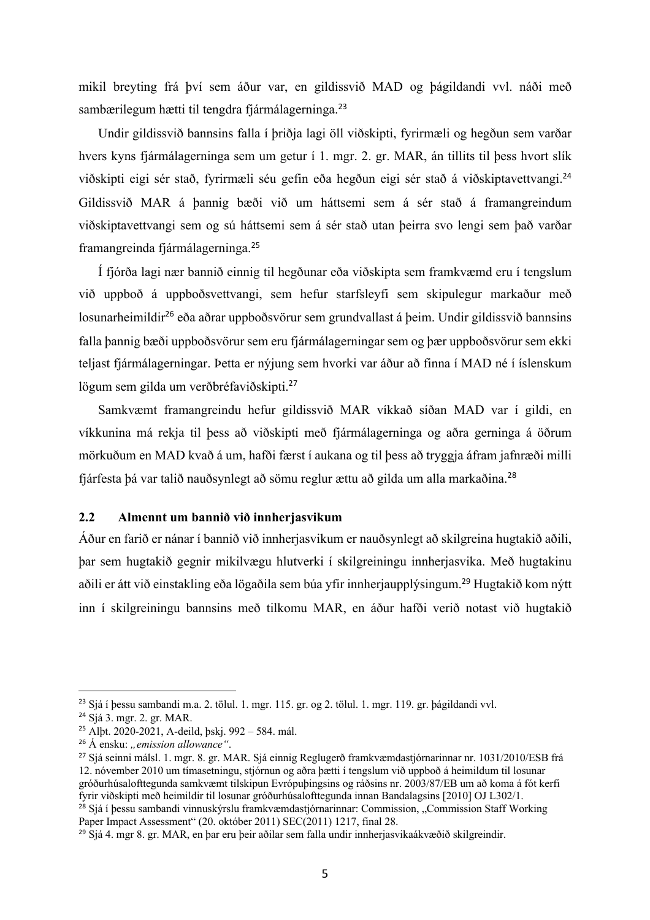mikil breyting frá því sem áður var, en gildissvið MAD og þágildandi vvl. náði með sambærilegum hætti til tengdra fjármálagerninga.<sup>23</sup>

Undir gildissvið bannsins falla í þriðja lagi öll viðskipti, fyrirmæli og hegðun sem varðar hvers kyns fjármálagerninga sem um getur í 1. mgr. 2. gr. MAR, án tillits til þess hvort slík viðskipti eigi sér stað, fyrirmæli séu gefin eða hegðun eigi sér stað á viðskiptavettvangi.<sup>24</sup> Gildissvið MAR á þannig bæði við um háttsemi sem á sér stað á framangreindum viðskiptavettvangi sem og sú háttsemi sem á sér stað utan þeirra svo lengi sem það varðar framangreinda fjármálagerninga.<sup>25</sup>

Í fjórða lagi nær bannið einnig til hegðunar eða viðskipta sem framkvæmd eru í tengslum við uppboð á uppboðsvettvangi, sem hefur starfsleyfi sem skipulegur markaður með losunarheimildir<sup>26</sup> eða aðrar uppboðsvörur sem grundvallast á þeim. Undir gildissvið bannsins falla þannig bæði uppboðsvörur sem eru fjármálagerningar sem og þær uppboðsvörur sem ekki teljast fjármálagerningar. Þetta er nýjung sem hvorki var áður að finna í MAD né í íslenskum lögum sem gilda um verðbréfaviðskipti. 27

Samkvæmt framangreindu hefur gildissvið MAR víkkað síðan MAD var í gildi, en víkkunina má rekja til þess að viðskipti með fjármálagerninga og aðra gerninga á öðrum mörkuðum en MAD kvað á um, hafði færst í aukana og til þess að tryggja áfram jafnræði milli fjárfesta þá var talið nauðsynlegt að sömu reglur ættu að gilda um alla markaðina.<sup>28</sup>

#### **2.2 Almennt um bannið við innherjasvikum**

Áður en farið er nánar í bannið við innherjasvikum er nauðsynlegt að skilgreina hugtakið aðili, þar sem hugtakið gegnir mikilvægu hlutverki í skilgreiningu innherjasvika. Með hugtakinu aðili er átt við einstakling eða lögaðila sem búa yfir innherjaupplýsingum. <sup>29</sup> Hugtakið kom nýtt inn í skilgreiningu bannsins með tilkomu MAR, en áður hafði verið notast við hugtakið

<sup>23</sup> Sjá í þessu sambandi m.a. 2. tölul. 1. mgr. 115. gr. og 2. tölul. 1. mgr. 119. gr. þágildandi vvl.

<sup>24</sup> Sjá 3. mgr. 2. gr. MAR.

<sup>25</sup> Alþt. 2020-2021, A-deild, þskj. 992 – 584. mál.

<sup>&</sup>lt;sup>26</sup> Á ensku: *"emission allowance"*.

<sup>27</sup> Sjá seinni málsl. 1. mgr. 8. gr. MAR. Sjá einnig Reglugerð framkvæmdastjórnarinnar nr. 1031/2010/ESB frá 12. nóvember 2010 um tímasetningu, stjórnun og aðra þætti í tengslum við uppboð á heimildum til losunar gróðurhúsalofttegunda samkvæmt tilskipun Evrópuþingsins og ráðsins nr. 2003/87/EB um að koma á fót kerfi fyrir viðskipti með heimildir til losunar gróðurhúsalofttegunda innan Bandalagsins [2010] OJ L302/1.

<sup>&</sup>lt;sup>28</sup> Sjá í þessu sambandi vinnuskýrslu framkvæmdastjórnarinnar: Commission, "Commission Staff Working Paper Impact Assessment" (20. október 2011) SEC(2011) 1217, final 28.

<sup>&</sup>lt;sup>29</sup> Sjá 4. mgr 8. gr. MAR, en þar eru þeir aðilar sem falla undir innherjasvikaákvæðið skilgreindir.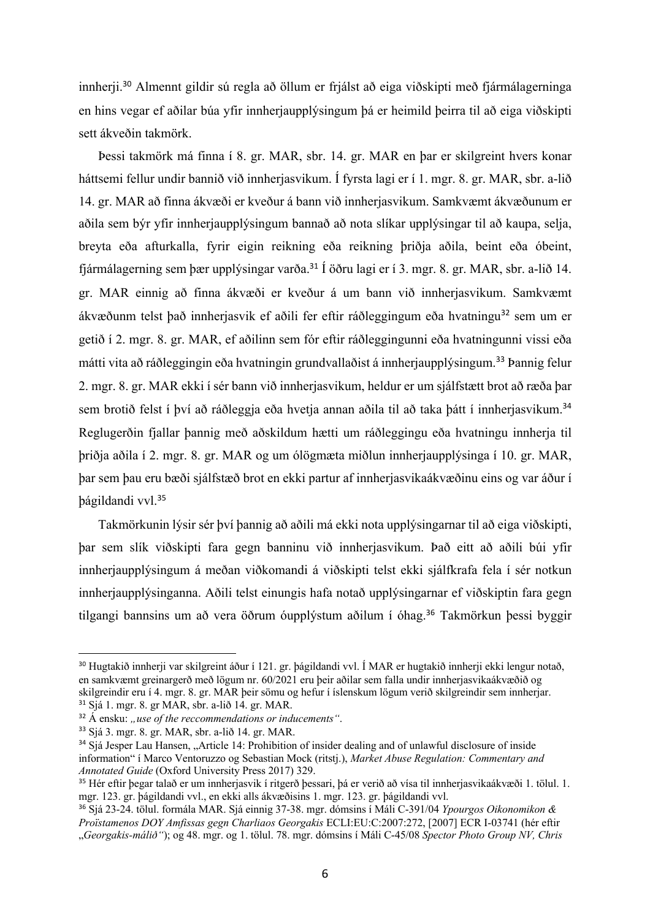innherji.<sup>30</sup> Almennt gildir sú regla að öllum er frjálst að eiga viðskipti með fjármálagerninga en hins vegar ef aðilar búa yfir innherjaupplýsingum þá er heimild þeirra til að eiga viðskipti sett ákveðin takmörk.

Þessi takmörk má finna í 8. gr. MAR, sbr. 14. gr. MAR en þar er skilgreint hvers konar háttsemi fellur undir bannið við innherjasvikum. Í fyrsta lagi er í 1. mgr. 8. gr. MAR, sbr. a-lið 14. gr. MAR að finna ákvæði er kveður á bann við innherjasvikum. Samkvæmt ákvæðunum er aðila sem býr yfir innherjaupplýsingum bannað að nota slíkar upplýsingar til að kaupa, selja, breyta eða afturkalla, fyrir eigin reikning eða reikning þriðja aðila, beint eða óbeint, fjármálagerning sem þær upplýsingar varða.<sup>31</sup> Í öðru lagi er í 3. mgr. 8. gr. MAR, sbr. a-lið 14. gr. MAR einnig að finna ákvæði er kveður á um bann við innherjasvikum. Samkvæmt ákvæðunm telst það innherjasvik ef aðili fer eftir ráðleggingum eða hvatningu<sup>32</sup> sem um er getið í 2. mgr. 8. gr. MAR, ef aðilinn sem fór eftir ráðleggingunni eða hvatningunni vissi eða mátti vita að ráðleggingin eða hvatningin grundvallaðist á innherjaupplýsingum.<sup>33</sup> Þannig felur 2. mgr. 8. gr. MAR ekki í sér bann við innherjasvikum, heldur er um sjálfstætt brot að ræða þar sem brotið felst í því að ráðleggja eða hvetja annan aðila til að taka þátt í innherjasvikum.<sup>34</sup> Reglugerðin fjallar þannig með aðskildum hætti um ráðleggingu eða hvatningu innherja til þriðja aðila í 2. mgr. 8. gr. MAR og um ólögmæta miðlun innherjaupplýsinga í 10. gr. MAR, þar sem þau eru bæði sjálfstæð brot en ekki partur af innherjasvikaákvæðinu eins og var áður í þágildandi vvl.<sup>35</sup>

Takmörkunin lýsir sér því þannig að aðili má ekki nota upplýsingarnar til að eiga viðskipti, þar sem slík viðskipti fara gegn banninu við innherjasvikum. Það eitt að aðili búi yfir innherjaupplýsingum á meðan viðkomandi á viðskipti telst ekki sjálfkrafa fela í sér notkun innherjaupplýsinganna. Aðili telst einungis hafa notað upplýsingarnar ef viðskiptin fara gegn tilgangi bannsins um að vera öðrum óupplýstum aðilum í óhag.<sup>36</sup> Takmörkun þessi byggir

<sup>30</sup> Hugtakið innherji var skilgreint áður í 121. gr. þágildandi vvl. Í MAR er hugtakið innherji ekki lengur notað, en samkvæmt greinargerð með lögum nr. 60/2021 eru þeir aðilar sem falla undir innherjasvikaákvæðið og skilgreindir eru í 4. mgr. 8. gr. MAR þeir sömu og hefur í íslenskum lögum verið skilgreindir sem innherjar. <sup>31</sup> Sjá 1. mgr. 8. gr MAR, sbr. a-lið 14. gr. MAR.

<sup>&</sup>lt;sup>32</sup> Á ensku: "use of the reccommendations or inducements".

<sup>33</sup> Sjá 3. mgr. 8. gr. MAR, sbr. a-lið 14. gr. MAR.

<sup>&</sup>lt;sup>34</sup> Sjá Jesper Lau Hansen, "Article 14: Prohibition of insider dealing and of unlawful disclosure of inside information" í Marco Ventoruzzo og Sebastian Mock (ritstj.), *Market Abuse Regulation: Commentary and Annotated Guide* (Oxford University Press 2017) 329.

<sup>35</sup> Hér eftir þegar talað er um innherjasvik í ritgerð þessari, þá er verið að vísa til innherjasvikaákvæði 1. tölul. 1. mgr. 123. gr. þágildandi vvl., en ekki alls ákvæðisins 1. mgr. 123. gr. þágildandi vvl.

<sup>36</sup> Sjá 23-24. tölul. formála MAR. Sjá einnig 37-38. mgr. dómsins í Máli C-391/04 *Ypourgos Oikonomikon & Proïstamenos DOY Amfissas gegn Charliaos Georgakis* ECLI:EU:C:2007:272, [2007] ECR I-03741 (hér eftir "*Georgakis-málið"*); og 48. mgr. og 1. tölul. 78. mgr. dómsins í Máli C-45/08 *Spector Photo Group NV, Chris*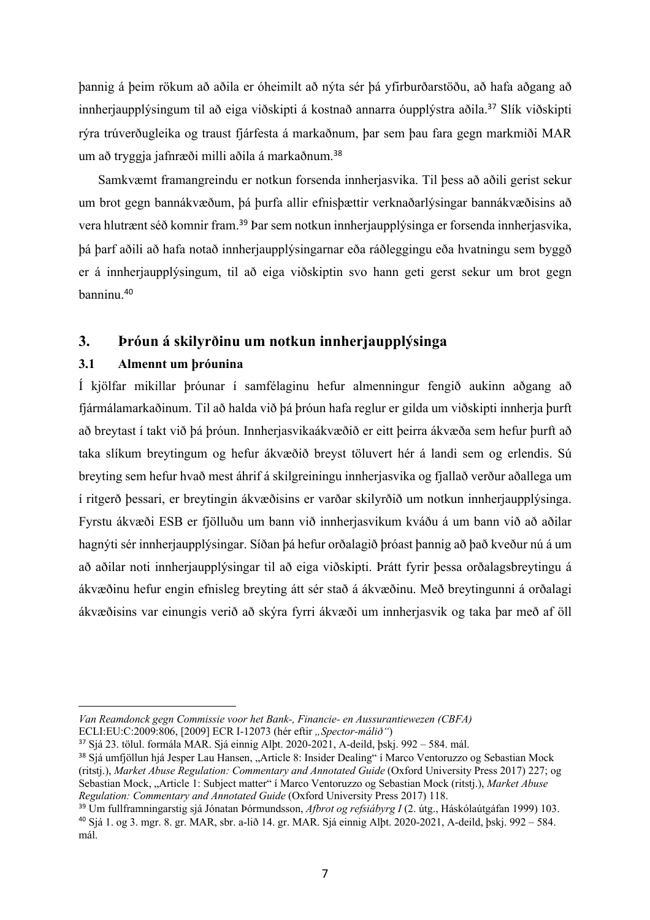þannig á þeim rökum að aðila er óheimilt að nýta sér þá yfirburðarstöðu, að hafa aðgang að innherjaupplýsingum til að eiga viðskipti á kostnað annarra óupplýstra aðila.<sup>37</sup> Slík viðskipti rýra trúverðugleika og traust fjárfesta á markaðnum, þar sem þau fara gegn markmiði MAR um að tryggja jafnræði milli aðila á markaðnum.<sup>38</sup>

Samkvæmt framangreindu er notkun forsenda innherjasvika. Til þess að aðili gerist sekur um brot gegn bannákvæðum, þá þurfa allir efnisþættir verknaðarlýsingar bannákvæðisins að vera hlutrænt séð komnir fram.<sup>39</sup> Þar sem notkun innherjaupplýsinga er forsenda innherjasvika, þá þarf aðili að hafa notað innherjaupplýsingarnar eða ráðleggingu eða hvatningu sem byggð er á innherjaupplýsingum, til að eiga viðskiptin svo hann geti gerst sekur um brot gegn banninu.<sup>40</sup>

## **3. Þróun á skilyrðinu um notkun innherjaupplýsinga**

#### **3.1 Almennt um þróunina**

Í kjölfar mikillar þróunar í samfélaginu hefur almenningur fengið aukinn aðgang að fjármálamarkaðinum. Til að halda við þá þróun hafa reglur er gilda um viðskipti innherja þurft að breytast í takt við þá þróun. Innherjasvikaákvæðið er eitt þeirra ákvæða sem hefur þurft að taka slíkum breytingum og hefur ákvæðið breyst töluvert hér á landi sem og erlendis. Sú breyting sem hefur hvað mest áhrif á skilgreiningu innherjasvika og fjallað verður aðallega um í ritgerð þessari, er breytingin ákvæðisins er varðar skilyrðið um notkun innherjaupplýsinga. Fyrstu ákvæði ESB er fjölluðu um bann við innherjasvikum kváðu á um bann við að aðilar hagnýti sér innherjaupplýsingar. Síðan þá hefur orðalagið þróast þannig að það kveður nú á um að aðilar noti innherjaupplýsingar til að eiga viðskipti. Þrátt fyrir þessa orðalagsbreytingu á ákvæðinu hefur engin efnisleg breyting átt sér stað á ákvæðinu. Með breytingunni á orðalagi ákvæðisins var einungis verið að skýra fyrri ákvæði um innherjasvik og taka þar með af öll

*Van Reamdonck gegn Commissie voor het Bank-, Financie- en Aussurantiewezen (CBFA)* ECLI:EU:C:2009:806, [2009] ECR I-12073 (hér eftir "Spector-málið")

<sup>37</sup> Sjá 23. tölul. formála MAR. Sjá einnig Alþt. 2020-2021, A-deild, þskj. 992 – 584. mál.

<sup>&</sup>lt;sup>38</sup> Sjá umfjöllun hjá Jesper Lau Hansen, "Article 8: Insider Dealing" í Marco Ventoruzzo og Sebastian Mock (ritstj.), *Market Abuse Regulation: Commentary and Annotated Guide* (Oxford University Press 2017) 227; og Sebastian Mock, "Article 1: Subject matter" í Marco Ventoruzzo og Sebastian Mock (ritstj.), *Market Abuse Regulation: Commentary and Annotated Guide* (Oxford University Press 2017) 118.

<sup>39</sup> Um fullframningarstig sjá Jónatan Þórmundsson, *Afbrot og refsiábyrg I* (2. útg., Háskólaútgáfan 1999) 103. <sup>40</sup> Sjá 1. og 3. mgr. 8. gr. MAR, sbr. a-lið 14. gr. MAR. Sjá einnig Alþt. 2020-2021, A-deild, þskj. 992 – 584. mál.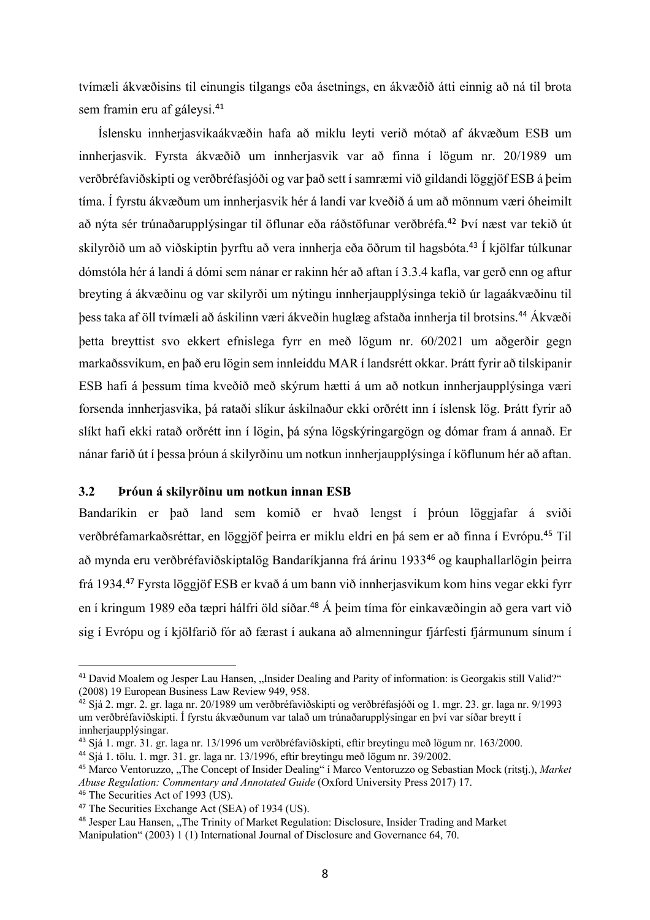tvímæli ákvæðisins til einungis tilgangs eða ásetnings, en ákvæðið átti einnig að ná til brota sem framin eru af gáleysi. 41

Íslensku innherjasvikaákvæðin hafa að miklu leyti verið mótað af ákvæðum ESB um innherjasvik. Fyrsta ákvæðið um innherjasvik var að finna í lögum nr. 20/1989 um verðbréfaviðskipti og verðbréfasjóði og var það sett í samræmi við gildandi löggjöf ESB á þeim tíma. Í fyrstu ákvæðum um innherjasvik hér á landi var kveðið á um að mönnum væri óheimilt að nýta sér trúnaðarupplýsingar til öflunar eða ráðstöfunar verðbréfa.<sup>42</sup> Því næst var tekið út skilyrðið um að viðskiptin þyrftu að vera innherja eða öðrum til hagsbóta.<sup>43</sup> Í kjölfar túlkunar dómstóla hér á landi á dómi sem nánar er rakinn hér að aftan í 3.3.4 kafla, var gerð enn og aftur breyting á ákvæðinu og var skilyrði um nýtingu innherjaupplýsinga tekið úr lagaákvæðinu til þess taka af öll tvímæli að áskilinn væri ákveðin huglæg afstaða innherja til brotsins.<sup>44</sup> Ákvæði þetta breyttist svo ekkert efnislega fyrr en með lögum nr. 60/2021 um aðgerðir gegn markaðssvikum, en það eru lögin sem innleiddu MAR í landsrétt okkar. Þrátt fyrir að tilskipanir ESB hafi á þessum tíma kveðið með skýrum hætti á um að notkun innherjaupplýsinga væri forsenda innherjasvika, þá rataði slíkur áskilnaður ekki orðrétt inn í íslensk lög. Þrátt fyrir að slíkt hafi ekki ratað orðrétt inn í lögin, þá sýna lögskýringargögn og dómar fram á annað. Er nánar farið út í þessa þróun á skilyrðinu um notkun innherjaupplýsinga í köflunum hér að aftan.

#### **3.2 Þróun á skilyrðinu um notkun innan ESB**

Bandaríkin er það land sem komið er hvað lengst í þróun löggjafar á sviði verðbréfamarkaðsréttar, en löggjöf þeirra er miklu eldri en þá sem er að finna í Evrópu.<sup>45</sup> Til að mynda eru verðbréfaviðskiptalög Bandaríkjanna frá árinu 1933<sup>46</sup> og kauphallarlögin þeirra frá 1934. <sup>47</sup> Fyrsta löggjöf ESB er kvað á um bann við innherjasvikum kom hins vegar ekki fyrr en í kringum 1989 eða tæpri hálfri öld síðar. <sup>48</sup> Á þeim tíma fór einkavæðingin að gera vart við sig í Evrópu og í kjölfarið fór að færast í aukana að almenningur fjárfesti fjármunum sínum í

<sup>&</sup>lt;sup>41</sup> David Moalem og Jesper Lau Hansen, "Insider Dealing and Parity of information: is Georgakis still Valid?" (2008) 19 European Business Law Review 949, 958.

<sup>&</sup>lt;sup>42</sup> Sjá 2. mgr. 2. gr. laga nr. 20/1989 um verðbréfaviðskipti og verðbréfasjóði og 1. mgr. 23. gr. laga nr. 9/1993 um verðbréfaviðskipti. Í fyrstu ákvæðunum var talað um trúnaðarupplýsingar en því var síðar breytt í innherjaupplýsingar.

<sup>43</sup> Sjá 1. mgr. 31. gr. laga nr. 13/1996 um verðbréfaviðskipti, eftir breytingu með lögum nr. 163/2000.

<sup>44</sup> Sjá 1. tölu. 1. mgr. 31. gr. laga nr. 13/1996, eftir breytingu með lögum nr. 39/2002.

<sup>45</sup> Marco Ventoruzzo, "The Concept of Insider Dealing" í Marco Ventoruzzo og Sebastian Mock (ritstj.), *Market Abuse Regulation: Commentary and Annotated Guide* (Oxford University Press 2017) 17.

<sup>&</sup>lt;sup>46</sup> The Securities Act of 1993 (US).

<sup>47</sup> The Securities Exchange Act (SEA) of 1934 (US).

<sup>&</sup>lt;sup>48</sup> Jesper Lau Hansen, "The Trinity of Market Regulation: Disclosure, Insider Trading and Market Manipulation" (2003) 1 (1) International Journal of Disclosure and Governance 64, 70.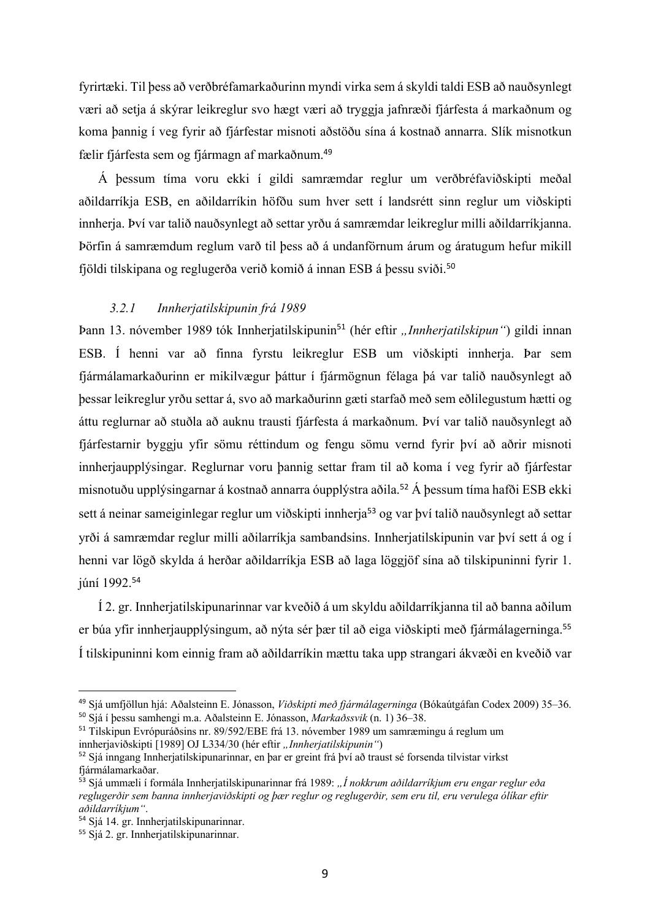fyrirtæki. Til þess að verðbréfamarkaðurinn myndi virka sem á skyldi taldi ESB að nauðsynlegt væri að setja á skýrar leikreglur svo hægt væri að tryggja jafnræði fjárfesta á markaðnum og koma þannig í veg fyrir að fjárfestar misnoti aðstöðu sína á kostnað annarra. Slík misnotkun fælir fjárfesta sem og fjármagn af markaðnum.<sup>49</sup>

Á þessum tíma voru ekki í gildi samræmdar reglur um verðbréfaviðskipti meðal aðildarríkja ESB, en aðildarríkin höfðu sum hver sett í landsrétt sinn reglur um viðskipti innherja. Því var talið nauðsynlegt að settar yrðu á samræmdar leikreglur milli aðildarríkjanna. Þörfin á samræmdum reglum varð til þess að á undanförnum árum og áratugum hefur mikill fjöldi tilskipana og reglugerða verið komið á innan ESB á þessu sviði.<sup>50</sup>

#### *3.2.1 Innherjatilskipunin frá 1989*

Þann 13. nóvember 1989 tók Innherjatilskipunin<sup>51</sup> (hér eftir "Innherjatilskipun") gildi innan ESB. Í henni var að finna fyrstu leikreglur ESB um viðskipti innherja. Þar sem fjármálamarkaðurinn er mikilvægur þáttur í fjármögnun félaga þá var talið nauðsynlegt að þessar leikreglur yrðu settar á, svo að markaðurinn gæti starfað með sem eðlilegustum hætti og áttu reglurnar að stuðla að auknu trausti fjárfesta á markaðnum. Því var talið nauðsynlegt að fjárfestarnir byggju yfir sömu réttindum og fengu sömu vernd fyrir því að aðrir misnoti innherjaupplýsingar. Reglurnar voru þannig settar fram til að koma í veg fyrir að fjárfestar misnotuðu upplýsingarnar á kostnað annarra óupplýstra aðila. <sup>52</sup> Á þessum tíma hafði ESB ekki sett á neinar sameiginlegar reglur um viðskipti innherja<sup>53</sup> og var því talið nauðsynlegt að settar yrði á samræmdar reglur milli aðilarríkja sambandsins. Innherjatilskipunin var því sett á og í henni var lögð skylda á herðar aðildarríkja ESB að laga löggjöf sína að tilskipuninni fyrir 1. júní 1992.<sup>54</sup>

Í 2. gr. Innherjatilskipunarinnar var kveðið á um skyldu aðildarríkjanna til að banna aðilum er búa yfir innherjaupplýsingum, að nýta sér þær til að eiga viðskipti með fjármálagerninga. 55 Í tilskipuninni kom einnig fram að aðildarríkin mættu taka upp strangari ákvæði en kveðið var

<sup>49</sup> Sjá umfjöllun hjá: Aðalsteinn E. Jónasson, *Viðskipti með fjármálagerninga* (Bókaútgáfan Codex 2009) 35–36. <sup>50</sup> Sjá í þessu samhengi m.a. Aðalsteinn E. Jónasson, *Markaðssvik* (n. 1) 36–38.

<sup>51</sup> Tilskipun Evrópuráðsins nr. 89/592/EBE frá 13. nóvember 1989 um samræmingu á reglum um innherjaviðskipti [1989] OJ L334/30 (hér eftir "Innherjatilskipunin")

<sup>52</sup> Sjá inngang Innherjatilskipunarinnar, en þar er greint frá því að traust sé forsenda tilvistar virkst fjármálamarkaðar.

<sup>&</sup>lt;sup>53</sup> Sjá ummæli í formála Innherjatilskipunarinnar frá 1989: "Í nokkrum aðildarríkjum eru engar reglur eða *reglugerðir sem banna innherjaviðskipti og þær reglur og reglugerðir, sem eru til, eru verulega ólíkar eftir aðildarríkjum"*.

<sup>54</sup> Sjá 14. gr. Innherjatilskipunarinnar.

<sup>&</sup>lt;sup>55</sup> Siá 2. gr. Innherjatilskipunarinnar.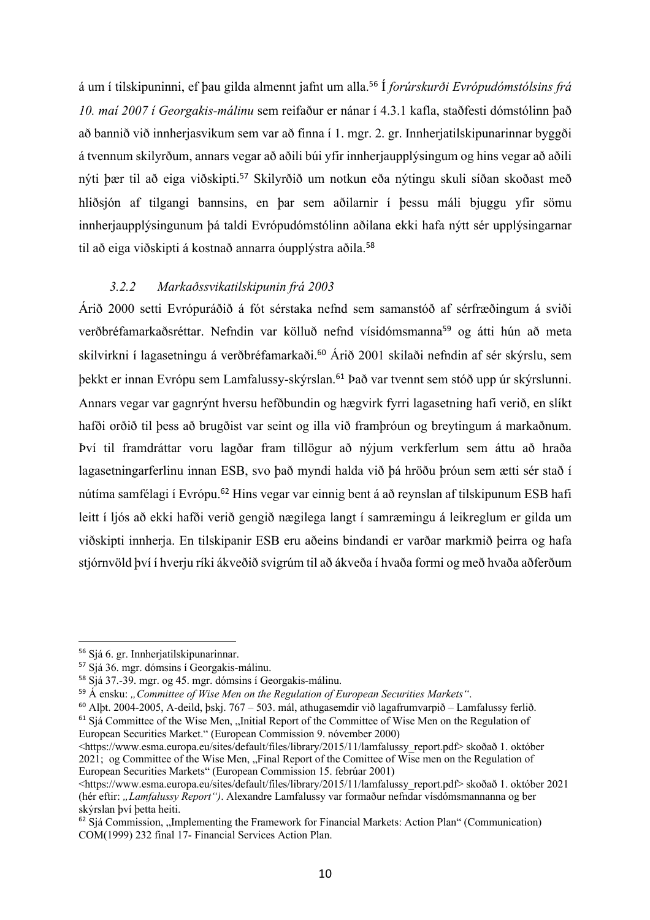á um í tilskipuninni, ef þau gilda almennt jafnt um alla.<sup>56</sup> Í *forúrskurði Evrópudómstólsins frá 10. maí 2007 í Georgakis-málinu* sem reifaður er nánar í 4.3.1 kafla, staðfesti dómstólinn það að bannið við innherjasvikum sem var að finna í 1. mgr. 2. gr. Innherjatilskipunarinnar byggði á tvennum skilyrðum, annars vegar að aðili búi yfir innherjaupplýsingum og hins vegar að aðili nýti þær til að eiga viðskipti.<sup>57</sup> Skilyrðið um notkun eða nýtingu skuli síðan skoðast með hliðsjón af tilgangi bannsins, en þar sem aðilarnir í þessu máli bjuggu yfir sömu innherjaupplýsingunum þá taldi Evrópudómstólinn aðilana ekki hafa nýtt sér upplýsingarnar til að eiga viðskipti á kostnað annarra óupplýstra aðila. 58

#### *3.2.2 Markaðssvikatilskipunin frá 2003*

Árið 2000 setti Evrópuráðið á fót sérstaka nefnd sem samanstóð af sérfræðingum á sviði verðbréfamarkaðsréttar. Nefndin var kölluð nefnd vísidómsmanna<sup>59</sup> og átti hún að meta skilvirkni í lagasetningu á verðbréfamarkaði.<sup>60</sup> Árið 2001 skilaði nefndin af sér skýrslu, sem þekkt er innan Evrópu sem Lamfalussy-skýrslan.<sup>61</sup> Það var tvennt sem stóð upp úr skýrslunni. Annars vegar var gagnrýnt hversu hefðbundin og hægvirk fyrri lagasetning hafi verið, en slíkt hafði orðið til þess að brugðist var seint og illa við framþróun og breytingum á markaðnum. Því til framdráttar voru lagðar fram tillögur að nýjum verkferlum sem áttu að hraða lagasetningarferlinu innan ESB, svo það myndi halda við þá hröðu þróun sem ætti sér stað í nútíma samfélagi í Evrópu.<sup>62</sup> Hins vegar var einnig bent á að reynslan af tilskipunum ESB hafi leitt í ljós að ekki hafði verið gengið nægilega langt í samræmingu á leikreglum er gilda um viðskipti innherja. En tilskipanir ESB eru aðeins bindandi er varðar markmið þeirra og hafa stjórnvöld því í hverju ríki ákveðið svigrúm til að ákveða í hvaða formi og með hvaða aðferðum

<sup>61</sup> Siá Committee of the Wise Men, ...Initial Report of the Committee of Wise Men on the Regulation of European Securities Market." (European Commission 9. nóvember 2000)

<sup>56</sup> Sjá 6. gr. Innherjatilskipunarinnar.

<sup>57</sup> Sjá 36. mgr. dómsins í Georgakis-málinu.

<sup>58</sup> Sjá 37.-39. mgr. og 45. mgr. dómsins í Georgakis-málinu.

<sup>&</sup>lt;sup>59</sup> Á ensku: *"Committee of Wise Men on the Regulation of European Securities Markets*".

 $60$  Alþt. 2004-2005, A-deild, þskj. 767 – 503. mál, athugasemdir við lagafrumvarpið – Lamfalussy ferlið.

<sup>&</sup>lt;https://www.esma.europa.eu/sites/default/files/library/2015/11/lamfalussy\_report.pdf> skoðað 1. október 2021; og Committee of the Wise Men, "Final Report of the Comittee of Wise men on the Regulation of European Securities Markets" (European Commission 15. febrúar 2001)

<sup>&</sup>lt;https://www.esma.europa.eu/sites/default/files/library/2015/11/lamfalussy\_report.pdf> skoðað 1. október 2021 (hér eftir: *"Lamfalussy Report")*. Alexandre Lamfalussy var formaður nefndar vísdómsmannanna og ber skýrslan því þetta heiti.

 $62$  Sjá Commission, "Implementing the Framework for Financial Markets: Action Plan" (Communication) COM(1999) 232 final 17- Financial Services Action Plan.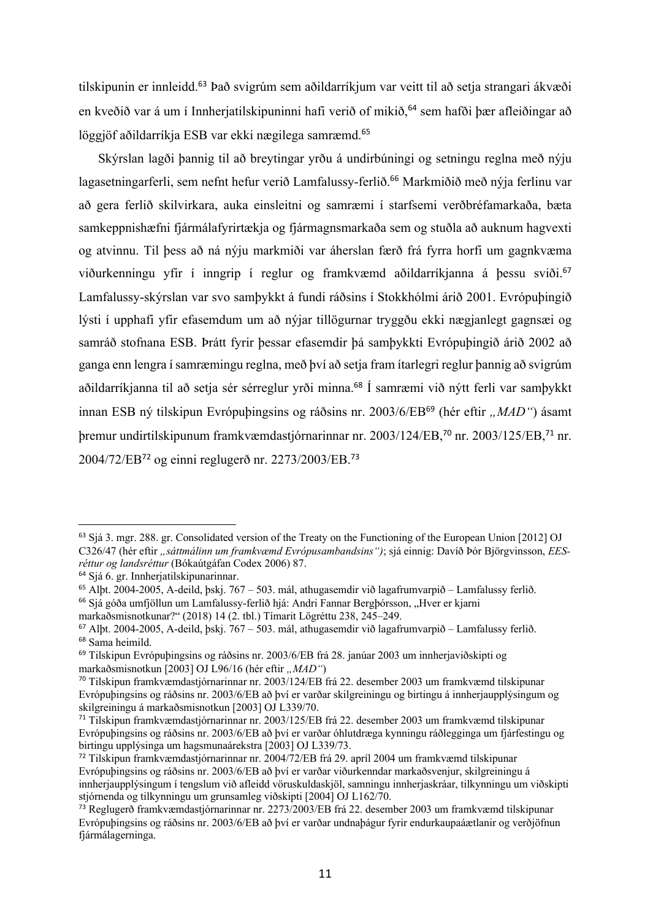tilskipunin er innleidd.<sup>63</sup> Það svigrúm sem aðildarríkjum var veitt til að setja strangari ákvæði en kveðið var á um í Innherjatilskipuninni hafi verið of mikið, <sup>64</sup> sem hafði þær afleiðingar að löggjöf aðildarríkja ESB var ekki nægilega samræmd.<sup>65</sup>

Skýrslan lagði þannig til að breytingar yrðu á undirbúningi og setningu reglna með nýju lagasetningarferli, sem nefnt hefur verið Lamfalussy-ferlið.<sup>66</sup> Markmiðið með nýja ferlinu var að gera ferlið skilvirkara, auka einsleitni og samræmi í starfsemi verðbréfamarkaða, bæta samkeppnishæfni fjármálafyrirtækja og fjármagnsmarkaða sem og stuðla að auknum hagvexti og atvinnu. Til þess að ná nýju markmiði var áherslan færð frá fyrra horfi um gagnkvæma viðurkenningu yfir í inngrip í reglur og framkvæmd aðildarríkjanna á þessu sviði.<sup>67</sup> Lamfalussy-skýrslan var svo samþykkt á fundi ráðsins í Stokkhólmi árið 2001. Evrópuþingið lýsti í upphafi yfir efasemdum um að nýjar tillögurnar tryggðu ekki nægjanlegt gagnsæi og samráð stofnana ESB. Þrátt fyrir þessar efasemdir þá samþykkti Evrópuþingið árið 2002 að ganga enn lengra í samræmingu reglna, með því að setja fram ítarlegri reglur þannig að svigrúm aðildarríkjanna til að setja sér sérreglur yrði minna.<sup>68</sup> Í samræmi við nýtt ferli var samþykkt innan ESB ný tilskipun Evrópuþingsins og ráðsins nr. 2003/6/EB<sup>69</sup> (hér eftir *"MAD"*) ásamt þremur undirtilskipunum framkvæmdastjórnarinnar nr. 2003/124/EB, <sup>70</sup> nr. 2003/125/EB, <sup>71</sup> nr. 2004/72/EB<sup>72</sup> og einni reglugerð nr. 2273/2003/EB. 73

<sup>63</sup> Sjá 3. mgr. 288. gr. Consolidated version of the Treaty on the Functioning of the European Union [2012] OJ C326/47 (hér eftir *"sáttmálinn um framkvæmd Evrópusambandsins")*; sjá einnig: Davíð Þór Björgvinsson, *EESréttur og landsréttur* (Bókaútgáfan Codex 2006) 87.

<sup>64</sup> Sjá 6. gr. Innherjatilskipunarinnar.

<sup>65</sup> Alþt. 2004-2005, A-deild, þskj. 767 – 503. mál, athugasemdir við lagafrumvarpið – Lamfalussy ferlið.

<sup>&</sup>lt;sup>66</sup> Sjá góða umfjöllun um Lamfalussy-ferlið hjá: Andri Fannar Bergþórsson, "Hver er kjarni markaðsmisnotkunar?" (2018) 14 (2. tbl.) Tímarit Lögréttu 238, 245–249.

 $67$  Alþt. 2004-2005, A-deild, þskj. 767 – 503. mál, athugasemdir við lagafrumvarpið – Lamfalussy ferlið. <sup>68</sup> Sama heimild.

<sup>69</sup> Tilskipun Evrópuþingsins og ráðsins nr. 2003/6/EB frá 28. janúar 2003 um innherjaviðskipti og markaðsmisnotkun [2003] OJ L96/16 (hér eftir "MAD")

<sup>70</sup> Tilskipun framkvæmdastjórnarinnar nr. 2003/124/EB frá 22. desember 2003 um framkvæmd tilskipunar Evrópuþingsins og ráðsins nr. 2003/6/EB að því er varðar skilgreiningu og birtingu á innherjaupplýsingum og skilgreiningu á markaðsmisnotkun [2003] OJ L339/70.

<sup>71</sup> Tilskipun framkvæmdastjórnarinnar nr. 2003/125/EB frá 22. desember 2003 um framkvæmd tilskipunar Evrópuþingsins og ráðsins nr. 2003/6/EB að því er varðar óhlutdræga kynningu ráðlegginga um fjárfestingu og birtingu upplýsinga um hagsmunaárekstra [2003] OJ L339/73.

<sup>72</sup> Tilskipun framkvæmdastjórnarinnar nr. 2004/72/EB frá 29. apríl 2004 um framkvæmd tilskipunar Evrópuþingsins og ráðsins nr. 2003/6/EB að því er varðar viðurkenndar markaðsvenjur, skilgreiningu á innherjaupplýsingum í tengslum við afleidd vöruskuldaskjöl, samningu innherjaskráar, tilkynningu um viðskipti stjórnenda og tilkynningu um grunsamleg viðskipti [2004] OJ L162/70.

<sup>73</sup> Reglugerð framkvæmdastjórnarinnar nr. 2273/2003/EB frá 22. desember 2003 um framkvæmd tilskipunar Evrópuþingsins og ráðsins nr. 2003/6/EB að því er varðar undnaþágur fyrir endurkaupaáætlanir og verðjöfnun fjármálagerninga.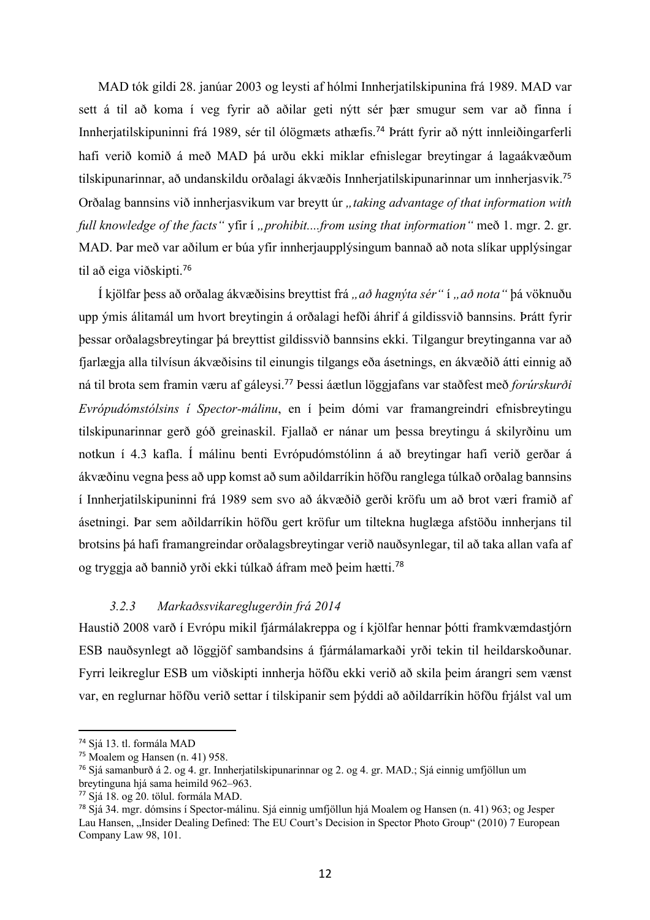MAD tók gildi 28. janúar 2003 og leysti af hólmi Innherjatilskipunina frá 1989. MAD var sett á til að koma í veg fyrir að aðilar geti nýtt sér þær smugur sem var að finna í Innherjatilskipuninni frá 1989, sér til ólögmæts athæfis.<sup>74</sup> Þrátt fyrir að nýtt innleiðingarferli hafi verið komið á með MAD þá urðu ekki miklar efnislegar breytingar á lagaákvæðum tilskipunarinnar, að undanskildu orðalagi ákvæðis Innherjatilskipunarinnar um innherjasvik.<sup>75</sup> Orðalag bannsins við innherjasvikum var breytt úr *"taking advantage of that information with full knowledge of the facts* "*yfir i , prohibit....from using that information* " með 1. mgr. 2. gr. MAD. Þar með var aðilum er búa yfir innherjaupplýsingum bannað að nota slíkar upplýsingar til að eiga viðskipti. 76

Í kjölfar þess að orðalag ákvæðisins breyttist frá *"að hagnýta sér"* í *"að nota"* þá vöknuðu upp ýmis álitamál um hvort breytingin á orðalagi hefði áhrif á gildissvið bannsins. Þrátt fyrir þessar orðalagsbreytingar þá breyttist gildissvið bannsins ekki. Tilgangur breytinganna var að fjarlægja alla tilvísun ákvæðisins til einungis tilgangs eða ásetnings, en ákvæðið átti einnig að ná til brota sem framin væru af gáleysi. <sup>77</sup> Þessi áætlun löggjafans var staðfest með *forúrskurði Evrópudómstólsins í Spector-málinu*, en í þeim dómi var framangreindri efnisbreytingu tilskipunarinnar gerð góð greinaskil. Fjallað er nánar um þessa breytingu á skilyrðinu um notkun í 4.3 kafla. Í málinu benti Evrópudómstólinn á að breytingar hafi verið gerðar á ákvæðinu vegna þess að upp komst að sum aðildarríkin höfðu ranglega túlkað orðalag bannsins í Innherjatilskipuninni frá 1989 sem svo að ákvæðið gerði kröfu um að brot væri framið af ásetningi. Þar sem aðildarríkin höfðu gert kröfur um tiltekna huglæga afstöðu innherjans til brotsins þá hafi framangreindar orðalagsbreytingar verið nauðsynlegar, til að taka allan vafa af og tryggja að bannið yrði ekki túlkað áfram með þeim hætti.<sup>78</sup>

## *3.2.3 Markaðssvikareglugerðin frá 2014*

Haustið 2008 varð í Evrópu mikil fjármálakreppa og í kjölfar hennar þótti framkvæmdastjórn ESB nauðsynlegt að löggjöf sambandsins á fjármálamarkaði yrði tekin til heildarskoðunar. Fyrri leikreglur ESB um viðskipti innherja höfðu ekki verið að skila þeim árangri sem vænst var, en reglurnar höfðu verið settar í tilskipanir sem þýddi að aðildarríkin höfðu frjálst val um

<sup>74</sup> Sjá 13. tl. formála MAD

<sup>75</sup> Moalem og Hansen (n. 41) 958.

<sup>76</sup> Sjá samanburð á 2. og 4. gr. Innherjatilskipunarinnar og 2. og 4. gr. MAD.; Sjá einnig umfjöllun um breytinguna hjá sama heimild 962–963.

<sup>77</sup> Sjá 18. og 20. tölul. formála MAD.

<sup>78</sup> Sjá 34. mgr. dómsins í Spector-málinu. Sjá einnig umfjöllun hjá Moalem og Hansen (n. 41) 963; og Jesper Lau Hansen, "Insider Dealing Defined: The EU Court's Decision in Spector Photo Group" (2010) 7 European Company Law 98, 101.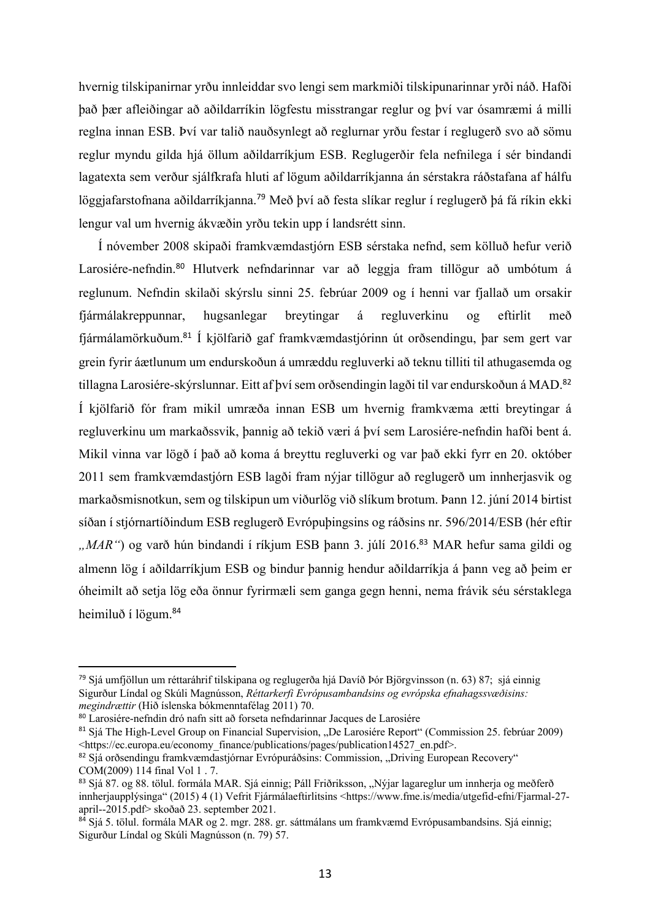hvernig tilskipanirnar yrðu innleiddar svo lengi sem markmiði tilskipunarinnar yrði náð. Hafði það þær afleiðingar að aðildarríkin lögfestu misstrangar reglur og því var ósamræmi á milli reglna innan ESB. Því var talið nauðsynlegt að reglurnar yrðu festar í reglugerð svo að sömu reglur myndu gilda hjá öllum aðildarríkjum ESB. Reglugerðir fela nefnilega í sér bindandi lagatexta sem verður sjálfkrafa hluti af lögum aðildarríkjanna án sérstakra ráðstafana af hálfu löggjafarstofnana aðildarríkjanna.<sup>79</sup> Með því að festa slíkar reglur í reglugerð þá fá ríkin ekki lengur val um hvernig ákvæðin yrðu tekin upp í landsrétt sinn.

Í nóvember 2008 skipaði framkvæmdastjórn ESB sérstaka nefnd, sem kölluð hefur verið Larosiére-nefndin.<sup>80</sup> Hlutverk nefndarinnar var að leggja fram tillögur að umbótum á reglunum. Nefndin skilaði skýrslu sinni 25. febrúar 2009 og í henni var fjallað um orsakir fjármálakreppunnar, hugsanlegar breytingar á regluverkinu og eftirlit með fjármálamörkuðum. <sup>81</sup> Í kjölfarið gaf framkvæmdastjórinn út orðsendingu, þar sem gert var grein fyrir áætlunum um endurskoðun á umræddu regluverki að teknu tilliti til athugasemda og tillagna Larosiére-skýrslunnar. Eitt af því sem orðsendingin lagði til var endurskoðun á MAD.<sup>82</sup> Í kjölfarið fór fram mikil umræða innan ESB um hvernig framkvæma ætti breytingar á regluverkinu um markaðssvik, þannig að tekið væri á því sem Larosiére-nefndin hafði bent á. Mikil vinna var lögð í það að koma á breyttu regluverki og var það ekki fyrr en 20. október 2011 sem framkvæmdastjórn ESB lagði fram nýjar tillögur að reglugerð um innherjasvik og markaðsmisnotkun, sem og tilskipun um viðurlög við slíkum brotum. Þann 12. júní 2014 birtist síðan í stjórnartíðindum ESB reglugerð Evrópuþingsins og ráðsins nr. 596/2014/ESB (hér eftir *"MAR*") og varð hún bindandi í ríkjum ESB þann 3. júlí 2016.<sup>83</sup> MAR hefur sama gildi og almenn lög í aðildarríkjum ESB og bindur þannig hendur aðildarríkja á þann veg að þeim er óheimilt að setja lög eða önnur fyrirmæli sem ganga gegn henni, nema frávik séu sérstaklega heimiluð í lögum.<sup>84</sup>

<sup>79</sup> Sjá umfjöllun um réttaráhrif tilskipana og reglugerða hjá Davíð Þór Björgvinsson (n. 63) 87; sjá einnig Sigurður Líndal og Skúli Magnússon, *Réttarkerfi Evrópusambandsins og evrópska efnahagssvæðisins: megindrættir* (Hið íslenska bókmenntafélag 2011) 70.

<sup>80</sup> Larosiére-nefndin dró nafn sitt að forseta nefndarinnar Jacques de Larosiére

<sup>81</sup> Sjá The High-Level Group on Financial Supervision, "De Larosiére Report" (Commission 25. febrúar 2009) <https://ec.europa.eu/economy\_finance/publications/pages/publication14527\_en.pdf>.

<sup>82</sup> Sjá orðsendingu framkvæmdastjórnar Evrópuráðsins: Commission, "Driving European Recovery" COM(2009) 114 final Vol 1 . 7.

<sup>&</sup>lt;sup>83</sup> Sjá 87. og 88. tölul. formála MAR. Sjá einnig; Páll Friðriksson, "Nýjar lagareglur um innherja og meðferð innherjaupplýsinga" (2015) 4 (1) Vefrit Fjármálaeftirlitsins <https://www.fme.is/media/utgefid-efni/Fjarmal-27 april--2015.pdf> skoðað 23. september 2021.

<sup>&</sup>lt;sup>84</sup> Sjá 5. tölul. formála MAR og 2. mgr. 288. gr. sáttmálans um framkvæmd Evrópusambandsins. Sjá einnig; Sigurður Líndal og Skúli Magnússon (n. 79) 57.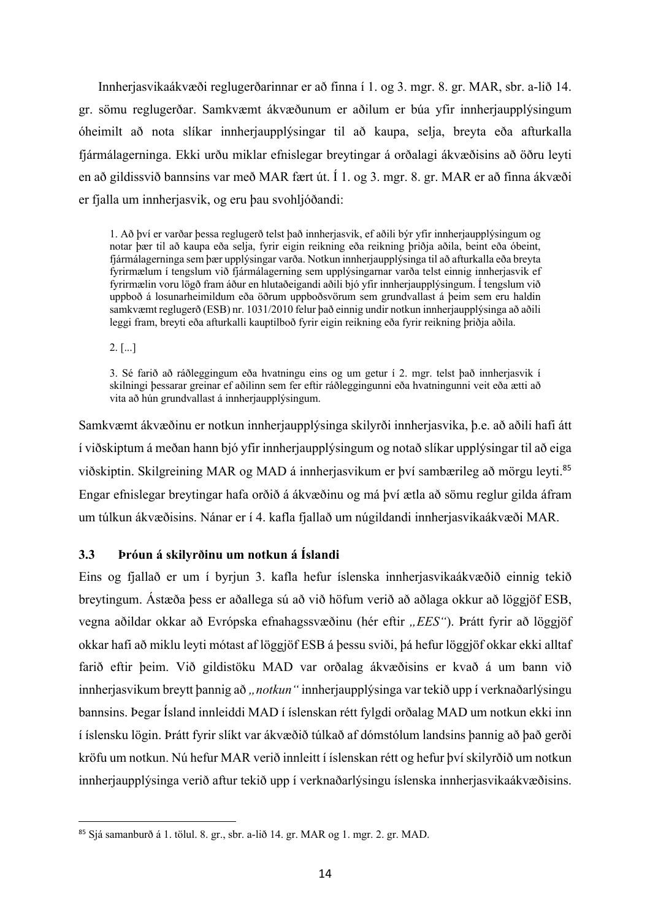Innherjasvikaákvæði reglugerðarinnar er að finna í 1. og 3. mgr. 8. gr. MAR, sbr. a-lið 14. gr. sömu reglugerðar. Samkvæmt ákvæðunum er aðilum er búa yfir innherjaupplýsingum óheimilt að nota slíkar innherjaupplýsingar til að kaupa, selja, breyta eða afturkalla fjármálagerninga. Ekki urðu miklar efnislegar breytingar á orðalagi ákvæðisins að öðru leyti en að gildissvið bannsins var með MAR fært út. Í 1. og 3. mgr. 8. gr. MAR er að finna ákvæði er fjalla um innherjasvik, og eru þau svohljóðandi:

1. Að því er varðar þessa reglugerð telst það innherjasvik, ef aðili býr yfir innherjaupplýsingum og notar þær til að kaupa eða selja, fyrir eigin reikning eða reikning þriðja aðila, beint eða óbeint, fjármálagerninga sem þær upplýsingar varða. Notkun innherjaupplýsinga til að afturkalla eða breyta fyrirmælum í tengslum við fjármálagerning sem upplýsingarnar varða telst einnig innherjasvik ef fyrirmælin voru lögð fram áður en hlutaðeigandi aðili bjó yfir innherjaupplýsingum. Í tengslum við uppboð á losunarheimildum eða öðrum uppboðsvörum sem grundvallast á þeim sem eru haldin samkvæmt reglugerð (ESB) nr. 1031/2010 felur það einnig undir notkun innherjaupplýsinga að aðili leggi fram, breyti eða afturkalli kauptilboð fyrir eigin reikning eða fyrir reikning þriðja aðila.

2. [...]

3. Sé farið að ráðleggingum eða hvatningu eins og um getur í 2. mgr. telst það innherjasvik í skilningi þessarar greinar ef aðilinn sem fer eftir ráðleggingunni eða hvatningunni veit eða ætti að vita að hún grundvallast á innherjaupplýsingum.

Samkvæmt ákvæðinu er notkun innherjaupplýsinga skilyrði innherjasvika, þ.e. að aðili hafi átt í viðskiptum á meðan hann bjó yfir innherjaupplýsingum og notað slíkar upplýsingar til að eiga viðskiptin. Skilgreining MAR og MAD á innherjasvikum er því sambærileg að mörgu leyti. 85 Engar efnislegar breytingar hafa orðið á ákvæðinu og má því ætla að sömu reglur gilda áfram um túlkun ákvæðisins. Nánar er í 4. kafla fjallað um núgildandi innherjasvikaákvæði MAR.

#### **3.3 Þróun á skilyrðinu um notkun á Íslandi**

Eins og fjallað er um í byrjun 3. kafla hefur íslenska innherjasvikaákvæðið einnig tekið breytingum. Ástæða þess er aðallega sú að við höfum verið að aðlaga okkur að löggjöf ESB, vegna aðildar okkar að Evrópska efnahagssvæðinu (hér eftir "*EES*"). Þrátt fyrir að löggjöf okkar hafi að miklu leyti mótast af löggjöf ESB á þessu sviði, þá hefur löggjöf okkar ekki alltaf farið eftir þeim. Við gildistöku MAD var orðalag ákvæðisins er kvað á um bann við innherjasvikum breytt þannig að *"notkun"* innherjaupplýsinga var tekið upp í verknaðarlýsingu bannsins. Þegar Ísland innleiddi MAD í íslenskan rétt fylgdi orðalag MAD um notkun ekki inn í íslensku lögin. Þrátt fyrir slíkt var ákvæðið túlkað af dómstólum landsins þannig að það gerði kröfu um notkun. Nú hefur MAR verið innleitt í íslenskan rétt og hefur því skilyrðið um notkun innherjaupplýsinga verið aftur tekið upp í verknaðarlýsingu íslenska innherjasvikaákvæðisins.

<sup>85</sup> Sjá samanburð á 1. tölul. 8. gr., sbr. a-lið 14. gr. MAR og 1. mgr. 2. gr. MAD.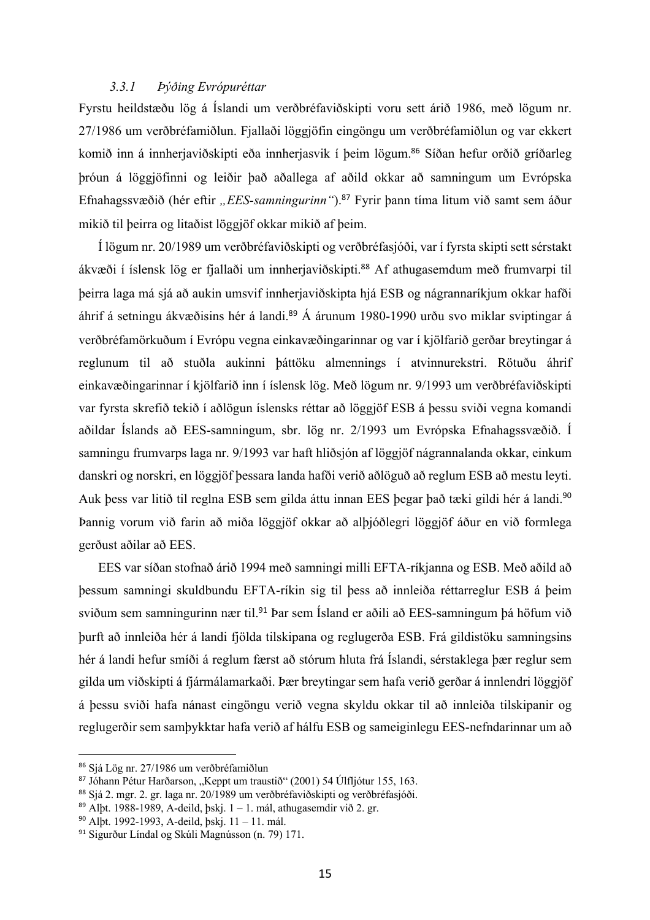#### *3.3.1 Þýðing Evrópuréttar*

Fyrstu heildstæðu lög á Íslandi um verðbréfaviðskipti voru sett árið 1986, með lögum nr. 27/1986 um verðbréfamiðlun. Fjallaði löggjöfin eingöngu um verðbréfamiðlun og var ekkert komið inn á innherjaviðskipti eða innherjasvik í þeim lögum.<sup>86</sup> Síðan hefur orðið gríðarleg þróun á löggjöfinni og leiðir það aðallega af aðild okkar að samningum um Evrópska Efnahagssvæðið (hér eftir "*EES-samningurinn*").<sup>87</sup> Fyrir þann tíma litum við samt sem áður mikið til þeirra og litaðist löggjöf okkar mikið af þeim.

Í lögum nr. 20/1989 um verðbréfaviðskipti og verðbréfasjóði, var í fyrsta skipti sett sérstakt ákvæði í íslensk lög er fjallaði um innherjaviðskipti. <sup>88</sup> Af athugasemdum með frumvarpi til þeirra laga má sjá að aukin umsvif innherjaviðskipta hjá ESB og nágrannaríkjum okkar hafði áhrif á setningu ákvæðisins hér á landi.<sup>89</sup> Á árunum 1980-1990 urðu svo miklar sviptingar á verðbréfamörkuðum í Evrópu vegna einkavæðingarinnar og var í kjölfarið gerðar breytingar á reglunum til að stuðla aukinni þáttöku almennings í atvinnurekstri. Rötuðu áhrif einkavæðingarinnar í kjölfarið inn í íslensk lög. Með lögum nr. 9/1993 um verðbréfaviðskipti var fyrsta skrefið tekið í aðlögun íslensks réttar að löggjöf ESB á þessu sviði vegna komandi aðildar Íslands að EES-samningum, sbr. lög nr. 2/1993 um Evrópska Efnahagssvæðið. Í samningu frumvarps laga nr. 9/1993 var haft hliðsjón af löggjöf nágrannalanda okkar, einkum danskri og norskri, en löggjöf þessara landa hafði verið aðlöguð að reglum ESB að mestu leyti. Auk þess var litið til reglna ESB sem gilda áttu innan EES þegar það tæki gildi hér á landi. 90 Þannig vorum við farin að miða löggjöf okkar að alþjóðlegri löggjöf áður en við formlega gerðust aðilar að EES.

EES var síðan stofnað árið 1994 með samningi milli EFTA-ríkjanna og ESB. Með aðild að þessum samningi skuldbundu EFTA-ríkin sig til þess að innleiða réttarreglur ESB á þeim sviðum sem samningurinn nær til.<sup>91</sup> Þar sem Ísland er aðili að EES-samningum þá höfum við þurft að innleiða hér á landi fjölda tilskipana og reglugerða ESB. Frá gildistöku samningsins hér á landi hefur smíði á reglum færst að stórum hluta frá Íslandi, sérstaklega þær reglur sem gilda um viðskipti á fjármálamarkaði. Þær breytingar sem hafa verið gerðar á innlendri löggjöf á þessu sviði hafa nánast eingöngu verið vegna skyldu okkar til að innleiða tilskipanir og reglugerðir sem samþykktar hafa verið af hálfu ESB og sameiginlegu EES-nefndarinnar um að

<sup>86</sup> Sjá Lög nr. 27/1986 um verðbréfamiðlun

<sup>&</sup>lt;sup>87</sup> Jóhann Pétur Harðarson, "Keppt um traustið" (2001) 54 Úlfljótur 155, 163.

<sup>88</sup> Sjá 2. mgr. 2. gr. laga nr. 20/1989 um verðbréfaviðskipti og verðbréfasjóði.

<sup>&</sup>lt;sup>89</sup> Alþt. 1988-1989, A-deild, þskj.  $1 - 1$ . mál, athugasemdir við 2. gr.

<sup>90</sup> Alþt. 1992-1993, A-deild, þskj. 11 – 11. mál.

<sup>91</sup> Sigurður Líndal og Skúli Magnússon (n. 79) 171.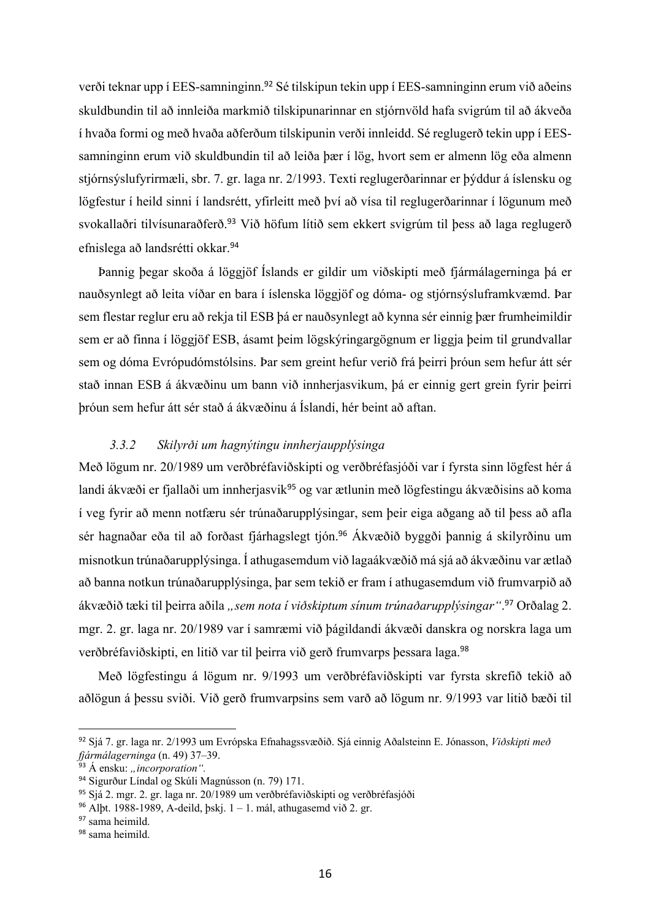verði teknar upp í EES-samninginn. <sup>92</sup> Sé tilskipun tekin upp í EES-samninginn erum við aðeins skuldbundin til að innleiða markmið tilskipunarinnar en stjórnvöld hafa svigrúm til að ákveða í hvaða formi og með hvaða aðferðum tilskipunin verði innleidd. Sé reglugerð tekin upp í EESsamninginn erum við skuldbundin til að leiða þær í lög, hvort sem er almenn lög eða almenn stjórnsýslufyrirmæli, sbr. 7. gr. laga nr. 2/1993. Texti reglugerðarinnar er þýddur á íslensku og lögfestur í heild sinni í landsrétt, yfirleitt með því að vísa til reglugerðarinnar í lögunum með svokallaðri tilvísunaraðferð.<sup>93</sup> Við höfum lítið sem ekkert svigrúm til þess að laga reglugerð efnislega að landsrétti okkar.<sup>94</sup>

Þannig þegar skoða á löggjöf Íslands er gildir um viðskipti með fjármálagerninga þá er nauðsynlegt að leita víðar en bara í íslenska löggjöf og dóma- og stjórnsýsluframkvæmd. Þar sem flestar reglur eru að rekja til ESB þá er nauðsynlegt að kynna sér einnig þær frumheimildir sem er að finna í löggjöf ESB, ásamt þeim lögskýringargögnum er liggja þeim til grundvallar sem og dóma Evrópudómstólsins. Þar sem greint hefur verið frá þeirri þróun sem hefur átt sér stað innan ESB á ákvæðinu um bann við innherjasvikum, þá er einnig gert grein fyrir þeirri þróun sem hefur átt sér stað á ákvæðinu á Íslandi, hér beint að aftan.

#### *3.3.2 Skilyrði um hagnýtingu innherjaupplýsinga*

Með lögum nr. 20/1989 um verðbréfaviðskipti og verðbréfasjóði var í fyrsta sinn lögfest hér á landi ákvæði er fjallaði um innherjasvik<sup>95</sup> og var ætlunin með lögfestingu ákvæðisins að koma í veg fyrir að menn notfæru sér trúnaðarupplýsingar, sem þeir eiga aðgang að til þess að afla sér hagnaðar eða til að forðast fjárhagslegt tjón.<sup>96</sup> Ákvæðið byggði þannig á skilyrðinu um misnotkun trúnaðarupplýsinga. Í athugasemdum við lagaákvæðið má sjá að ákvæðinu var ætlað að banna notkun trúnaðarupplýsinga, þar sem tekið er fram í athugasemdum við frumvarpið að ákvæðið tæki til þeirra aðila *"sem nota í viðskiptum sínum trúnaðarupplýsingar"*. <sup>97</sup> Orðalag 2. mgr. 2. gr. laga nr. 20/1989 var í samræmi við þágildandi ákvæði danskra og norskra laga um verðbréfaviðskipti, en litið var til þeirra við gerð frumvarps þessara laga.<sup>98</sup>

Með lögfestingu á lögum nr. 9/1993 um verðbréfaviðskipti var fyrsta skrefið tekið að aðlögun á þessu sviði. Við gerð frumvarpsins sem varð að lögum nr. 9/1993 var litið bæði til

<sup>92</sup> Sjá 7. gr. laga nr. 2/1993 um Evrópska Efnahagssvæðið. Sjá einnig Aðalsteinn E. Jónasson, *Viðskipti með fjármálagerninga* (n. 49) 37–39.

<sup>&</sup>lt;sup>93</sup> Á ensku: "*incorporation"*.

<sup>94</sup> Sigurður Líndal og Skúli Magnússon (n. 79) 171.

<sup>95</sup> Sjá 2. mgr. 2. gr. laga nr. 20/1989 um verðbréfaviðskipti og verðbréfasjóði

<sup>&</sup>lt;sup>96</sup> Alþt. 1988-1989, A-deild, þskj.  $1 - 1$ . mál, athugasemd við 2. gr.

<sup>&</sup>lt;sup>97</sup> sama heimild.

<sup>98</sup> sama heimild.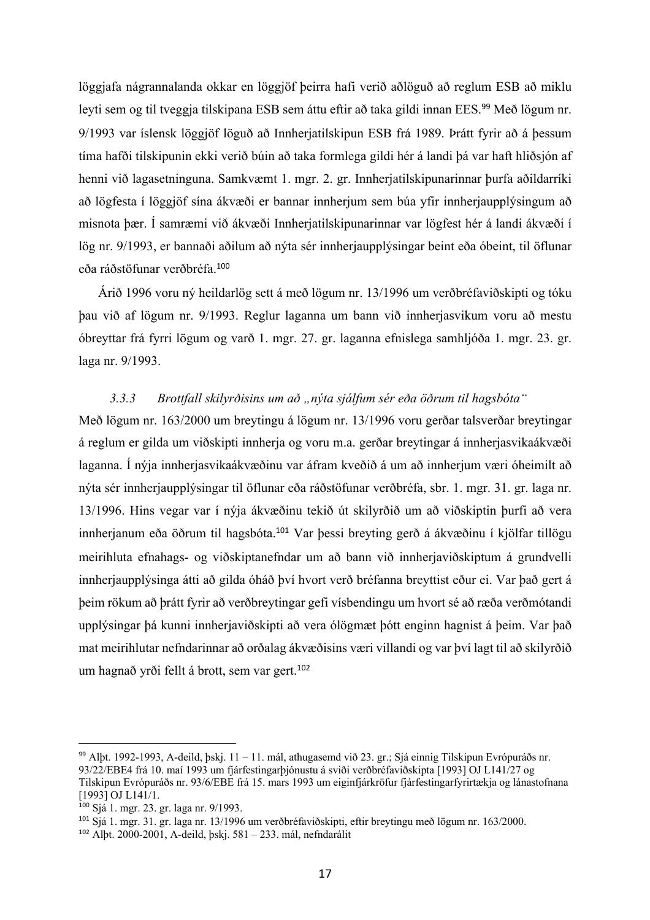löggjafa nágrannalanda okkar en löggjöf þeirra hafi verið aðlöguð að reglum ESB að miklu leyti sem og til tveggja tilskipana ESB sem áttu eftir að taka gildi innan EES.<sup>99</sup> Með lögum nr. 9/1993 var íslensk löggjöf löguð að Innherjatilskipun ESB frá 1989. Þrátt fyrir að á þessum tíma hafði tilskipunin ekki verið búin að taka formlega gildi hér á landi þá var haft hliðsjón af henni við lagasetninguna. Samkvæmt 1. mgr. 2. gr. Innherjatilskipunarinnar þurfa aðildarríki að lögfesta í löggjöf sína ákvæði er bannar innherjum sem búa yfir innherjaupplýsingum að misnota þær. Í samræmi við ákvæði Innherjatilskipunarinnar var lögfest hér á landi ákvæði í lög nr. 9/1993, er bannaði aðilum að nýta sér innherjaupplýsingar beint eða óbeint, til öflunar eða ráðstöfunar verðbréfa.<sup>100</sup>

Árið 1996 voru ný heildarlög sett á með lögum nr. 13/1996 um verðbréfaviðskipti og tóku þau við af lögum nr. 9/1993. Reglur laganna um bann við innherjasvikum voru að mestu óbreyttar frá fyrri lögum og varð 1. mgr. 27. gr. laganna efnislega samhljóða 1. mgr. 23. gr. laga nr. 9/1993.

### *3.3.3 Brottfall skilyrðisins um að "nýta sjálfum sér eða öðrum til hagsbóta"*

Með lögum nr. 163/2000 um breytingu á lögum nr. 13/1996 voru gerðar talsverðar breytingar á reglum er gilda um viðskipti innherja og voru m.a. gerðar breytingar á innherjasvikaákvæði laganna. Í nýja innherjasvikaákvæðinu var áfram kveðið á um að innherjum væri óheimilt að nýta sér innherjaupplýsingar til öflunar eða ráðstöfunar verðbréfa, sbr. 1. mgr. 31. gr. laga nr. 13/1996. Hins vegar var í nýja ákvæðinu tekið út skilyrðið um að viðskiptin þurfi að vera innherjanum eða öðrum til hagsbóta.<sup>101</sup> Var þessi breyting gerð á ákvæðinu í kjölfar tillögu meirihluta efnahags- og viðskiptanefndar um að bann við innherjaviðskiptum á grundvelli innherjaupplýsinga átti að gilda óháð því hvort verð bréfanna breyttist eður ei. Var það gert á þeim rökum að þrátt fyrir að verðbreytingar gefi vísbendingu um hvort sé að ræða verðmótandi upplýsingar þá kunni innherjaviðskipti að vera ólögmæt þótt enginn hagnist á þeim. Var það mat meirihlutar nefndarinnar að orðalag ákvæðisins væri villandi og var því lagt til að skilyrðið um hagnað yrði fellt á brott, sem var gert. 102

<sup>99</sup> Alþt. 1992-1993, A-deild, þskj. 11 – 11. mál, athugasemd við 23. gr.; Sjá einnig Tilskipun Evrópuráðs nr. 93/22/EBE4 frá 10. maí 1993 um fjárfestingarþjónustu á sviði verðbréfaviðskipta [1993] OJ L141/27 og Tilskipun Evrópuráðs nr. 93/6/EBE frá 15. mars 1993 um eiginfjárkröfur fjárfestingarfyrirtækja og lánastofnana [1993] OJ L141/1.

<sup>100</sup> Sjá 1. mgr. 23. gr. laga nr. 9/1993.

<sup>101</sup> Sjá 1. mgr. 31. gr. laga nr. 13/1996 um verðbréfaviðskipti, eftir breytingu með lögum nr. 163/2000.

<sup>102</sup> Alþt. 2000-2001, A-deild, þskj. 581 – 233. mál, nefndarálit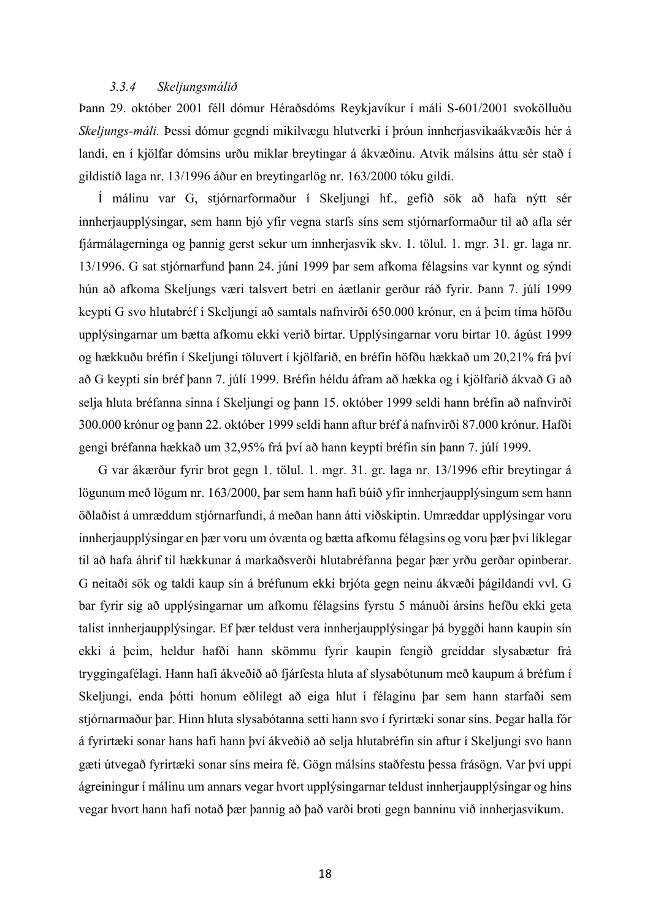#### *3.3.4 Skeljungsmálið*

Þann 29. október 2001 féll dómur Héraðsdóms Reykjavíkur í máli S-601/2001 svokölluðu *Skeljungs-máli.* Þessi dómur gegndi mikilvægu hlutverki í þróun innherjasvikaákvæðis hér á landi, en í kjölfar dómsins urðu miklar breytingar á ákvæðinu. Atvik málsins áttu sér stað í gildistíð laga nr. 13/1996 áður en breytingarlög nr. 163/2000 tóku gildi.

Í málinu var G, stjórnarformaður í Skeljungi hf., gefið sök að hafa nýtt sér innherjaupplýsingar, sem hann bjó yfir vegna starfs síns sem stjórnarformaður til að afla sér fjármálagerninga og þannig gerst sekur um innherjasvik skv. 1. tölul. 1. mgr. 31. gr. laga nr. 13/1996. G sat stjórnarfund þann 24. júní 1999 þar sem afkoma félagsins var kynnt og sýndi hún að afkoma Skeljungs væri talsvert betri en áætlanir gerður ráð fyrir. Þann 7. júlí 1999 keypti G svo hlutabréf í Skeljungi að samtals nafnvirði 650.000 krónur, en á þeim tíma höfðu upplýsingarnar um bætta afkomu ekki verið birtar. Upplýsingarnar voru birtar 10. ágúst 1999 og hækkuðu bréfin í Skeljungi töluvert í kjölfarið, en bréfin höfðu hækkað um 20,21% frá því að G keypti sín bréf þann 7. júlí 1999. Bréfin héldu áfram að hækka og í kjölfarið ákvað G að selja hluta bréfanna sinna í Skeljungi og þann 15. október 1999 seldi hann bréfin að nafnvirði 300.000 krónur og þann 22. október 1999 seldi hann aftur bréf á nafnvirði 87.000 krónur. Hafði gengi bréfanna hækkað um 32,95% frá því að hann keypti bréfin sín þann 7. júlí 1999.

G var ákærður fyrir brot gegn 1. tölul. 1. mgr. 31. gr. laga nr. 13/1996 eftir breytingar á lögunum með lögum nr. 163/2000, þar sem hann hafi búið yfir innherjaupplýsingum sem hann öðlaðist á umræddum stjórnarfundi, á meðan hann átti viðskiptin. Umræddar upplýsingar voru innherjaupplýsingar en þær voru um óvænta og bætta afkomu félagsins og voru þær því líklegar til að hafa áhrif til hækkunar á markaðsverði hlutabréfanna þegar þær yrðu gerðar opinberar. G neitaði sök og taldi kaup sín á bréfunum ekki brjóta gegn neinu ákvæði þágildandi vvl. G bar fyrir sig að upplýsingarnar um afkomu félagsins fyrstu 5 mánuði ársins hefðu ekki geta talist innherjaupplýsingar. Ef þær teldust vera innherjaupplýsingar þá byggði hann kaupin sín ekki á þeim, heldur hafði hann skömmu fyrir kaupin fengið greiddar slysabætur frá tryggingafélagi. Hann hafi ákveðið að fjárfesta hluta af slysabótunum með kaupum á bréfum í Skeljungi, enda þótti honum eðlilegt að eiga hlut í félaginu þar sem hann starfaði sem stjórnarmaður þar. Hinn hluta slysabótanna setti hann svo í fyrirtæki sonar síns. Þegar halla fór á fyrirtæki sonar hans hafi hann því ákveðið að selja hlutabréfin sín aftur í Skeljungi svo hann gæti útvegað fyrirtæki sonar síns meira fé. Gögn málsins staðfestu þessa frásögn. Var því uppi ágreiningur í málinu um annars vegar hvort upplýsingarnar teldust innherjaupplýsingar og hins vegar hvort hann hafi notað þær þannig að það varði broti gegn banninu við innherjasvikum.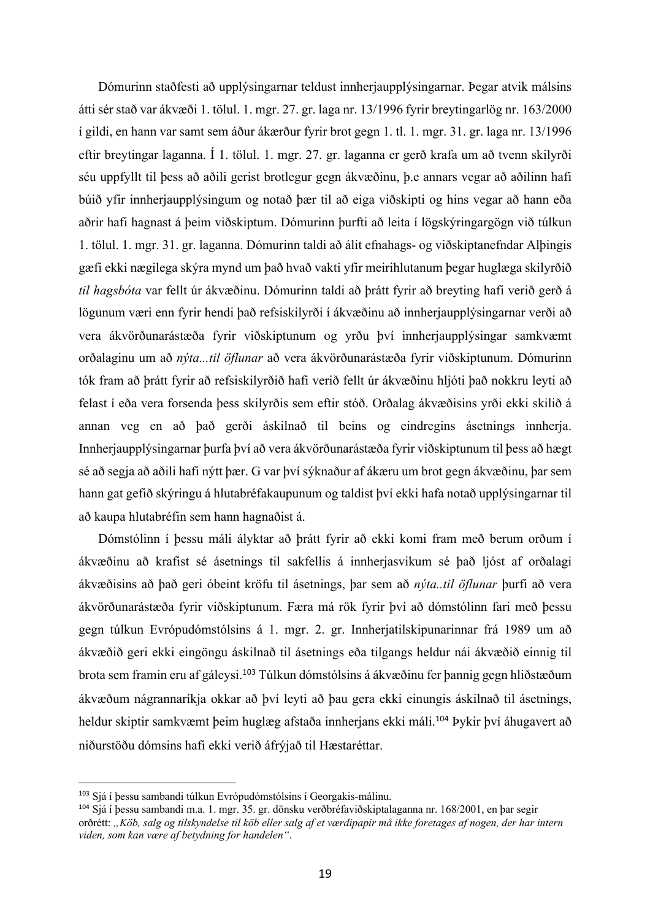Dómurinn staðfesti að upplýsingarnar teldust innherjaupplýsingarnar. Þegar atvik málsins átti sér stað var ákvæði 1. tölul. 1. mgr. 27. gr. laga nr. 13/1996 fyrir breytingarlög nr. 163/2000 í gildi, en hann var samt sem áður ákærður fyrir brot gegn 1. tl. 1. mgr. 31. gr. laga nr. 13/1996 eftir breytingar laganna. Í 1. tölul. 1. mgr. 27. gr. laganna er gerð krafa um að tvenn skilyrði séu uppfyllt til þess að aðili gerist brotlegur gegn ákvæðinu, þ.e annars vegar að aðilinn hafi búið yfir innherjaupplýsingum og notað þær til að eiga viðskipti og hins vegar að hann eða aðrir hafi hagnast á þeim viðskiptum. Dómurinn þurfti að leita í lögskýringargögn við túlkun 1. tölul. 1. mgr. 31. gr. laganna. Dómurinn taldi að álit efnahags- og viðskiptanefndar Alþingis gæfi ekki nægilega skýra mynd um það hvað vakti yfir meirihlutanum þegar huglæga skilyrðið *til hagsbóta* var fellt úr ákvæðinu. Dómurinn taldi að þrátt fyrir að breyting hafi verið gerð á lögunum væri enn fyrir hendi það refsiskilyrði í ákvæðinu að innherjaupplýsingarnar verði að vera ákvörðunarástæða fyrir viðskiptunum og yrðu því innherjaupplýsingar samkvæmt orðalaginu um að *nýta...til öflunar* að vera ákvörðunarástæða fyrir viðskiptunum. Dómurinn tók fram að þrátt fyrir að refsiskilyrðið hafi verið fellt úr ákvæðinu hljóti það nokkru leyti að felast í eða vera forsenda þess skilyrðis sem eftir stóð. Orðalag ákvæðisins yrði ekki skilið á annan veg en að það gerði áskilnað til beins og eindregins ásetnings innherja. Innherjaupplýsingarnar þurfa því að vera ákvörðunarástæða fyrir viðskiptunum til þess að hægt sé að segja að aðili hafi nýtt þær. G var því sýknaður af ákæru um brot gegn ákvæðinu, þar sem hann gat gefið skýringu á hlutabréfakaupunum og taldist því ekki hafa notað upplýsingarnar til að kaupa hlutabréfin sem hann hagnaðist á.

Dómstólinn í þessu máli ályktar að þrátt fyrir að ekki komi fram með berum orðum í ákvæðinu að krafist sé ásetnings til sakfellis á innherjasvikum sé það ljóst af orðalagi ákvæðisins að það geri óbeint kröfu til ásetnings, þar sem að *nýta..til öflunar* þurfi að vera ákvörðunarástæða fyrir viðskiptunum. Færa má rök fyrir því að dómstólinn fari með þessu gegn túlkun Evrópudómstólsins á 1. mgr. 2. gr. Innherjatilskipunarinnar frá 1989 um að ákvæðið geri ekki eingöngu áskilnað til ásetnings eða tilgangs heldur nái ákvæðið einnig til brota sem framin eru af gáleysi.<sup>103</sup> Túlkun dómstólsins á ákvæðinu fer þannig gegn hliðstæðum ákvæðum nágrannaríkja okkar að því leyti að þau gera ekki einungis áskilnað til ásetnings, heldur skiptir samkvæmt þeim huglæg afstaða innherjans ekki máli.<sup>104</sup> Þykir því áhugavert að niðurstöðu dómsins hafi ekki verið áfrýjað til Hæstaréttar.

<sup>103</sup> Sjá í þessu sambandi túlkun Evrópudómstólsins í Georgakis-málinu.

<sup>104</sup> Sjá í þessu sambandi m.a. 1. mgr. 35. gr. dönsku verðbréfaviðskiptalaganna nr. 168/2001, en þar segir orðrétt: *"Köb, salg og tilskyndelse til köb eller salg af et værdipapir må ikke foretages af nogen, der har intern viden, som kan være af betydning for handelen"*.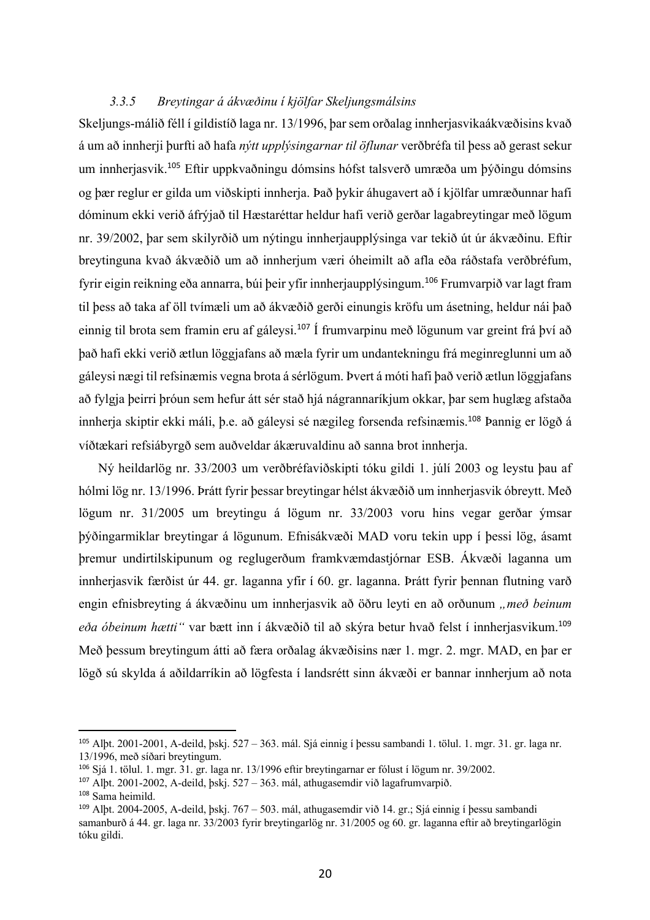#### *3.3.5 Breytingar á ákvæðinu í kjölfar Skeljungsmálsins*

Skeljungs-málið féll í gildistíð laga nr. 13/1996, þar sem orðalag innherjasvikaákvæðisins kvað á um að innherji þurfti að hafa *nýtt upplýsingarnar til öflunar* verðbréfa til þess að gerast sekur um innherjasvik.<sup>105</sup> Eftir uppkvaðningu dómsins hófst talsverð umræða um þýðingu dómsins og þær reglur er gilda um viðskipti innherja. Það þykir áhugavert að í kjölfar umræðunnar hafi dóminum ekki verið áfrýjað til Hæstaréttar heldur hafi verið gerðar lagabreytingar með lögum nr. 39/2002, þar sem skilyrðið um nýtingu innherjaupplýsinga var tekið út úr ákvæðinu. Eftir breytinguna kvað ákvæðið um að innherjum væri óheimilt að afla eða ráðstafa verðbréfum, fyrir eigin reikning eða annarra, búi þeir yfir innherjaupplýsingum.<sup>106</sup> Frumvarpið var lagt fram til þess að taka af öll tvímæli um að ákvæðið gerði einungis kröfu um ásetning, heldur nái það einnig til brota sem framin eru af gáleysi.<sup>107</sup> Í frumvarpinu með lögunum var greint frá því að það hafi ekki verið ætlun löggjafans að mæla fyrir um undantekningu frá meginreglunni um að gáleysi nægi til refsinæmis vegna brota á sérlögum. Þvert á móti hafi það verið ætlun löggjafans að fylgja þeirri þróun sem hefur átt sér stað hjá nágrannaríkjum okkar, þar sem huglæg afstaða innherja skiptir ekki máli, þ.e. að gáleysi sé nægileg forsenda refsinæmis.<sup>108</sup> Þannig er lögð á víðtækari refsiábyrgð sem auðveldar ákæruvaldinu að sanna brot innherja.

Ný heildarlög nr. 33/2003 um verðbréfaviðskipti tóku gildi 1. júlí 2003 og leystu þau af hólmi lög nr. 13/1996. Þrátt fyrir þessar breytingar hélst ákvæðið um innherjasvik óbreytt. Með lögum nr. 31/2005 um breytingu á lögum nr. 33/2003 voru hins vegar gerðar ýmsar þýðingarmiklar breytingar á lögunum. Efnisákvæði MAD voru tekin upp í þessi lög, ásamt þremur undirtilskipunum og reglugerðum framkvæmdastjórnar ESB. Ákvæði laganna um innherjasvik færðist úr 44. gr. laganna yfir í 60. gr. laganna. Þrátt fyrir þennan flutning varð engin efnisbreyting á ákvæðinu um innherjasvik að öðru leyti en að orðunum *"með beinum eða óbeinum hætti"* var bætt inn í ákvæðið til að skýra betur hvað felst í innherjasvikum. 109 Með þessum breytingum átti að færa orðalag ákvæðisins nær 1. mgr. 2. mgr. MAD, en þar er lögð sú skylda á aðildarríkin að lögfesta í landsrétt sinn ákvæði er bannar innherjum að nota

<sup>105</sup> Alþt. 2001-2001, A-deild, þskj. 527 – 363. mál. Sjá einnig í þessu sambandi 1. tölul. 1. mgr. 31. gr. laga nr. 13/1996, með síðari breytingum.

<sup>106</sup> Sjá 1. tölul. 1. mgr. 31. gr. laga nr. 13/1996 eftir breytingarnar er fólust í lögum nr. 39/2002.

<sup>107</sup> Alþt. 2001-2002, A-deild, þskj. 527 – 363. mál, athugasemdir við lagafrumvarpið.

<sup>108</sup> Sama heimild.

<sup>109</sup> Alþt. 2004-2005, A-deild, þskj. 767 – 503. mál, athugasemdir við 14. gr.; Sjá einnig í þessu sambandi samanburð á 44. gr. laga nr. 33/2003 fyrir breytingarlög nr. 31/2005 og 60. gr. laganna eftir að breytingarlögin tóku gildi.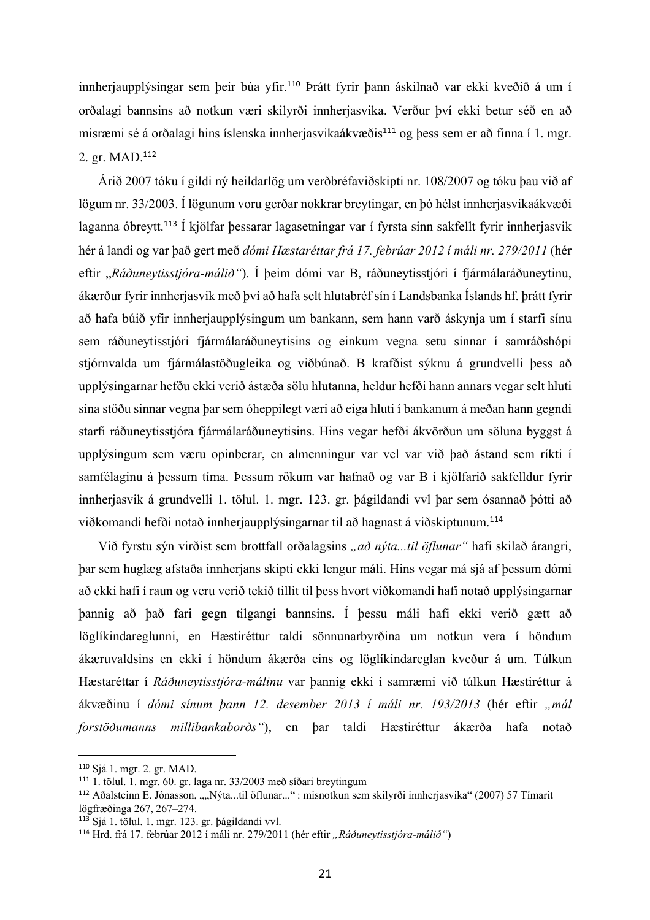innherjaupplýsingar sem þeir búa yfir.<sup>110</sup> Þrátt fyrir þann áskilnað var ekki kveðið á um í orðalagi bannsins að notkun væri skilyrði innherjasvika. Verður því ekki betur séð en að misræmi sé á orðalagi hins íslenska innherjasvikaákvæðis<sup>111</sup> og þess sem er að finna í 1. mgr. 2. gr. MAD. 112

Árið 2007 tóku í gildi ný heildarlög um verðbréfaviðskipti nr. 108/2007 og tóku þau við af lögum nr. 33/2003. Í lögunum voru gerðar nokkrar breytingar, en þó hélst innherjasvikaákvæði laganna óbreytt.<sup>113</sup> Í kjölfar þessarar lagasetningar var í fyrsta sinn sakfellt fyrir innherjasvik hér á landi og var það gert með *dómi Hæstaréttar frá 17. febrúar 2012 í máli nr. 279/2011* (hér eftir "*Ráðuneytisstjóra-málið"*). Í þeim dómi var B, ráðuneytisstjóri í fjármálaráðuneytinu, ákærður fyrir innherjasvik með því að hafa selt hlutabréf sín í Landsbanka Íslands hf. þrátt fyrir að hafa búið yfir innherjaupplýsingum um bankann, sem hann varð áskynja um í starfi sínu sem ráðuneytisstjóri fjármálaráðuneytisins og einkum vegna setu sinnar í samráðshópi stjórnvalda um fjármálastöðugleika og viðbúnað. B krafðist sýknu á grundvelli þess að upplýsingarnar hefðu ekki verið ástæða sölu hlutanna, heldur hefði hann annars vegar selt hluti sína stöðu sinnar vegna þar sem óheppilegt væri að eiga hluti í bankanum á meðan hann gegndi starfi ráðuneytisstjóra fjármálaráðuneytisins. Hins vegar hefði ákvörðun um söluna byggst á upplýsingum sem væru opinberar, en almenningur var vel var við það ástand sem ríkti í samfélaginu á þessum tíma. Þessum rökum var hafnað og var B í kjölfarið sakfelldur fyrir innherjasvik á grundvelli 1. tölul. 1. mgr. 123. gr. þágildandi vvl þar sem ósannað þótti að viðkomandi hefði notað innherjaupplýsingarnar til að hagnast á viðskiptunum. 114

Við fyrstu sýn virðist sem brottfall orðalagsins "*að nýta...til öflunar"* hafi skilað árangri, þar sem huglæg afstaða innherjans skipti ekki lengur máli. Hins vegar má sjá af þessum dómi að ekki hafi í raun og veru verið tekið tillit til þess hvort viðkomandi hafi notað upplýsingarnar þannig að það fari gegn tilgangi bannsins. Í þessu máli hafi ekki verið gætt að löglíkindareglunni, en Hæstiréttur taldi sönnunarbyrðina um notkun vera í höndum ákæruvaldsins en ekki í höndum ákærða eins og löglíkindareglan kveður á um. Túlkun Hæstaréttar í *Ráðuneytisstjóra-málinu* var þannig ekki í samræmi við túlkun Hæstiréttur á ákvæðinu í *dómi sínum þann 12. desember 2013 í máli nr. 193/2013* (hér eftir *"mál forstöðumanns millibankaborðs"*), en þar taldi Hæstiréttur ákærða hafa notað

<sup>110</sup> Sjá 1. mgr. 2. gr. MAD.

<sup>111</sup> 1. tölul. 1. mgr. 60. gr. laga nr. 33/2003 með síðari breytingum

<sup>&</sup>lt;sup>112</sup> Aðalsteinn E. Jónasson, ""Nýta...til öflunar..." : misnotkun sem skilyrði innherjasvika" (2007) 57 Tímarit lögfræðinga 267, 267–274.

<sup>113</sup> Sjá 1. tölul. 1. mgr. 123. gr. þágildandi vvl.

<sup>114</sup> Hrd. frá 17. febrúar 2012 í máli nr. 279/2011 (hér eftir *"Ráðuneytisstjóra-málið"*)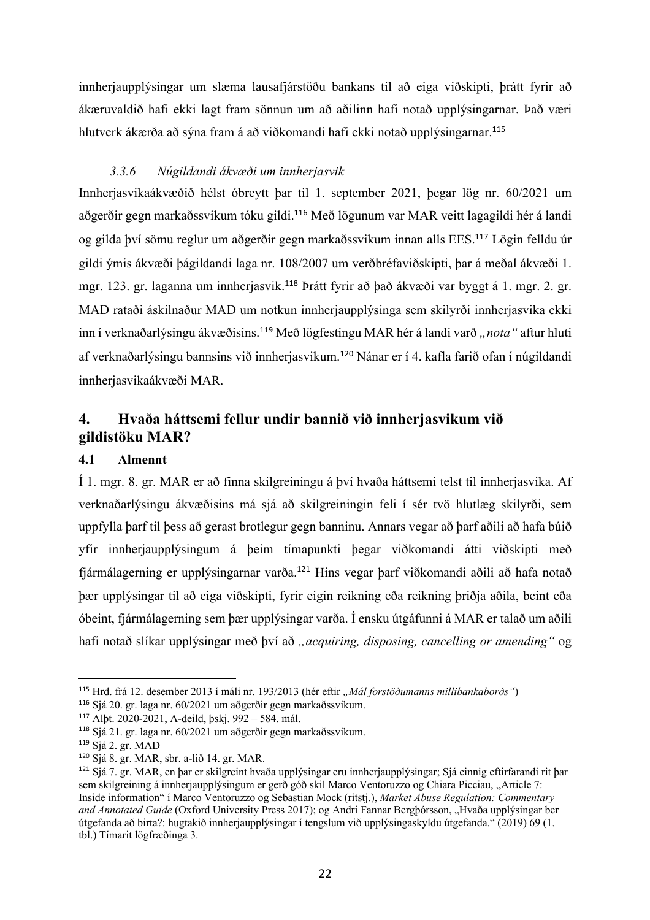innherjaupplýsingar um slæma lausafjárstöðu bankans til að eiga viðskipti, þrátt fyrir að ákæruvaldið hafi ekki lagt fram sönnun um að aðilinn hafi notað upplýsingarnar. Það væri hlutverk ákærða að sýna fram á að viðkomandi hafi ekki notað upplýsingarnar.<sup>115</sup>

## *3.3.6 Núgildandi ákvæði um innherjasvik*

Innherjasvikaákvæðið hélst óbreytt þar til 1. september 2021, þegar lög nr. 60/2021 um aðgerðir gegn markaðssvikum tóku gildi.<sup>116</sup> Með lögunum var MAR veitt lagagildi hér á landi og gilda því sömu reglur um aðgerðir gegn markaðssvikum innan alls EES. <sup>117</sup> Lögin felldu úr gildi ýmis ákvæði þágildandi laga nr. 108/2007 um verðbréfaviðskipti, þar á meðal ákvæði 1. mgr. 123. gr. laganna um innherjasvik.<sup>118</sup> Þrátt fyrir að það ákvæði var byggt á 1. mgr. 2. gr. MAD rataði áskilnaður MAD um notkun innherjaupplýsinga sem skilyrði innherjasvika ekki inn í verknaðarlýsingu ákvæðisins.<sup>119</sup> Með lögfestingu MAR hér á landi varð "*nota"* aftur hluti af verknaðarlýsingu bannsins við innherjasvikum.<sup>120</sup> Nánar er í 4. kafla farið ofan í núgildandi innherjasvikaákvæði MAR.

# **4. Hvaða háttsemi fellur undir bannið við innherjasvikum við gildistöku MAR?**

## **4.1 Almennt**

Í 1. mgr. 8. gr. MAR er að finna skilgreiningu á því hvaða háttsemi telst til innherjasvika. Af verknaðarlýsingu ákvæðisins má sjá að skilgreiningin feli í sér tvö hlutlæg skilyrði, sem uppfylla þarf til þess að gerast brotlegur gegn banninu. Annars vegar að þarf aðili að hafa búið yfir innherjaupplýsingum á þeim tímapunkti þegar viðkomandi átti viðskipti með fjármálagerning er upplýsingarnar varða.<sup>121</sup> Hins vegar þarf viðkomandi aðili að hafa notað þær upplýsingar til að eiga viðskipti, fyrir eigin reikning eða reikning þriðja aðila, beint eða óbeint, fjármálagerning sem þær upplýsingar varða. Í ensku útgáfunni á MAR er talað um aðili hafi notað slíkar upplýsingar með því að *"acquiring, disposing, cancelling or amending"* og

<sup>115</sup> Hrd. frá 12. desember 2013 í máli nr. 193/2013 (hér eftir *"Mál forstöðumanns millibankaborðs"*)

<sup>116</sup> Sjá 20. gr. laga nr. 60/2021 um aðgerðir gegn markaðssvikum.

<sup>117</sup> Alþt. 2020-2021, A-deild, þskj. 992 – 584. mál.

<sup>118</sup> Sjá 21. gr. laga nr. 60/2021 um aðgerðir gegn markaðssvikum.

<sup>119</sup> Sjá 2. gr. MAD

<sup>120</sup> Sjá 8. gr. MAR, sbr. a-lið 14. gr. MAR.

<sup>121</sup> Sjá 7. gr. MAR, en þar er skilgreint hvaða upplýsingar eru innherjaupplýsingar; Sjá einnig eftirfarandi rit þar sem skilgreining á innherjaupplýsingum er gerð góð skil Marco Ventoruzzo og Chiara Picciau, "Article 7: Inside information" í Marco Ventoruzzo og Sebastian Mock (ritstj.), *Market Abuse Regulation: Commentary and Annotated Guide* (Oxford University Press 2017); og Andri Fannar Bergþórsson, "Hvaða upplýsingar ber útgefanda að birta?: hugtakið innherjaupplýsingar í tengslum við upplýsingaskyldu útgefanda." (2019) 69 (1. tbl.) Tímarit lögfræðinga 3.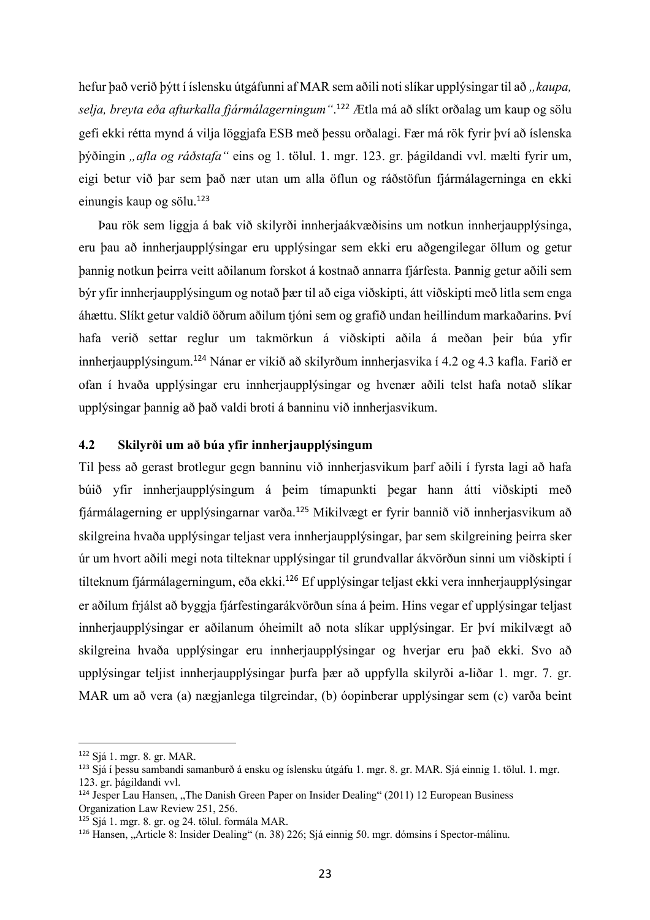hefur það verið þýtt í íslensku útgáfunni af MAR sem aðili noti slíkar upplýsingar til að "kaupa, *selja, breyta eða afturkalla fjármálagerningum"*. <sup>122</sup> Ætla má að slíkt orðalag um kaup og sölu gefi ekki rétta mynd á vilja löggjafa ESB með þessu orðalagi. Fær má rök fyrir því að íslenska þýðingin *"afla og ráðstafa"* eins og 1. tölul. 1. mgr. 123. gr. þágildandi vvl. mælti fyrir um, eigi betur við þar sem það nær utan um alla öflun og ráðstöfun fjármálagerninga en ekki einungis kaup og sölu.<sup>123</sup>

Þau rök sem liggja á bak við skilyrði innherjaákvæðisins um notkun innherjaupplýsinga, eru þau að innherjaupplýsingar eru upplýsingar sem ekki eru aðgengilegar öllum og getur þannig notkun þeirra veitt aðilanum forskot á kostnað annarra fjárfesta. Þannig getur aðili sem býr yfir innherjaupplýsingum og notað þær til að eiga viðskipti, átt viðskipti með litla sem enga áhættu. Slíkt getur valdið öðrum aðilum tjóni sem og grafið undan heillindum markaðarins. Því hafa verið settar reglur um takmörkun á viðskipti aðila á meðan þeir búa yfir innherjaupplýsingum.<sup>124</sup> Nánar er vikið að skilyrðum innherjasvika í 4.2 og 4.3 kafla. Farið er ofan í hvaða upplýsingar eru innherjaupplýsingar og hvenær aðili telst hafa notað slíkar upplýsingar þannig að það valdi broti á banninu við innherjasvikum.

#### **4.2 Skilyrði um að búa yfir innherjaupplýsingum**

Til þess að gerast brotlegur gegn banninu við innherjasvikum þarf aðili í fyrsta lagi að hafa búið yfir innherjaupplýsingum á þeim tímapunkti þegar hann átti viðskipti með fjármálagerning er upplýsingarnar varða.<sup>125</sup> Mikilvægt er fyrir bannið við innherjasvikum að skilgreina hvaða upplýsingar teljast vera innherjaupplýsingar, þar sem skilgreining þeirra sker úr um hvort aðili megi nota tilteknar upplýsingar til grundvallar ákvörðun sinni um viðskipti í tilteknum fjármálagerningum, eða ekki.<sup>126</sup> Ef upplýsingar teljast ekki vera innherjaupplýsingar er aðilum frjálst að byggja fjárfestingarákvörðun sína á þeim. Hins vegar ef upplýsingar teljast innherjaupplýsingar er aðilanum óheimilt að nota slíkar upplýsingar. Er því mikilvægt að skilgreina hvaða upplýsingar eru innherjaupplýsingar og hverjar eru það ekki. Svo að upplýsingar teljist innherjaupplýsingar þurfa þær að uppfylla skilyrði a-liðar 1. mgr. 7. gr. MAR um að vera (a) nægjanlega tilgreindar, (b) óopinberar upplýsingar sem (c) varða beint

<sup>122</sup> Sjá 1. mgr. 8. gr. MAR.

<sup>123</sup> Sjá í þessu sambandi samanburð á ensku og íslensku útgáfu 1. mgr. 8. gr. MAR. Sjá einnig 1. tölul. 1. mgr. 123. gr. þágildandi vvl.

 $124$  Jesper Lau Hansen, "The Danish Green Paper on Insider Dealing" (2011) 12 European Business Organization Law Review 251, 256.

<sup>125</sup> Sjá 1. mgr. 8. gr. og 24. tölul. formála MAR.

<sup>126</sup> Hansen, "Article 8: Insider Dealing" (n. 38) 226; Sjá einnig 50. mgr. dómsins í Spector-málinu.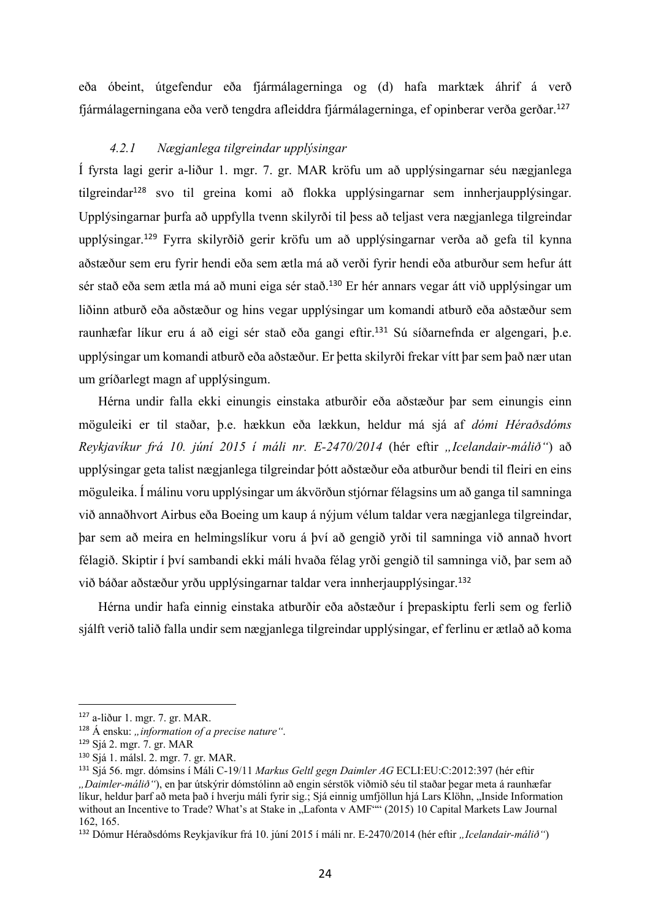eða óbeint, útgefendur eða fjármálagerninga og (d) hafa marktæk áhrif á verð fjármálagerningana eða verð tengdra afleiddra fjármálagerninga, ef opinberar verða gerðar. 127

#### *4.2.1 Nægjanlega tilgreindar upplýsingar*

Í fyrsta lagi gerir a-liður 1. mgr. 7. gr. MAR kröfu um að upplýsingarnar séu nægjanlega tilgreindar<sup>128</sup> svo til greina komi að flokka upplýsingarnar sem innherjaupplýsingar. Upplýsingarnar þurfa að uppfylla tvenn skilyrði til þess að teljast vera nægjanlega tilgreindar upplýsingar.<sup>129</sup> Fyrra skilyrðið gerir kröfu um að upplýsingarnar verða að gefa til kynna aðstæður sem eru fyrir hendi eða sem ætla má að verði fyrir hendi eða atburður sem hefur átt sér stað eða sem ætla má að muni eiga sér stað.<sup>130</sup> Er hér annars vegar átt við upplýsingar um liðinn atburð eða aðstæður og hins vegar upplýsingar um komandi atburð eða aðstæður sem raunhæfar líkur eru á að eigi sér stað eða gangi eftir.<sup>131</sup> Sú síðarnefnda er algengari, þ.e. upplýsingar um komandi atburð eða aðstæður. Er þetta skilyrði frekar vítt þar sem það nær utan um gríðarlegt magn af upplýsingum.

Hérna undir falla ekki einungis einstaka atburðir eða aðstæður þar sem einungis einn möguleiki er til staðar, þ.e. hækkun eða lækkun, heldur má sjá af *dómi Héraðsdóms Reykjavíkur frá 10. júní 2015 í máli nr. E-2470/2014* (hér eftir *"Icelandair-málið"*) að upplýsingar geta talist nægjanlega tilgreindar þótt aðstæður eða atburður bendi til fleiri en eins möguleika. Í málinu voru upplýsingar um ákvörðun stjórnar félagsins um að ganga til samninga við annaðhvort Airbus eða Boeing um kaup á nýjum vélum taldar vera nægjanlega tilgreindar, þar sem að meira en helmingslíkur voru á því að gengið yrði til samninga við annað hvort félagið. Skiptir í því sambandi ekki máli hvaða félag yrði gengið til samninga við, þar sem að við báðar aðstæður yrðu upplýsingarnar taldar vera innherjaupplýsingar.<sup>132</sup>

Hérna undir hafa einnig einstaka atburðir eða aðstæður í þrepaskiptu ferli sem og ferlið sjálft verið talið falla undir sem nægjanlega tilgreindar upplýsingar, ef ferlinu er ætlað að koma

<sup>127</sup> a-liður 1. mgr. 7. gr. MAR.

<sup>&</sup>lt;sup>128</sup> Á ensku: "*information of a precise nature*".

<sup>129</sup> Sjá 2. mgr. 7. gr. MAR

<sup>130</sup> Sjá 1. málsl. 2. mgr. 7. gr. MAR.

<sup>131</sup> Sjá 56. mgr. dómsins í Máli C-19/11 *Markus Geltl gegn Daimler AG* ECLI:EU:C:2012:397 (hér eftir *"Daimler-málið"*), en þar útskýrir dómstólinn að engin sérstök viðmið séu til staðar þegar meta á raunhæfar líkur, heldur þarf að meta það í hverju máli fyrir sig.; Sjá einnig umfjöllun hjá Lars Klöhn, "Inside Information without an Incentive to Trade? What's at Stake in "Lafonta v AMF"" (2015) 10 Capital Markets Law Journal 162, 165.

<sup>132</sup> Dómur Héraðsdóms Reykjavíkur frá 10. júní 2015 í máli nr. E-2470/2014 (hér eftir *"Icelandair-málið"*)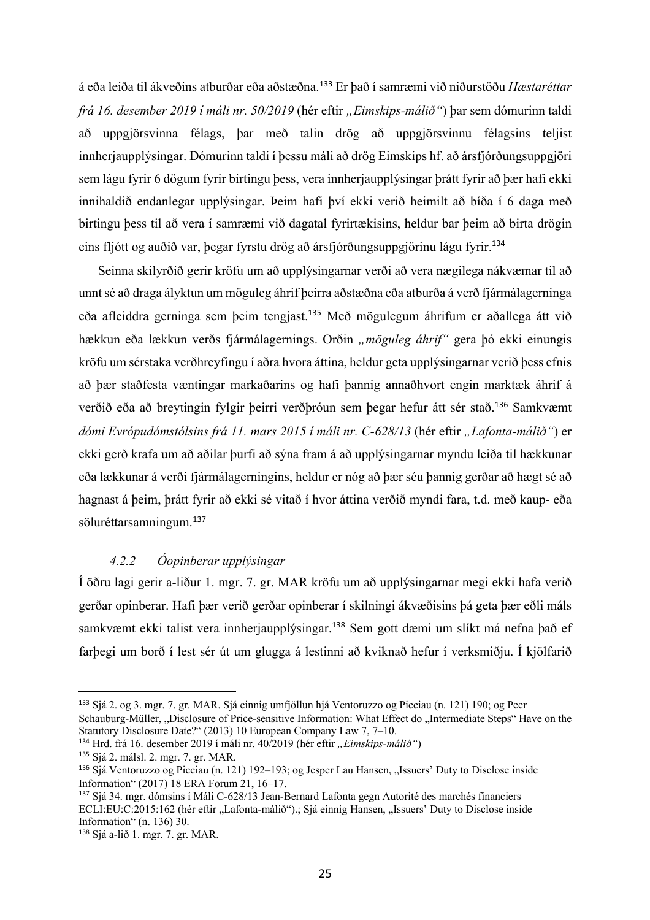á eða leiða til ákveðins atburðar eða aðstæðna.<sup>133</sup> Er það í samræmi við niðurstöðu *Hæstaréttar frá 16. desember 2019 í máli nr. 50/2019* (hér eftir *"Eimskips-málið"*) þar sem dómurinn taldi að uppgjörsvinna félags, þar með talin drög að uppgjörsvinnu félagsins teljist innherjaupplýsingar. Dómurinn taldi í þessu máli að drög Eimskips hf. að ársfjórðungsuppgjöri sem lágu fyrir 6 dögum fyrir birtingu þess, vera innherjaupplýsingar þrátt fyrir að þær hafi ekki innihaldið endanlegar upplýsingar. Þeim hafi því ekki verið heimilt að bíða í 6 daga með birtingu þess til að vera í samræmi við dagatal fyrirtækisins, heldur bar þeim að birta drögin eins fljótt og auðið var, þegar fyrstu drög að ársfjórðungsuppgjörinu lágu fyrir.<sup>134</sup>

Seinna skilyrðið gerir kröfu um að upplýsingarnar verði að vera nægilega nákvæmar til að unnt sé að draga ályktun um möguleg áhrif þeirra aðstæðna eða atburða á verð fjármálagerninga eða afleiddra gerninga sem þeim tengjast.<sup>135</sup> Með mögulegum áhrifum er aðallega átt við hækkun eða lækkun verðs fjármálagernings. Orðin *"möguleg áhrif"* gera bó ekki einungis kröfu um sérstaka verðhreyfingu í aðra hvora áttina, heldur geta upplýsingarnar verið þess efnis að þær staðfesta væntingar markaðarins og hafi þannig annaðhvort engin marktæk áhrif á verðið eða að breytingin fylgir þeirri verðþróun sem þegar hefur átt sér stað.<sup>136</sup> Samkvæmt *dómi Evrópudómstólsins frá 11. mars 2015 í máli nr. C-628/13* (hér eftir *"Lafonta-málið"*) er ekki gerð krafa um að aðilar þurfi að sýna fram á að upplýsingarnar myndu leiða til hækkunar eða lækkunar á verði fjármálagerningins, heldur er nóg að þær séu þannig gerðar að hægt sé að hagnast á þeim, þrátt fyrir að ekki sé vitað í hvor áttina verðið myndi fara, t.d. með kaup- eða söluréttarsamningum.<sup>137</sup>

#### *4.2.2 Óopinberar upplýsingar*

Í öðru lagi gerir a-liður 1. mgr. 7. gr. MAR kröfu um að upplýsingarnar megi ekki hafa verið gerðar opinberar. Hafi þær verið gerðar opinberar í skilningi ákvæðisins þá geta þær eðli máls samkvæmt ekki talist vera innherjaupplýsingar.<sup>138</sup> Sem gott dæmi um slíkt má nefna það ef farþegi um borð í lest sér út um glugga á lestinni að kviknað hefur í verksmiðju. Í kjölfarið

<sup>133</sup> Sjá 2. og 3. mgr. 7. gr. MAR. Sjá einnig umfjöllun hjá Ventoruzzo og Picciau (n. 121) 190; og Peer Schauburg-Müller, "Disclosure of Price-sensitive Information: What Effect do "Intermediate Steps" Have on the Statutory Disclosure Date?" (2013) 10 European Company Law 7, 7–10.

<sup>&</sup>lt;sup>134</sup> Hrd. frá 16. desember 2019 í máli nr. 40/2019 (hér eftir "Eimskips-málið")

<sup>135</sup> Sjá 2. málsl. 2. mgr. 7. gr. MAR.

<sup>&</sup>lt;sup>136</sup> Sjá Ventoruzzo og Picciau (n. 121) 192–193; og Jesper Lau Hansen, "Issuers' Duty to Disclose inside Information" (2017) 18 ERA Forum 21, 16–17.

<sup>137</sup> Sjá 34. mgr. dómsins í Máli C-628/13 Jean-Bernard Lafonta gegn Autorité des marchés financiers ECLI:EU:C:2015:162 (hér eftir ..Lafonta-málið").; Sjá einnig Hansen, ..Issuers' Duty to Disclose inside Information" (n. 136) 30.

<sup>138</sup> Sjá a-lið 1. mgr. 7. gr. MAR.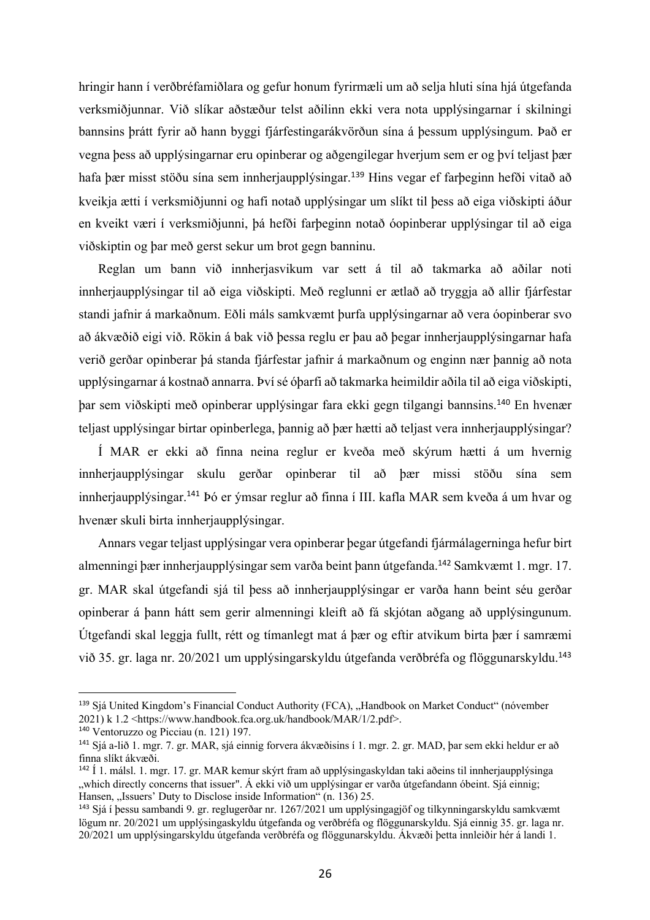hringir hann í verðbréfamiðlara og gefur honum fyrirmæli um að selja hluti sína hjá útgefanda verksmiðjunnar. Við slíkar aðstæður telst aðilinn ekki vera nota upplýsingarnar í skilningi bannsins þrátt fyrir að hann byggi fjárfestingarákvörðun sína á þessum upplýsingum. Það er vegna þess að upplýsingarnar eru opinberar og aðgengilegar hverjum sem er og því teljast þær hafa þær misst stöðu sína sem innherjaupplýsingar. <sup>139</sup> Hins vegar ef farþeginn hefði vitað að kveikja ætti í verksmiðjunni og hafi notað upplýsingar um slíkt til þess að eiga viðskipti áður en kveikt væri í verksmiðjunni, þá hefði farþeginn notað óopinberar upplýsingar til að eiga viðskiptin og þar með gerst sekur um brot gegn banninu.

Reglan um bann við innherjasvikum var sett á til að takmarka að aðilar noti innherjaupplýsingar til að eiga viðskipti. Með reglunni er ætlað að tryggja að allir fjárfestar standi jafnir á markaðnum. Eðli máls samkvæmt þurfa upplýsingarnar að vera óopinberar svo að ákvæðið eigi við. Rökin á bak við þessa reglu er þau að þegar innherjaupplýsingarnar hafa verið gerðar opinberar þá standa fjárfestar jafnir á markaðnum og enginn nær þannig að nota upplýsingarnar á kostnað annarra. Því sé óþarfi að takmarka heimildir aðila til að eiga viðskipti, þar sem viðskipti með opinberar upplýsingar fara ekki gegn tilgangi bannsins. <sup>140</sup> En hvenær teljast upplýsingar birtar opinberlega, þannig að þær hætti að teljast vera innherjaupplýsingar?

Í MAR er ekki að finna neina reglur er kveða með skýrum hætti á um hvernig innherjaupplýsingar skulu gerðar opinberar til að þær missi stöðu sína sem innherjaupplýsingar. <sup>141</sup> Þó er ýmsar reglur að finna í III. kafla MAR sem kveða á um hvar og hvenær skuli birta innherjaupplýsingar.

Annars vegar teljast upplýsingar vera opinberar þegar útgefandi fjármálagerninga hefur birt almenningi þær innherjaupplýsingar sem varða beint þann útgefanda. <sup>142</sup> Samkvæmt 1. mgr. 17. gr. MAR skal útgefandi sjá til þess að innherjaupplýsingar er varða hann beint séu gerðar opinberar á þann hátt sem gerir almenningi kleift að fá skjótan aðgang að upplýsingunum. Útgefandi skal leggja fullt, rétt og tímanlegt mat á þær og eftir atvikum birta þær í samræmi við 35. gr. laga nr. 20/2021 um upplýsingarskyldu útgefanda verðbréfa og flöggunarskyldu.<sup>143</sup>

<sup>&</sup>lt;sup>139</sup> Sjá United Kingdom's Financial Conduct Authority (FCA), "Handbook on Market Conduct" (nóvember 2021) k 1.2 <https://www.handbook.fca.org.uk/handbook/MAR/1/2.pdf>.

<sup>140</sup> Ventoruzzo og Picciau (n. 121) 197.

<sup>141</sup> Sjá a-lið 1. mgr. 7. gr. MAR, sjá einnig forvera ákvæðisins í 1. mgr. 2. gr. MAD, þar sem ekki heldur er að finna slíkt ákvæði.

<sup>142</sup> Í 1. málsl. 1. mgr. 17. gr. MAR kemur skýrt fram að upplýsingaskyldan taki aðeins til innherjaupplýsinga "which directly concerns that issuer". Á ekki við um upplýsingar er varða útgefandann óbeint. Sjá einnig; Hansen, "Issuers' Duty to Disclose inside Information" (n. 136) 25.

<sup>143</sup> Sjá í þessu sambandi 9. gr. reglugerðar nr. 1267/2021 um upplýsingagjöf og tilkynningarskyldu samkvæmt lögum nr. 20/2021 um upplýsingaskyldu útgefanda og verðbréfa og flöggunarskyldu. Sjá einnig 35. gr. laga nr. 20/2021 um upplýsingarskyldu útgefanda verðbréfa og flöggunarskyldu. Ákvæði þetta innleiðir hér á landi 1.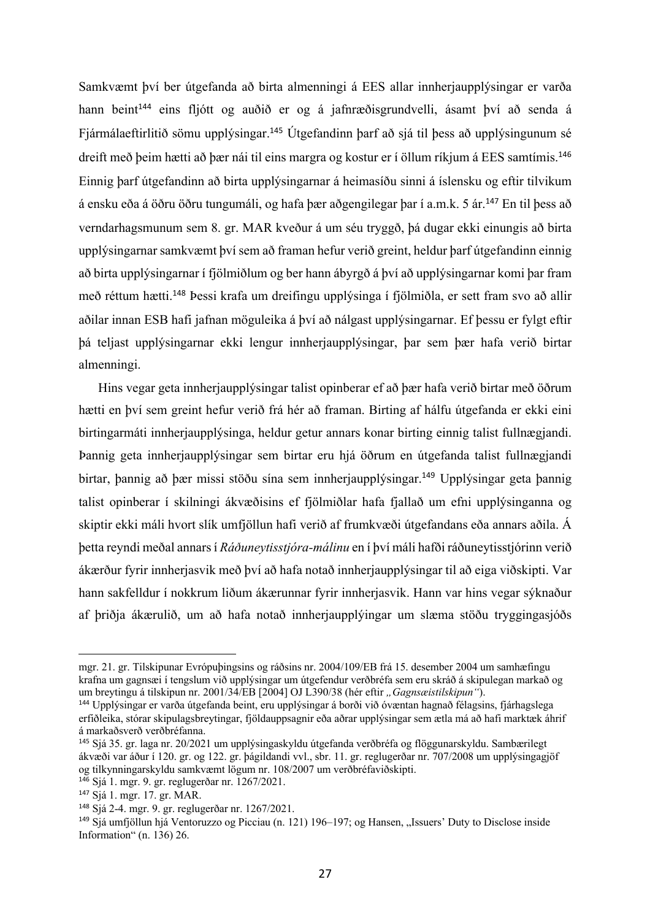Samkvæmt því ber útgefanda að birta almenningi á EES allar innherjaupplýsingar er varða hann beint<sup>144</sup> eins fljótt og auðið er og á jafnræðisgrundvelli, ásamt því að senda á Fjármálaeftirlitið sömu upplýsingar. <sup>145</sup> Útgefandinn þarf að sjá til þess að upplýsingunum sé dreift með þeim hætti að þær nái til eins margra og kostur er í öllum ríkjum á EES samtímis.<sup>146</sup> Einnig þarf útgefandinn að birta upplýsingarnar á heimasíðu sinni á íslensku og eftir tilvikum á ensku eða á öðru öðru tungumáli, og hafa þær aðgengilegar þar í a.m.k. 5 ár.<sup>147</sup> En til þess að verndarhagsmunum sem 8. gr. MAR kveður á um séu tryggð, þá dugar ekki einungis að birta upplýsingarnar samkvæmt því sem að framan hefur verið greint, heldur þarf útgefandinn einnig að birta upplýsingarnar í fjölmiðlum og ber hann ábyrgð á því að upplýsingarnar komi þar fram með réttum hætti. <sup>148</sup> Þessi krafa um dreifingu upplýsinga í fjölmiðla, er sett fram svo að allir aðilar innan ESB hafi jafnan möguleika á því að nálgast upplýsingarnar. Ef þessu er fylgt eftir þá teljast upplýsingarnar ekki lengur innherjaupplýsingar, þar sem þær hafa verið birtar almenningi.

Hins vegar geta innherjaupplýsingar talist opinberar ef að þær hafa verið birtar með öðrum hætti en því sem greint hefur verið frá hér að framan. Birting af hálfu útgefanda er ekki eini birtingarmáti innherjaupplýsinga, heldur getur annars konar birting einnig talist fullnægjandi. Þannig geta innherjaupplýsingar sem birtar eru hjá öðrum en útgefanda talist fullnægjandi birtar, þannig að þær missi stöðu sína sem innherjaupplýsingar. <sup>149</sup> Upplýsingar geta þannig talist opinberar í skilningi ákvæðisins ef fjölmiðlar hafa fjallað um efni upplýsinganna og skiptir ekki máli hvort slík umfjöllun hafi verið af frumkvæði útgefandans eða annars aðila. Á þetta reyndi meðal annars í *Ráðuneytisstjóra-málinu* en í því máli hafði ráðuneytisstjórinn verið ákærður fyrir innherjasvik með því að hafa notað innherjaupplýsingar til að eiga viðskipti. Var hann sakfelldur í nokkrum liðum ákærunnar fyrir innherjasvik. Hann var hins vegar sýknaður af þriðja ákærulið, um að hafa notað innherjaupplýingar um slæma stöðu tryggingasjóðs

<sup>146</sup> Sjá 1. mgr. 9. gr. reglugerðar nr. 1267/2021.

mgr. 21. gr. Tilskipunar Evrópuþingsins og ráðsins nr. 2004/109/EB frá 15. desember 2004 um samhæfingu krafna um gagnsæi í tengslum við upplýsingar um útgefendur verðbréfa sem eru skráð á skipulegan markað og um breytingu á tilskipun nr. 2001/34/EB [2004] OJ L390/38 (hér eftir "Gagnsæistilskipun").

<sup>144</sup> Upplýsingar er varða útgefanda beint, eru upplýsingar á borði við óvæntan hagnað félagsins, fjárhagslega erfiðleika, stórar skipulagsbreytingar, fjöldauppsagnir eða aðrar upplýsingar sem ætla má að hafi marktæk áhrif á markaðsverð verðbréfanna.

<sup>145</sup> Sjá 35. gr. laga nr. 20/2021 um upplýsingaskyldu útgefanda verðbréfa og flöggunarskyldu. Sambærilegt ákvæði var áður í 120. gr. og 122. gr. þágildandi vvl., sbr. 11. gr. reglugerðar nr. 707/2008 um upplýsingagjöf og tilkynningarskyldu samkvæmt lögum nr. 108/2007 um verðbréfaviðskipti.

<sup>147</sup> Sjá 1. mgr. 17. gr. MAR.

<sup>148</sup> Sjá 2-4. mgr. 9. gr. reglugerðar nr. 1267/2021.

<sup>&</sup>lt;sup>149</sup> Sjá umfjöllun hjá Ventoruzzo og Picciau (n. 121) 196–197; og Hansen, "Issuers' Duty to Disclose inside Information" (n. 136) 26.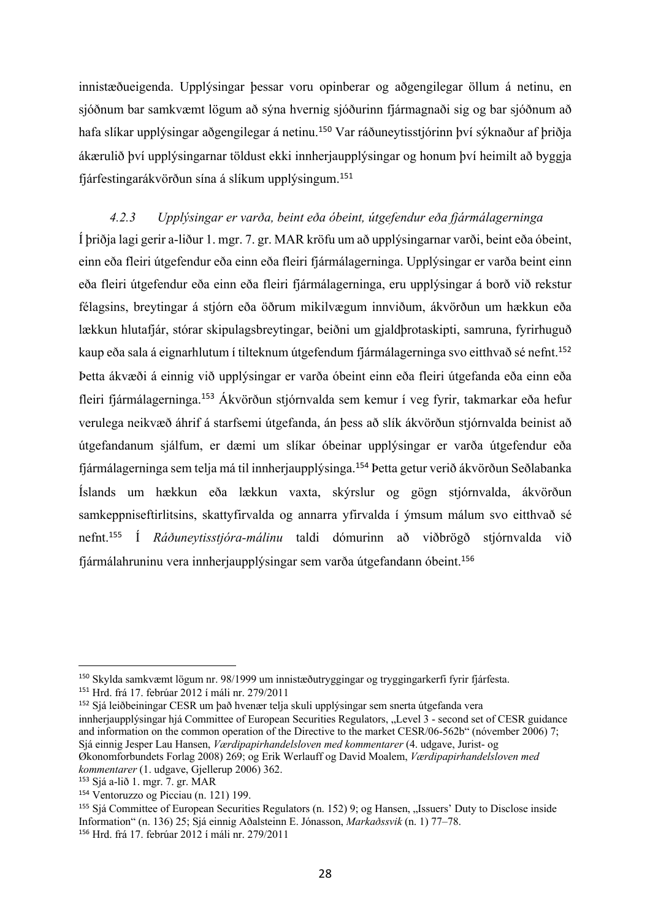innistæðueigenda. Upplýsingar þessar voru opinberar og aðgengilegar öllum á netinu, en sjóðnum bar samkvæmt lögum að sýna hvernig sjóðurinn fjármagnaði sig og bar sjóðnum að hafa slíkar upplýsingar aðgengilegar á netinu.<sup>150</sup> Var ráðuneytisstjórinn því sýknaður af þriðja ákærulið því upplýsingarnar töldust ekki innherjaupplýsingar og honum því heimilt að byggja fjárfestingarákvörðun sína á slíkum upplýsingum.<sup>151</sup>

*4.2.3 Upplýsingar er varða, beint eða óbeint, útgefendur eða fjármálagerninga* Í þriðja lagi gerir a-liður 1. mgr. 7. gr. MAR kröfu um að upplýsingarnar varði, beint eða óbeint, einn eða fleiri útgefendur eða einn eða fleiri fjármálagerninga. Upplýsingar er varða beint einn eða fleiri útgefendur eða einn eða fleiri fjármálagerninga, eru upplýsingar á borð við rekstur félagsins, breytingar á stjórn eða öðrum mikilvægum innviðum, ákvörðun um hækkun eða lækkun hlutafjár, stórar skipulagsbreytingar, beiðni um gjaldþrotaskipti, samruna, fyrirhuguð kaup eða sala á eignarhlutum í tilteknum útgefendum fjármálagerninga svo eitthvað sé nefnt. 152 Þetta ákvæði á einnig við upplýsingar er varða óbeint einn eða fleiri útgefanda eða einn eða fleiri fjármálagerninga.<sup>153</sup> Ákvörðun stjórnvalda sem kemur í veg fyrir, takmarkar eða hefur verulega neikvæð áhrif á starfsemi útgefanda, án þess að slík ákvörðun stjórnvalda beinist að útgefandanum sjálfum, er dæmi um slíkar óbeinar upplýsingar er varða útgefendur eða fjármálagerninga sem telja má til innherjaupplýsinga.<sup>154</sup> Þetta getur verið ákvörðun Seðlabanka Íslands um hækkun eða lækkun vaxta, skýrslur og gögn stjórnvalda, ákvörðun samkeppniseftirlitsins, skattyfirvalda og annarra yfirvalda í ýmsum málum svo eitthvað sé nefnt. <sup>155</sup> Í *Ráðuneytisstjóra-málinu* taldi dómurinn að viðbrögð stjórnvalda við fjármálahruninu vera innherjaupplýsingar sem varða útgefandann óbeint.<sup>156</sup>

<sup>152</sup> Sjá leiðbeiningar CESR um það hvenær telja skuli upplýsingar sem snerta útgefanda vera innherjaupplýsingar hjá Committee of European Securities Regulators, "Level 3 - second set of CESR guidance and information on the common operation of the Directive to the market CESR/06-562b" (nóvember 2006) 7; Sjá einnig Jesper Lau Hansen, *Værdipapirhandelsloven med kommentarer* (4. udgave, Jurist- og Økonomforbundets Forlag 2008) 269; og Erik Werlauff og David Moalem, *Værdipapirhandelsloven med* 

<sup>150</sup> Skylda samkvæmt lögum nr. 98/1999 um innistæðutryggingar og tryggingarkerfi fyrir fjárfesta.

<sup>151</sup> Hrd. frá 17. febrúar 2012 í máli nr. 279/2011

*kommentarer* (1. udgave, Gjellerup 2006) 362.

<sup>153</sup> Sjá a-lið 1. mgr. 7. gr. MAR

<sup>154</sup> Ventoruzzo og Picciau (n. 121) 199.

<sup>&</sup>lt;sup>155</sup> Sjá Committee of European Securities Regulators (n. 152) 9; og Hansen, "Issuers' Duty to Disclose inside Information" (n. 136) 25; Sjá einnig Aðalsteinn E. Jónasson, *Markaðssvik* (n. 1) 77–78. <sup>156</sup> Hrd. frá 17. febrúar 2012 í máli nr. 279/2011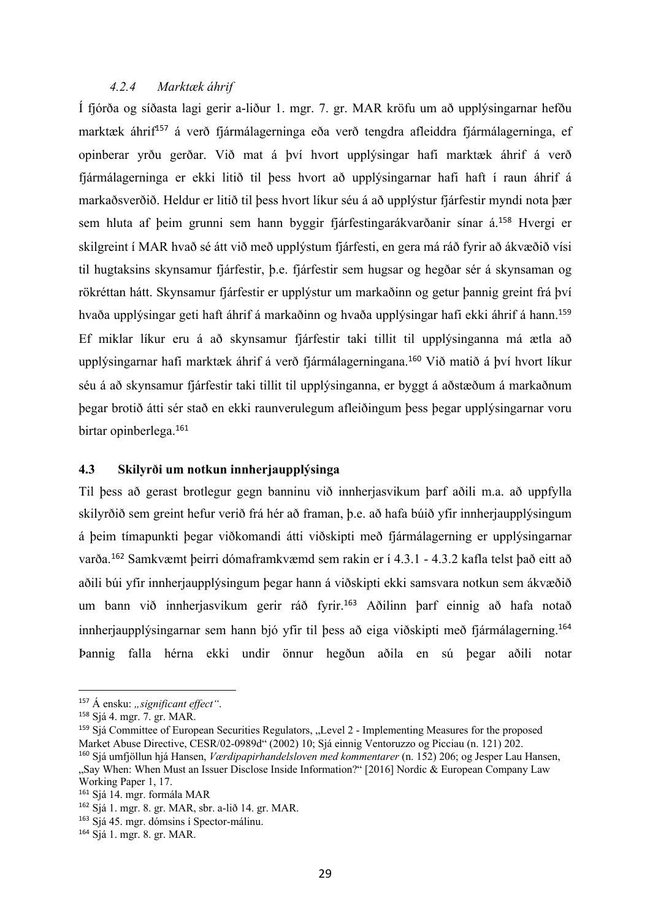### *4.2.4 Marktæk áhrif*

Í fjórða og síðasta lagi gerir a-liður 1. mgr. 7. gr. MAR kröfu um að upplýsingarnar hefðu marktæk áhrif<sup>157</sup> á verð fjármálagerninga eða verð tengdra afleiddra fjármálagerninga, ef opinberar yrðu gerðar. Við mat á því hvort upplýsingar hafi marktæk áhrif á verð fjármálagerninga er ekki litið til þess hvort að upplýsingarnar hafi haft í raun áhrif á markaðsverðið. Heldur er litið til þess hvort líkur séu á að upplýstur fjárfestir myndi nota þær sem hluta af þeim grunni sem hann byggir fjárfestingarákvarðanir sínar á.<sup>158</sup> Hvergi er skilgreint í MAR hvað sé átt við með upplýstum fjárfesti, en gera má ráð fyrir að ákvæðið vísi til hugtaksins skynsamur fjárfestir, þ.e. fjárfestir sem hugsar og hegðar sér á skynsaman og rökréttan hátt. Skynsamur fjárfestir er upplýstur um markaðinn og getur þannig greint frá því hvaða upplýsingar geti haft áhrif á markaðinn og hvaða upplýsingar hafi ekki áhrif á hann.<sup>159</sup> Ef miklar líkur eru á að skynsamur fjárfestir taki tillit til upplýsinganna má ætla að upplýsingarnar hafi marktæk áhrif á verð fjármálagerningana.<sup>160</sup> Við matið á því hvort líkur séu á að skynsamur fjárfestir taki tillit til upplýsinganna, er byggt á aðstæðum á markaðnum þegar brotið átti sér stað en ekki raunverulegum afleiðingum þess þegar upplýsingarnar voru birtar opinberlega.<sup>161</sup>

#### **4.3 Skilyrði um notkun innherjaupplýsinga**

Til þess að gerast brotlegur gegn banninu við innherjasvikum þarf aðili m.a. að uppfylla skilyrðið sem greint hefur verið frá hér að framan, þ.e. að hafa búið yfir innherjaupplýsingum á þeim tímapunkti þegar viðkomandi átti viðskipti með fjármálagerning er upplýsingarnar varða.<sup>162</sup> Samkvæmt þeirri dómaframkvæmd sem rakin er í 4.3.1 - 4.3.2 kafla telst það eitt að aðili búi yfir innherjaupplýsingum þegar hann á viðskipti ekki samsvara notkun sem ákvæðið um bann við innherjasvikum gerir ráð fyrir.<sup>163</sup> Aðilinn þarf einnig að hafa notað innherjaupplýsingarnar sem hann bjó yfir til þess að eiga viðskipti með fjármálagerning. 164 Þannig falla hérna ekki undir önnur hegðun aðila en sú þegar aðili notar

<sup>&</sup>lt;sup>157</sup> Á ensku: *"significant effect*".

<sup>158</sup> Sjá 4. mgr. 7. gr. MAR.

<sup>&</sup>lt;sup>159</sup> Sjá Committee of European Securities Regulators, "Level 2 - Implementing Measures for the proposed Market Abuse Directive, CESR/02-0989d" (2002) 10; Sjá einnig Ventoruzzo og Picciau (n. 121) 202.

<sup>160</sup> Sjá umfjöllun hjá Hansen, *Værdipapirhandelsloven med kommentarer* (n. 152) 206; og Jesper Lau Hansen, "Say When: When Must an Issuer Disclose Inside Information?" [2016] Nordic & European Company Law Working Paper 1, 17.

<sup>161</sup> Sjá 14. mgr. formála MAR

<sup>162</sup> Sjá 1. mgr. 8. gr. MAR, sbr. a-lið 14. gr. MAR.

<sup>163</sup> Sjá 45. mgr. dómsins í Spector-málinu.

<sup>164</sup> Sjá 1. mgr. 8. gr. MAR.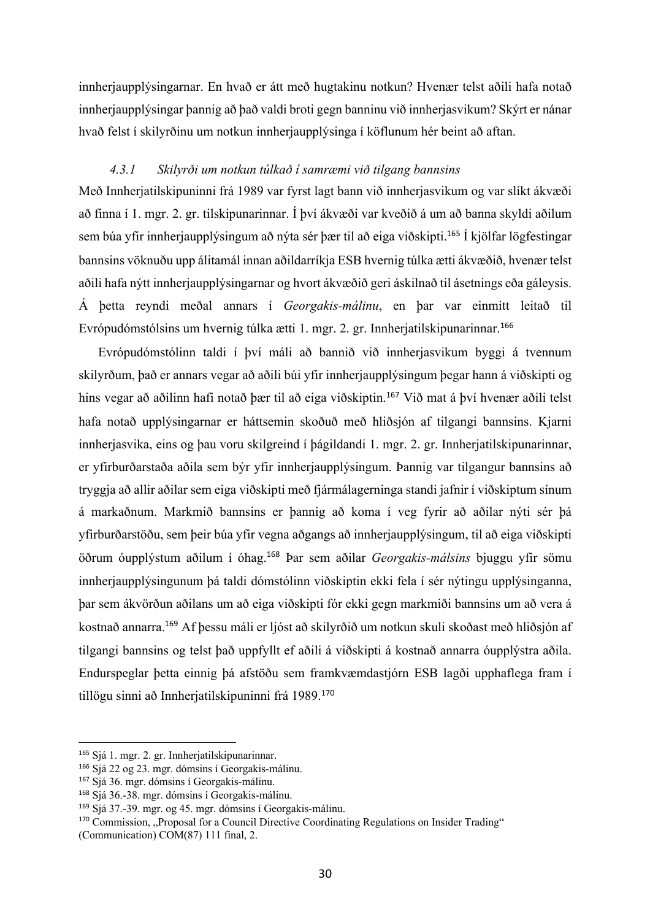innherjaupplýsingarnar. En hvað er átt með hugtakinu notkun? Hvenær telst aðili hafa notað innherjaupplýsingar þannig að það valdi broti gegn banninu við innherjasvikum? Skýrt er nánar hvað felst í skilyrðinu um notkun innherjaupplýsinga í köflunum hér beint að aftan.

#### *4.3.1 Skilyrði um notkun túlkað í samræmi við tilgang bannsins*

Með Innherjatilskipuninni frá 1989 var fyrst lagt bann við innherjasvikum og var slíkt ákvæði að finna í 1. mgr. 2. gr. tilskipunarinnar. Í því ákvæði var kveðið á um að banna skyldi aðilum sem búa yfir innherjaupplýsingum að nýta sér þær til að eiga viðskipti.<sup>165</sup> Í kjölfar lögfestingar bannsins vöknuðu upp álitamál innan aðildarríkja ESB hvernig túlka ætti ákvæðið, hvenær telst aðili hafa nýtt innherjaupplýsingarnar og hvort ákvæðið geri áskilnað til ásetnings eða gáleysis. Á þetta reyndi meðal annars í *Georgakis-málinu*, en þar var einmitt leitað til Evrópudómstólsins um hvernig túlka ætti 1. mgr. 2. gr. Innherjatilskipunarinnar.<sup>166</sup>

Evrópudómstólinn taldi í því máli að bannið við innherjasvikum byggi á tvennum skilyrðum, það er annars vegar að aðili búi yfir innherjaupplýsingum þegar hann á viðskipti og hins vegar að aðilinn hafi notað þær til að eiga viðskiptin.<sup>167</sup> Við mat á því hvenær aðili telst hafa notað upplýsingarnar er háttsemin skoðuð með hliðsjón af tilgangi bannsins. Kjarni innherjasvika, eins og þau voru skilgreind í þágildandi 1. mgr. 2. gr. Innherjatilskipunarinnar, er yfirburðarstaða aðila sem býr yfir innherjaupplýsingum. Þannig var tilgangur bannsins að tryggja að allir aðilar sem eiga viðskipti með fjármálagerninga standi jafnir í viðskiptum sínum á markaðnum. Markmið bannsins er þannig að koma í veg fyrir að aðilar nýti sér þá yfirburðarstöðu, sem þeir búa yfir vegna aðgangs að innherjaupplýsingum, til að eiga viðskipti öðrum óupplýstum aðilum í óhag. <sup>168</sup> Þar sem aðilar *Georgakis-málsins* bjuggu yfir sömu innherjaupplýsingunum þá taldi dómstólinn viðskiptin ekki fela í sér nýtingu upplýsinganna, þar sem ákvörðun aðilans um að eiga viðskipti fór ekki gegn markmiði bannsins um að vera á kostnað annarra.<sup>169</sup> Af þessu máli er ljóst að skilyrðið um notkun skuli skoðast með hliðsjón af tilgangi bannsins og telst það uppfyllt ef aðili á viðskipti á kostnað annarra óupplýstra aðila. Endurspeglar þetta einnig þá afstöðu sem framkvæmdastjórn ESB lagði upphaflega fram í tillögu sinni að Innherjatilskipuninni frá 1989.<sup>170</sup>

<sup>165</sup> Sjá 1. mgr. 2. gr. Innherjatilskipunarinnar.

<sup>166</sup> Sjá 22 og 23. mgr. dómsins í Georgakis-málinu.

<sup>167</sup> Sjá 36. mgr. dómsins í Georgakis-málinu.

<sup>168</sup> Sjá 36.-38. mgr. dómsins í Georgakis-málinu.

<sup>169</sup> Sjá 37.-39. mgr. og 45. mgr. dómsins í Georgakis-málinu.

<sup>&</sup>lt;sup>170</sup> Commission, "Proposal for a Council Directive Coordinating Regulations on Insider Trading"

<sup>(</sup>Communication) COM(87) 111 final, 2.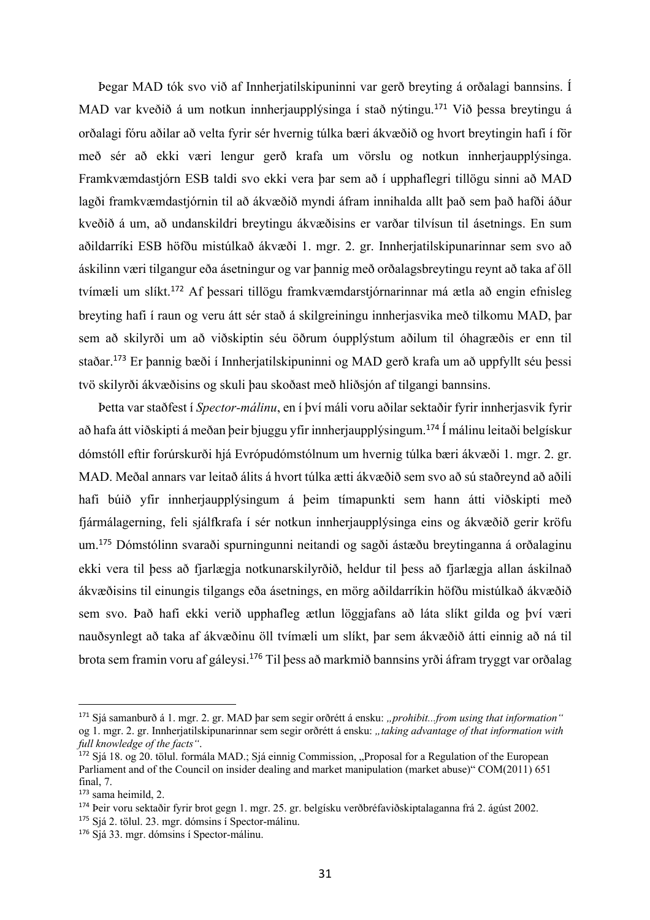Þegar MAD tók svo við af Innherjatilskipuninni var gerð breyting á orðalagi bannsins. Í MAD var kveðið á um notkun innherjaupplýsinga í stað nýtingu. <sup>171</sup> Við þessa breytingu á orðalagi fóru aðilar að velta fyrir sér hvernig túlka bæri ákvæðið og hvort breytingin hafi í för með sér að ekki væri lengur gerð krafa um vörslu og notkun innherjaupplýsinga. Framkvæmdastjórn ESB taldi svo ekki vera þar sem að í upphaflegri tillögu sinni að MAD lagði framkvæmdastjórnin til að ákvæðið myndi áfram innihalda allt það sem það hafði áður kveðið á um, að undanskildri breytingu ákvæðisins er varðar tilvísun til ásetnings. En sum aðildarríki ESB höfðu mistúlkað ákvæði 1. mgr. 2. gr. Innherjatilskipunarinnar sem svo að áskilinn væri tilgangur eða ásetningur og var þannig með orðalagsbreytingu reynt að taka af öll tvímæli um slíkt.<sup>172</sup> Af þessari tillögu framkvæmdarstjórnarinnar má ætla að engin efnisleg breyting hafi í raun og veru átt sér stað á skilgreiningu innherjasvika með tilkomu MAD, þar sem að skilyrði um að viðskiptin séu öðrum óupplýstum aðilum til óhagræðis er enn til staðar.<sup>173</sup> Er þannig bæði í Innherjatilskipuninni og MAD gerð krafa um að uppfyllt séu þessi tvö skilyrði ákvæðisins og skuli þau skoðast með hliðsjón af tilgangi bannsins.

Þetta var staðfest í *Spector-málinu*, en í því máli voru aðilar sektaðir fyrir innherjasvik fyrir að hafa átt viðskipti á meðan þeir bjuggu yfir innherjaupplýsingum.<sup>174</sup> Í málinu leitaði belgískur dómstóll eftir forúrskurði hjá Evrópudómstólnum um hvernig túlka bæri ákvæði 1. mgr. 2. gr. MAD. Meðal annars var leitað álits á hvort túlka ætti ákvæðið sem svo að sú staðreynd að aðili hafi búið yfir innherjaupplýsingum á þeim tímapunkti sem hann átti viðskipti með fjármálagerning, feli sjálfkrafa í sér notkun innherjaupplýsinga eins og ákvæðið gerir kröfu um.<sup>175</sup> Dómstólinn svaraði spurningunni neitandi og sagði ástæðu breytinganna á orðalaginu ekki vera til bess að fjarlægja notkunarskilyrðið, heldur til bess að fjarlægja allan áskilnað ákvæðisins til einungis tilgangs eða ásetnings, en mörg aðildarríkin höfðu mistúlkað ákvæðið sem svo. Það hafi ekki verið upphafleg ætlun löggjafans að láta slíkt gilda og því væri nauðsynlegt að taka af ákvæðinu öll tvímæli um slíkt, þar sem ákvæðið átti einnig að ná til brota sem framin voru af gáleysi.<sup>176</sup> Til þess að markmið bannsins yrði áfram tryggt var orðalag

<sup>175</sup> Sjá 2. tölul. 23. mgr. dómsins í Spector-málinu.

<sup>&</sup>lt;sup>171</sup> Sjá samanburð á 1. mgr. 2. gr. MAD þar sem segir orðrétt á ensku: "*prohibit...from using that information*" og 1. mgr. 2. gr. Innherjatilskipunarinnar sem segir orðrétt á ensku: *"taking advantage of that information with full knowledge of the facts"*.

<sup>172</sup> Sjá 18. og 20. tölul. formála MAD.; Sjá einnig Commission, "Proposal for a Regulation of the European Parliament and of the Council on insider dealing and market manipulation (market abuse)" COM(2011) 651 final, 7.

<sup>173</sup> sama heimild, 2.

<sup>174</sup> Þeir voru sektaðir fyrir brot gegn 1. mgr. 25. gr. belgísku verðbréfaviðskiptalaganna frá 2. ágúst 2002.

<sup>176</sup> Sjá 33. mgr. dómsins í Spector-málinu.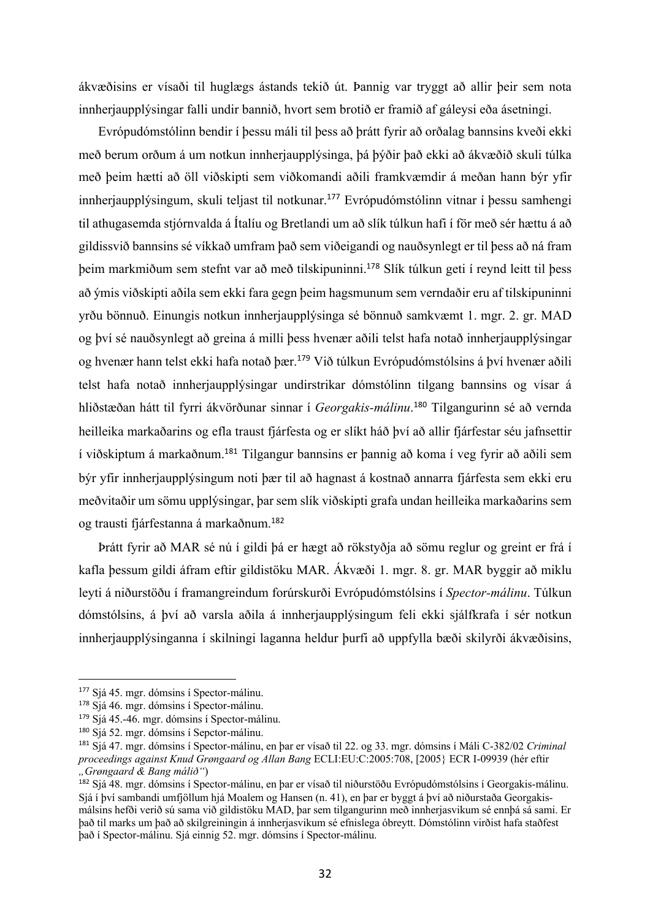ákvæðisins er vísaði til huglægs ástands tekið út. Þannig var tryggt að allir þeir sem nota innherjaupplýsingar falli undir bannið, hvort sem brotið er framið af gáleysi eða ásetningi.

Evrópudómstólinn bendir í þessu máli til þess að þrátt fyrir að orðalag bannsins kveði ekki með berum orðum á um notkun innherjaupplýsinga, þá þýðir það ekki að ákvæðið skuli túlka með þeim hætti að öll viðskipti sem viðkomandi aðili framkvæmdir á meðan hann býr yfir innherjaupplýsingum, skuli teljast til notkunar.<sup>177</sup> Evrópudómstólinn vitnar í þessu samhengi til athugasemda stjórnvalda á Ítalíu og Bretlandi um að slík túlkun hafi í för með sér hættu á að gildissvið bannsins sé víkkað umfram það sem viðeigandi og nauðsynlegt er til þess að ná fram þeim markmiðum sem stefnt var að með tilskipuninni.<sup>178</sup> Slík túlkun geti í reynd leitt til þess að ýmis viðskipti aðila sem ekki fara gegn þeim hagsmunum sem verndaðir eru af tilskipuninni yrðu bönnuð. Einungis notkun innherjaupplýsinga sé bönnuð samkvæmt 1. mgr. 2. gr. MAD og því sé nauðsynlegt að greina á milli þess hvenær aðili telst hafa notað innherjaupplýsingar og hvenær hann telst ekki hafa notað þær. <sup>179</sup> Við túlkun Evrópudómstólsins á því hvenær aðili telst hafa notað innherjaupplýsingar undirstrikar dómstólinn tilgang bannsins og vísar á hliðstæðan hátt til fyrri ákvörðunar sinnar í *Georgakis-málinu*. <sup>180</sup> Tilgangurinn sé að vernda heilleika markaðarins og efla traust fjárfesta og er slíkt háð því að allir fjárfestar séu jafnsettir í viðskiptum á markaðnum.<sup>181</sup> Tilgangur bannsins er þannig að koma í veg fyrir að aðili sem býr yfir innherjaupplýsingum noti þær til að hagnast á kostnað annarra fjárfesta sem ekki eru meðvitaðir um sömu upplýsingar, þar sem slík viðskipti grafa undan heilleika markaðarins sem og trausti fjárfestanna á markaðnum. 182

Þrátt fyrir að MAR sé nú í gildi þá er hægt að rökstyðja að sömu reglur og greint er frá í kafla þessum gildi áfram eftir gildistöku MAR. Ákvæði 1. mgr. 8. gr. MAR byggir að miklu leyti á niðurstöðu í framangreindum forúrskurði Evrópudómstólsins í *Spector-málinu*. Túlkun dómstólsins, á því að varsla aðila á innherjaupplýsingum feli ekki sjálfkrafa í sér notkun innherjaupplýsinganna í skilningi laganna heldur þurfi að uppfylla bæði skilyrði ákvæðisins,

<sup>177</sup> Sjá 45. mgr. dómsins í Spector-málinu.

<sup>178</sup> Sjá 46. mgr. dómsins í Spector-málinu.

<sup>179</sup> Sjá 45.-46. mgr. dómsins í Spector-málinu.

<sup>180</sup> Sjá 52. mgr. dómsins í Sepctor-málinu.

<sup>181</sup> Sjá 47. mgr. dómsins í Spector-málinu, en þar er vísað til 22. og 33. mgr. dómsins í Máli C-382/02 *Criminal proceedings against Knud Grøngaard og Allan Bang* ECLI:EU:C:2005:708, [2005} ECR I-09939 (hér eftir *"Grøngaard & Bang málið"*)

<sup>&</sup>lt;sup>182</sup> Sjá 48. mgr. dómsins í Spector-málinu, en þar er vísað til niðurstöðu Evrópudómstólsins í Georgakis-málinu. Sjá í því sambandi umfjöllum hjá Moalem og Hansen (n. 41), en þar er byggt á því að niðurstaða Georgakismálsins hefði verið sú sama við gildistöku MAD, þar sem tilgangurinn með innherjasvikum sé ennþá sá sami. Er það til marks um það að skilgreiningin á innherjasvikum sé efnislega óbreytt. Dómstólinn virðist hafa staðfest það í Spector-málinu. Sjá einnig 52. mgr. dómsins í Spector-málinu.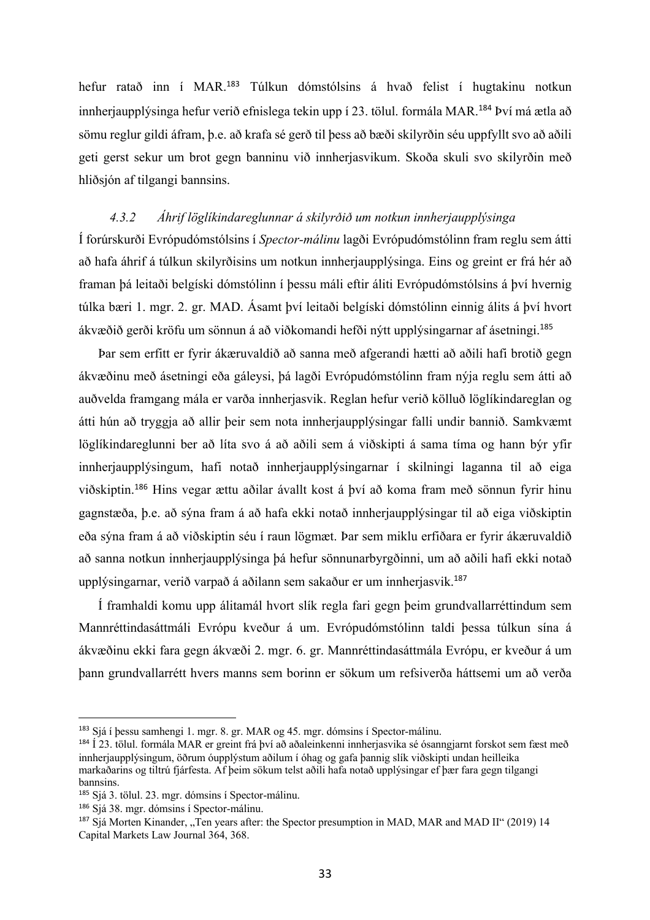hefur ratað inn í MAR.<sup>183</sup> Túlkun dómstólsins á hvað felist í hugtakinu notkun innherjaupplýsinga hefur verið efnislega tekin upp í 23. tölul. formála MAR.<sup>184</sup> Því má ætla að sömu reglur gildi áfram, þ.e. að krafa sé gerð til þess að bæði skilyrðin séu uppfyllt svo að aðili geti gerst sekur um brot gegn banninu við innherjasvikum. Skoða skuli svo skilyrðin með hliðsjón af tilgangi bannsins.

# *4.3.2 Áhrif löglíkindareglunnar á skilyrðið um notkun innherjaupplýsinga*

Í forúrskurði Evrópudómstólsins í *Spector-málinu* lagði Evrópudómstólinn fram reglu sem átti að hafa áhrif á túlkun skilyrðisins um notkun innherjaupplýsinga. Eins og greint er frá hér að framan þá leitaði belgíski dómstólinn í þessu máli eftir áliti Evrópudómstólsins á því hvernig túlka bæri 1. mgr. 2. gr. MAD. Ásamt því leitaði belgíski dómstólinn einnig álits á því hvort ákvæðið gerði kröfu um sönnun á að viðkomandi hefði nýtt upplýsingarnar af ásetningi.<sup>185</sup>

Þar sem erfitt er fyrir ákæruvaldið að sanna með afgerandi hætti að aðili hafi brotið gegn ákvæðinu með ásetningi eða gáleysi, þá lagði Evrópudómstólinn fram nýja reglu sem átti að auðvelda framgang mála er varða innherjasvik. Reglan hefur verið kölluð löglíkindareglan og átti hún að tryggja að allir þeir sem nota innherjaupplýsingar falli undir bannið. Samkvæmt löglíkindareglunni ber að líta svo á að aðili sem á viðskipti á sama tíma og hann býr yfir innherjaupplýsingum, hafi notað innherjaupplýsingarnar í skilningi laganna til að eiga viðskiptin.<sup>186</sup> Hins vegar ættu aðilar ávallt kost á því að koma fram með sönnun fyrir hinu gagnstæða, þ.e. að sýna fram á að hafa ekki notað innherjaupplýsingar til að eiga viðskiptin eða sýna fram á að viðskiptin séu í raun lögmæt. Þar sem miklu erfiðara er fyrir ákæruvaldið að sanna notkun innherjaupplýsinga þá hefur sönnunarbyrgðinni, um að aðili hafi ekki notað upplýsingarnar, verið varpað á aðilann sem sakaður er um innherjasvik. 187

Í framhaldi komu upp álitamál hvort slík regla fari gegn þeim grundvallarréttindum sem Mannréttindasáttmáli Evrópu kveður á um. Evrópudómstólinn taldi þessa túlkun sína á ákvæðinu ekki fara gegn ákvæði 2. mgr. 6. gr. Mannréttindasáttmála Evrópu, er kveður á um þann grundvallarrétt hvers manns sem borinn er sökum um refsiverða háttsemi um að verða

<sup>183</sup> Sjá í þessu samhengi 1. mgr. 8. gr. MAR og 45. mgr. dómsins í Spector-málinu.

<sup>184</sup> Í 23. tölul. formála MAR er greint frá því að aðaleinkenni innherjasvika sé ósanngjarnt forskot sem fæst með innherjaupplýsingum, öðrum óupplýstum aðilum í óhag og gafa þannig slík viðskipti undan heilleika markaðarins og tiltrú fjárfesta. Af þeim sökum telst aðili hafa notað upplýsingar ef þær fara gegn tilgangi bannsins.

<sup>185</sup> Sjá 3. tölul. 23. mgr. dómsins í Spector-málinu.

<sup>186</sup> Sjá 38. mgr. dómsins í Spector-málinu.

 $187$  Sjá Morten Kinander, "Ten years after: the Spector presumption in MAD, MAR and MAD II" (2019) 14 Capital Markets Law Journal 364, 368.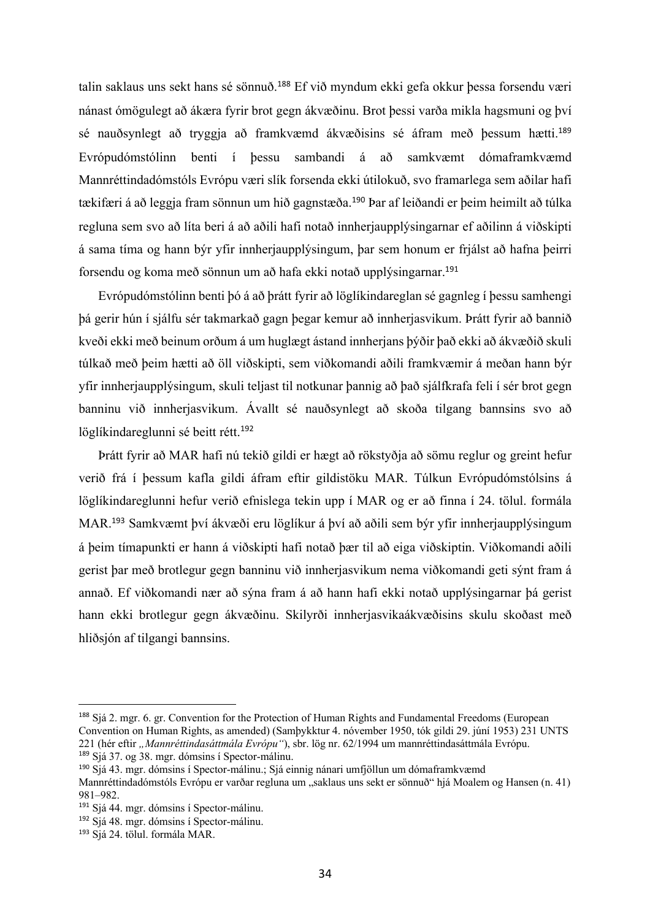talin saklaus uns sekt hans sé sönnuð.<sup>188</sup> Ef við myndum ekki gefa okkur þessa forsendu væri nánast ómögulegt að ákæra fyrir brot gegn ákvæðinu. Brot þessi varða mikla hagsmuni og því sé nauðsynlegt að tryggja að framkvæmd ákvæðisins sé áfram með þessum hætti.<sup>189</sup> Evrópudómstólinn benti í þessu sambandi á að samkvæmt dómaframkvæmd Mannréttindadómstóls Evrópu væri slík forsenda ekki útilokuð, svo framarlega sem aðilar hafi tækifæri á að leggja fram sönnun um hið gagnstæða. <sup>190</sup> Þar af leiðandi er þeim heimilt að túlka regluna sem svo að líta beri á að aðili hafi notað innherjaupplýsingarnar ef aðilinn á viðskipti á sama tíma og hann býr yfir innherjaupplýsingum, þar sem honum er frjálst að hafna þeirri forsendu og koma með sönnun um að hafa ekki notað upplýsingarnar. 191

Evrópudómstólinn benti þó á að þrátt fyrir að löglíkindareglan sé gagnleg í þessu samhengi þá gerir hún í sjálfu sér takmarkað gagn þegar kemur að innherjasvikum. Þrátt fyrir að bannið kveði ekki með beinum orðum á um huglægt ástand innherjans þýðir það ekki að ákvæðið skuli túlkað með þeim hætti að öll viðskipti, sem viðkomandi aðili framkvæmir á meðan hann býr yfir innherjaupplýsingum, skuli teljast til notkunar þannig að það sjálfkrafa feli í sér brot gegn banninu við innherjasvikum. Ávallt sé nauðsynlegt að skoða tilgang bannsins svo að löglíkindareglunni sé beitt rétt.<sup>192</sup>

Þrátt fyrir að MAR hafi nú tekið gildi er hægt að rökstyðja að sömu reglur og greint hefur verið frá í þessum kafla gildi áfram eftir gildistöku MAR. Túlkun Evrópudómstólsins á löglíkindareglunni hefur verið efnislega tekin upp í MAR og er að finna í 24. tölul. formála MAR. <sup>193</sup> Samkvæmt því ákvæði eru löglíkur á því að aðili sem býr yfir innherjaupplýsingum á þeim tímapunkti er hann á viðskipti hafi notað þær til að eiga viðskiptin. Viðkomandi aðili gerist þar með brotlegur gegn banninu við innherjasvikum nema viðkomandi geti sýnt fram á annað. Ef viðkomandi nær að sýna fram á að hann hafi ekki notað upplýsingarnar þá gerist hann ekki brotlegur gegn ákvæðinu. Skilyrði innherjasvikaákvæðisins skulu skoðast með hliðsjón af tilgangi bannsins.

<sup>188</sup> Sjá 2. mgr. 6. gr. Convention for the Protection of Human Rights and Fundamental Freedoms (European Convention on Human Rights, as amended) (Samþykktur 4. nóvember 1950, tók gildi 29. júní 1953) 231 UNTS 221 (hér eftir "Mannréttindasáttmála Evrópu"), sbr. lög nr. 62/1994 um mannréttindasáttmála Evrópu. <sup>189</sup> Sjá 37. og 38. mgr. dómsins í Spector-málinu.

<sup>190</sup> Sjá 43. mgr. dómsins í Spector-málinu.; Sjá einnig nánari umfjöllun um dómaframkvæmd

Mannréttindadómstóls Evrópu er varðar regluna um "saklaus uns sekt er sönnuð" hjá Moalem og Hansen (n. 41) 981–982.

<sup>191</sup> Sjá 44. mgr. dómsins í Spector-málinu.

<sup>192</sup> Sjá 48. mgr. dómsins í Spector-málinu.

<sup>193</sup> Sjá 24. tölul. formála MAR.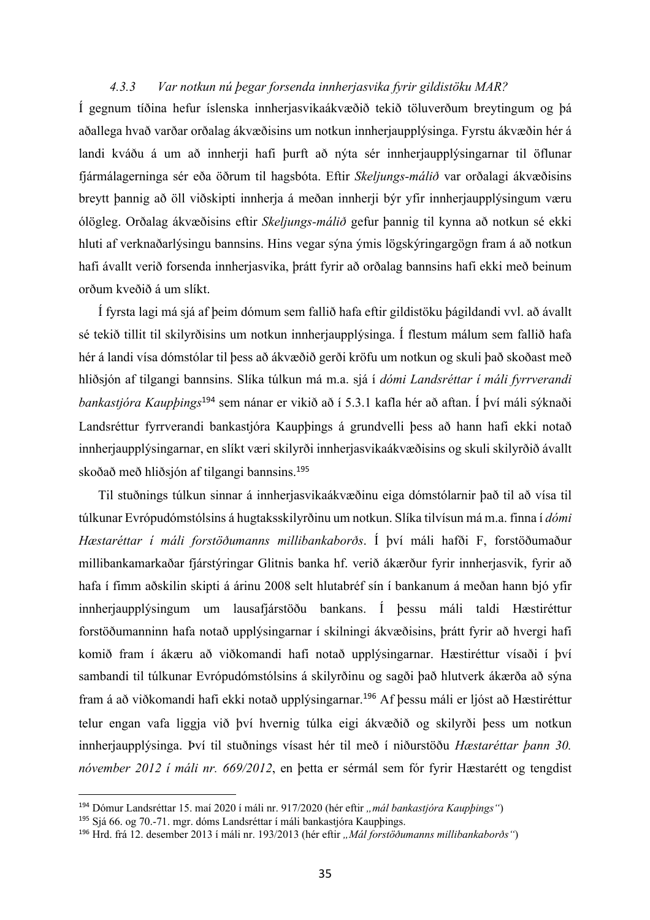## *4.3.3 Var notkun nú þegar forsenda innherjasvika fyrir gildistöku MAR?*

Í gegnum tíðina hefur íslenska innherjasvikaákvæðið tekið töluverðum breytingum og þá aðallega hvað varðar orðalag ákvæðisins um notkun innherjaupplýsinga. Fyrstu ákvæðin hér á landi kváðu á um að innherji hafi þurft að nýta sér innherjaupplýsingarnar til öflunar fjármálagerninga sér eða öðrum til hagsbóta. Eftir *Skeljungs-málið* var orðalagi ákvæðisins breytt þannig að öll viðskipti innherja á meðan innherji býr yfir innherjaupplýsingum væru ólögleg. Orðalag ákvæðisins eftir *Skeljungs-málið* gefur þannig til kynna að notkun sé ekki hluti af verknaðarlýsingu bannsins. Hins vegar sýna ýmis lögskýringargögn fram á að notkun hafi ávallt verið forsenda innherjasvika, þrátt fyrir að orðalag bannsins hafi ekki með beinum orðum kveðið á um slíkt.

Í fyrsta lagi má sjá af þeim dómum sem fallið hafa eftir gildistöku þágildandi vvl. að ávallt sé tekið tillit til skilyrðisins um notkun innherjaupplýsinga. Í flestum málum sem fallið hafa hér á landi vísa dómstólar til þess að ákvæðið gerði kröfu um notkun og skuli það skoðast með hliðsjón af tilgangi bannsins. Slíka túlkun má m.a. sjá í *dómi Landsréttar í máli fyrrverandi bankastjóra Kaupþings*<sup>194</sup> sem nánar er vikið að í 5.3.1 kafla hér að aftan. Í því máli sýknaði Landsréttur fyrrverandi bankastjóra Kaupþings á grundvelli þess að hann hafi ekki notað innherjaupplýsingarnar, en slíkt væri skilyrði innherjasvikaákvæðisins og skuli skilyrðið ávallt skoðað með hliðsjón af tilgangi bannsins. 195

Til stuðnings túlkun sinnar á innherjasvikaákvæðinu eiga dómstólarnir það til að vísa til túlkunar Evrópudómstólsins á hugtaksskilyrðinu um notkun. Slíka tilvísun má m.a. finna í *dómi Hæstaréttar í máli forstöðumanns millibankaborðs*. Í því máli hafði F, forstöðumaður millibankamarkaðar fjárstýringar Glitnis banka hf. verið ákærður fyrir innherjasvik, fyrir að hafa í fimm aðskilin skipti á árinu 2008 selt hlutabréf sín í bankanum á meðan hann bjó yfir innherjaupplýsingum um lausafjárstöðu bankans. Í þessu máli taldi Hæstiréttur forstöðumanninn hafa notað upplýsingarnar í skilningi ákvæðisins, þrátt fyrir að hvergi hafi komið fram í ákæru að viðkomandi hafi notað upplýsingarnar. Hæstiréttur vísaði í því sambandi til túlkunar Evrópudómstólsins á skilyrðinu og sagði það hlutverk ákærða að sýna fram á að viðkomandi hafi ekki notað upplýsingarnar.<sup>196</sup> Af þessu máli er ljóst að Hæstiréttur telur engan vafa liggja við því hvernig túlka eigi ákvæðið og skilyrði þess um notkun innherjaupplýsinga. Því til stuðnings vísast hér til með í niðurstöðu *Hæstaréttar þann 30. nóvember 2012 í máli nr. 669/2012*, en þetta er sérmál sem fór fyrir Hæstarétt og tengdist

<sup>&</sup>lt;sup>194</sup> Dómur Landsréttar 15. maí 2020 í máli nr. 917/2020 (hér eftir "mál bankastjóra Kaupþings")

<sup>195</sup> Sjá 66. og 70.-71. mgr. dóms Landsréttar í máli bankastjóra Kaupþings.

<sup>196</sup> Hrd. frá 12. desember 2013 í máli nr. 193/2013 (hér eftir *"Mál forstöðumanns millibankaborðs"*)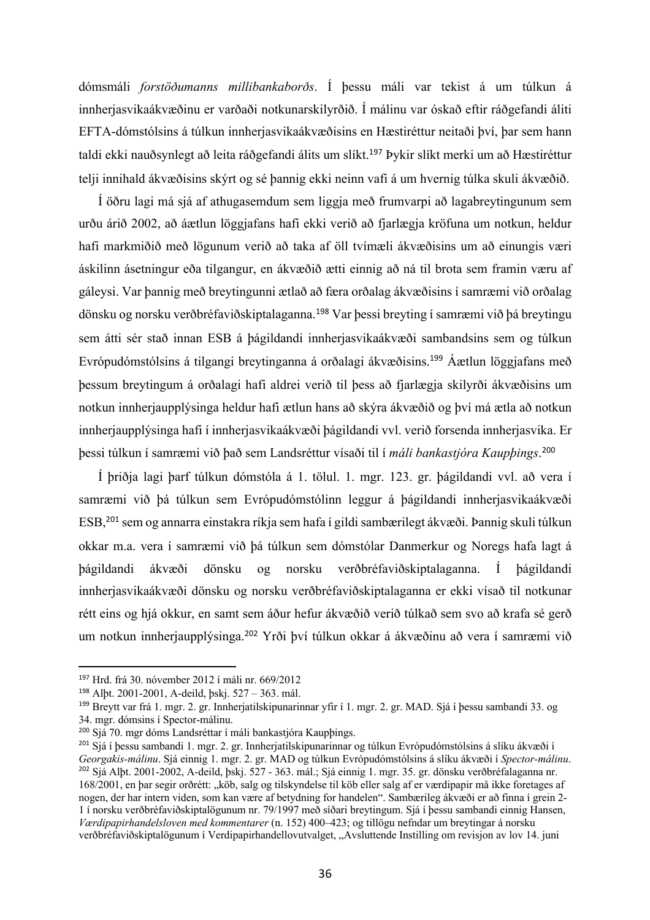dómsmáli *forstöðumanns millibankaborðs*. Í þessu máli var tekist á um túlkun á innherjasvikaákvæðinu er varðaði notkunarskilyrðið. Í málinu var óskað eftir ráðgefandi áliti EFTA-dómstólsins á túlkun innherjasvikaákvæðisins en Hæstiréttur neitaði því, þar sem hann taldi ekki nauðsynlegt að leita ráðgefandi álits um slíkt.<sup>197</sup> Þykir slíkt merki um að Hæstiréttur telji innihald ákvæðisins skýrt og sé þannig ekki neinn vafi á um hvernig túlka skuli ákvæðið.

Í öðru lagi má sjá af athugasemdum sem liggja með frumvarpi að lagabreytingunum sem urðu árið 2002, að áætlun löggjafans hafi ekki verið að fjarlægja kröfuna um notkun, heldur hafi markmiðið með lögunum verið að taka af öll tvímæli ákvæðisins um að einungis væri áskilinn ásetningur eða tilgangur, en ákvæðið ætti einnig að ná til brota sem framin væru af gáleysi. Var þannig með breytingunni ætlað að færa orðalag ákvæðisins í samræmi við orðalag dönsku og norsku verðbréfaviðskiptalaganna.<sup>198</sup> Var þessi breyting í samræmi við þá breytingu sem átti sér stað innan ESB á þágildandi innherjasvikaákvæði sambandsins sem og túlkun Evrópudómstólsins á tilgangi breytinganna á orðalagi ákvæðisins. <sup>199</sup> Áætlun löggjafans með þessum breytingum á orðalagi hafi aldrei verið til þess að fjarlægja skilyrði ákvæðisins um notkun innherjaupplýsinga heldur hafi ætlun hans að skýra ákvæðið og því má ætla að notkun innherjaupplýsinga hafi í innherjasvikaákvæði þágildandi vvl. verið forsenda innherjasvika. Er þessi túlkun í samræmi við það sem Landsréttur vísaði til í *máli bankastjóra Kaupþings*. 200

Í þriðja lagi þarf túlkun dómstóla á 1. tölul. 1. mgr. 123. gr. þágildandi vvl. að vera í samræmi við þá túlkun sem Evrópudómstólinn leggur á þágildandi innherjasvikaákvæði ESB, <sup>201</sup> sem og annarra einstakra ríkja sem hafa í gildi sambærilegt ákvæði. Þannig skuli túlkun okkar m.a. vera í samræmi við þá túlkun sem dómstólar Danmerkur og Noregs hafa lagt á þágildandi ákvæði dönsku og norsku verðbréfaviðskiptalaganna. Í þágildandi innherjasvikaákvæði dönsku og norsku verðbréfaviðskiptalaganna er ekki vísað til notkunar rétt eins og hjá okkur, en samt sem áður hefur ákvæðið verið túlkað sem svo að krafa sé gerð um notkun innherjaupplýsinga.<sup>202</sup> Yrði því túlkun okkar á ákvæðinu að vera í samræmi við

<sup>197</sup> Hrd. frá 30. nóvember 2012 í máli nr. 669/2012

<sup>198</sup> Alþt. 2001-2001, A-deild, þskj. 527 – 363. mál.

<sup>199</sup> Breytt var frá 1. mgr. 2. gr. Innherjatilskipunarinnar yfir í 1. mgr. 2. gr. MAD. Sjá í þessu sambandi 33. og 34. mgr. dómsins í Spector-málinu.

<sup>200</sup> Sjá 70. mgr dóms Landsréttar í máli bankastjóra Kaupþings.

<sup>201</sup> Sjá í þessu sambandi 1. mgr. 2. gr. Innherjatilskipunarinnar og túlkun Evrópudómstólsins á slíku ákvæði í *Georgakis-málinu*. Sjá einnig 1. mgr. 2. gr. MAD og túlkun Evrópudómstólsins á slíku ákvæði í *Spector-málinu*. <sup>202</sup> Sjá Alþt. 2001-2002, A-deild, þskj. 527 - 363. mál.; Sjá einnig 1. mgr. 35. gr. dönsku verðbréfalaganna nr. 168/2001, en þar segir orðrétt: "köb, salg og tilskyndelse til köb eller salg af er værdipapir må ikke foretages af nogen, der har intern viden, som kan være af betydning for handelen". Sambærileg ákvæði er að finna í grein 2- 1 í norsku verðbréfaviðskiptalögunum nr. 79/1997 með síðari breytingum. Sjá í þessu sambandi einnig Hansen, *Værdipapirhandelsloven med kommentarer* (n. 152) 400–423; og tillögu nefndar um breytingar á norsku verðbréfaviðskiptalögunum í Verdipapirhandellovutvalget, "Avsluttende Instilling om revisjon av lov 14. juni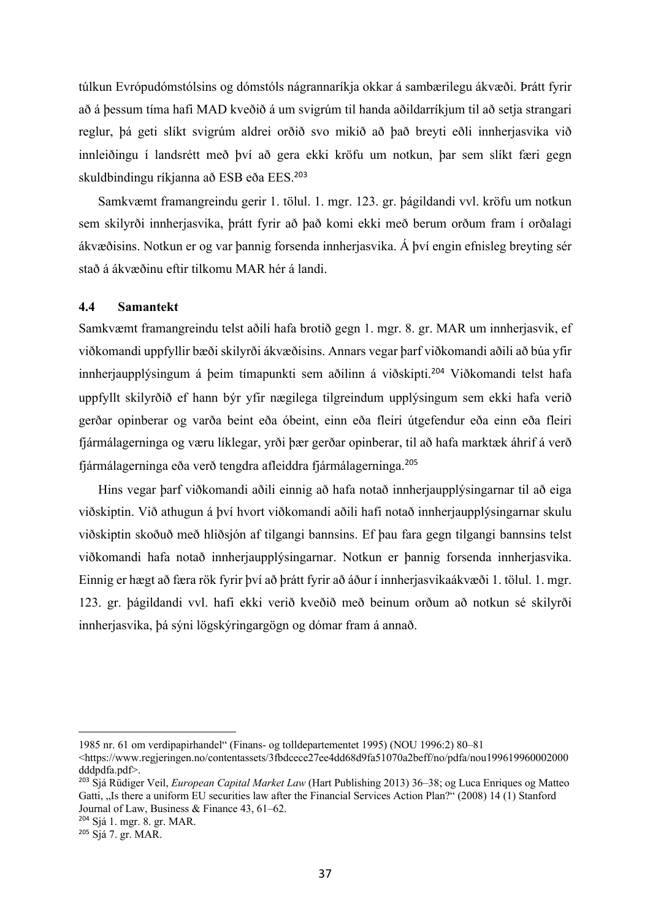túlkun Evrópudómstólsins og dómstóls nágrannaríkja okkar á sambærilegu ákvæði. Þrátt fyrir að á þessum tíma hafi MAD kveðið á um svigrúm til handa aðildarríkjum til að setja strangari reglur, þá geti slíkt svigrúm aldrei orðið svo mikið að það breyti eðli innherjasvika við innleiðingu í landsrétt með því að gera ekki kröfu um notkun, þar sem slíkt færi gegn skuldbindingu ríkjanna að ESB eða EES. 203

Samkvæmt framangreindu gerir 1. tölul. 1. mgr. 123. gr. þágildandi vvl. kröfu um notkun sem skilyrði innherjasvika, þrátt fyrir að það komi ekki með berum orðum fram í orðalagi ákvæðisins. Notkun er og var þannig forsenda innherjasvika. Á því engin efnisleg breyting sér stað á ákvæðinu eftir tilkomu MAR hér á landi.

# **4.4 Samantekt**

Samkvæmt framangreindu telst aðili hafa brotið gegn 1. mgr. 8. gr. MAR um innherjasvik, ef viðkomandi uppfyllir bæði skilyrði ákvæðisins. Annars vegar þarf viðkomandi aðili að búa yfir innherjaupplýsingum á þeim tímapunkti sem aðilinn á viðskipti. <sup>204</sup> Viðkomandi telst hafa uppfyllt skilyrðið ef hann býr yfir nægilega tilgreindum upplýsingum sem ekki hafa verið gerðar opinberar og varða beint eða óbeint, einn eða fleiri útgefendur eða einn eða fleiri fjármálagerninga og væru líklegar, yrði þær gerðar opinberar, til að hafa marktæk áhrif á verð fjármálagerninga eða verð tengdra afleiddra fjármálagerninga.<sup>205</sup>

Hins vegar þarf viðkomandi aðili einnig að hafa notað innherjaupplýsingarnar til að eiga viðskiptin. Við athugun á því hvort viðkomandi aðili hafi notað innherjaupplýsingarnar skulu viðskiptin skoðuð með hliðsjón af tilgangi bannsins. Ef þau fara gegn tilgangi bannsins telst viðkomandi hafa notað innherjaupplýsingarnar. Notkun er þannig forsenda innherjasvika. Einnig er hægt að færa rök fyrir því að þrátt fyrir að áður í innherjasvikaákvæði 1. tölul. 1. mgr. 123. gr. þágildandi vvl. hafi ekki verið kveðið með beinum orðum að notkun sé skilyrði innherjasvika, þá sýni lögskýringargögn og dómar fram á annað.

<sup>204</sup> Sjá 1. mgr. 8. gr. MAR.

<sup>1985</sup> nr. 61 om verdipapirhandel" (Finans- og tolldepartementet 1995) (NOU 1996:2) 80–81

<sup>&</sup>lt;https://www.regjeringen.no/contentassets/3fbdcece27ee4dd68d9fa51070a2beff/no/pdfa/nou199619960002000 dddpdfa.pdf>.

<sup>203</sup> Sjá Rüdiger Veil, *European Capital Market Law* (Hart Publishing 2013) 36–38; og Luca Enriques og Matteo Gatti, "Is there a uniform EU securities law after the Financial Services Action Plan?" (2008) 14 (1) Stanford Journal of Law, Business & Finance 43, 61–62.

 $205$  Siá 7. pr. MAR.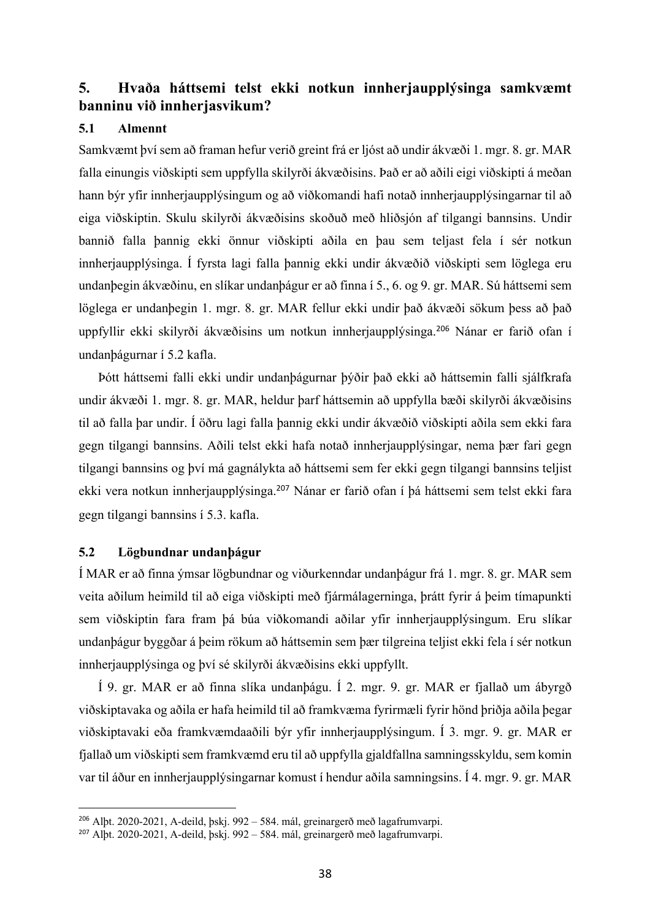# **5. Hvaða háttsemi telst ekki notkun innherjaupplýsinga samkvæmt banninu við innherjasvikum?**

### **5.1 Almennt**

Samkvæmt því sem að framan hefur verið greint frá er ljóst að undir ákvæði 1. mgr. 8. gr. MAR falla einungis viðskipti sem uppfylla skilyrði ákvæðisins. Það er að aðili eigi viðskipti á meðan hann býr yfir innherjaupplýsingum og að viðkomandi hafi notað innherjaupplýsingarnar til að eiga viðskiptin. Skulu skilyrði ákvæðisins skoðuð með hliðsjón af tilgangi bannsins. Undir bannið falla þannig ekki önnur viðskipti aðila en þau sem teljast fela í sér notkun innherjaupplýsinga. Í fyrsta lagi falla þannig ekki undir ákvæðið viðskipti sem löglega eru undanþegin ákvæðinu, en slíkar undanþágur er að finna í 5., 6. og 9. gr. MAR. Sú háttsemi sem löglega er undanþegin 1. mgr. 8. gr. MAR fellur ekki undir það ákvæði sökum þess að það uppfyllir ekki skilyrði ákvæðisins um notkun innherjaupplýsinga.<sup>206</sup> Nánar er farið ofan í undanþágurnar í 5.2 kafla.

Þótt háttsemi falli ekki undir undanþágurnar þýðir það ekki að háttsemin falli sjálfkrafa undir ákvæði 1. mgr. 8. gr. MAR, heldur þarf háttsemin að uppfylla bæði skilyrði ákvæðisins til að falla þar undir. Í öðru lagi falla þannig ekki undir ákvæðið viðskipti aðila sem ekki fara gegn tilgangi bannsins. Aðili telst ekki hafa notað innherjaupplýsingar, nema þær fari gegn tilgangi bannsins og því má gagnálykta að háttsemi sem fer ekki gegn tilgangi bannsins teljist ekki vera notkun innherjaupplýsinga.<sup>207</sup> Nánar er farið ofan í þá háttsemi sem telst ekki fara gegn tilgangi bannsins í 5.3. kafla.

## **5.2 Lögbundnar undanþágur**

Í MAR er að finna ýmsar lögbundnar og viðurkenndar undanþágur frá 1. mgr. 8. gr. MAR sem veita aðilum heimild til að eiga viðskipti með fjármálagerninga, þrátt fyrir á þeim tímapunkti sem viðskiptin fara fram þá búa viðkomandi aðilar yfir innherjaupplýsingum. Eru slíkar undanþágur byggðar á þeim rökum að háttsemin sem þær tilgreina teljist ekki fela í sér notkun innherjaupplýsinga og því sé skilyrði ákvæðisins ekki uppfyllt.

Í 9. gr. MAR er að finna slíka undanþágu. Í 2. mgr. 9. gr. MAR er fjallað um ábyrgð viðskiptavaka og aðila er hafa heimild til að framkvæma fyrirmæli fyrir hönd þriðja aðila þegar viðskiptavaki eða framkvæmdaaðili býr yfir innherjaupplýsingum. Í 3. mgr. 9. gr. MAR er fjallað um viðskipti sem framkvæmd eru til að uppfylla gjaldfallna samningsskyldu, sem komin var til áður en innherjaupplýsingarnar komust í hendur aðila samningsins. Í 4. mgr. 9. gr. MAR

<sup>206</sup> Alþt. 2020-2021, A-deild, þskj. 992 – 584. mál, greinargerð með lagafrumvarpi.

<sup>207</sup> Alþt. 2020-2021, A-deild, þskj. 992 – 584. mál, greinargerð með lagafrumvarpi.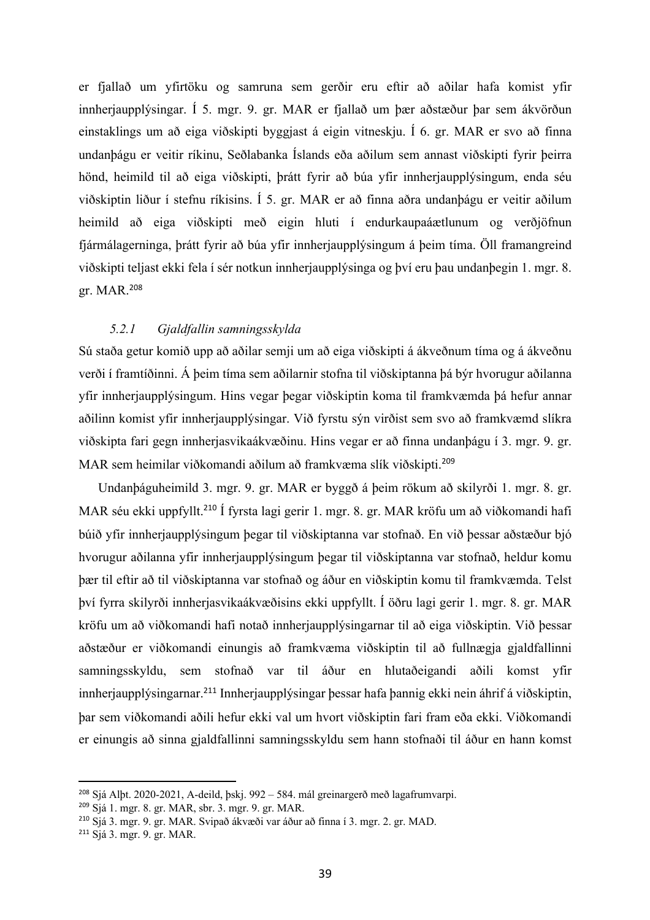er fjallað um yfirtöku og samruna sem gerðir eru eftir að aðilar hafa komist yfir innherjaupplýsingar. Í 5. mgr. 9. gr. MAR er fjallað um þær aðstæður þar sem ákvörðun einstaklings um að eiga viðskipti byggjast á eigin vitneskju. Í 6. gr. MAR er svo að finna undanþágu er veitir ríkinu, Seðlabanka Íslands eða aðilum sem annast viðskipti fyrir þeirra hönd, heimild til að eiga viðskipti, þrátt fyrir að búa yfir innherjaupplýsingum, enda séu viðskiptin liður í stefnu ríkisins. Í 5. gr. MAR er að finna aðra undanþágu er veitir aðilum heimild að eiga viðskipti með eigin hluti í endurkaupaáætlunum og verðjöfnun fjármálagerninga, þrátt fyrir að búa yfir innherjaupplýsingum á þeim tíma. Öll framangreind viðskipti teljast ekki fela í sér notkun innherjaupplýsinga og því eru þau undanþegin 1. mgr. 8. gr. MAR.<sup>208</sup>

# *5.2.1 Gjaldfallin samningsskylda*

Sú staða getur komið upp að aðilar semji um að eiga viðskipti á ákveðnum tíma og á ákveðnu verði í framtíðinni. Á þeim tíma sem aðilarnir stofna til viðskiptanna þá býr hvorugur aðilanna yfir innherjaupplýsingum. Hins vegar þegar viðskiptin koma til framkvæmda þá hefur annar aðilinn komist yfir innherjaupplýsingar. Við fyrstu sýn virðist sem svo að framkvæmd slíkra viðskipta fari gegn innherjasvikaákvæðinu. Hins vegar er að finna undanþágu í 3. mgr. 9. gr. MAR sem heimilar viðkomandi aðilum að framkvæma slík viðskipti.<sup>209</sup>

Undanþáguheimild 3. mgr. 9. gr. MAR er byggð á þeim rökum að skilyrði 1. mgr. 8. gr. MAR séu ekki uppfyllt.<sup>210</sup> Í fyrsta lagi gerir 1. mgr. 8. gr. MAR kröfu um að viðkomandi hafi búið yfir innherjaupplýsingum þegar til viðskiptanna var stofnað. En við þessar aðstæður bjó hvorugur aðilanna yfir innherjaupplýsingum þegar til viðskiptanna var stofnað, heldur komu þær til eftir að til viðskiptanna var stofnað og áður en viðskiptin komu til framkvæmda. Telst því fyrra skilyrði innherjasvikaákvæðisins ekki uppfyllt. Í öðru lagi gerir 1. mgr. 8. gr. MAR kröfu um að viðkomandi hafi notað innherjaupplýsingarnar til að eiga viðskiptin. Við þessar aðstæður er viðkomandi einungis að framkvæma viðskiptin til að fullnægja gjaldfallinni samningsskyldu, sem stofnað var til áður en hlutaðeigandi aðili komst yfir innherjaupplýsingarnar.<sup>211</sup> Innherjaupplýsingar þessar hafa þannig ekki nein áhrif á viðskiptin, þar sem viðkomandi aðili hefur ekki val um hvort viðskiptin fari fram eða ekki. Viðkomandi er einungis að sinna gjaldfallinni samningsskyldu sem hann stofnaði til áður en hann komst

<sup>208</sup> Sjá Alþt. 2020-2021, A-deild, þskj. 992 – 584. mál greinargerð með lagafrumvarpi.

<sup>209</sup> Sjá 1. mgr. 8. gr. MAR, sbr. 3. mgr. 9. gr. MAR.

<sup>210</sup> Sjá 3. mgr. 9. gr. MAR. Svipað ákvæði var áður að finna í 3. mgr. 2. gr. MAD.

<sup>211</sup> Sjá 3. mgr. 9. gr. MAR.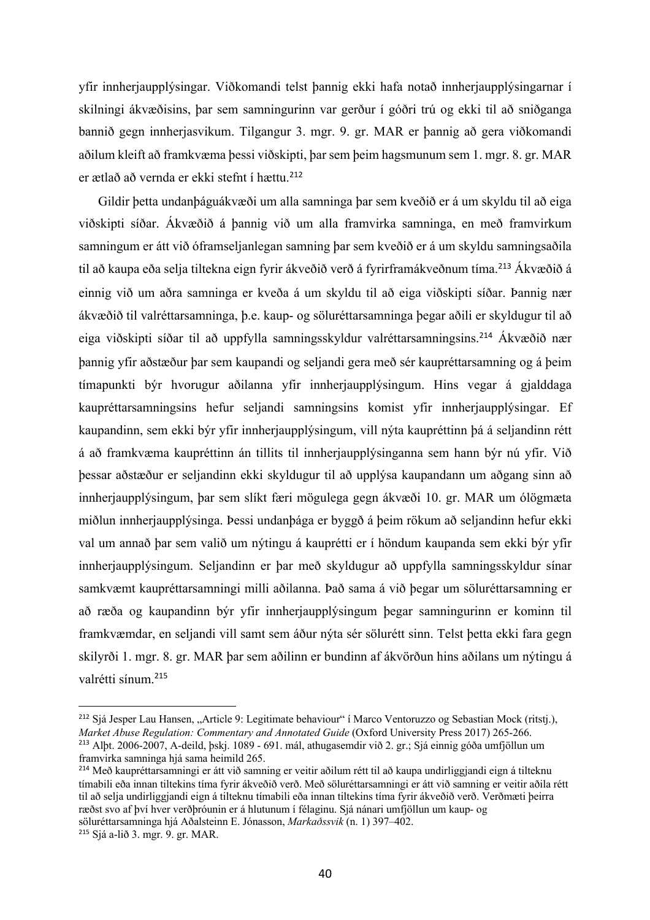yfir innherjaupplýsingar. Viðkomandi telst þannig ekki hafa notað innherjaupplýsingarnar í skilningi ákvæðisins, þar sem samningurinn var gerður í góðri trú og ekki til að sniðganga bannið gegn innherjasvikum. Tilgangur 3. mgr. 9. gr. MAR er þannig að gera viðkomandi aðilum kleift að framkvæma þessi viðskipti, þar sem þeim hagsmunum sem 1. mgr. 8. gr. MAR er ætlað að vernda er ekki stefnt í hættu.<sup>212</sup>

Gildir þetta undanþáguákvæði um alla samninga þar sem kveðið er á um skyldu til að eiga viðskipti síðar. Ákvæðið á þannig við um alla framvirka samninga, en með framvirkum samningum er átt við óframseljanlegan samning þar sem kveðið er á um skyldu samningsaðila til að kaupa eða selja tiltekna eign fyrir ákveðið verð á fyrirframákveðnum tíma.<sup>213</sup> Ákvæðið á einnig við um aðra samninga er kveða á um skyldu til að eiga viðskipti síðar. Þannig nær ákvæðið til valréttarsamninga, þ.e. kaup- og söluréttarsamninga þegar aðili er skyldugur til að eiga viðskipti síðar til að uppfylla samningsskyldur valréttarsamningsins.<sup>214</sup> Ákvæðið nær þannig yfir aðstæður þar sem kaupandi og seljandi gera með sér kaupréttarsamning og á þeim tímapunkti býr hvorugur aðilanna yfir innherjaupplýsingum. Hins vegar á gjalddaga kaupréttarsamningsins hefur seljandi samningsins komist yfir innherjaupplýsingar. Ef kaupandinn, sem ekki býr yfir innherjaupplýsingum, vill nýta kaupréttinn þá á seljandinn rétt á að framkvæma kaupréttinn án tillits til innherjaupplýsinganna sem hann býr nú yfir. Við þessar aðstæður er seljandinn ekki skyldugur til að upplýsa kaupandann um aðgang sinn að innherjaupplýsingum, þar sem slíkt færi mögulega gegn ákvæði 10. gr. MAR um ólögmæta miðlun innherjaupplýsinga. Þessi undanþága er byggð á þeim rökum að seljandinn hefur ekki val um annað þar sem valið um nýtingu á kauprétti er í höndum kaupanda sem ekki býr yfir innherjaupplýsingum. Seljandinn er þar með skyldugur að uppfylla samningsskyldur sínar samkvæmt kaupréttarsamningi milli aðilanna. Það sama á við þegar um söluréttarsamning er að ræða og kaupandinn býr yfir innherjaupplýsingum þegar samningurinn er kominn til framkvæmdar, en seljandi vill samt sem áður nýta sér sölurétt sinn. Telst þetta ekki fara gegn skilyrði 1. mgr. 8. gr. MAR þar sem aðilinn er bundinn af ákvörðun hins aðilans um nýtingu á valrétti sínum.<sup>215</sup>

<sup>&</sup>lt;sup>212</sup> Sjá Jesper Lau Hansen, "Article 9: Legitimate behaviour" í Marco Ventoruzzo og Sebastian Mock (ritstj.), *Market Abuse Regulation: Commentary and Annotated Guide* (Oxford University Press 2017) 265-266. <sup>213</sup> Alþt. 2006-2007, A-deild, þskj. 1089 - 691. mál, athugasemdir við 2. gr.; Sjá einnig góða umfjöllun um framvirka samninga hjá sama heimild 265.

<sup>214</sup> Með kaupréttarsamningi er átt við samning er veitir aðilum rétt til að kaupa undirliggjandi eign á tilteknu tímabili eða innan tiltekins tíma fyrir ákveðið verð. Með söluréttarsamningi er átt við samning er veitir aðila rétt til að selja undirliggjandi eign á tilteknu tímabili eða innan tiltekins tíma fyrir ákveðið verð. Verðmæti þeirra ræðst svo af því hver verðþróunin er á hlutunum í félaginu. Sjá nánari umfjöllun um kaup- og söluréttarsamninga hjá Aðalsteinn E. Jónasson, *Markaðssvik* (n. 1) 397–402.

<sup>215</sup> Sjá a-lið 3. mgr. 9. gr. MAR.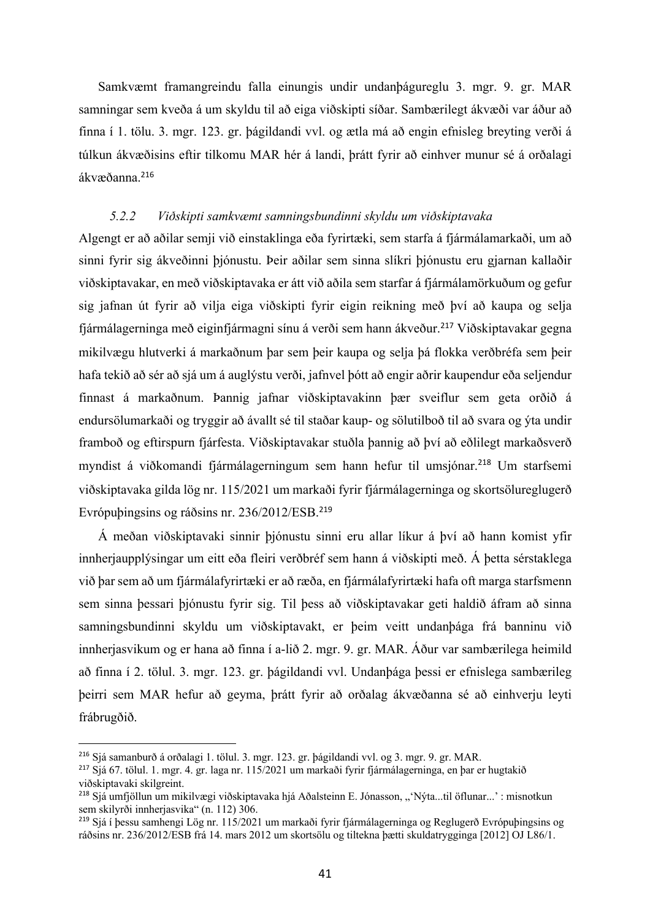Samkvæmt framangreindu falla einungis undir undanþágureglu 3. mgr. 9. gr. MAR samningar sem kveða á um skyldu til að eiga viðskipti síðar. Sambærilegt ákvæði var áður að finna í 1. tölu. 3. mgr. 123. gr. þágildandi vvl. og ætla má að engin efnisleg breyting verði á túlkun ákvæðisins eftir tilkomu MAR hér á landi, þrátt fyrir að einhver munur sé á orðalagi ákvæðanna.<sup>216</sup>

## *5.2.2 Viðskipti samkvæmt samningsbundinni skyldu um viðskiptavaka*

Algengt er að aðilar semji við einstaklinga eða fyrirtæki, sem starfa á fjármálamarkaði, um að sinni fyrir sig ákveðinni þjónustu. Þeir aðilar sem sinna slíkri þjónustu eru gjarnan kallaðir viðskiptavakar, en með viðskiptavaka er átt við aðila sem starfar á fjármálamörkuðum og gefur sig jafnan út fyrir að vilja eiga viðskipti fyrir eigin reikning með því að kaupa og selja fjármálagerninga með eiginfjármagni sínu á verði sem hann ákveður.<sup>217</sup> Viðskiptavakar gegna mikilvægu hlutverki á markaðnum þar sem þeir kaupa og selja þá flokka verðbréfa sem þeir hafa tekið að sér að sjá um á auglýstu verði, jafnvel þótt að engir aðrir kaupendur eða seljendur finnast á markaðnum. Þannig jafnar viðskiptavakinn þær sveiflur sem geta orðið á endursölumarkaði og tryggir að ávallt sé til staðar kaup- og sölutilboð til að svara og ýta undir framboð og eftirspurn fjárfesta. Viðskiptavakar stuðla þannig að því að eðlilegt markaðsverð myndist á viðkomandi fjármálagerningum sem hann hefur til umsjónar.<sup>218</sup> Um starfsemi viðskiptavaka gilda lög nr. 115/2021 um markaði fyrir fjármálagerninga og skortsölureglugerð Evrópuþingsins og ráðsins nr. 236/2012/ESB. 219

Á meðan viðskiptavaki sinnir þjónustu sinni eru allar líkur á því að hann komist yfir innherjaupplýsingar um eitt eða fleiri verðbréf sem hann á viðskipti með. Á þetta sérstaklega við þar sem að um fjármálafyrirtæki er að ræða, en fjármálafyrirtæki hafa oft marga starfsmenn sem sinna þessari þjónustu fyrir sig. Til þess að viðskiptavakar geti haldið áfram að sinna samningsbundinni skyldu um viðskiptavakt, er þeim veitt undanþága frá banninu við innherjasvikum og er hana að finna í a-lið 2. mgr. 9. gr. MAR. Áður var sambærilega heimild að finna í 2. tölul. 3. mgr. 123. gr. þágildandi vvl. Undanþága þessi er efnislega sambærileg þeirri sem MAR hefur að geyma, þrátt fyrir að orðalag ákvæðanna sé að einhverju leyti frábrugðið.

<sup>216</sup> Sjá samanburð á orðalagi 1. tölul. 3. mgr. 123. gr. þágildandi vvl. og 3. mgr. 9. gr. MAR.

<sup>217</sup> Sjá 67. tölul. 1. mgr. 4. gr. laga nr. 115/2021 um markaði fyrir fjármálagerninga, en þar er hugtakið viðskiptavaki skilgreint.

<sup>&</sup>lt;sup>218</sup> Sjá umfjöllun um mikilvægi viðskiptavaka hjá Aðalsteinn E. Jónasson, "'Nýta...til öflunar...' : misnotkun sem skilyrði innherjasvika" (n. 112) 306.

<sup>219</sup> Sjá í þessu samhengi Lög nr. 115/2021 um markaði fyrir fjármálagerninga og Reglugerð Evrópuþingsins og ráðsins nr. 236/2012/ESB frá 14. mars 2012 um skortsölu og tiltekna þætti skuldatrygginga [2012] OJ L86/1.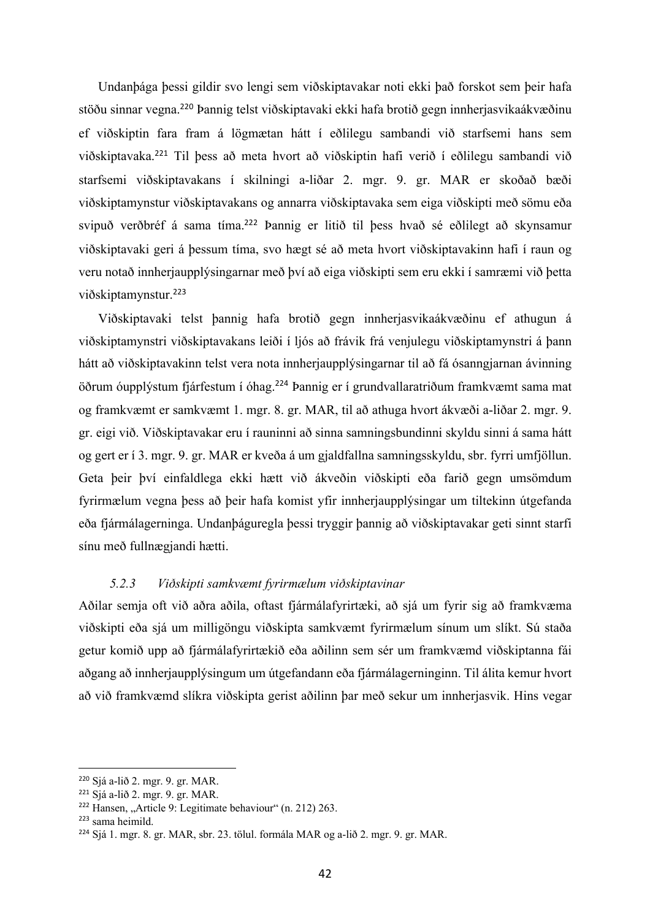Undanþága þessi gildir svo lengi sem viðskiptavakar noti ekki það forskot sem þeir hafa stöðu sinnar vegna.<sup>220</sup> Þannig telst viðskiptavaki ekki hafa brotið gegn innherjasvikaákvæðinu ef viðskiptin fara fram á lögmætan hátt í eðlilegu sambandi við starfsemi hans sem viðskiptavaka.<sup>221</sup> Til þess að meta hvort að viðskiptin hafi verið í eðlilegu sambandi við starfsemi viðskiptavakans í skilningi a-liðar 2. mgr. 9. gr. MAR er skoðað bæði viðskiptamynstur viðskiptavakans og annarra viðskiptavaka sem eiga viðskipti með sömu eða svipuð verðbréf á sama tíma.<sup>222</sup> Þannig er litið til þess hvað sé eðlilegt að skynsamur viðskiptavaki geri á þessum tíma, svo hægt sé að meta hvort viðskiptavakinn hafi í raun og veru notað innherjaupplýsingarnar með því að eiga viðskipti sem eru ekki í samræmi við þetta viðskiptamynstur.<sup>223</sup>

Viðskiptavaki telst þannig hafa brotið gegn innherjasvikaákvæðinu ef athugun á viðskiptamynstri viðskiptavakans leiði í ljós að frávik frá venjulegu viðskiptamynstri á þann hátt að viðskiptavakinn telst vera nota innherjaupplýsingarnar til að fá ósanngjarnan ávinning öðrum óupplýstum fjárfestum í óhag.<sup>224</sup> Þannig er í grundvallaratriðum framkvæmt sama mat og framkvæmt er samkvæmt 1. mgr. 8. gr. MAR, til að athuga hvort ákvæði a-liðar 2. mgr. 9. gr. eigi við. Viðskiptavakar eru í rauninni að sinna samningsbundinni skyldu sinni á sama hátt og gert er í 3. mgr. 9. gr. MAR er kveða á um gjaldfallna samningsskyldu, sbr. fyrri umfjöllun. Geta þeir því einfaldlega ekki hætt við ákveðin viðskipti eða farið gegn umsömdum fyrirmælum vegna þess að þeir hafa komist yfir innherjaupplýsingar um tiltekinn útgefanda eða fjármálagerninga. Undanþáguregla þessi tryggir þannig að viðskiptavakar geti sinnt starfi sínu með fullnægjandi hætti.

### *5.2.3 Viðskipti samkvæmt fyrirmælum viðskiptavinar*

Aðilar semja oft við aðra aðila, oftast fjármálafyrirtæki, að sjá um fyrir sig að framkvæma viðskipti eða sjá um milligöngu viðskipta samkvæmt fyrirmælum sínum um slíkt. Sú staða getur komið upp að fjármálafyrirtækið eða aðilinn sem sér um framkvæmd viðskiptanna fái aðgang að innherjaupplýsingum um útgefandann eða fjármálagerninginn. Til álita kemur hvort að við framkvæmd slíkra viðskipta gerist aðilinn þar með sekur um innherjasvik. Hins vegar

<sup>220</sup> Sjá a-lið 2. mgr. 9. gr. MAR.

<sup>221</sup> Sjá a-lið 2. mgr. 9. gr. MAR.

 $222$  Hansen, "Article 9: Legitimate behaviour" (n. 212) 263.

<sup>223</sup> sama heimild.

<sup>224</sup> Sjá 1. mgr. 8. gr. MAR, sbr. 23. tölul. formála MAR og a-lið 2. mgr. 9. gr. MAR.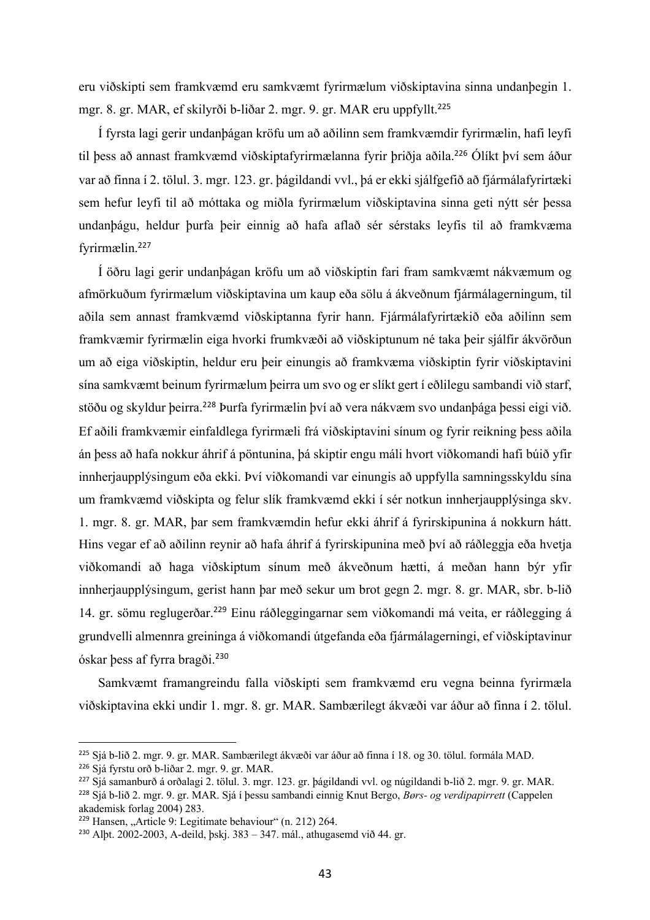eru viðskipti sem framkvæmd eru samkvæmt fyrirmælum viðskiptavina sinna undanþegin 1. mgr. 8. gr. MAR, ef skilyrði b-liðar 2. mgr. 9. gr. MAR eru uppfyllt.<sup>225</sup>

Í fyrsta lagi gerir undanþágan kröfu um að aðilinn sem framkvæmdir fyrirmælin, hafi leyfi til þess að annast framkvæmd viðskiptafyrirmælanna fyrir þriðja aðila.<sup>226</sup> Ólíkt því sem áður var að finna í 2. tölul. 3. mgr. 123. gr. þágildandi vvl., þá er ekki sjálfgefið að fjármálafyrirtæki sem hefur leyfi til að móttaka og miðla fyrirmælum viðskiptavina sinna geti nýtt sér þessa undanþágu, heldur þurfa þeir einnig að hafa aflað sér sérstaks leyfis til að framkvæma fyrirmælin.<sup>227</sup>

Í öðru lagi gerir undanþágan kröfu um að viðskiptin fari fram samkvæmt nákvæmum og afmörkuðum fyrirmælum viðskiptavina um kaup eða sölu á ákveðnum fjármálagerningum, til aðila sem annast framkvæmd viðskiptanna fyrir hann. Fjármálafyrirtækið eða aðilinn sem framkvæmir fyrirmælin eiga hvorki frumkvæði að viðskiptunum né taka þeir sjálfir ákvörðun um að eiga viðskiptin, heldur eru þeir einungis að framkvæma viðskiptin fyrir viðskiptavini sína samkvæmt beinum fyrirmælum þeirra um svo og er slíkt gert í eðlilegu sambandi við starf, stöðu og skyldur þeirra.<sup>228</sup> Þurfa fyrirmælin því að vera nákvæm svo undanþága þessi eigi við. Ef aðili framkvæmir einfaldlega fyrirmæli frá viðskiptavini sínum og fyrir reikning þess aðila án þess að hafa nokkur áhrif á pöntunina, þá skiptir engu máli hvort viðkomandi hafi búið yfir innherjaupplýsingum eða ekki. Því viðkomandi var einungis að uppfylla samningsskyldu sína um framkvæmd viðskipta og felur slík framkvæmd ekki í sér notkun innherjaupplýsinga skv. 1. mgr. 8. gr. MAR, þar sem framkvæmdin hefur ekki áhrif á fyrirskipunina á nokkurn hátt. Hins vegar ef að aðilinn reynir að hafa áhrif á fyrirskipunina með því að ráðleggja eða hvetja viðkomandi að haga viðskiptum sínum með ákveðnum hætti, á meðan hann býr yfir innherjaupplýsingum, gerist hann þar með sekur um brot gegn 2. mgr. 8. gr. MAR, sbr. b-lið 14. gr. sömu reglugerðar. <sup>229</sup> Einu ráðleggingarnar sem viðkomandi má veita, er ráðlegging á grundvelli almennra greininga á viðkomandi útgefanda eða fjármálagerningi, ef viðskiptavinur óskar þess af fyrra bragði. 230

Samkvæmt framangreindu falla viðskipti sem framkvæmd eru vegna beinna fyrirmæla viðskiptavina ekki undir 1. mgr. 8. gr. MAR. Sambærilegt ákvæði var áður að finna í 2. tölul.

<sup>225</sup> Sjá b-lið 2. mgr. 9. gr. MAR. Sambærilegt ákvæði var áður að finna í 18. og 30. tölul. formála MAD.

<sup>226</sup> Sjá fyrstu orð b-liðar 2. mgr. 9. gr. MAR.

<sup>227</sup> Sjá samanburð á orðalagi 2. tölul. 3. mgr. 123. gr. þágildandi vvl. og núgildandi b-lið 2. mgr. 9. gr. MAR.

<sup>228</sup> Sjá b-lið 2. mgr. 9. gr. MAR. Sjá í þessu sambandi einnig Knut Bergo, *Børs- og verdipapirrett* (Cappelen akademisk forlag 2004) 283.

 $229$  Hansen, "Article 9: Legitimate behaviour" (n. 212) 264.

<sup>&</sup>lt;sup>230</sup> Albt. 2002-2003, A-deild, bskj.  $383 - 347$ , mál., athugasemd við 44. gr.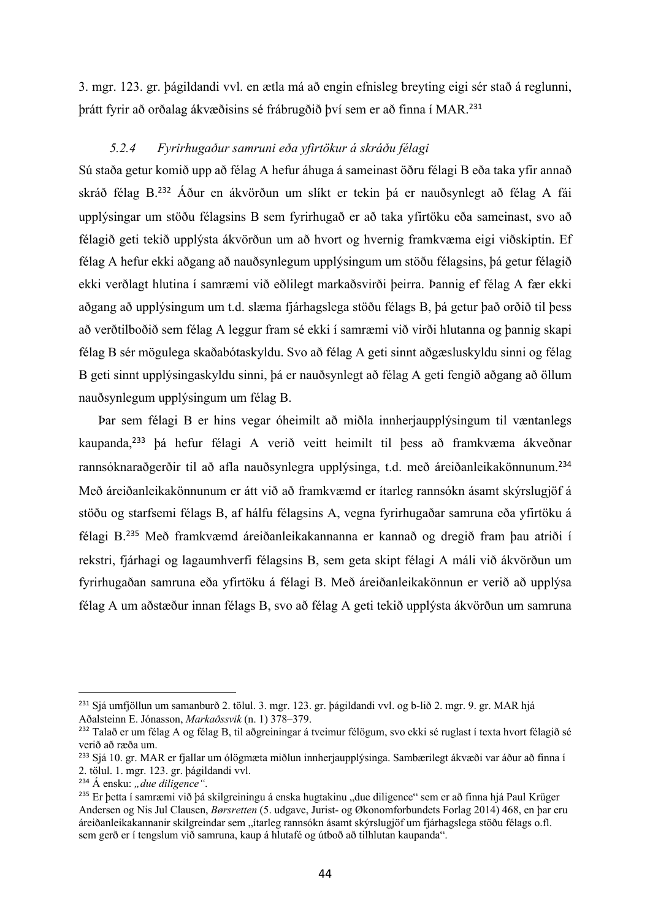3. mgr. 123. gr. þágildandi vvl. en ætla má að engin efnisleg breyting eigi sér stað á reglunni, þrátt fyrir að orðalag ákvæðisins sé frábrugðið því sem er að finna í MAR.<sup>231</sup>

#### *5.2.4 Fyrirhugaður samruni eða yfirtökur á skráðu félagi*

Sú staða getur komið upp að félag A hefur áhuga á sameinast öðru félagi B eða taka yfir annað skráð félag B.<sup>232</sup> Áður en ákvörðun um slíkt er tekin þá er nauðsynlegt að félag A fái upplýsingar um stöðu félagsins B sem fyrirhugað er að taka yfirtöku eða sameinast, svo að félagið geti tekið upplýsta ákvörðun um að hvort og hvernig framkvæma eigi viðskiptin. Ef félag A hefur ekki aðgang að nauðsynlegum upplýsingum um stöðu félagsins, þá getur félagið ekki verðlagt hlutina í samræmi við eðlilegt markaðsvirði þeirra. Þannig ef félag A fær ekki aðgang að upplýsingum um t.d. slæma fjárhagslega stöðu félags B, þá getur það orðið til þess að verðtilboðið sem félag A leggur fram sé ekki í samræmi við virði hlutanna og þannig skapi félag B sér mögulega skaðabótaskyldu. Svo að félag A geti sinnt aðgæsluskyldu sinni og félag B geti sinnt upplýsingaskyldu sinni, þá er nauðsynlegt að félag A geti fengið aðgang að öllum nauðsynlegum upplýsingum um félag B.

Þar sem félagi B er hins vegar óheimilt að miðla innherjaupplýsingum til væntanlegs kaupanda,<sup>233</sup> þá hefur félagi A verið veitt heimilt til þess að framkvæma ákveðnar rannsóknaraðgerðir til að afla nauðsynlegra upplýsinga, t.d. með áreiðanleikakönnunum. 234 Með áreiðanleikakönnunum er átt við að framkvæmd er ítarleg rannsókn ásamt skýrslugjöf á stöðu og starfsemi félags B, af hálfu félagsins A, vegna fyrirhugaðar samruna eða yfirtöku á félagi B.<sup>235</sup> Með framkvæmd áreiðanleikakannanna er kannað og dregið fram þau atriði í rekstri, fjárhagi og lagaumhverfi félagsins B, sem geta skipt félagi A máli við ákvörðun um fyrirhugaðan samruna eða yfirtöku á félagi B. Með áreiðanleikakönnun er verið að upplýsa félag A um aðstæður innan félags B, svo að félag A geti tekið upplýsta ákvörðun um samruna

<sup>&</sup>lt;sup>231</sup> Siá umfjöllun um samanburð 2. tölul. 3. mgr. 123. gr. þágildandi vvl. og b-lið 2. mgr. 9. gr. MAR hjá Aðalsteinn E. Jónasson, *Markaðssvik* (n. 1) 378–379.

<sup>232</sup> Talað er um félag A og félag B, til aðgreiningar á tveimur félögum, svo ekki sé ruglast í texta hvort félagið sé verið að ræða um.

<sup>233</sup> Sjá 10. gr. MAR er fjallar um ólögmæta miðlun innherjaupplýsinga. Sambærilegt ákvæði var áður að finna í 2. tölul. 1. mgr. 123. gr. þágildandi vvl.

<sup>&</sup>lt;sup>234</sup> Á ensku: "due diligence".

<sup>&</sup>lt;sup>235</sup> Er betta í samræmi við bá skilgreiningu á enska hugtakinu "due diligence" sem er að finna hjá Paul Krüger Andersen og Nis Jul Clausen, *Børsretten* (5. udgave, Jurist- og Økonomforbundets Forlag 2014) 468, en þar eru áreiðanleikakannanir skilgreindar sem "ítarleg rannsókn ásamt skýrslugjöf um fjárhagslega stöðu félags o.fl. sem gerð er í tengslum við samruna, kaup á hlutafé og útboð að tilhlutan kaupanda".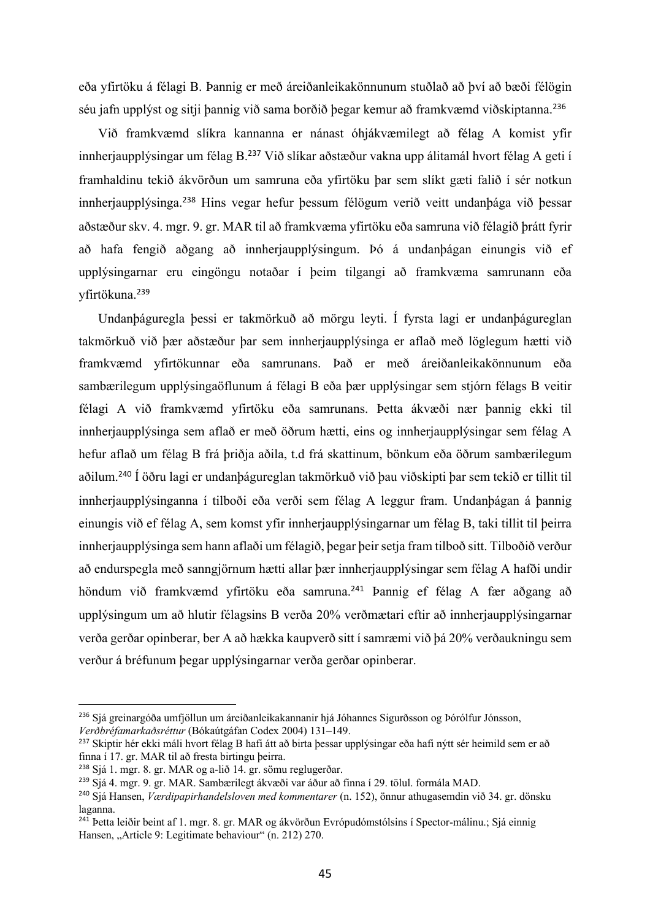eða yfirtöku á félagi B. Þannig er með áreiðanleikakönnunum stuðlað að því að bæði félögin séu jafn upplýst og sitji þannig við sama borðið þegar kemur að framkvæmd viðskiptanna.<sup>236</sup>

Við framkvæmd slíkra kannanna er nánast óhjákvæmilegt að félag A komist yfir innherjaupplýsingar um félag B.<sup>237</sup> Við slíkar aðstæður vakna upp álitamál hvort félag A geti í framhaldinu tekið ákvörðun um samruna eða yfirtöku þar sem slíkt gæti falið í sér notkun innherjaupplýsinga.<sup>238</sup> Hins vegar hefur þessum félögum verið veitt undanþága við þessar aðstæður skv. 4. mgr. 9. gr. MAR til að framkvæma yfirtöku eða samruna við félagið þrátt fyrir að hafa fengið aðgang að innherjaupplýsingum. Þó á undanþágan einungis við ef upplýsingarnar eru eingöngu notaðar í þeim tilgangi að framkvæma samrunann eða yfirtökuna.<sup>239</sup>

Undanþáguregla þessi er takmörkuð að mörgu leyti. Í fyrsta lagi er undanþágureglan takmörkuð við þær aðstæður þar sem innherjaupplýsinga er aflað með löglegum hætti við framkvæmd yfirtökunnar eða samrunans. Það er með áreiðanleikakönnunum eða sambærilegum upplýsingaöflunum á félagi B eða þær upplýsingar sem stjórn félags B veitir félagi A við framkvæmd yfirtöku eða samrunans. Þetta ákvæði nær þannig ekki til innherjaupplýsinga sem aflað er með öðrum hætti, eins og innherjaupplýsingar sem félag A hefur aflað um félag B frá þriðja aðila, t.d frá skattinum, bönkum eða öðrum sambærilegum aðilum.<sup>240</sup> Í öðru lagi er undanþágureglan takmörkuð við þau viðskipti þar sem tekið er tillit til innherjaupplýsinganna í tilboði eða verði sem félag A leggur fram. Undanþágan á þannig einungis við ef félag A, sem komst yfir innherjaupplýsingarnar um félag B, taki tillit til þeirra innherjaupplýsinga sem hann aflaði um félagið, þegar þeir setja fram tilboð sitt. Tilboðið verður að endurspegla með sanngjörnum hætti allar þær innherjaupplýsingar sem félag A hafði undir höndum við framkvæmd yfirtöku eða samruna.<sup>241</sup> Þannig ef félag A fær aðgang að upplýsingum um að hlutir félagsins B verða 20% verðmætari eftir að innherjaupplýsingarnar verða gerðar opinberar, ber A að hækka kaupverð sitt í samræmi við þá 20% verðaukningu sem verður á bréfunum þegar upplýsingarnar verða gerðar opinberar.

<sup>236</sup> Sjá greinargóða umfjöllun um áreiðanleikakannanir hjá Jóhannes Sigurðsson og Þórólfur Jónsson, *Verðbréfamarkaðsréttur* (Bókaútgáfan Codex 2004) 131–149.

<sup>&</sup>lt;sup>237</sup> Skiptir hér ekki máli hvort félag B hafi átt að birta þessar upplýsingar eða hafi nýtt sér heimild sem er að finna í 17. gr. MAR til að fresta birtingu þeirra.

<sup>238</sup> Sjá 1. mgr. 8. gr. MAR og a-lið 14. gr. sömu reglugerðar.

<sup>239</sup> Sjá 4. mgr. 9. gr. MAR. Sambærilegt ákvæði var áður að finna í 29. tölul. formála MAD.

<sup>240</sup> Sjá Hansen, *Værdipapirhandelsloven med kommentarer* (n. 152), önnur athugasemdin við 34. gr. dönsku laganna.

<sup>&</sup>lt;sup>241</sup> Þetta leiðir beint af 1. mgr. 8. gr. MAR og ákvörðun Evrópudómstólsins í Spector-málinu.; Sjá einnig Hansen, "Article 9: Legitimate behaviour" (n. 212) 270.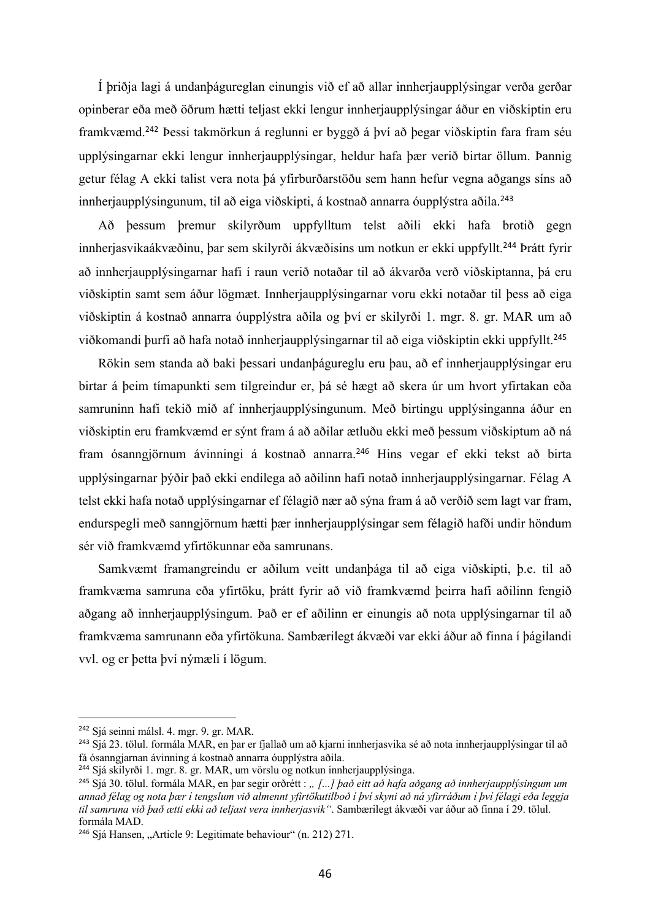Í þriðja lagi á undanþágureglan einungis við ef að allar innherjaupplýsingar verða gerðar opinberar eða með öðrum hætti teljast ekki lengur innherjaupplýsingar áður en viðskiptin eru framkvæmd. <sup>242</sup> Þessi takmörkun á reglunni er byggð á því að þegar viðskiptin fara fram séu upplýsingarnar ekki lengur innherjaupplýsingar, heldur hafa þær verið birtar öllum. Þannig getur félag A ekki talist vera nota þá yfirburðarstöðu sem hann hefur vegna aðgangs síns að innherjaupplýsingunum, til að eiga viðskipti, á kostnað annarra óupplýstra aðila.<sup>243</sup>

Að þessum þremur skilyrðum uppfylltum telst aðili ekki hafa brotið gegn innherjasvikaákvæðinu, þar sem skilyrði ákvæðisins um notkun er ekki uppfyllt.<sup>244</sup> Þrátt fyrir að innherjaupplýsingarnar hafi í raun verið notaðar til að ákvarða verð viðskiptanna, þá eru viðskiptin samt sem áður lögmæt. Innherjaupplýsingarnar voru ekki notaðar til þess að eiga viðskiptin á kostnað annarra óupplýstra aðila og því er skilyrði 1. mgr. 8. gr. MAR um að viðkomandi þurfi að hafa notað innherjaupplýsingarnar til að eiga viðskiptin ekki uppfyllt.<sup>245</sup>

Rökin sem standa að baki þessari undanþágureglu eru þau, að ef innherjaupplýsingar eru birtar á þeim tímapunkti sem tilgreindur er, þá sé hægt að skera úr um hvort yfirtakan eða samruninn hafi tekið mið af innherjaupplýsingunum. Með birtingu upplýsinganna áður en viðskiptin eru framkvæmd er sýnt fram á að aðilar ætluðu ekki með þessum viðskiptum að ná fram ósanngjörnum ávinningi á kostnað annarra.<sup>246</sup> Hins vegar ef ekki tekst að birta upplýsingarnar þýðir það ekki endilega að aðilinn hafi notað innherjaupplýsingarnar. Félag A telst ekki hafa notað upplýsingarnar ef félagið nær að sýna fram á að verðið sem lagt var fram, endurspegli með sanngjörnum hætti þær innherjaupplýsingar sem félagið hafði undir höndum sér við framkvæmd yfirtökunnar eða samrunans.

Samkvæmt framangreindu er aðilum veitt undanþága til að eiga viðskipti, þ.e. til að framkvæma samruna eða yfirtöku, þrátt fyrir að við framkvæmd þeirra hafi aðilinn fengið aðgang að innherjaupplýsingum. Það er ef aðilinn er einungis að nota upplýsingarnar til að framkvæma samrunann eða yfirtökuna. Sambærilegt ákvæði var ekki áður að finna í þágilandi vvl. og er þetta því nýmæli í lögum.

<sup>242</sup> Sjá seinni málsl. 4. mgr. 9. gr. MAR.

<sup>243</sup> Sjá 23. tölul. formála MAR, en þar er fjallað um að kjarni innherjasvika sé að nota innherjaupplýsingar til að fá ósanngjarnan ávinning á kostnað annarra óupplýstra aðila.

<sup>244</sup> Sjá skilyrði 1. mgr. 8. gr. MAR, um vörslu og notkun innherjaupplýsinga.

<sup>&</sup>lt;sup>245</sup> Sjá 30. tölul. formála MAR, en þar segir orðrétt : " [...] það eitt að hafa aðgang að innherjaupplýsingum um *annað félag og nota þær í tengslum við almennt yfirtökutilboð í því skyni að ná yfirráðum í því félagi eða leggja til samruna við það ætti ekki að teljast vera innherjasvik"*. Sambærilegt ákvæði var áður að finna í 29. tölul. formála MAD.

<sup>&</sup>lt;sup>246</sup> Siá Hansen, "Article 9: Legitimate behaviour" (n. 212) 271.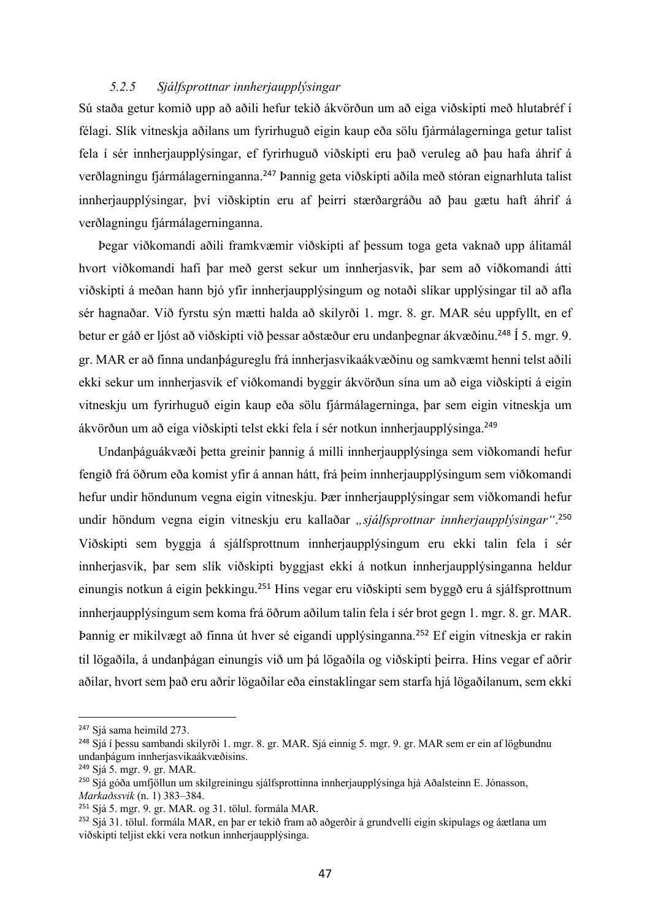#### *5.2.5 Sjálfsprottnar innherjaupplýsingar*

Sú staða getur komið upp að aðili hefur tekið ákvörðun um að eiga viðskipti með hlutabréf í félagi. Slík vitneskja aðilans um fyrirhuguð eigin kaup eða sölu fjármálagerninga getur talist fela í sér innherjaupplýsingar, ef fyrirhuguð viðskipti eru það veruleg að þau hafa áhrif á verðlagningu fjármálagerninganna.<sup>247</sup> Þannig geta viðskipti aðila með stóran eignarhluta talist innherjaupplýsingar, því viðskiptin eru af þeirri stærðargráðu að þau gætu haft áhrif á verðlagningu fjármálagerninganna.

Þegar viðkomandi aðili framkvæmir viðskipti af þessum toga geta vaknað upp álitamál hvort viðkomandi hafi þar með gerst sekur um innherjasvik, þar sem að viðkomandi átti viðskipti á meðan hann bjó yfir innherjaupplýsingum og notaði slíkar upplýsingar til að afla sér hagnaðar. Við fyrstu sýn mætti halda að skilyrði 1. mgr. 8. gr. MAR séu uppfyllt, en ef betur er gáð er ljóst að viðskipti við þessar aðstæður eru undanþegnar ákvæðinu.<sup>248</sup> Í 5. mgr. 9. gr. MAR er að finna undanþágureglu frá innherjasvikaákvæðinu og samkvæmt henni telst aðili ekki sekur um innherjasvik ef viðkomandi byggir ákvörðun sína um að eiga viðskipti á eigin vitneskju um fyrirhuguð eigin kaup eða sölu fjármálagerninga, þar sem eigin vitneskja um ákvörðun um að eiga viðskipti telst ekki fela í sér notkun innherjaupplýsinga.<sup>249</sup>

Undanþáguákvæði þetta greinir þannig á milli innherjaupplýsinga sem viðkomandi hefur fengið frá öðrum eða komist yfir á annan hátt, frá þeim innherjaupplýsingum sem viðkomandi hefur undir höndunum vegna eigin vitneskju. Þær innherjaupplýsingar sem viðkomandi hefur undir höndum vegna eigin vitneskju eru kallaðar *"sjálfsprottnar innherjaupplýsingar"*. 250 Viðskipti sem byggja á sjálfsprottnum innherjaupplýsingum eru ekki talin fela í sér innherjasvik, þar sem slík viðskipti byggjast ekki á notkun innherjaupplýsinganna heldur einungis notkun á eigin þekkingu.<sup>251</sup> Hins vegar eru viðskipti sem byggð eru á sjálfsprottnum innherjaupplýsingum sem koma frá öðrum aðilum talin fela í sér brot gegn 1. mgr. 8. gr. MAR. Þannig er mikilvægt að finna út hver sé eigandi upplýsinganna.<sup>252</sup> Ef eigin vitneskja er rakin til lögaðila, á undanþágan einungis við um þá lögaðila og viðskipti þeirra. Hins vegar ef aðrir aðilar, hvort sem það eru aðrir lögaðilar eða einstaklingar sem starfa hjá lögaðilanum, sem ekki

<sup>&</sup>lt;sup>247</sup> Sjá sama heimild 273.

<sup>248</sup> Sjá í þessu sambandi skilyrði 1. mgr. 8. gr. MAR. Sjá einnig 5. mgr. 9. gr. MAR sem er ein af lögbundnu undanþágum innherjasvikaákvæðisins.

<sup>249</sup> Sjá 5. mgr. 9. gr. MAR.

<sup>&</sup>lt;sup>250</sup> Sjá góða umfjöllun um skilgreiningu sjálfsprottinna innherjaupplýsinga hjá Aðalsteinn E. Jónasson, *Markaðssvik* (n. 1) 383–384.

<sup>251</sup> Sjá 5. mgr. 9. gr. MAR. og 31. tölul. formála MAR.

<sup>&</sup>lt;sup>252</sup> Sjá 31. tölul. formála MAR, en þar er tekið fram að aðgerðir á grundvelli eigin skipulags og áætlana um viðskipti teljist ekki vera notkun innherjaupplýsinga.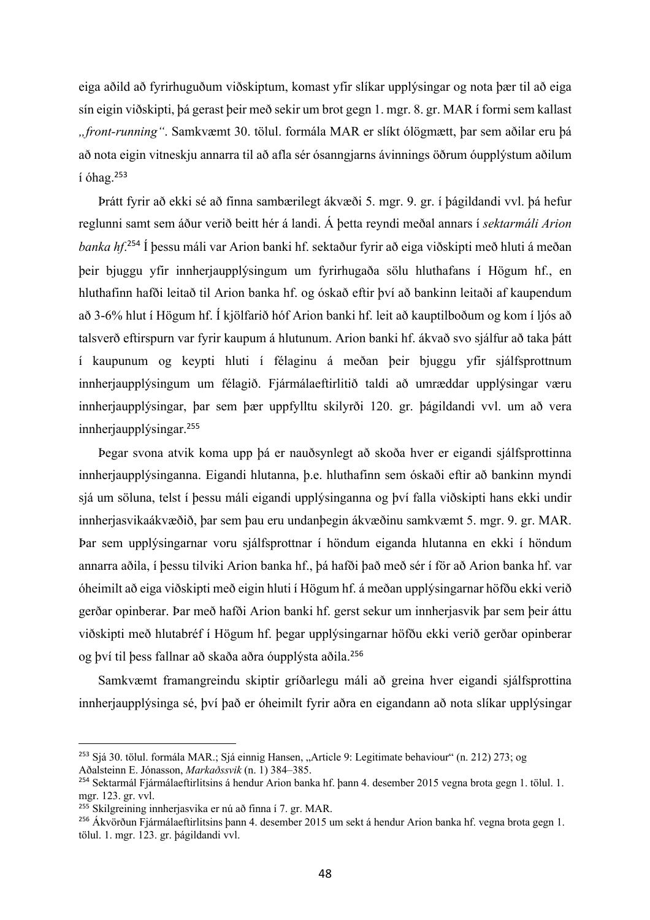eiga aðild að fyrirhuguðum viðskiptum, komast yfir slíkar upplýsingar og nota þær til að eiga sín eigin viðskipti, þá gerast þeir með sekir um brot gegn 1. mgr. 8. gr. MAR í formi sem kallast *"front-running"*. Samkvæmt 30. tölul. formála MAR er slíkt ólögmætt, þar sem aðilar eru þá að nota eigin vitneskju annarra til að afla sér ósanngjarns ávinnings öðrum óupplýstum aðilum í óhag.<sup>253</sup>

Þrátt fyrir að ekki sé að finna sambærilegt ákvæði 5. mgr. 9. gr. í þágildandi vvl. þá hefur reglunni samt sem áður verið beitt hér á landi. Á þetta reyndi meðal annars í *sektarmáli Arion banka hf*. <sup>254</sup> Í þessu máli var Arion banki hf. sektaður fyrir að eiga viðskipti með hluti á meðan þeir bjuggu yfir innherjaupplýsingum um fyrirhugaða sölu hluthafans í Högum hf., en hluthafinn hafði leitað til Arion banka hf. og óskað eftir því að bankinn leitaði af kaupendum að 3-6% hlut í Högum hf. Í kjölfarið hóf Arion banki hf. leit að kauptilboðum og kom í ljós að talsverð eftirspurn var fyrir kaupum á hlutunum. Arion banki hf. ákvað svo sjálfur að taka þátt í kaupunum og keypti hluti í félaginu á meðan þeir bjuggu yfir sjálfsprottnum innherjaupplýsingum um félagið. Fjármálaeftirlitið taldi að umræddar upplýsingar væru innherjaupplýsingar, þar sem þær uppfylltu skilyrði 120. gr. þágildandi vvl. um að vera innherjaupplýsingar.<sup>255</sup>

Þegar svona atvik koma upp þá er nauðsynlegt að skoða hver er eigandi sjálfsprottinna innherjaupplýsinganna. Eigandi hlutanna, þ.e. hluthafinn sem óskaði eftir að bankinn myndi sjá um söluna, telst í þessu máli eigandi upplýsinganna og því falla viðskipti hans ekki undir innherjasvikaákvæðið, þar sem þau eru undanþegin ákvæðinu samkvæmt 5. mgr. 9. gr. MAR. Þar sem upplýsingarnar voru sjálfsprottnar í höndum eiganda hlutanna en ekki í höndum annarra aðila, í þessu tilviki Arion banka hf., þá hafði það með sér í för að Arion banka hf. var óheimilt að eiga viðskipti með eigin hluti í Högum hf. á meðan upplýsingarnar höfðu ekki verið gerðar opinberar. Þar með hafði Arion banki hf. gerst sekur um innherjasvik þar sem þeir áttu viðskipti með hlutabréf í Högum hf. þegar upplýsingarnar höfðu ekki verið gerðar opinberar og því til þess fallnar að skaða aðra óupplýsta aðila.<sup>256</sup>

Samkvæmt framangreindu skiptir gríðarlegu máli að greina hver eigandi sjálfsprottina innherjaupplýsinga sé, því það er óheimilt fyrir aðra en eigandann að nota slíkar upplýsingar

<sup>&</sup>lt;sup>253</sup> Sjá 30. tölul. formála MAR.; Sjá einnig Hansen, "Article 9: Legitimate behaviour" (n. 212) 273; og Aðalsteinn E. Jónasson, *Markaðssvik* (n. 1) 384–385.

<sup>&</sup>lt;sup>254</sup> Sektarmál Fjármálaeftirlitsins á hendur Arion banka hf. þann 4. desember 2015 vegna brota gegn 1. tölul. 1. mgr. 123. gr. vvl.

<sup>255</sup> Skilgreining innherjasvika er nú að finna í 7. gr. MAR.

<sup>256</sup> Ákvörðun Fjármálaeftirlitsins þann 4. desember 2015 um sekt á hendur Arion banka hf. vegna brota gegn 1. tölul. 1. mgr. 123. gr. þágildandi vvl.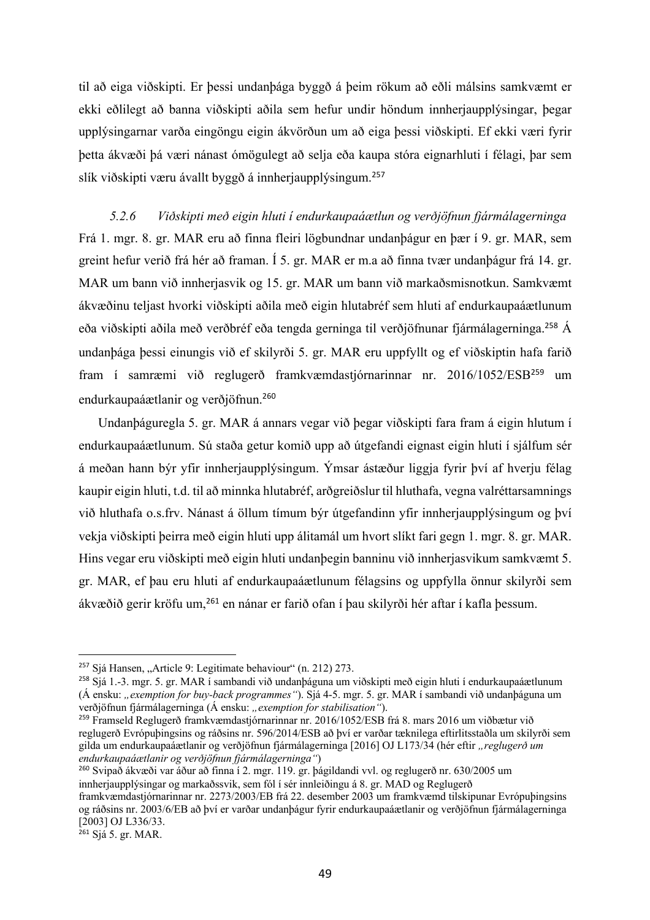til að eiga viðskipti. Er þessi undanþága byggð á þeim rökum að eðli málsins samkvæmt er ekki eðlilegt að banna viðskipti aðila sem hefur undir höndum innherjaupplýsingar, þegar upplýsingarnar varða eingöngu eigin ákvörðun um að eiga þessi viðskipti. Ef ekki væri fyrir þetta ákvæði þá væri nánast ómögulegt að selja eða kaupa stóra eignarhluti í félagi, þar sem slík viðskipti væru ávallt byggð á innherjaupplýsingum.<sup>257</sup>

*5.2.6 Viðskipti með eigin hluti í endurkaupaáætlun og verðjöfnun fjármálagerninga* Frá 1. mgr. 8. gr. MAR eru að finna fleiri lögbundnar undanþágur en þær í 9. gr. MAR, sem greint hefur verið frá hér að framan. Í 5. gr. MAR er m.a að finna tvær undanþágur frá 14. gr. MAR um bann við innherjasvik og 15. gr. MAR um bann við markaðsmisnotkun. Samkvæmt ákvæðinu teljast hvorki viðskipti aðila með eigin hlutabréf sem hluti af endurkaupaáætlunum eða viðskipti aðila með verðbréf eða tengda gerninga til verðjöfnunar fjármálagerninga.<sup>258</sup> Á undanþága þessi einungis við ef skilyrði 5. gr. MAR eru uppfyllt og ef viðskiptin hafa farið fram í samræmi við reglugerð framkvæmdastjórnarinnar nr. 2016/1052/ESB<sup>259</sup> um endurkaupaáætlanir og verðjöfnun.<sup>260</sup>

Undanþáguregla 5. gr. MAR á annars vegar við þegar viðskipti fara fram á eigin hlutum í endurkaupaáætlunum. Sú staða getur komið upp að útgefandi eignast eigin hluti í sjálfum sér á meðan hann býr yfir innherjaupplýsingum. Ýmsar ástæður liggja fyrir því af hverju félag kaupir eigin hluti, t.d. til að minnka hlutabréf, arðgreiðslur til hluthafa, vegna valréttarsamnings við hluthafa o.s.frv. Nánast á öllum tímum býr útgefandinn yfir innherjaupplýsingum og því vekja viðskipti þeirra með eigin hluti upp álitamál um hvort slíkt fari gegn 1. mgr. 8. gr. MAR. Hins vegar eru viðskipti með eigin hluti undanþegin banninu við innherjasvikum samkvæmt 5. gr. MAR, ef þau eru hluti af endurkaupaáætlunum félagsins og uppfylla önnur skilyrði sem ákvæðið gerir kröfu um,<sup>261</sup> en nánar er farið ofan í þau skilyrði hér aftar í kafla þessum.

<sup>260</sup> Svipað ákvæði var áður að finna í 2. mgr. 119. gr. þágildandi vvl. og reglugerð nr. 630/2005 um innherjaupplýsingar og markaðssvik, sem fól í sér innleiðingu á 8. gr. MAD og Reglugerð

<sup>261</sup> Sjá 5. gr. MAR.

<sup>&</sup>lt;sup>257</sup> Sjá Hansen, "Article 9: Legitimate behaviour" (n. 212) 273.

<sup>258</sup> Sjá 1.-3. mgr. 5. gr. MAR í sambandi við undanþáguna um viðskipti með eigin hluti í endurkaupaáætlunum (Á ensku: *"exemption for buy-back programmes"*). Sjá 4-5. mgr. 5. gr. MAR í sambandi við undanþáguna um verðjöfnun fjármálagerninga (Á ensku: "*exemption for stabilisation"*).

<sup>259</sup> Framseld Reglugerð framkvæmdastjórnarinnar nr. 2016/1052/ESB frá 8. mars 2016 um viðbætur við reglugerð Evrópuþingsins og ráðsins nr. 596/2014/ESB að því er varðar tæknilega eftirlitsstaðla um skilyrði sem gilda um endurkaupaáætlanir og verðjöfnun fjármálagerninga [2016] OJ L173/34 (hér eftir *"reglugerð um endurkaupaáætlanir og verðjöfnun fjármálagerninga"*)

framkvæmdastjórnarinnar nr. 2273/2003/EB frá 22. desember 2003 um framkvæmd tilskipunar Evrópuþingsins og ráðsins nr. 2003/6/EB að því er varðar undanþágur fyrir endurkaupaáætlanir og verðjöfnun fjármálagerninga [2003] OJ L336/33.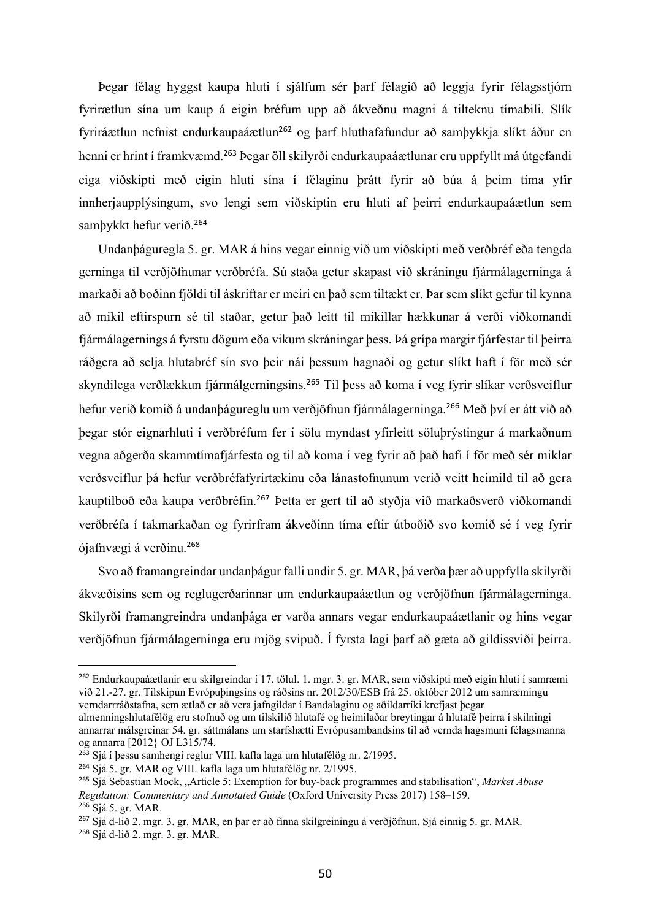Þegar félag hyggst kaupa hluti í sjálfum sér þarf félagið að leggja fyrir félagsstjórn fyrirætlun sína um kaup á eigin bréfum upp að ákveðnu magni á tilteknu tímabili. Slík fyriráætlun nefnist endurkaupaáætlun<sup>262</sup> og þarf hluthafafundur að samþykkja slíkt áður en henni er hrint í framkvæmd.<sup>263</sup> Þegar öll skilyrði endurkaupaáætlunar eru uppfyllt má útgefandi eiga viðskipti með eigin hluti sína í félaginu þrátt fyrir að búa á þeim tíma yfir innherjaupplýsingum, svo lengi sem viðskiptin eru hluti af þeirri endurkaupaáætlun sem samþykkt hefur verið.<sup>264</sup>

Undanþáguregla 5. gr. MAR á hins vegar einnig við um viðskipti með verðbréf eða tengda gerninga til verðjöfnunar verðbréfa. Sú staða getur skapast við skráningu fjármálagerninga á markaði að boðinn fjöldi til áskriftar er meiri en það sem tiltækt er. Þar sem slíkt gefur til kynna að mikil eftirspurn sé til staðar, getur það leitt til mikillar hækkunar á verði viðkomandi fjármálagernings á fyrstu dögum eða vikum skráningar þess. Þá grípa margir fjárfestar til þeirra ráðgera að selja hlutabréf sín svo þeir nái þessum hagnaði og getur slíkt haft í för með sér skyndilega verðlækkun fjármálgerningsins.<sup>265</sup> Til þess að koma í veg fyrir slíkar verðsveiflur hefur verið komið á undanþágureglu um verðjöfnun fjármálagerninga.<sup>266</sup> Með því er átt við að þegar stór eignarhluti í verðbréfum fer í sölu myndast yfirleitt söluþrýstingur á markaðnum vegna aðgerða skammtímafjárfesta og til að koma í veg fyrir að það hafi í för með sér miklar verðsveiflur þá hefur verðbréfafyrirtækinu eða lánastofnunum verið veitt heimild til að gera kauptilboð eða kaupa verðbréfin.<sup>267</sup> Þetta er gert til að styðja við markaðsverð viðkomandi verðbréfa í takmarkaðan og fyrirfram ákveðinn tíma eftir útboðið svo komið sé í veg fyrir ójafnvægi á verðinu.<sup>268</sup>

Svo að framangreindar undanþágur falli undir 5. gr. MAR, þá verða þær að uppfylla skilyrði ákvæðisins sem og reglugerðarinnar um endurkaupaáætlun og verðjöfnun fjármálagerninga. Skilyrði framangreindra undanþága er varða annars vegar endurkaupaáætlanir og hins vegar verðjöfnun fjármálagerninga eru mjög svipuð. Í fyrsta lagi þarf að gæta að gildissviði þeirra.

<sup>262</sup> Endurkaupaáætlanir eru skilgreindar í 17. tölul. 1. mgr. 3. gr. MAR, sem viðskipti með eigin hluti í samræmi við 21.-27. gr. Tilskipun Evrópuþingsins og ráðsins nr. 2012/30/ESB frá 25. október 2012 um samræmingu verndarrráðstafna, sem ætlað er að vera jafngildar í Bandalaginu og aðildarríki krefjast þegar almenningshlutafélög eru stofnuð og um tilskilið hlutafé og heimilaðar breytingar á hlutafé þeirra í skilningi

annarrar málsgreinar 54. gr. sáttmálans um starfshætti Evrópusambandsins til að vernda hagsmuni félagsmanna og annarra [2012} OJ L315/74.

<sup>&</sup>lt;sup>263</sup> Sjá í þessu samhengi reglur VIII. kafla laga um hlutafélög nr. 2/1995.

<sup>264</sup> Sjá 5. gr. MAR og VIII. kafla laga um hlutafélög nr. 2/1995.

<sup>265</sup> Sjá Sebastian Mock, "Article 5: Exemption for buy-back programmes and stabilisation", *Market Abuse Regulation: Commentary and Annotated Guide* (Oxford University Press 2017) 158–159. <sup>266</sup> Sjá 5. gr. MAR.

<sup>267</sup> Sjá d-lið 2. mgr. 3. gr. MAR, en þar er að finna skilgreiningu á verðjöfnun. Sjá einnig 5. gr. MAR.

<sup>268</sup> Sjá d-lið 2. mgr. 3. gr. MAR.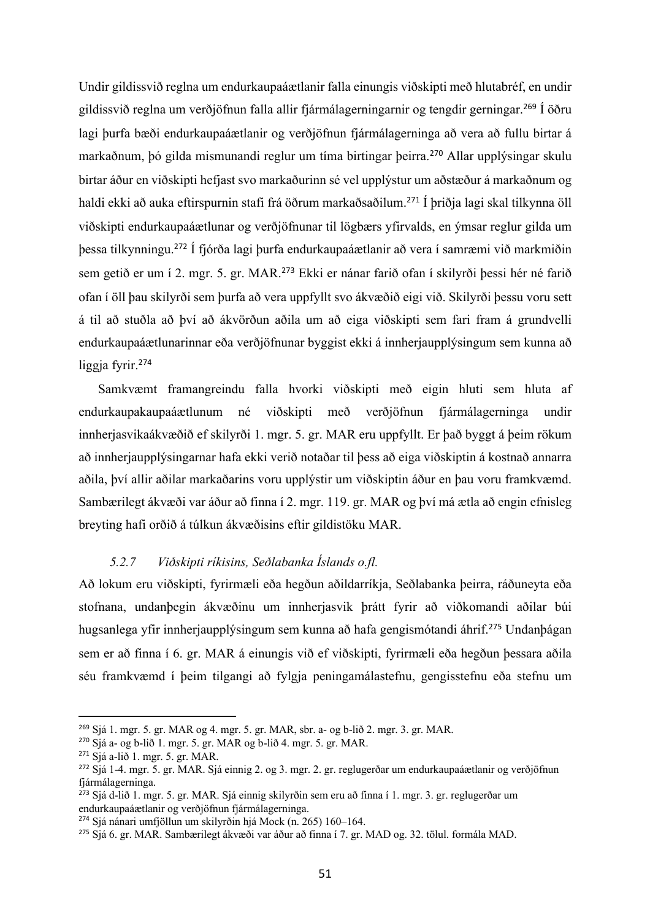Undir gildissvið reglna um endurkaupaáætlanir falla einungis viðskipti með hlutabréf, en undir gildissvið reglna um verðjöfnun falla allir fjármálagerningarnir og tengdir gerningar.<sup>269</sup> Í öðru lagi þurfa bæði endurkaupaáætlanir og verðjöfnun fjármálagerninga að vera að fullu birtar á markaðnum, þó gilda mismunandi reglur um tíma birtingar þeirra. <sup>270</sup> Allar upplýsingar skulu birtar áður en viðskipti hefjast svo markaðurinn sé vel upplýstur um aðstæður á markaðnum og haldi ekki að auka eftirspurnin stafi frá öðrum markaðsaðilum.<sup>271</sup> Í þriðja lagi skal tilkynna öll viðskipti endurkaupaáætlunar og verðjöfnunar til lögbærs yfirvalds, en ýmsar reglur gilda um þessa tilkynningu.<sup>272</sup> Í fjórða lagi þurfa endurkaupaáætlanir að vera í samræmi við markmiðin sem getið er um í 2. mgr. 5. gr. MAR.<sup>273</sup> Ekki er nánar farið ofan í skilyrði þessi hér né farið ofan í öll þau skilyrði sem þurfa að vera uppfyllt svo ákvæðið eigi við. Skilyrði þessu voru sett á til að stuðla að því að ákvörðun aðila um að eiga viðskipti sem fari fram á grundvelli endurkaupaáætlunarinnar eða verðjöfnunar byggist ekki á innherjaupplýsingum sem kunna að liggja fyrir.<sup>274</sup>

Samkvæmt framangreindu falla hvorki viðskipti með eigin hluti sem hluta af endurkaupakaupaáætlunum né viðskipti með verðjöfnun fjármálagerninga undir innherjasvikaákvæðið ef skilyrði 1. mgr. 5. gr. MAR eru uppfyllt. Er það byggt á þeim rökum að innherjaupplýsingarnar hafa ekki verið notaðar til þess að eiga viðskiptin á kostnað annarra aðila, því allir aðilar markaðarins voru upplýstir um viðskiptin áður en þau voru framkvæmd. Sambærilegt ákvæði var áður að finna í 2. mgr. 119. gr. MAR og því má ætla að engin efnisleg breyting hafi orðið á túlkun ákvæðisins eftir gildistöku MAR.

# *5.2.7 Viðskipti ríkisins, Seðlabanka Íslands o.fl.*

Að lokum eru viðskipti, fyrirmæli eða hegðun aðildarríkja, Seðlabanka þeirra, ráðuneyta eða stofnana, undanþegin ákvæðinu um innherjasvik þrátt fyrir að viðkomandi aðilar búi hugsanlega yfir innherjaupplýsingum sem kunna að hafa gengismótandi áhrif.<sup>275</sup> Undanþágan sem er að finna í 6. gr. MAR á einungis við ef viðskipti, fyrirmæli eða hegðun þessara aðila séu framkvæmd í þeim tilgangi að fylgja peningamálastefnu, gengisstefnu eða stefnu um

<sup>269</sup> Sjá 1. mgr. 5. gr. MAR og 4. mgr. 5. gr. MAR, sbr. a- og b-lið 2. mgr. 3. gr. MAR.

<sup>270</sup> Sjá a- og b-lið 1. mgr. 5. gr. MAR og b-lið 4. mgr. 5. gr. MAR.

<sup>271</sup> Sjá a-lið 1. mgr. 5. gr. MAR.

<sup>272</sup> Sjá 1-4. mgr. 5. gr. MAR. Sjá einnig 2. og 3. mgr. 2. gr. reglugerðar um endurkaupaáætlanir og verðjöfnun fjármálagerninga.

<sup>273</sup> Sjá d-lið 1. mgr. 5. gr. MAR. Sjá einnig skilyrðin sem eru að finna í 1. mgr. 3. gr. reglugerðar um endurkaupaáætlanir og verðjöfnun fjármálagerninga.

<sup>274</sup> Sjá nánari umfjöllun um skilyrðin hjá Mock (n. 265) 160–164.

<sup>275</sup> Sjá 6. gr. MAR. Sambærilegt ákvæði var áður að finna í 7. gr. MAD og. 32. tölul. formála MAD.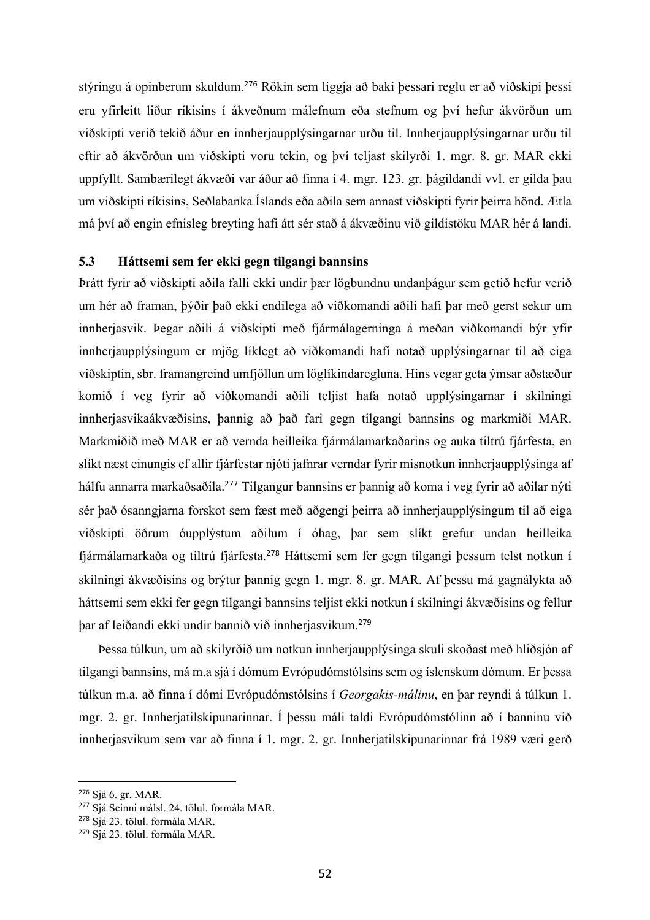stýringu á opinberum skuldum.<sup>276</sup> Rökin sem liggja að baki þessari reglu er að viðskipi þessi eru yfirleitt liður ríkisins í ákveðnum málefnum eða stefnum og því hefur ákvörðun um viðskipti verið tekið áður en innherjaupplýsingarnar urðu til. Innherjaupplýsingarnar urðu til eftir að ákvörðun um viðskipti voru tekin, og því teljast skilyrði 1. mgr. 8. gr. MAR ekki uppfyllt. Sambærilegt ákvæði var áður að finna í 4. mgr. 123. gr. þágildandi vvl. er gilda þau um viðskipti ríkisins, Seðlabanka Íslands eða aðila sem annast viðskipti fyrir þeirra hönd. Ætla má því að engin efnisleg breyting hafi átt sér stað á ákvæðinu við gildistöku MAR hér á landi.

# **5.3 Háttsemi sem fer ekki gegn tilgangi bannsins**

Þrátt fyrir að viðskipti aðila falli ekki undir þær lögbundnu undanþágur sem getið hefur verið um hér að framan, þýðir það ekki endilega að viðkomandi aðili hafi þar með gerst sekur um innherjasvik. Þegar aðili á viðskipti með fjármálagerninga á meðan viðkomandi býr yfir innherjaupplýsingum er mjög líklegt að viðkomandi hafi notað upplýsingarnar til að eiga viðskiptin, sbr. framangreind umfjöllun um löglíkindaregluna. Hins vegar geta ýmsar aðstæður komið í veg fyrir að viðkomandi aðili teljist hafa notað upplýsingarnar í skilningi innherjasvikaákvæðisins, þannig að það fari gegn tilgangi bannsins og markmiði MAR. Markmiðið með MAR er að vernda heilleika fjármálamarkaðarins og auka tiltrú fjárfesta, en slíkt næst einungis ef allir fjárfestar njóti jafnrar verndar fyrir misnotkun innherjaupplýsinga af hálfu annarra markaðsaðila.<sup>277</sup> Tilgangur bannsins er þannig að koma í veg fyrir að aðilar nýti sér það ósanngjarna forskot sem fæst með aðgengi þeirra að innherjaupplýsingum til að eiga viðskipti öðrum óupplýstum aðilum í óhag, þar sem slíkt grefur undan heilleika fjármálamarkaða og tiltrú fjárfesta.<sup>278</sup> Háttsemi sem fer gegn tilgangi þessum telst notkun í skilningi ákvæðisins og brýtur þannig gegn 1. mgr. 8. gr. MAR. Af þessu má gagnálykta að háttsemi sem ekki fer gegn tilgangi bannsins teljist ekki notkun í skilningi ákvæðisins og fellur þar af leiðandi ekki undir bannið við innherjasvikum.<sup>279</sup>

Þessa túlkun, um að skilyrðið um notkun innherjaupplýsinga skuli skoðast með hliðsjón af tilgangi bannsins, má m.a sjá í dómum Evrópudómstólsins sem og íslenskum dómum. Er þessa túlkun m.a. að finna í dómi Evrópudómstólsins í *Georgakis-málinu*, en þar reyndi á túlkun 1. mgr. 2. gr. Innherjatilskipunarinnar. Í þessu máli taldi Evrópudómstólinn að í banninu við innherjasvikum sem var að finna í 1. mgr. 2. gr. Innherjatilskipunarinnar frá 1989 væri gerð

<sup>276</sup> Sjá 6. gr. MAR.

<sup>277</sup> Sjá Seinni málsl. 24. tölul. formála MAR.

<sup>278</sup> Sjá 23. tölul. formála MAR.

<sup>279</sup> Sjá 23. tölul. formála MAR.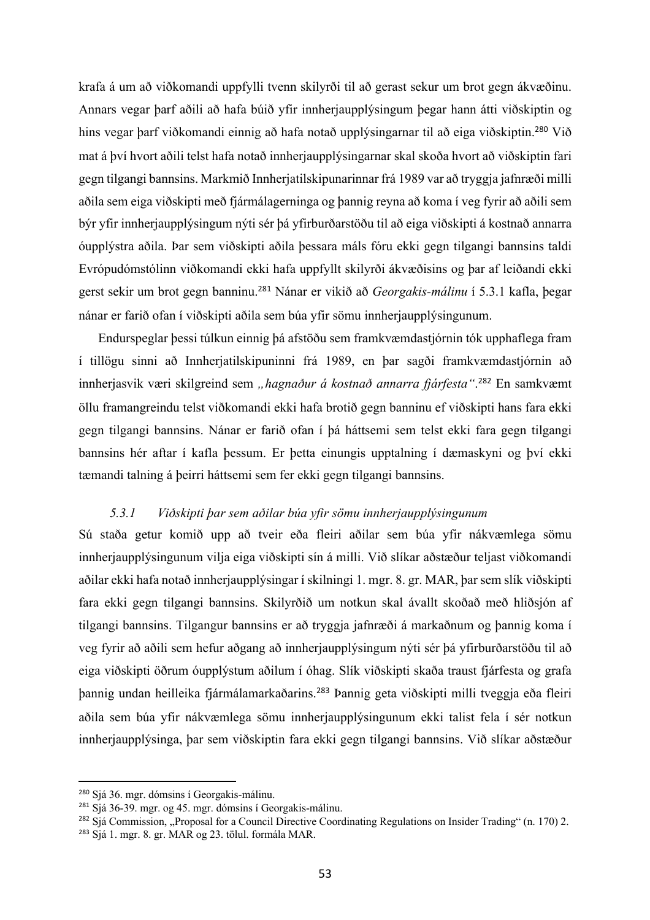krafa á um að viðkomandi uppfylli tvenn skilyrði til að gerast sekur um brot gegn ákvæðinu. Annars vegar þarf aðili að hafa búið yfir innherjaupplýsingum þegar hann átti viðskiptin og hins vegar þarf viðkomandi einnig að hafa notað upplýsingarnar til að eiga viðskiptin.<sup>280</sup> Við mat á því hvort aðili telst hafa notað innherjaupplýsingarnar skal skoða hvort að viðskiptin fari gegn tilgangi bannsins. Markmið Innherjatilskipunarinnar frá 1989 var að tryggja jafnræði milli aðila sem eiga viðskipti með fjármálagerninga og þannig reyna að koma í veg fyrir að aðili sem býr yfir innherjaupplýsingum nýti sér þá yfirburðarstöðu til að eiga viðskipti á kostnað annarra óupplýstra aðila. Þar sem viðskipti aðila þessara máls fóru ekki gegn tilgangi bannsins taldi Evrópudómstólinn viðkomandi ekki hafa uppfyllt skilyrði ákvæðisins og þar af leiðandi ekki gerst sekir um brot gegn banninu.<sup>281</sup> Nánar er vikið að *Georgakis-málinu* í 5.3.1 kafla, þegar nánar er farið ofan í viðskipti aðila sem búa yfir sömu innherjaupplýsingunum.

Endurspeglar þessi túlkun einnig þá afstöðu sem framkvæmdastjórnin tók upphaflega fram í tillögu sinni að Innherjatilskipuninni frá 1989, en þar sagði framkvæmdastjórnin að innherjasvik væri skilgreind sem *"hagnaður á kostnað annarra fjárfesta"*. <sup>282</sup> En samkvæmt öllu framangreindu telst viðkomandi ekki hafa brotið gegn banninu ef viðskipti hans fara ekki gegn tilgangi bannsins. Nánar er farið ofan í þá háttsemi sem telst ekki fara gegn tilgangi bannsins hér aftar í kafla þessum. Er þetta einungis upptalning í dæmaskyni og því ekki tæmandi talning á þeirri háttsemi sem fer ekki gegn tilgangi bannsins.

# *5.3.1 Viðskipti þar sem aðilar búa yfir sömu innherjaupplýsingunum*

Sú staða getur komið upp að tveir eða fleiri aðilar sem búa yfir nákvæmlega sömu innherjaupplýsingunum vilja eiga viðskipti sín á milli. Við slíkar aðstæður teljast viðkomandi aðilar ekki hafa notað innherjaupplýsingar í skilningi 1. mgr. 8. gr. MAR, þar sem slík viðskipti fara ekki gegn tilgangi bannsins. Skilyrðið um notkun skal ávallt skoðað með hliðsjón af tilgangi bannsins. Tilgangur bannsins er að tryggja jafnræði á markaðnum og þannig koma í veg fyrir að aðili sem hefur aðgang að innherjaupplýsingum nýti sér þá yfirburðarstöðu til að eiga viðskipti öðrum óupplýstum aðilum í óhag. Slík viðskipti skaða traust fjárfesta og grafa þannig undan heilleika fjármálamarkaðarins. <sup>283</sup> Þannig geta viðskipti milli tveggja eða fleiri aðila sem búa yfir nákvæmlega sömu innherjaupplýsingunum ekki talist fela í sér notkun innherjaupplýsinga, þar sem viðskiptin fara ekki gegn tilgangi bannsins. Við slíkar aðstæður

<sup>280</sup> Sjá 36. mgr. dómsins í Georgakis-málinu.

<sup>281</sup> Sjá 36-39. mgr. og 45. mgr. dómsins í Georgakis-málinu.

<sup>&</sup>lt;sup>282</sup> Sjá Commission, "Proposal for a Council Directive Coordinating Regulations on Insider Trading" (n. 170) 2.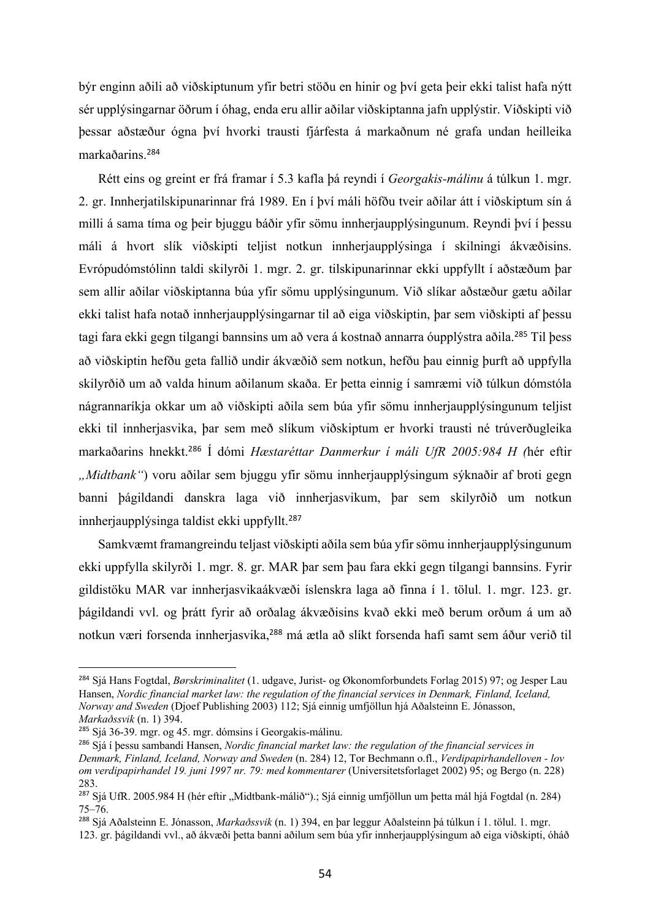býr enginn aðili að viðskiptunum yfir betri stöðu en hinir og því geta þeir ekki talist hafa nýtt sér upplýsingarnar öðrum í óhag, enda eru allir aðilar viðskiptanna jafn upplýstir. Viðskipti við þessar aðstæður ógna því hvorki trausti fjárfesta á markaðnum né grafa undan heilleika markaðarins.<sup>284</sup>

Rétt eins og greint er frá framar í 5.3 kafla þá reyndi í *Georgakis-málinu* á túlkun 1. mgr. 2. gr. Innherjatilskipunarinnar frá 1989. En í því máli höfðu tveir aðilar átt í viðskiptum sín á milli á sama tíma og þeir bjuggu báðir yfir sömu innherjaupplýsingunum. Reyndi því í þessu máli á hvort slík viðskipti teljist notkun innherjaupplýsinga í skilningi ákvæðisins. Evrópudómstólinn taldi skilyrði 1. mgr. 2. gr. tilskipunarinnar ekki uppfyllt í aðstæðum þar sem allir aðilar viðskiptanna búa yfir sömu upplýsingunum. Við slíkar aðstæður gætu aðilar ekki talist hafa notað innherjaupplýsingarnar til að eiga viðskiptin, þar sem viðskipti af þessu tagi fara ekki gegn tilgangi bannsins um að vera á kostnað annarra óupplýstra aðila. <sup>285</sup> Til þess að viðskiptin hefðu geta fallið undir ákvæðið sem notkun, hefðu þau einnig þurft að uppfylla skilyrðið um að valda hinum aðilanum skaða. Er þetta einnig í samræmi við túlkun dómstóla nágrannaríkja okkar um að viðskipti aðila sem búa yfir sömu innherjaupplýsingunum teljist ekki til innherjasvika, þar sem með slíkum viðskiptum er hvorki trausti né trúverðugleika markaðarins hnekkt.<sup>286</sup> Í dómi *Hæstaréttar Danmerkur í máli UfR 2005:984 H (*hér eftir *"Midtbank"*) voru aðilar sem bjuggu yfir sömu innherjaupplýsingum sýknaðir af broti gegn banni þágildandi danskra laga við innherjasvikum, þar sem skilyrðið um notkun innherjaupplýsinga taldist ekki uppfyllt.<sup>287</sup>

Samkvæmt framangreindu teljast viðskipti aðila sem búa yfir sömu innherjaupplýsingunum ekki uppfylla skilyrði 1. mgr. 8. gr. MAR þar sem þau fara ekki gegn tilgangi bannsins. Fyrir gildistöku MAR var innherjasvikaákvæði íslenskra laga að finna í 1. tölul. 1. mgr. 123. gr. þágildandi vvl. og þrátt fyrir að orðalag ákvæðisins kvað ekki með berum orðum á um að notkun væri forsenda innherjasvika,<sup>288</sup> má ætla að slíkt forsenda hafi samt sem áður verið til

<sup>284</sup> Sjá Hans Fogtdal, *Børskriminalitet* (1. udgave, Jurist- og Økonomforbundets Forlag 2015) 97; og Jesper Lau Hansen, *Nordic financial market law: the regulation of the financial services in Denmark, Finland, Iceland, Norway and Sweden* (Djoef Publishing 2003) 112; Sjá einnig umfjöllun hjá Aðalsteinn E. Jónasson, *Markaðssvik* (n. 1) 394.

<sup>285</sup> Sjá 36-39. mgr. og 45. mgr. dómsins í Georgakis-málinu.

<sup>286</sup> Sjá í þessu sambandi Hansen, *Nordic financial market law: the regulation of the financial services in Denmark, Finland, Iceland, Norway and Sweden* (n. 284) 12, Tor Bechmann o.fl., *Verdipapirhandelloven - lov om verdipapirhandel 19. juni 1997 nr. 79: med kommentarer* (Universitetsforlaget 2002) 95; og Bergo (n. 228) 283.

<sup>&</sup>lt;sup>287</sup> Sjá UfR. 2005.984 H (hér eftir "Midtbank-málið").; Sjá einnig umfjöllun um þetta mál hjá Fogtdal (n. 284) 75–76.

<sup>288</sup> Sjá Aðalsteinn E. Jónasson, *Markaðssvik* (n. 1) 394, en þar leggur Aðalsteinn þá túlkun í 1. tölul. 1. mgr. 123. gr. þágildandi vvl., að ákvæði þetta banni aðilum sem búa yfir innherjaupplýsingum að eiga viðskipti, óháð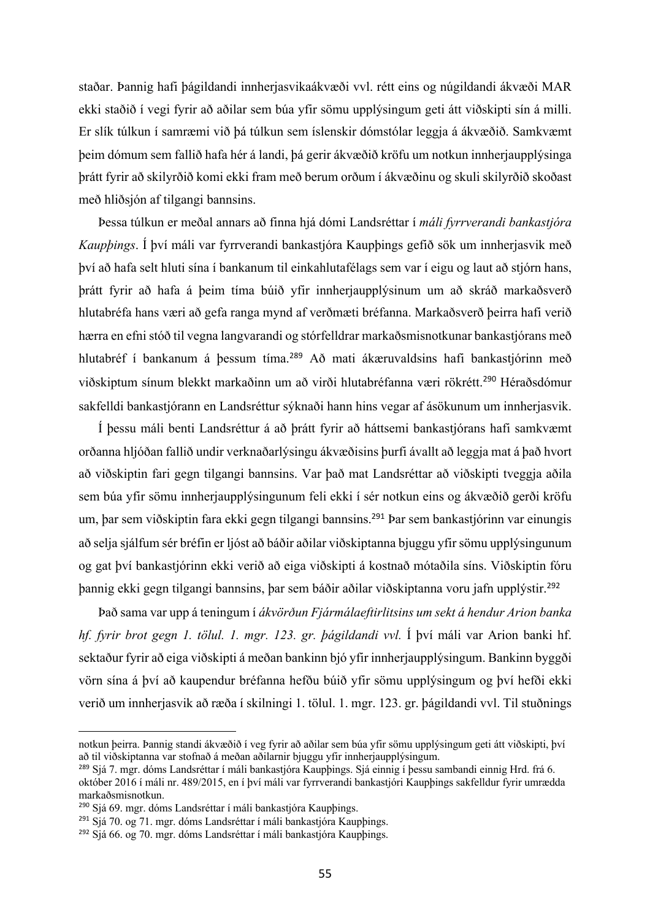staðar. Þannig hafi þágildandi innherjasvikaákvæði vvl. rétt eins og núgildandi ákvæði MAR ekki staðið í vegi fyrir að aðilar sem búa yfir sömu upplýsingum geti átt viðskipti sín á milli. Er slík túlkun í samræmi við þá túlkun sem íslenskir dómstólar leggja á ákvæðið. Samkvæmt þeim dómum sem fallið hafa hér á landi, þá gerir ákvæðið kröfu um notkun innherjaupplýsinga þrátt fyrir að skilyrðið komi ekki fram með berum orðum í ákvæðinu og skuli skilyrðið skoðast með hliðsjón af tilgangi bannsins.

Þessa túlkun er meðal annars að finna hjá dómi Landsréttar í *máli fyrrverandi bankastjóra Kaupþings*. Í því máli var fyrrverandi bankastjóra Kaupþings gefið sök um innherjasvik með því að hafa selt hluti sína í bankanum til einkahlutafélags sem var í eigu og laut að stjórn hans, þrátt fyrir að hafa á þeim tíma búið yfir innherjaupplýsinum um að skráð markaðsverð hlutabréfa hans væri að gefa ranga mynd af verðmæti bréfanna. Markaðsverð þeirra hafi verið hærra en efni stóð til vegna langvarandi og stórfelldrar markaðsmisnotkunar bankastjórans með hlutabréf í bankanum á þessum tíma.<sup>289</sup> Að mati ákæruvaldsins hafi bankastjórinn með viðskiptum sínum blekkt markaðinn um að virði hlutabréfanna væri rökrétt.<sup>290</sup> Héraðsdómur sakfelldi bankastjórann en Landsréttur sýknaði hann hins vegar af ásökunum um innherjasvik.

Í þessu máli benti Landsréttur á að þrátt fyrir að háttsemi bankastjórans hafi samkvæmt orðanna hljóðan fallið undir verknaðarlýsingu ákvæðisins þurfi ávallt að leggja mat á það hvort að viðskiptin fari gegn tilgangi bannsins. Var það mat Landsréttar að viðskipti tveggja aðila sem búa yfir sömu innherjaupplýsingunum feli ekki í sér notkun eins og ákvæðið gerði kröfu um, þar sem viðskiptin fara ekki gegn tilgangi bannsins. <sup>291</sup> Þar sem bankastjórinn var einungis að selja sjálfum sér bréfin er ljóst að báðir aðilar viðskiptanna bjuggu yfir sömu upplýsingunum og gat því bankastjórinn ekki verið að eiga viðskipti á kostnað mótaðila síns. Viðskiptin fóru þannig ekki gegn tilgangi bannsins, þar sem báðir aðilar viðskiptanna voru jafn upplýstir. 292

Það sama var upp á teningum í *ákvörðun Fjármálaeftirlitsins um sekt á hendur Arion banka hf. fyrir brot gegn 1. tölul. 1. mgr. 123. gr. þágildandi vvl.* Í því máli var Arion banki hf. sektaður fyrir að eiga viðskipti á meðan bankinn bjó yfir innherjaupplýsingum. Bankinn byggði vörn sína á því að kaupendur bréfanna hefðu búið yfir sömu upplýsingum og því hefði ekki verið um innherjasvik að ræða í skilningi 1. tölul. 1. mgr. 123. gr. þágildandi vvl. Til stuðnings

notkun þeirra. Þannig standi ákvæðið í veg fyrir að aðilar sem búa yfir sömu upplýsingum geti átt viðskipti, því að til viðskiptanna var stofnað á meðan aðilarnir bjuggu yfir innherjaupplýsingum.

<sup>&</sup>lt;sup>289</sup> Sjá 7. mgr. dóms Landsréttar í máli bankastjóra Kaupþings. Sjá einnig í þessu sambandi einnig Hrd. frá 6. október 2016 í máli nr. 489/2015, en í því máli var fyrrverandi bankastjóri Kaupþings sakfelldur fyrir umrædda markaðsmisnotkun.

<sup>290</sup> Sjá 69. mgr. dóms Landsréttar í máli bankastjóra Kaupþings.

<sup>&</sup>lt;sup>291</sup> Sjá 70. og 71. mgr. dóms Landsréttar í máli bankastjóra Kaupþings.

<sup>292</sup> Sjá 66. og 70. mgr. dóms Landsréttar í máli bankastjóra Kaupþings.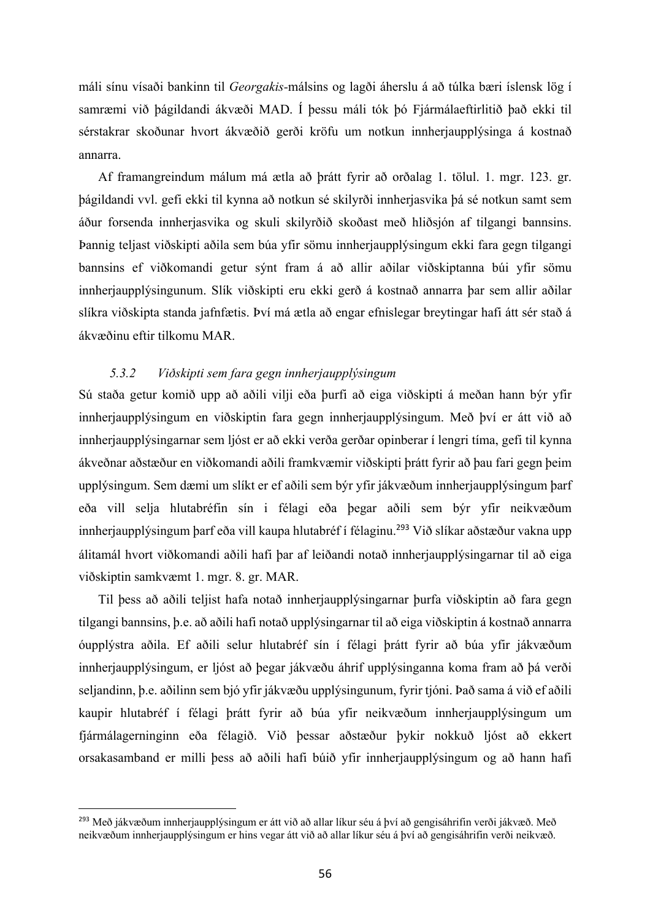máli sínu vísaði bankinn til *Georgakis-*málsins og lagði áherslu á að túlka bæri íslensk lög í samræmi við þágildandi ákvæði MAD. Í þessu máli tók þó Fjármálaeftirlitið það ekki til sérstakrar skoðunar hvort ákvæðið gerði kröfu um notkun innherjaupplýsinga á kostnað annarra.

Af framangreindum málum má ætla að þrátt fyrir að orðalag 1. tölul. 1. mgr. 123. gr. þágildandi vvl. gefi ekki til kynna að notkun sé skilyrði innherjasvika þá sé notkun samt sem áður forsenda innherjasvika og skuli skilyrðið skoðast með hliðsjón af tilgangi bannsins. Þannig teljast viðskipti aðila sem búa yfir sömu innherjaupplýsingum ekki fara gegn tilgangi bannsins ef viðkomandi getur sýnt fram á að allir aðilar viðskiptanna búi yfir sömu innherjaupplýsingunum. Slík viðskipti eru ekki gerð á kostnað annarra þar sem allir aðilar slíkra viðskipta standa jafnfætis. Því má ætla að engar efnislegar breytingar hafi átt sér stað á ákvæðinu eftir tilkomu MAR.

## *5.3.2 Viðskipti sem fara gegn innherjaupplýsingum*

Sú staða getur komið upp að aðili vilji eða þurfi að eiga viðskipti á meðan hann býr yfir innherjaupplýsingum en viðskiptin fara gegn innherjaupplýsingum. Með því er átt við að innherjaupplýsingarnar sem ljóst er að ekki verða gerðar opinberar í lengri tíma, gefi til kynna ákveðnar aðstæður en viðkomandi aðili framkvæmir viðskipti þrátt fyrir að þau fari gegn þeim upplýsingum. Sem dæmi um slíkt er ef aðili sem býr yfir jákvæðum innherjaupplýsingum þarf eða vill selja hlutabréfin sín i félagi eða þegar aðili sem býr yfir neikvæðum innherjaupplýsingum þarf eða vill kaupa hlutabréf í félaginu.<sup>293</sup> Við slíkar aðstæður vakna upp álitamál hvort viðkomandi aðili hafi þar af leiðandi notað innherjaupplýsingarnar til að eiga viðskiptin samkvæmt 1. mgr. 8. gr. MAR.

Til þess að aðili teljist hafa notað innherjaupplýsingarnar þurfa viðskiptin að fara gegn tilgangi bannsins, þ.e. að aðili hafi notað upplýsingarnar til að eiga viðskiptin á kostnað annarra óupplýstra aðila. Ef aðili selur hlutabréf sín í félagi þrátt fyrir að búa yfir jákvæðum innherjaupplýsingum, er ljóst að þegar jákvæðu áhrif upplýsinganna koma fram að þá verði seljandinn, þ.e. aðilinn sem bjó yfir jákvæðu upplýsingunum, fyrir tjóni. Það sama á við ef aðili kaupir hlutabréf í félagi þrátt fyrir að búa yfir neikvæðum innherjaupplýsingum um fjármálagerninginn eða félagið. Við þessar aðstæður þykir nokkuð ljóst að ekkert orsakasamband er milli þess að aðili hafi búið yfir innherjaupplýsingum og að hann hafi

<sup>293</sup> Með jákvæðum innherjaupplýsingum er átt við að allar líkur séu á því að gengisáhrifin verði jákvæð. Með neikvæðum innherjaupplýsingum er hins vegar átt við að allar líkur séu á því að gengisáhrifin verði neikvæð.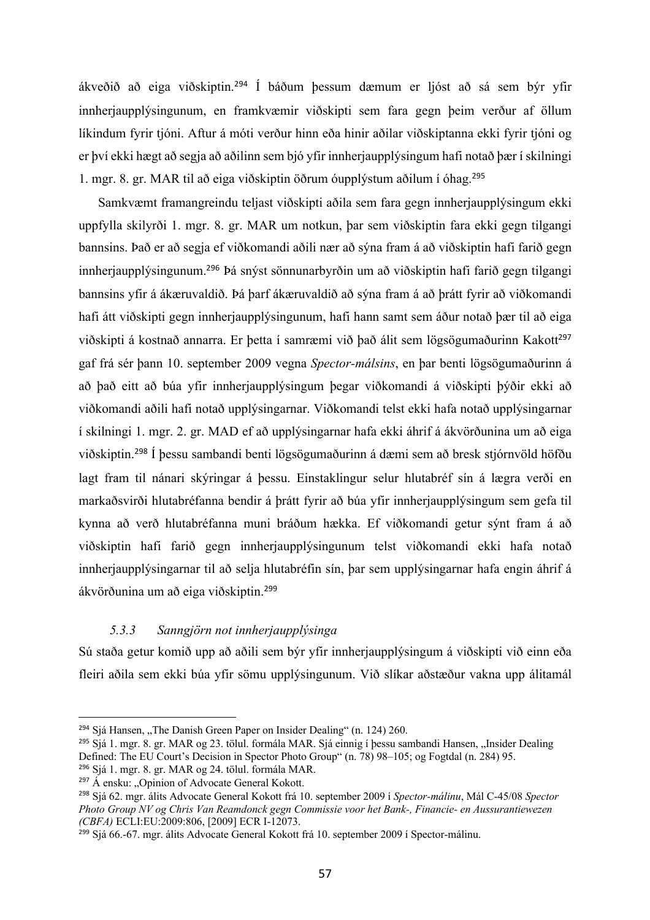ákveðið að eiga viðskiptin.<sup>294</sup> Í báðum þessum dæmum er ljóst að sá sem býr yfir innherjaupplýsingunum, en framkvæmir viðskipti sem fara gegn þeim verður af öllum líkindum fyrir tjóni. Aftur á móti verður hinn eða hinir aðilar viðskiptanna ekki fyrir tjóni og er því ekki hægt að segja að aðilinn sem bjó yfir innherjaupplýsingum hafi notað þær í skilningi 1. mgr. 8. gr. MAR til að eiga viðskiptin öðrum óupplýstum aðilum í óhag.<sup>295</sup>

Samkvæmt framangreindu teljast viðskipti aðila sem fara gegn innherjaupplýsingum ekki uppfylla skilyrði 1. mgr. 8. gr. MAR um notkun, þar sem viðskiptin fara ekki gegn tilgangi bannsins. Það er að segja ef viðkomandi aðili nær að sýna fram á að viðskiptin hafi farið gegn innherjaupplýsingunum. <sup>296</sup> Þá snýst sönnunarbyrðin um að viðskiptin hafi farið gegn tilgangi bannsins yfir á ákæruvaldið. Þá þarf ákæruvaldið að sýna fram á að þrátt fyrir að viðkomandi hafi átt viðskipti gegn innherjaupplýsingunum, hafi hann samt sem áður notað þær til að eiga viðskipti á kostnað annarra. Er þetta í samræmi við það álit sem lögsögumaðurinn Kakott<sup>297</sup> gaf frá sér þann 10. september 2009 vegna *Spector-málsins*, en þar benti lögsögumaðurinn á að það eitt að búa yfir innherjaupplýsingum þegar viðkomandi á viðskipti þýðir ekki að viðkomandi aðili hafi notað upplýsingarnar. Viðkomandi telst ekki hafa notað upplýsingarnar í skilningi 1. mgr. 2. gr. MAD ef að upplýsingarnar hafa ekki áhrif á ákvörðunina um að eiga viðskiptin.<sup>298</sup> Í þessu sambandi benti lögsögumaðurinn á dæmi sem að bresk stjórnvöld höfðu lagt fram til nánari skýringar á þessu. Einstaklingur selur hlutabréf sín á lægra verði en markaðsvirði hlutabréfanna bendir á þrátt fyrir að búa yfir innherjaupplýsingum sem gefa til kynna að verð hlutabréfanna muni bráðum hækka. Ef viðkomandi getur sýnt fram á að viðskiptin hafi farið gegn innherjaupplýsingunum telst viðkomandi ekki hafa notað innherjaupplýsingarnar til að selja hlutabréfin sín, þar sem upplýsingarnar hafa engin áhrif á ákvörðunina um að eiga viðskiptin.<sup>299</sup>

# *5.3.3 Sanngjörn not innherjaupplýsinga*

Sú staða getur komið upp að aðili sem býr yfir innherjaupplýsingum á viðskipti við einn eða fleiri aðila sem ekki búa yfir sömu upplýsingunum. Við slíkar aðstæður vakna upp álitamál

 $294$  Sjá Hansen, "The Danish Green Paper on Insider Dealing" (n. 124) 260.

<sup>&</sup>lt;sup>295</sup> Sjá 1. mgr. 8. gr. MAR og 23. tölul. formála MAR. Sjá einnig í þessu sambandi Hansen, "Insider Dealing Defined: The EU Court's Decision in Spector Photo Group" (n. 78) 98–105; og Fogtdal (n. 284) 95.

<sup>296</sup> Sjá 1. mgr. 8. gr. MAR og 24. tölul. formála MAR.

 $297 \text{ Å}$  ensku: "Opinion of Advocate General Kokott.

<sup>298</sup> Sjá 62. mgr. álits Advocate General Kokott frá 10. september 2009 í *Spector-málinu*, Mál C-45/08 *Spector Photo Group NV og Chris Van Reamdonck gegn Commissie voor het Bank-, Financie- en Aussurantiewezen (CBFA)* ECLI:EU:2009:806, [2009] ECR I-12073.

<sup>&</sup>lt;sup>299</sup> Sjá 66.-67. mgr. álits Advocate General Kokott frá 10. september 2009 í Spector-málinu.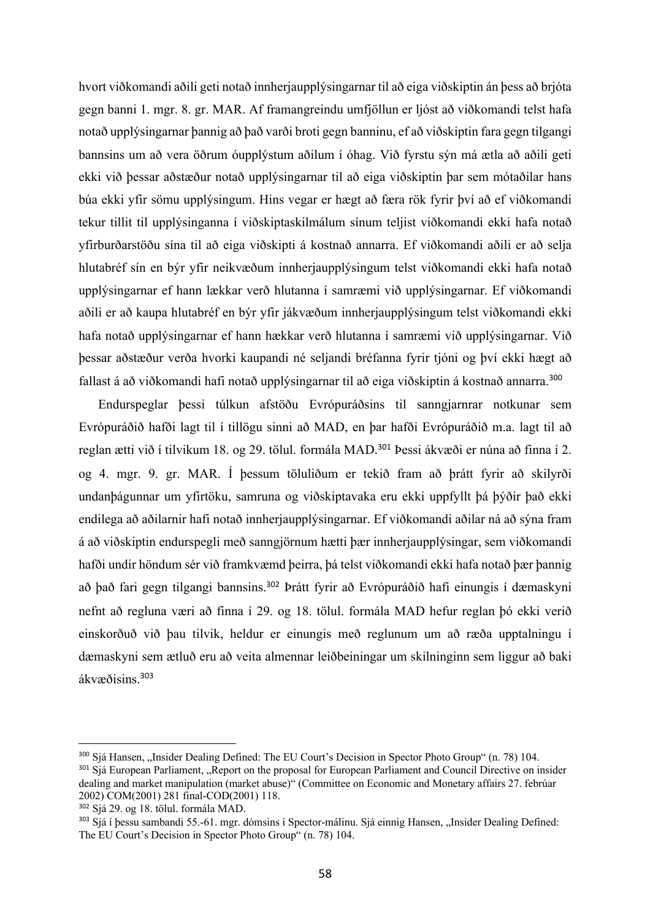hvort viðkomandi aðili geti notað innherjaupplýsingarnar til að eiga viðskiptin án þess að brjóta gegn banni 1. mgr. 8. gr. MAR. Af framangreindu umfjöllun er ljóst að viðkomandi telst hafa notað upplýsingarnar þannig að það varði broti gegn banninu, ef að viðskiptin fara gegn tilgangi bannsins um að vera öðrum óupplýstum aðilum í óhag. Við fyrstu sýn má ætla að aðili geti ekki við þessar aðstæður notað upplýsingarnar til að eiga viðskiptin þar sem mótaðilar hans búa ekki yfir sömu upplýsingum. Hins vegar er hægt að færa rök fyrir því að ef viðkomandi tekur tillit til upplýsinganna í viðskiptaskilmálum sínum teljist viðkomandi ekki hafa notað yfirburðarstöðu sína til að eiga viðskipti á kostnað annarra. Ef viðkomandi aðili er að selja hlutabréf sín en býr yfir neikvæðum innherjaupplýsingum telst viðkomandi ekki hafa notað upplýsingarnar ef hann lækkar verð hlutanna í samræmi við upplýsingarnar. Ef viðkomandi aðili er að kaupa hlutabréf en býr yfir jákvæðum innherjaupplýsingum telst viðkomandi ekki hafa notað upplýsingarnar ef hann hækkar verð hlutanna í samræmi við upplýsingarnar. Við þessar aðstæður verða hvorki kaupandi né seljandi bréfanna fyrir tjóni og því ekki hægt að fallast á að viðkomandi hafi notað upplýsingarnar til að eiga viðskiptin á kostnað annarra.<sup>300</sup>

Endurspeglar þessi túlkun afstöðu Evrópuráðsins til sanngjarnrar notkunar sem Evrópuráðið hafði lagt til í tillögu sinni að MAD, en þar hafði Evrópuráðið m.a. lagt til að reglan ætti við í tilvikum 18. og 29. tölul. formála MAD.<sup>301</sup> Þessi ákvæði er núna að finna í 2. og 4. mgr. 9. gr. MAR. Í þessum töluliðum er tekið fram að þrátt fyrir að skilyrði undanþágunnar um yfirtöku, samruna og viðskiptavaka eru ekki uppfyllt þá þýðir það ekki endilega að aðilarnir hafi notað innherjaupplýsingarnar. Ef viðkomandi aðilar ná að sýna fram á að viðskiptin endurspegli með sanngjörnum hætti þær innherjaupplýsingar, sem viðkomandi hafði undir höndum sér við framkvæmd þeirra, þá telst viðkomandi ekki hafa notað þær þannig að það fari gegn tilgangi bannsins. <sup>302</sup> Þrátt fyrir að Evrópuráðið hafi einungis í dæmaskyni nefnt að regluna væri að finna í 29. og 18. tölul. formála MAD hefur reglan þó ekki verið einskorðuð við þau tilvik, heldur er einungis með reglunum um að ræða upptalningu í dæmaskyni sem ætluð eru að veita almennar leiðbeiningar um skilninginn sem liggur að baki ákvæðisins. 303

<sup>300</sup> Sjá Hansen, "Insider Dealing Defined: The EU Court's Decision in Spector Photo Group" (n. 78) 104.

<sup>301</sup> Sjá European Parliament, "Report on the proposal for European Parliament and Council Directive on insider dealing and market manipulation (market abuse)" (Committee on Economic and Monetary affairs 27. febrúar 2002) COM(2001) 281 final-COD(2001) 118.

<sup>302</sup> Sjá 29. og 18. tölul. formála MAD.

<sup>&</sup>lt;sup>303</sup> Sjá í þessu sambandi 55.-61. mgr. dómsins í Spector-málinu. Sjá einnig Hansen, "Insider Dealing Defined: The EU Court's Decision in Spector Photo Group" (n. 78) 104.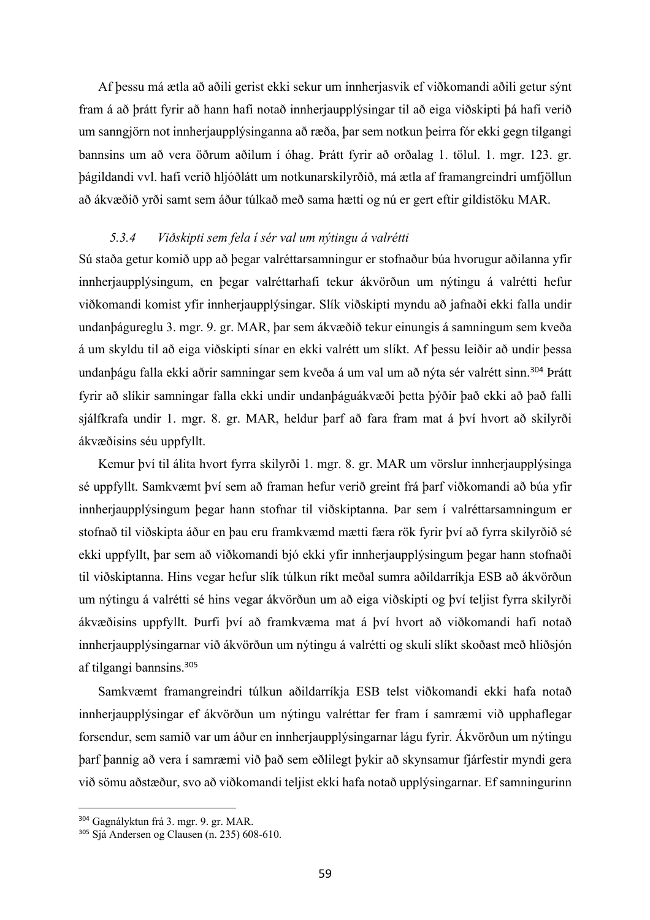Af þessu má ætla að aðili gerist ekki sekur um innherjasvik ef viðkomandi aðili getur sýnt fram á að þrátt fyrir að hann hafi notað innherjaupplýsingar til að eiga viðskipti þá hafi verið um sanngjörn not innherjaupplýsinganna að ræða, þar sem notkun þeirra fór ekki gegn tilgangi bannsins um að vera öðrum aðilum í óhag. Þrátt fyrir að orðalag 1. tölul. 1. mgr. 123. gr. þágildandi vvl. hafi verið hljóðlátt um notkunarskilyrðið, má ætla af framangreindri umfjöllun að ákvæðið yrði samt sem áður túlkað með sama hætti og nú er gert eftir gildistöku MAR.

# *5.3.4 Viðskipti sem fela í sér val um nýtingu á valrétti*

Sú staða getur komið upp að þegar valréttarsamningur er stofnaður búa hvorugur aðilanna yfir innherjaupplýsingum, en þegar valréttarhafi tekur ákvörðun um nýtingu á valrétti hefur viðkomandi komist yfir innherjaupplýsingar. Slík viðskipti myndu að jafnaði ekki falla undir undanþágureglu 3. mgr. 9. gr. MAR, þar sem ákvæðið tekur einungis á samningum sem kveða á um skyldu til að eiga viðskipti sínar en ekki valrétt um slíkt. Af þessu leiðir að undir þessa undanþágu falla ekki aðrir samningar sem kveða á um val um að nýta sér valrétt sinn. <sup>304</sup> Þrátt fyrir að slíkir samningar falla ekki undir undanþáguákvæði þetta þýðir það ekki að það falli sjálfkrafa undir 1. mgr. 8. gr. MAR, heldur þarf að fara fram mat á því hvort að skilyrði ákvæðisins séu uppfyllt.

Kemur því til álita hvort fyrra skilyrði 1. mgr. 8. gr. MAR um vörslur innherjaupplýsinga sé uppfyllt. Samkvæmt því sem að framan hefur verið greint frá þarf viðkomandi að búa yfir innherjaupplýsingum þegar hann stofnar til viðskiptanna. Þar sem í valréttarsamningum er stofnað til viðskipta áður en þau eru framkvæmd mætti færa rök fyrir því að fyrra skilyrðið sé ekki uppfyllt, þar sem að viðkomandi bjó ekki yfir innherjaupplýsingum þegar hann stofnaði til viðskiptanna. Hins vegar hefur slík túlkun ríkt meðal sumra aðildarríkja ESB að ákvörðun um nýtingu á valrétti sé hins vegar ákvörðun um að eiga viðskipti og því teljist fyrra skilyrði ákvæðisins uppfyllt. Þurfi því að framkvæma mat á því hvort að viðkomandi hafi notað innherjaupplýsingarnar við ákvörðun um nýtingu á valrétti og skuli slíkt skoðast með hliðsjón af tilgangi bannsins.<sup>305</sup>

Samkvæmt framangreindri túlkun aðildarríkja ESB telst viðkomandi ekki hafa notað innherjaupplýsingar ef ákvörðun um nýtingu valréttar fer fram í samræmi við upphaflegar forsendur, sem samið var um áður en innherjaupplýsingarnar lágu fyrir. Ákvörðun um nýtingu þarf þannig að vera í samræmi við það sem eðlilegt þykir að skynsamur fjárfestir myndi gera við sömu aðstæður, svo að viðkomandi teljist ekki hafa notað upplýsingarnar. Ef samningurinn

<sup>304</sup> Gagnályktun frá 3. mgr. 9. gr. MAR.

<sup>305</sup> Sjá Andersen og Clausen (n. 235) 608-610.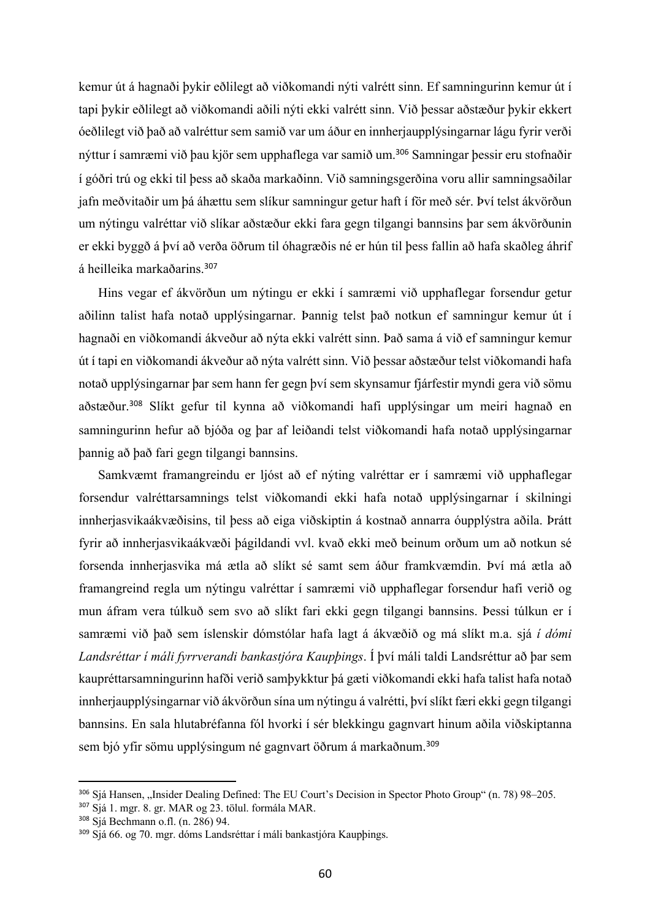kemur út á hagnaði þykir eðlilegt að viðkomandi nýti valrétt sinn. Ef samningurinn kemur út í tapi þykir eðlilegt að viðkomandi aðili nýti ekki valrétt sinn. Við þessar aðstæður þykir ekkert óeðlilegt við það að valréttur sem samið var um áður en innherjaupplýsingarnar lágu fyrir verði nýttur í samræmi við þau kjör sem upphaflega var samið um. <sup>306</sup> Samningar þessir eru stofnaðir í góðri trú og ekki til þess að skaða markaðinn. Við samningsgerðina voru allir samningsaðilar jafn meðvitaðir um þá áhættu sem slíkur samningur getur haft í för með sér. Því telst ákvörðun um nýtingu valréttar við slíkar aðstæður ekki fara gegn tilgangi bannsins þar sem ákvörðunin er ekki byggð á því að verða öðrum til óhagræðis né er hún til þess fallin að hafa skaðleg áhrif á heilleika markaðarins. 307

Hins vegar ef ákvörðun um nýtingu er ekki í samræmi við upphaflegar forsendur getur aðilinn talist hafa notað upplýsingarnar. Þannig telst það notkun ef samningur kemur út í hagnaði en viðkomandi ákveður að nýta ekki valrétt sinn. Það sama á við ef samningur kemur út í tapi en viðkomandi ákveður að nýta valrétt sinn. Við þessar aðstæður telst viðkomandi hafa notað upplýsingarnar þar sem hann fer gegn því sem skynsamur fjárfestir myndi gera við sömu aðstæður.<sup>308</sup> Slíkt gefur til kynna að viðkomandi hafi upplýsingar um meiri hagnað en samningurinn hefur að bjóða og þar af leiðandi telst viðkomandi hafa notað upplýsingarnar þannig að það fari gegn tilgangi bannsins.

Samkvæmt framangreindu er ljóst að ef nýting valréttar er í samræmi við upphaflegar forsendur valréttarsamnings telst viðkomandi ekki hafa notað upplýsingarnar í skilningi innherjasvikaákvæðisins, til þess að eiga viðskiptin á kostnað annarra óupplýstra aðila. Þrátt fyrir að innherjasvikaákvæði þágildandi vvl. kvað ekki með beinum orðum um að notkun sé forsenda innherjasvika má ætla að slíkt sé samt sem áður framkvæmdin. Því má ætla að framangreind regla um nýtingu valréttar í samræmi við upphaflegar forsendur hafi verið og mun áfram vera túlkuð sem svo að slíkt fari ekki gegn tilgangi bannsins. Þessi túlkun er í samræmi við það sem íslenskir dómstólar hafa lagt á ákvæðið og má slíkt m.a. sjá *í dómi Landsréttar í máli fyrrverandi bankastjóra Kaupþings*. Í því máli taldi Landsréttur að þar sem kaupréttarsamningurinn hafði verið samþykktur þá gæti viðkomandi ekki hafa talist hafa notað innherjaupplýsingarnar við ákvörðun sína um nýtingu á valrétti, því slíkt færi ekki gegn tilgangi bannsins. En sala hlutabréfanna fól hvorki í sér blekkingu gagnvart hinum aðila viðskiptanna sem bjó yfir sömu upplýsingum né gagnvart öðrum á markaðnum.<sup>309</sup>

<sup>306</sup> Sjá Hansen, "Insider Dealing Defined: The EU Court's Decision in Spector Photo Group" (n. 78) 98–205.

<sup>307</sup> Sjá 1. mgr. 8. gr. MAR og 23. tölul. formála MAR.

<sup>308</sup> Sjá Bechmann o.fl. (n. 286) 94.

<sup>309</sup> Sjá 66. og 70. mgr. dóms Landsréttar í máli bankastjóra Kaupþings.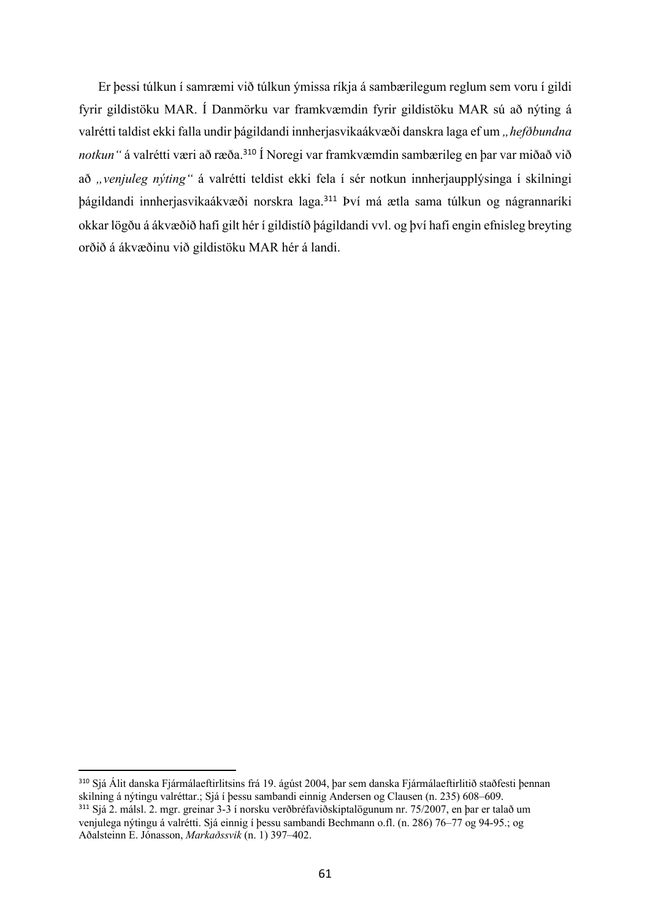Er þessi túlkun í samræmi við túlkun ýmissa ríkja á sambærilegum reglum sem voru í gildi fyrir gildistöku MAR. Í Danmörku var framkvæmdin fyrir gildistöku MAR sú að nýting á valrétti taldist ekki falla undir þágildandi innherjasvikaákvæði danskra laga ef um *"hefðbundna notkun"* á valrétti væri að ræða.<sup>310</sup> Í Noregi var framkvæmdin sambærileg en þar var miðað við að "venjuleg nýting" á valrétti teldist ekki fela í sér notkun innherjaupplýsinga í skilningi þágildandi innherjasvikaákvæði norskra laga.<sup>311</sup> Því má ætla sama túlkun og nágrannaríki okkar lögðu á ákvæðið hafi gilt hér í gildistíð þágildandi vvl. og því hafi engin efnisleg breyting orðið á ákvæðinu við gildistöku MAR hér á landi.

<sup>310</sup> Sjá Álit danska Fjármálaeftirlitsins frá 19. ágúst 2004, þar sem danska Fjármálaeftirlitið staðfesti þennan skilning á nýtingu valréttar.; Sjá í þessu sambandi einnig Andersen og Clausen (n. 235) 608–609. <sup>311</sup> Sjá 2. málsl. 2. mgr. greinar 3-3 í norsku verðbréfaviðskiptalögunum nr. 75/2007, en þar er talað um venjulega nýtingu á valrétti. Sjá einnig í þessu sambandi Bechmann o.fl. (n. 286) 76–77 og 94-95.; og Aðalsteinn E. Jónasson, *Markaðssvik* (n. 1) 397–402.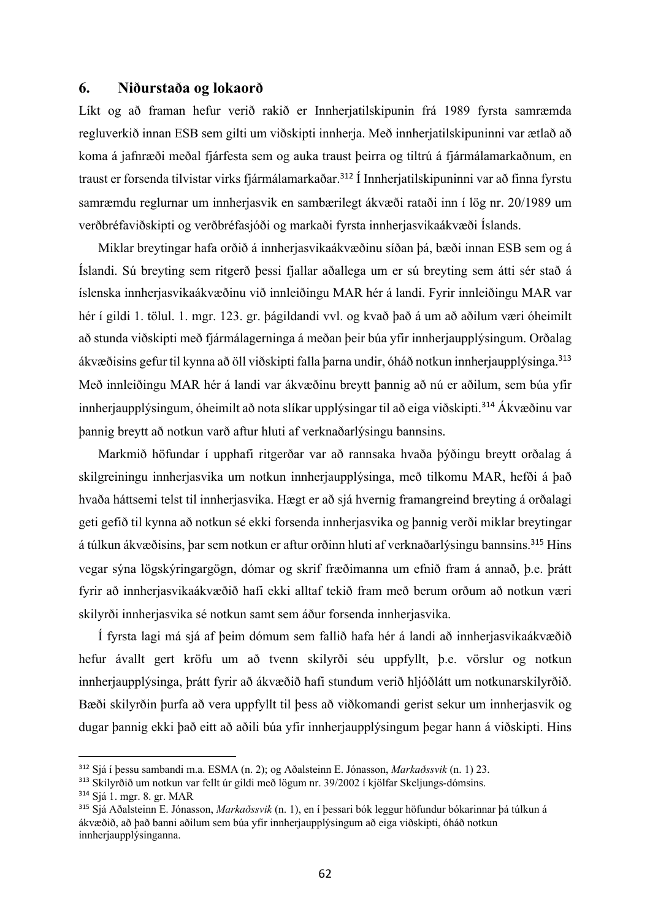## **6. Niðurstaða og lokaorð**

Líkt og að framan hefur verið rakið er Innherjatilskipunin frá 1989 fyrsta samræmda regluverkið innan ESB sem gilti um viðskipti innherja. Með innherjatilskipuninni var ætlað að koma á jafnræði meðal fjárfesta sem og auka traust þeirra og tiltrú á fjármálamarkaðnum, en traust er forsenda tilvistar virks fjármálamarkaðar.<sup>312</sup> Í Innherjatilskipuninni var að finna fyrstu samræmdu reglurnar um innherjasvik en sambærilegt ákvæði rataði inn í lög nr. 20/1989 um verðbréfaviðskipti og verðbréfasjóði og markaði fyrsta innherjasvikaákvæði Íslands.

Miklar breytingar hafa orðið á innherjasvikaákvæðinu síðan þá, bæði innan ESB sem og á Íslandi. Sú breyting sem ritgerð þessi fjallar aðallega um er sú breyting sem átti sér stað á íslenska innherjasvikaákvæðinu við innleiðingu MAR hér á landi. Fyrir innleiðingu MAR var hér í gildi 1. tölul. 1. mgr. 123. gr. þágildandi vvl. og kvað það á um að aðilum væri óheimilt að stunda viðskipti með fjármálagerninga á meðan þeir búa yfir innherjaupplýsingum. Orðalag ákvæðisins gefur til kynna að öll viðskipti falla þarna undir, óháð notkun innherjaupplýsinga.<sup>313</sup> Með innleiðingu MAR hér á landi var ákvæðinu breytt þannig að nú er aðilum, sem búa yfir innherjaupplýsingum, óheimilt að nota slíkar upplýsingar til að eiga viðskipti.<sup>314</sup> Ákvæðinu var þannig breytt að notkun varð aftur hluti af verknaðarlýsingu bannsins.

Markmið höfundar í upphafi ritgerðar var að rannsaka hvaða þýðingu breytt orðalag á skilgreiningu innherjasvika um notkun innherjaupplýsinga, með tilkomu MAR, hefði á það hvaða háttsemi telst til innherjasvika. Hægt er að sjá hvernig framangreind breyting á orðalagi geti gefið til kynna að notkun sé ekki forsenda innherjasvika og þannig verði miklar breytingar á túlkun ákvæðisins, þar sem notkun er aftur orðinn hluti af verknaðarlýsingu bannsins.<sup>315</sup> Hins vegar sýna lögskýringargögn, dómar og skrif fræðimanna um efnið fram á annað, þ.e. þrátt fyrir að innherjasvikaákvæðið hafi ekki alltaf tekið fram með berum orðum að notkun væri skilyrði innherjasvika sé notkun samt sem áður forsenda innherjasvika.

Í fyrsta lagi má sjá af þeim dómum sem fallið hafa hér á landi að innherjasvikaákvæðið hefur ávallt gert kröfu um að tvenn skilyrði séu uppfyllt, þ.e. vörslur og notkun innherjaupplýsinga, þrátt fyrir að ákvæðið hafi stundum verið hljóðlátt um notkunarskilyrðið. Bæði skilyrðin þurfa að vera uppfyllt til þess að viðkomandi gerist sekur um innherjasvik og dugar þannig ekki það eitt að aðili búa yfir innherjaupplýsingum þegar hann á viðskipti. Hins

<sup>312</sup> Sjá í þessu sambandi m.a. ESMA (n. 2); og Aðalsteinn E. Jónasson, *Markaðssvik* (n. 1) 23.

<sup>313</sup> Skilyrðið um notkun var fellt úr gildi með lögum nr. 39/2002 í kjölfar Skeljungs-dómsins.

<sup>314</sup> Sjá 1. mgr. 8. gr. MAR

<sup>315</sup> Sjá Aðalsteinn E. Jónasson, *Markaðssvik* (n. 1), en í þessari bók leggur höfundur bókarinnar þá túlkun á ákvæðið, að það banni aðilum sem búa yfir innherjaupplýsingum að eiga viðskipti, óháð notkun innherjaupplýsinganna.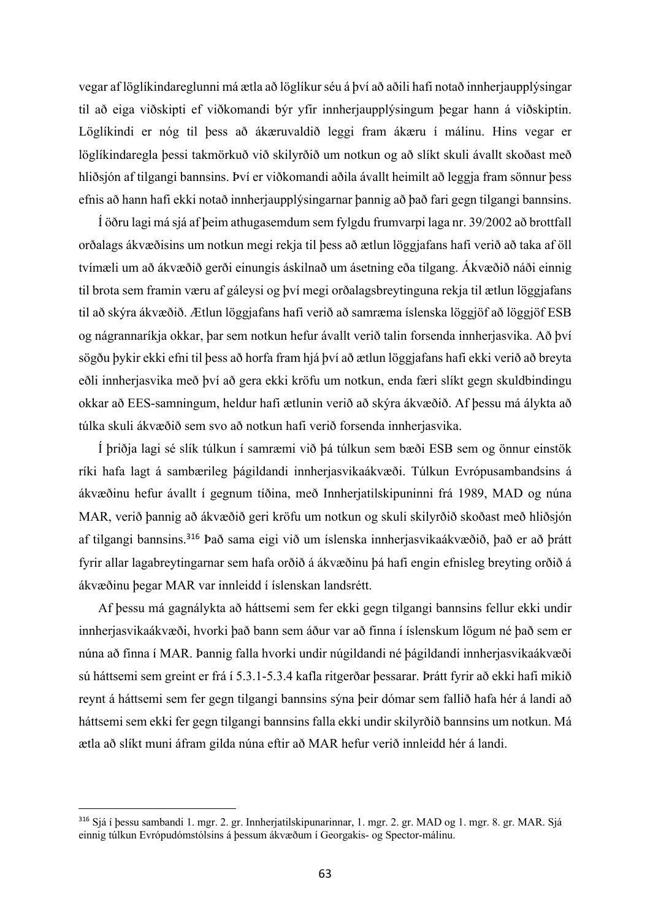vegar af löglíkindareglunni má ætla að löglíkur séu á því að aðili hafi notað innherjaupplýsingar til að eiga viðskipti ef viðkomandi býr yfir innherjaupplýsingum þegar hann á viðskiptin. Löglíkindi er nóg til þess að ákæruvaldið leggi fram ákæru í málinu. Hins vegar er löglíkindaregla þessi takmörkuð við skilyrðið um notkun og að slíkt skuli ávallt skoðast með hliðsjón af tilgangi bannsins. Því er viðkomandi aðila ávallt heimilt að leggja fram sönnur þess efnis að hann hafi ekki notað innherjaupplýsingarnar þannig að það fari gegn tilgangi bannsins.

Í öðru lagi má sjá af þeim athugasemdum sem fylgdu frumvarpi laga nr. 39/2002 að brottfall orðalags ákvæðisins um notkun megi rekja til þess að ætlun löggjafans hafi verið að taka af öll tvímæli um að ákvæðið gerði einungis áskilnað um ásetning eða tilgang. Ákvæðið náði einnig til brota sem framin væru af gáleysi og því megi orðalagsbreytinguna rekja til ætlun löggjafans til að skýra ákvæðið. Ætlun löggjafans hafi verið að samræma íslenska löggjöf að löggjöf ESB og nágrannaríkja okkar, þar sem notkun hefur ávallt verið talin forsenda innherjasvika. Að því sögðu þykir ekki efni til þess að horfa fram hjá því að ætlun löggjafans hafi ekki verið að breyta eðli innherjasvika með því að gera ekki kröfu um notkun, enda færi slíkt gegn skuldbindingu okkar að EES-samningum, heldur hafi ætlunin verið að skýra ákvæðið. Af þessu má álykta að túlka skuli ákvæðið sem svo að notkun hafi verið forsenda innherjasvika.

Í þriðja lagi sé slík túlkun í samræmi við þá túlkun sem bæði ESB sem og önnur einstök ríki hafa lagt á sambærileg þágildandi innherjasvikaákvæði. Túlkun Evrópusambandsins á ákvæðinu hefur ávallt í gegnum tíðina, með Innherjatilskipuninni frá 1989, MAD og núna MAR, verið þannig að ákvæðið geri kröfu um notkun og skuli skilyrðið skoðast með hliðsjón af tilgangi bannsins.<sup>316</sup> Það sama eigi við um íslenska innherjasvikaákvæðið, það er að þrátt fyrir allar lagabreytingarnar sem hafa orðið á ákvæðinu þá hafi engin efnisleg breyting orðið á ákvæðinu þegar MAR var innleidd í íslenskan landsrétt.

Af þessu má gagnálykta að háttsemi sem fer ekki gegn tilgangi bannsins fellur ekki undir innherjasvikaákvæði, hvorki það bann sem áður var að finna í íslenskum lögum né það sem er núna að finna í MAR. Þannig falla hvorki undir núgildandi né þágildandi innherjasvikaákvæði sú háttsemi sem greint er frá í 5.3.1-5.3.4 kafla ritgerðar þessarar. Þrátt fyrir að ekki hafi mikið reynt á háttsemi sem fer gegn tilgangi bannsins sýna þeir dómar sem fallið hafa hér á landi að háttsemi sem ekki fer gegn tilgangi bannsins falla ekki undir skilyrðið bannsins um notkun. Má ætla að slíkt muni áfram gilda núna eftir að MAR hefur verið innleidd hér á landi.

<sup>316</sup> Sjá í þessu sambandi 1. mgr. 2. gr. Innherjatilskipunarinnar, 1. mgr. 2. gr. MAD og 1. mgr. 8. gr. MAR. Sjá einnig túlkun Evrópudómstólsins á þessum ákvæðum í Georgakis- og Spector-málinu.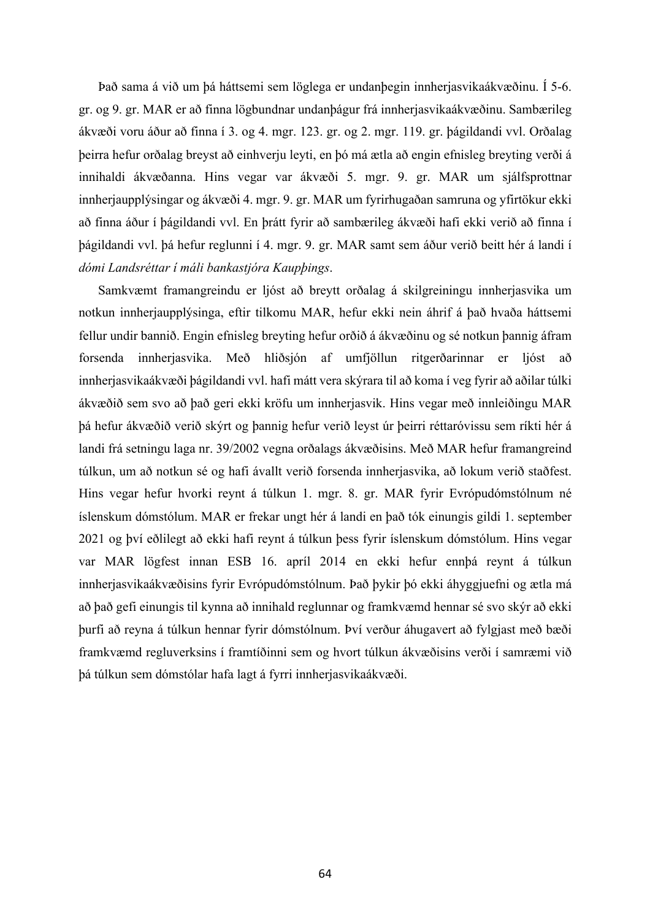Það sama á við um þá háttsemi sem löglega er undanþegin innherjasvikaákvæðinu. Í 5-6. gr. og 9. gr. MAR er að finna lögbundnar undanþágur frá innherjasvikaákvæðinu. Sambærileg ákvæði voru áður að finna í 3. og 4. mgr. 123. gr. og 2. mgr. 119. gr. þágildandi vvl. Orðalag þeirra hefur orðalag breyst að einhverju leyti, en þó má ætla að engin efnisleg breyting verði á innihaldi ákvæðanna. Hins vegar var ákvæði 5. mgr. 9. gr. MAR um sjálfsprottnar innherjaupplýsingar og ákvæði 4. mgr. 9. gr. MAR um fyrirhugaðan samruna og yfirtökur ekki að finna áður í þágildandi vvl. En þrátt fyrir að sambærileg ákvæði hafi ekki verið að finna í þágildandi vvl. þá hefur reglunni í 4. mgr. 9. gr. MAR samt sem áður verið beitt hér á landi í *dómi Landsréttar í máli bankastjóra Kaupþings*.

Samkvæmt framangreindu er ljóst að breytt orðalag á skilgreiningu innherjasvika um notkun innherjaupplýsinga, eftir tilkomu MAR, hefur ekki nein áhrif á það hvaða háttsemi fellur undir bannið. Engin efnisleg breyting hefur orðið á ákvæðinu og sé notkun þannig áfram forsenda innherjasvika. Með hliðsjón af umfjöllun ritgerðarinnar er ljóst að innherjasvikaákvæði þágildandi vvl. hafi mátt vera skýrara til að koma í veg fyrir að aðilar túlki ákvæðið sem svo að það geri ekki kröfu um innherjasvik. Hins vegar með innleiðingu MAR þá hefur ákvæðið verið skýrt og þannig hefur verið leyst úr þeirri réttaróvissu sem ríkti hér á landi frá setningu laga nr. 39/2002 vegna orðalags ákvæðisins. Með MAR hefur framangreind túlkun, um að notkun sé og hafi ávallt verið forsenda innherjasvika, að lokum verið staðfest. Hins vegar hefur hvorki reynt á túlkun 1. mgr. 8. gr. MAR fyrir Evrópudómstólnum né íslenskum dómstólum. MAR er frekar ungt hér á landi en það tók einungis gildi 1. september 2021 og því eðlilegt að ekki hafi reynt á túlkun þess fyrir íslenskum dómstólum. Hins vegar var MAR lögfest innan ESB 16. apríl 2014 en ekki hefur ennþá reynt á túlkun innherjasvikaákvæðisins fyrir Evrópudómstólnum. Það þykir þó ekki áhyggjuefni og ætla má að það gefi einungis til kynna að innihald reglunnar og framkvæmd hennar sé svo skýr að ekki þurfi að reyna á túlkun hennar fyrir dómstólnum. Því verður áhugavert að fylgjast með bæði framkvæmd regluverksins í framtíðinni sem og hvort túlkun ákvæðisins verði í samræmi við þá túlkun sem dómstólar hafa lagt á fyrri innherjasvikaákvæði.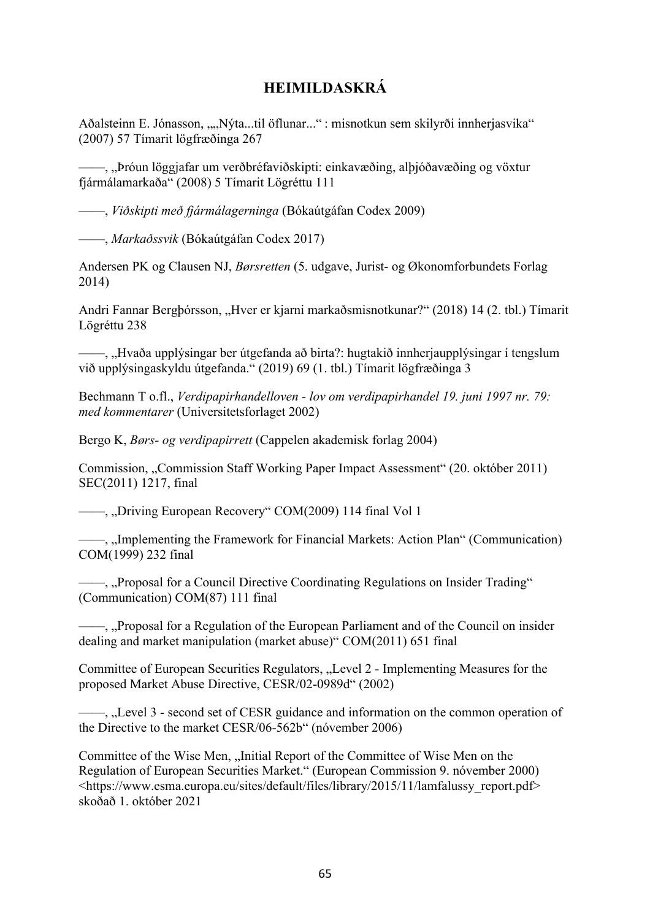## **HEIMILDASKRÁ**

Aðalsteinn E. Jónasson, ""Nýta...til öflunar..." : misnotkun sem skilyrði innherjasvika" (2007) 57 Tímarit lögfræðinga 267

——, "Þróun löggjafar um verðbréfaviðskipti: einkavæðing, alþjóðavæðing og vöxtur fjármálamarkaða" (2008) 5 Tímarit Lögréttu 111

——, *Viðskipti með fjármálagerninga* (Bókaútgáfan Codex 2009)

——, *Markaðssvik* (Bókaútgáfan Codex 2017)

Andersen PK og Clausen NJ, *Børsretten* (5. udgave, Jurist- og Økonomforbundets Forlag 2014)

Andri Fannar Bergþórsson, "Hver er kjarni markaðsmisnotkunar?" (2018) 14 (2. tbl.) Tímarit Lögréttu 238

——, "Hvaða upplýsingar ber útgefanda að birta?: hugtakið innherjaupplýsingar í tengslum við upplýsingaskyldu útgefanda." (2019) 69 (1. tbl.) Tímarit lögfræðinga 3

Bechmann T o.fl., *Verdipapirhandelloven - lov om verdipapirhandel 19. juni 1997 nr. 79: med kommentarer* (Universitetsforlaget 2002)

Bergo K, *Børs- og verdipapirrett* (Cappelen akademisk forlag 2004)

Commission, "Commission Staff Working Paper Impact Assessment" (20. október 2011) SEC(2011) 1217, final

—, "Driving European Recovery" COM(2009) 114 final Vol 1

—, "Implementing the Framework for Financial Markets: Action Plan" (Communication) COM(1999) 232 final

—, "Proposal for a Council Directive Coordinating Regulations on Insider Trading" (Communication) COM(87) 111 final

 $-$ , "Proposal for a Regulation of the European Parliament and of the Council on insider dealing and market manipulation (market abuse)" COM(2011) 651 final

Committee of European Securities Regulators, "Level 2 - Implementing Measures for the proposed Market Abuse Directive, CESR/02-0989d" (2002)

—, "Level 3 - second set of CESR guidance and information on the common operation of the Directive to the market CESR/06-562b" (nóvember 2006)

Committee of the Wise Men, "Initial Report of the Committee of Wise Men on the Regulation of European Securities Market." (European Commission 9. nóvember 2000) <https://www.esma.europa.eu/sites/default/files/library/2015/11/lamfalussy\_report.pdf> skoðað 1. október 2021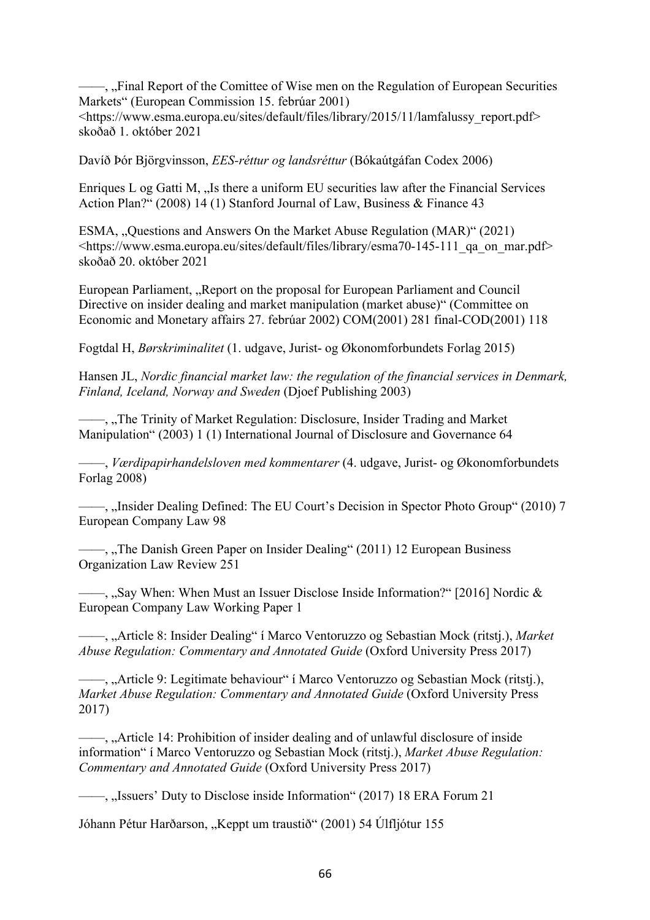—, "Final Report of the Comittee of Wise men on the Regulation of European Securities Markets" (European Commission 15. febrúar 2001) <https://www.esma.europa.eu/sites/default/files/library/2015/11/lamfalussy\_report.pdf> skoðað 1. október 2021

Davíð Þór Björgvinsson, *EES-réttur og landsréttur* (Bókaútgáfan Codex 2006)

Enriques L og Gatti M, "Is there a uniform EU securities law after the Financial Services Action Plan?" (2008) 14 (1) Stanford Journal of Law, Business & Finance 43

ESMA, "Questions and Answers On the Market Abuse Regulation (MAR)" (2021) <https://www.esma.europa.eu/sites/default/files/library/esma70-145-111\_qa\_on\_mar.pdf> skoðað 20. október 2021

European Parliament, "Report on the proposal for European Parliament and Council Directive on insider dealing and market manipulation (market abuse)" (Committee on Economic and Monetary affairs 27. febrúar 2002) COM(2001) 281 final-COD(2001) 118

Fogtdal H, *Børskriminalitet* (1. udgave, Jurist- og Økonomforbundets Forlag 2015)

Hansen JL, *Nordic financial market law: the regulation of the financial services in Denmark, Finland, Iceland, Norway and Sweden* (Djoef Publishing 2003)

—, "The Trinity of Market Regulation: Disclosure, Insider Trading and Market Manipulation" (2003) 1 (1) International Journal of Disclosure and Governance 64

——, *Værdipapirhandelsloven med kommentarer* (4. udgave, Jurist- og Økonomforbundets Forlag 2008)

——, "Insider Dealing Defined: The EU Court's Decision in Spector Photo Group" (2010) 7 European Company Law 98

 $-$ , "The Danish Green Paper on Insider Dealing" (2011) 12 European Business Organization Law Review 251

 $\frac{1}{100}$ , Say When: When Must an Issuer Disclose Inside Information?" [2016] Nordic & European Company Law Working Paper 1

——, "Article 8: Insider Dealing" í Marco Ventoruzzo og Sebastian Mock (ritstj.), *Market Abuse Regulation: Commentary and Annotated Guide* (Oxford University Press 2017)

——, "Article 9: Legitimate behaviour" í Marco Ventoruzzo og Sebastian Mock (ritstj.), *Market Abuse Regulation: Commentary and Annotated Guide* (Oxford University Press 2017)

——, "Article 14: Prohibition of insider dealing and of unlawful disclosure of inside information" í Marco Ventoruzzo og Sebastian Mock (ritstj.), *Market Abuse Regulation: Commentary and Annotated Guide* (Oxford University Press 2017)

—, "Issuers' Duty to Disclose inside Information" (2017) 18 ERA Forum 21

Jóhann Pétur Harðarson, "Keppt um traustið" (2001) 54 Úlfljótur 155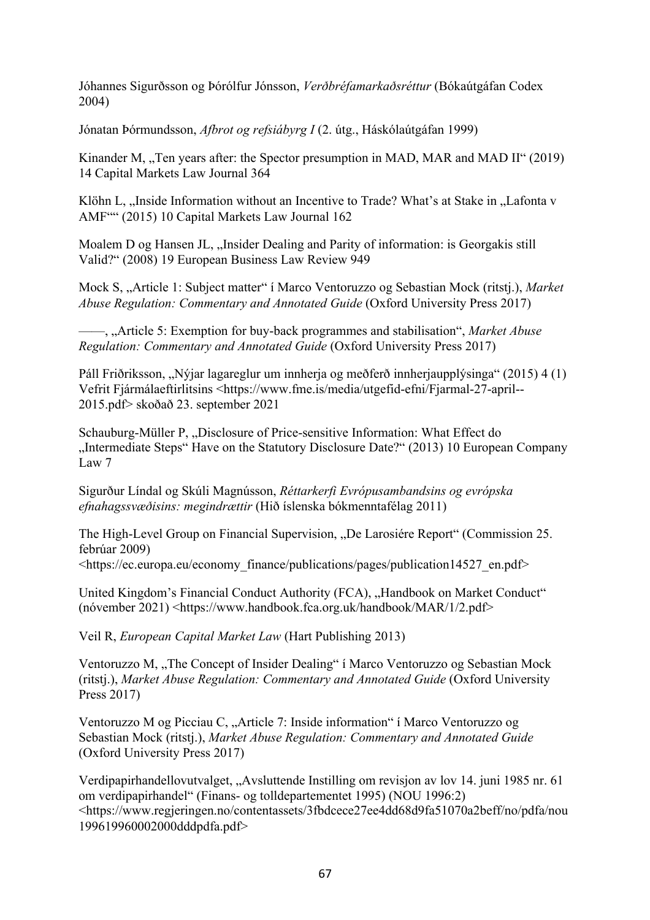Jóhannes Sigurðsson og Þórólfur Jónsson, *Verðbréfamarkaðsréttur* (Bókaútgáfan Codex 2004)

Jónatan Þórmundsson, *Afbrot og refsiábyrg I* (2. útg., Háskólaútgáfan 1999)

Kinander M, "Ten years after: the Spector presumption in MAD, MAR and MAD II" (2019) 14 Capital Markets Law Journal 364

Klöhn L, "Inside Information without an Incentive to Trade? What's at Stake in "Lafonta v AMF"" (2015) 10 Capital Markets Law Journal 162

Moalem D og Hansen JL, "Insider Dealing and Parity of information: is Georgakis still Valid?" (2008) 19 European Business Law Review 949

Mock S, "Article 1: Subject matter" í Marco Ventoruzzo og Sebastian Mock (ritstj.), *Market Abuse Regulation: Commentary and Annotated Guide* (Oxford University Press 2017)

——, "Article 5: Exemption for buy-back programmes and stabilisation", *Market Abuse Regulation: Commentary and Annotated Guide* (Oxford University Press 2017)

Páll Friðriksson, "Nýjar lagareglur um innherja og meðferð innherjaupplýsinga" (2015) 4 (1) Vefrit Fjármálaeftirlitsins <https://www.fme.is/media/utgefid-efni/Fjarmal-27-april-- 2015.pdf> skoðað 23. september 2021

Schauburg-Müller P, "Disclosure of Price-sensitive Information: What Effect do "Intermediate Steps" Have on the Statutory Disclosure Date?" (2013) 10 European Company Law 7

Sigurður Líndal og Skúli Magnússon, *Réttarkerfi Evrópusambandsins og evrópska efnahagssvæðisins: megindrættir* (Hið íslenska bókmenntafélag 2011)

The High-Level Group on Financial Supervision, "De Larosiére Report" (Commission 25. febrúar 2009)

<https://ec.europa.eu/economy\_finance/publications/pages/publication14527\_en.pdf>

United Kingdom's Financial Conduct Authority (FCA), "Handbook on Market Conduct" (nóvember 2021) <https://www.handbook.fca.org.uk/handbook/MAR/1/2.pdf>

Veil R, *European Capital Market Law* (Hart Publishing 2013)

Ventoruzzo M, "The Concept of Insider Dealing" í Marco Ventoruzzo og Sebastian Mock (ritstj.), *Market Abuse Regulation: Commentary and Annotated Guide* (Oxford University Press 2017)

Ventoruzzo M og Picciau C, "Article 7: Inside information" í Marco Ventoruzzo og Sebastian Mock (ritstj.), *Market Abuse Regulation: Commentary and Annotated Guide* (Oxford University Press 2017)

Verdipapirhandellovutvalget, "Avsluttende Instilling om revisjon av lov 14. juni 1985 nr. 61 om verdipapirhandel" (Finans- og tolldepartementet 1995) (NOU 1996:2) <https://www.regjeringen.no/contentassets/3fbdcece27ee4dd68d9fa51070a2beff/no/pdfa/nou 199619960002000dddpdfa.pdf>